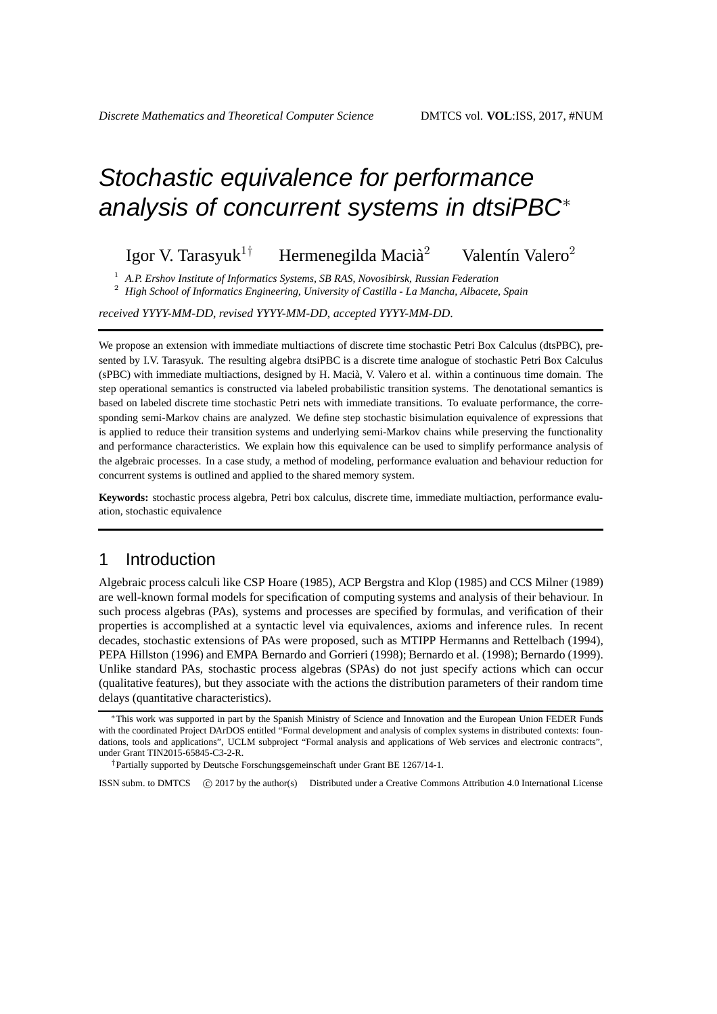# Stochastic equivalence for performance analysis of concurrent systems in dtsiPBC<sup>∗</sup>

#### Igor V. Tarasyuk<sup>1†</sup> Hermenegilda Macià<sup>2</sup> Valentín Valero<sup>2</sup>

<sup>1</sup> *A.P. Ershov Institute of Informatics Systems, SB RAS, Novosibirsk, Russian Federation*

<sup>2</sup> *High School of Informatics Engineering, University of Castilla - La Mancha, Albacete, Spain*

*received YYYY-MM-DD*, *revised YYYY-MM-DD*, *accepted YYYY-MM-DD*.

We propose an extension with immediate multiactions of discrete time stochastic Petri Box Calculus (dtsPBC), presented by I.V. Tarasyuk. The resulting algebra dtsiPBC is a discrete time analogue of stochastic Petri Box Calculus (sPBC) with immediate multiactions, designed by H. Macià, V. Valero et al. within a continuous time domain. The step operational semantics is constructed via labeled probabilistic transition systems. The denotational semantics is based on labeled discrete time stochastic Petri nets with immediate transitions. To evaluate performance, the corresponding semi-Markov chains are analyzed. We define step stochastic bisimulation equivalence of expressions that is applied to reduce their transition systems and underlying semi-Markov chains while preserving the functionality and performance characteristics. We explain how this equivalence can be used to simplify performance analysis of the algebraic processes. In a case study, a method of modeling, performance evaluation and behaviour reduction for concurrent systems is outlined and applied to the shared memory system.

**Keywords:** stochastic process algebra, Petri box calculus, discrete time, immediate multiaction, performance evaluation, stochastic equivalence

# 1 Introduction

Algebraic process calculi like CSP Hoare (1985), ACP Bergstra and Klop (1985) and CCS Milner (1989) are well-known formal models for specification of computing systems and analysis of their behaviour. In such process algebras (PAs), systems and processes are specified by formulas, and verification of their properties is accomplished at a syntactic level via equivalences, axioms and inference rules. In recent decades, stochastic extensions of PAs were proposed, such as MTIPP Hermanns and Rettelbach (1994), PEPA Hillston (1996) and EMPA Bernardo and Gorrieri (1998); Bernardo et al. (1998); Bernardo (1999). Unlike standard PAs, stochastic process algebras (SPAs) do not just specify actions which can occur (qualitative features), but they associate with the actions the distribution parameters of their random time delays (quantitative characteristics).

†Partially supported by Deutsche Forschungsgemeinschaft under Grant BE 1267/14-1.

ISSN subm. to DMTCS (C) 2017 by the author(s) Distributed under a Creative Commons Attribution 4.0 International License

<sup>∗</sup>This work was supported in part by the Spanish Ministry of Science and Innovation and the European Union FEDER Funds with the coordinated Project DArDOS entitled "Formal development and analysis of complex systems in distributed contexts: foundations, tools and applications", UCLM subproject "Formal analysis and applications of Web services and electronic contracts", under Grant TIN2015-65845-C3-2-R.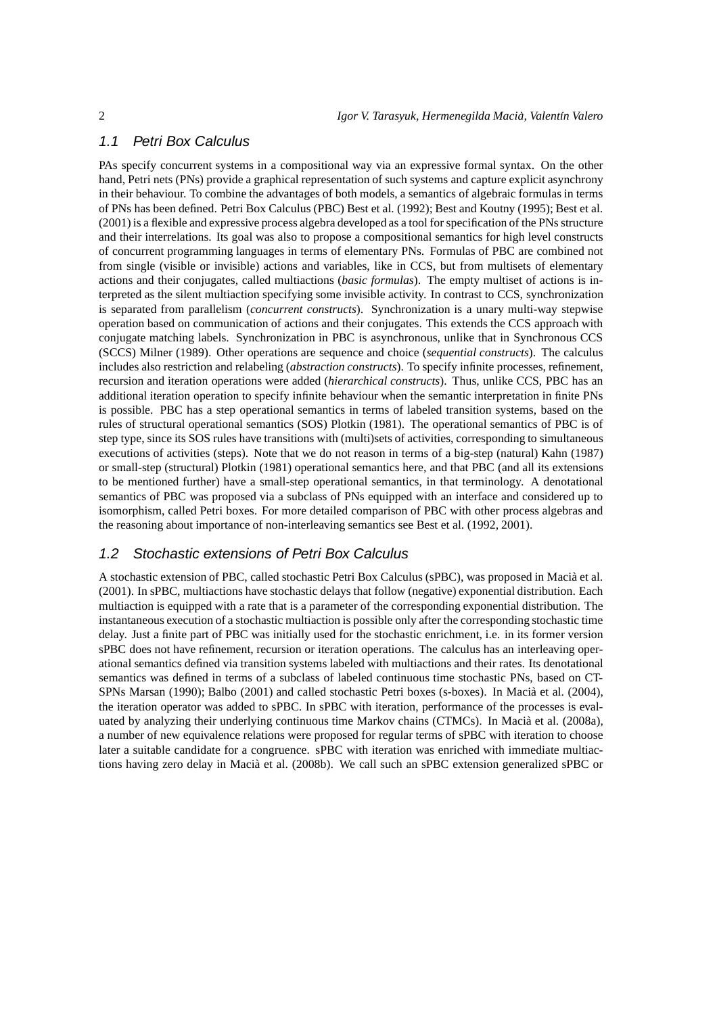## 1.1 Petri Box Calculus

PAs specify concurrent systems in a compositional way via an expressive formal syntax. On the other hand, Petri nets (PNs) provide a graphical representation of such systems and capture explicit asynchrony in their behaviour. To combine the advantages of both models, a semantics of algebraic formulas in terms of PNs has been defined. Petri Box Calculus (PBC) Best et al. (1992); Best and Koutny (1995); Best et al. (2001) is a flexible and expressive process algebra developed as a tool for specification of the PNs structure and their interrelations. Its goal was also to propose a compositional semantics for high level constructs of concurrent programming languages in terms of elementary PNs. Formulas of PBC are combined not from single (visible or invisible) actions and variables, like in CCS, but from multisets of elementary actions and their conjugates, called multiactions (*basic formulas*). The empty multiset of actions is interpreted as the silent multiaction specifying some invisible activity. In contrast to CCS, synchronization is separated from parallelism (*concurrent constructs*). Synchronization is a unary multi-way stepwise operation based on communication of actions and their conjugates. This extends the CCS approach with conjugate matching labels. Synchronization in PBC is asynchronous, unlike that in Synchronous CCS (SCCS) Milner (1989). Other operations are sequence and choice (*sequential constructs*). The calculus includes also restriction and relabeling (*abstraction constructs*). To specify infinite processes, refinement, recursion and iteration operations were added (*hierarchical constructs*). Thus, unlike CCS, PBC has an additional iteration operation to specify infinite behaviour when the semantic interpretation in finite PNs is possible. PBC has a step operational semantics in terms of labeled transition systems, based on the rules of structural operational semantics (SOS) Plotkin (1981). The operational semantics of PBC is of step type, since its SOS rules have transitions with (multi)sets of activities, corresponding to simultaneous executions of activities (steps). Note that we do not reason in terms of a big-step (natural) Kahn (1987) or small-step (structural) Plotkin (1981) operational semantics here, and that PBC (and all its extensions to be mentioned further) have a small-step operational semantics, in that terminology. A denotational semantics of PBC was proposed via a subclass of PNs equipped with an interface and considered up to isomorphism, called Petri boxes. For more detailed comparison of PBC with other process algebras and the reasoning about importance of non-interleaving semantics see Best et al. (1992, 2001).

#### 1.2 Stochastic extensions of Petri Box Calculus

A stochastic extension of PBC, called stochastic Petri Box Calculus (sPBC), was proposed in Macià et al. (2001). In sPBC, multiactions have stochastic delays that follow (negative) exponential distribution. Each multiaction is equipped with a rate that is a parameter of the corresponding exponential distribution. The instantaneous execution of a stochastic multiaction is possible only after the corresponding stochastic time delay. Just a finite part of PBC was initially used for the stochastic enrichment, i.e. in its former version sPBC does not have refinement, recursion or iteration operations. The calculus has an interleaving operational semantics defined via transition systems labeled with multiactions and their rates. Its denotational semantics was defined in terms of a subclass of labeled continuous time stochastic PNs, based on CT-SPNs Marsan (1990); Balbo (2001) and called stochastic Petri boxes (s-boxes). In Macià et al. (2004), the iteration operator was added to sPBC. In sPBC with iteration, performance of the processes is evaluated by analyzing their underlying continuous time Markov chains (CTMCs). In Macià et al. (2008a), a number of new equivalence relations were proposed for regular terms of sPBC with iteration to choose later a suitable candidate for a congruence. sPBC with iteration was enriched with immediate multiactions having zero delay in Macià et al. (2008b). We call such an sPBC extension generalized sPBC or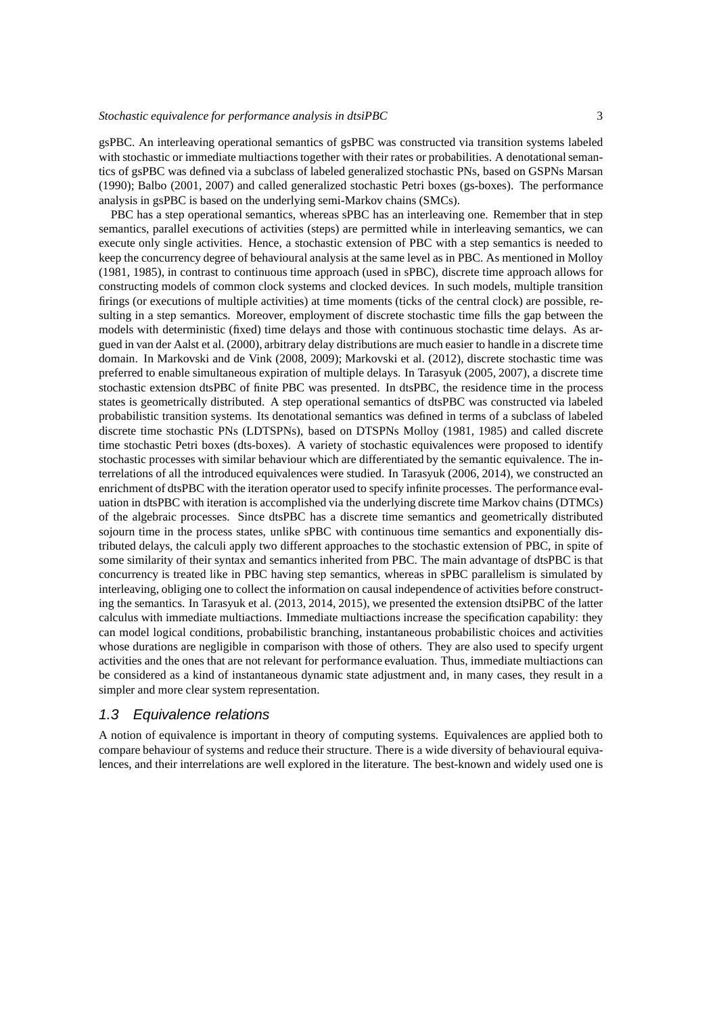gsPBC. An interleaving operational semantics of gsPBC was constructed via transition systems labeled with stochastic or immediate multiactions together with their rates or probabilities. A denotational semantics of gsPBC was defined via a subclass of labeled generalized stochastic PNs, based on GSPNs Marsan (1990); Balbo (2001, 2007) and called generalized stochastic Petri boxes (gs-boxes). The performance analysis in gsPBC is based on the underlying semi-Markov chains (SMCs).

PBC has a step operational semantics, whereas sPBC has an interleaving one. Remember that in step semantics, parallel executions of activities (steps) are permitted while in interleaving semantics, we can execute only single activities. Hence, a stochastic extension of PBC with a step semantics is needed to keep the concurrency degree of behavioural analysis at the same level as in PBC. As mentioned in Molloy (1981, 1985), in contrast to continuous time approach (used in sPBC), discrete time approach allows for constructing models of common clock systems and clocked devices. In such models, multiple transition firings (or executions of multiple activities) at time moments (ticks of the central clock) are possible, resulting in a step semantics. Moreover, employment of discrete stochastic time fills the gap between the models with deterministic (fixed) time delays and those with continuous stochastic time delays. As argued in van der Aalst et al. (2000), arbitrary delay distributions are much easier to handle in a discrete time domain. In Markovski and de Vink (2008, 2009); Markovski et al. (2012), discrete stochastic time was preferred to enable simultaneous expiration of multiple delays. In Tarasyuk (2005, 2007), a discrete time stochastic extension dtsPBC of finite PBC was presented. In dtsPBC, the residence time in the process states is geometrically distributed. A step operational semantics of dtsPBC was constructed via labeled probabilistic transition systems. Its denotational semantics was defined in terms of a subclass of labeled discrete time stochastic PNs (LDTSPNs), based on DTSPNs Molloy (1981, 1985) and called discrete time stochastic Petri boxes (dts-boxes). A variety of stochastic equivalences were proposed to identify stochastic processes with similar behaviour which are differentiated by the semantic equivalence. The interrelations of all the introduced equivalences were studied. In Tarasyuk (2006, 2014), we constructed an enrichment of dtsPBC with the iteration operator used to specify infinite processes. The performance evaluation in dtsPBC with iteration is accomplished via the underlying discrete time Markov chains (DTMCs) of the algebraic processes. Since dtsPBC has a discrete time semantics and geometrically distributed sojourn time in the process states, unlike sPBC with continuous time semantics and exponentially distributed delays, the calculi apply two different approaches to the stochastic extension of PBC, in spite of some similarity of their syntax and semantics inherited from PBC. The main advantage of dtsPBC is that concurrency is treated like in PBC having step semantics, whereas in sPBC parallelism is simulated by interleaving, obliging one to collect the information on causal independence of activities before constructing the semantics. In Tarasyuk et al. (2013, 2014, 2015), we presented the extension dtsiPBC of the latter calculus with immediate multiactions. Immediate multiactions increase the specification capability: they can model logical conditions, probabilistic branching, instantaneous probabilistic choices and activities whose durations are negligible in comparison with those of others. They are also used to specify urgent activities and the ones that are not relevant for performance evaluation. Thus, immediate multiactions can be considered as a kind of instantaneous dynamic state adjustment and, in many cases, they result in a simpler and more clear system representation.

## 1.3 Equivalence relations

A notion of equivalence is important in theory of computing systems. Equivalences are applied both to compare behaviour of systems and reduce their structure. There is a wide diversity of behavioural equivalences, and their interrelations are well explored in the literature. The best-known and widely used one is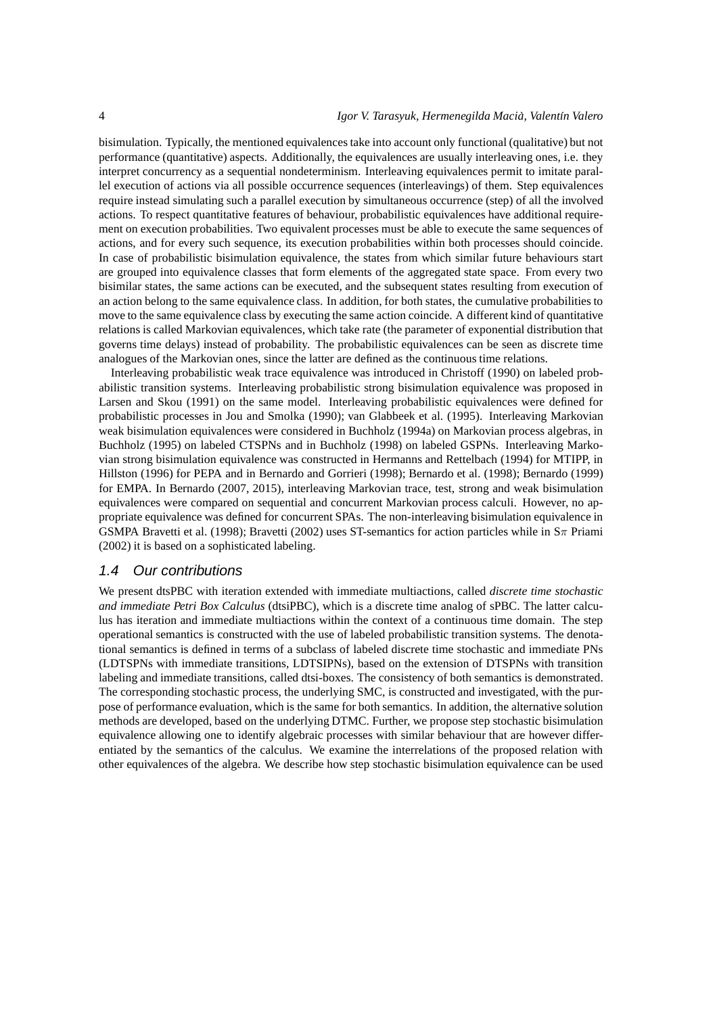bisimulation. Typically, the mentioned equivalences take into account only functional (qualitative) but not performance (quantitative) aspects. Additionally, the equivalences are usually interleaving ones, i.e. they interpret concurrency as a sequential nondeterminism. Interleaving equivalences permit to imitate parallel execution of actions via all possible occurrence sequences (interleavings) of them. Step equivalences require instead simulating such a parallel execution by simultaneous occurrence (step) of all the involved actions. To respect quantitative features of behaviour, probabilistic equivalences have additional requirement on execution probabilities. Two equivalent processes must be able to execute the same sequences of actions, and for every such sequence, its execution probabilities within both processes should coincide. In case of probabilistic bisimulation equivalence, the states from which similar future behaviours start are grouped into equivalence classes that form elements of the aggregated state space. From every two bisimilar states, the same actions can be executed, and the subsequent states resulting from execution of an action belong to the same equivalence class. In addition, for both states, the cumulative probabilities to move to the same equivalence class by executing the same action coincide. A different kind of quantitative relations is called Markovian equivalences, which take rate (the parameter of exponential distribution that governs time delays) instead of probability. The probabilistic equivalences can be seen as discrete time analogues of the Markovian ones, since the latter are defined as the continuous time relations.

Interleaving probabilistic weak trace equivalence was introduced in Christoff (1990) on labeled probabilistic transition systems. Interleaving probabilistic strong bisimulation equivalence was proposed in Larsen and Skou (1991) on the same model. Interleaving probabilistic equivalences were defined for probabilistic processes in Jou and Smolka (1990); van Glabbeek et al. (1995). Interleaving Markovian weak bisimulation equivalences were considered in Buchholz (1994a) on Markovian process algebras, in Buchholz (1995) on labeled CTSPNs and in Buchholz (1998) on labeled GSPNs. Interleaving Markovian strong bisimulation equivalence was constructed in Hermanns and Rettelbach (1994) for MTIPP, in Hillston (1996) for PEPA and in Bernardo and Gorrieri (1998); Bernardo et al. (1998); Bernardo (1999) for EMPA. In Bernardo (2007, 2015), interleaving Markovian trace, test, strong and weak bisimulation equivalences were compared on sequential and concurrent Markovian process calculi. However, no appropriate equivalence was defined for concurrent SPAs. The non-interleaving bisimulation equivalence in GSMPA Bravetti et al. (1998); Bravetti (2002) uses ST-semantics for action particles while in Sπ Priami (2002) it is based on a sophisticated labeling.

#### 1.4 Our contributions

We present dtsPBC with iteration extended with immediate multiactions, called *discrete time stochastic and immediate Petri Box Calculus* (dtsiPBC), which is a discrete time analog of sPBC. The latter calculus has iteration and immediate multiactions within the context of a continuous time domain. The step operational semantics is constructed with the use of labeled probabilistic transition systems. The denotational semantics is defined in terms of a subclass of labeled discrete time stochastic and immediate PNs (LDTSPNs with immediate transitions, LDTSIPNs), based on the extension of DTSPNs with transition labeling and immediate transitions, called dtsi-boxes. The consistency of both semantics is demonstrated. The corresponding stochastic process, the underlying SMC, is constructed and investigated, with the purpose of performance evaluation, which is the same for both semantics. In addition, the alternative solution methods are developed, based on the underlying DTMC. Further, we propose step stochastic bisimulation equivalence allowing one to identify algebraic processes with similar behaviour that are however differentiated by the semantics of the calculus. We examine the interrelations of the proposed relation with other equivalences of the algebra. We describe how step stochastic bisimulation equivalence can be used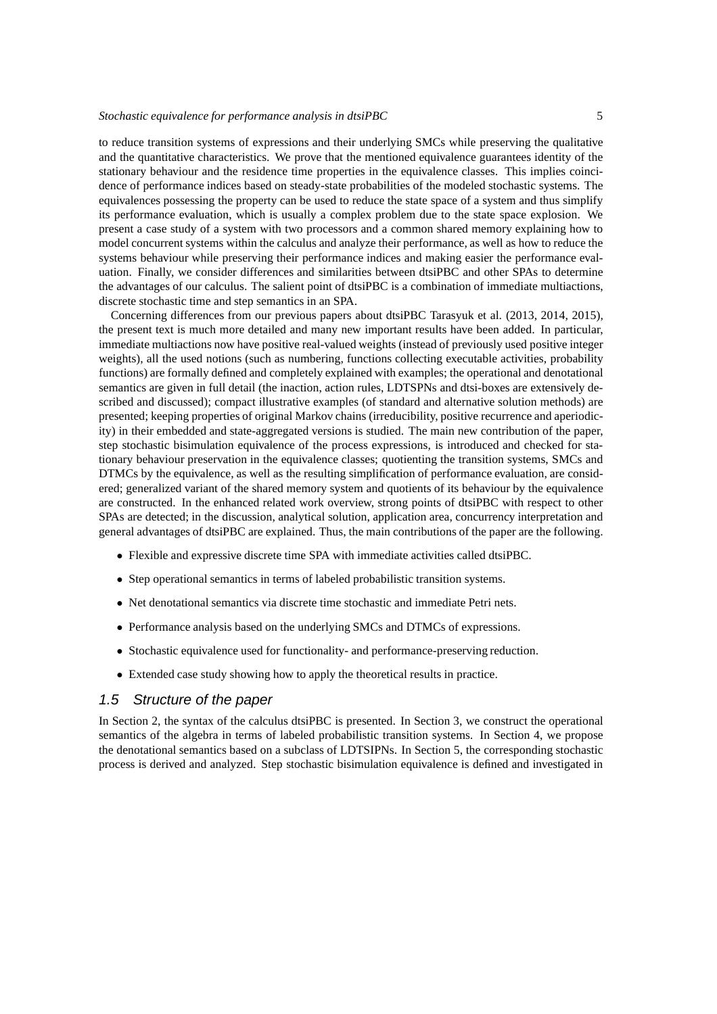to reduce transition systems of expressions and their underlying SMCs while preserving the qualitative and the quantitative characteristics. We prove that the mentioned equivalence guarantees identity of the stationary behaviour and the residence time properties in the equivalence classes. This implies coincidence of performance indices based on steady-state probabilities of the modeled stochastic systems. The equivalences possessing the property can be used to reduce the state space of a system and thus simplify its performance evaluation, which is usually a complex problem due to the state space explosion. We present a case study of a system with two processors and a common shared memory explaining how to model concurrent systems within the calculus and analyze their performance, as well as how to reduce the systems behaviour while preserving their performance indices and making easier the performance evaluation. Finally, we consider differences and similarities between dtsiPBC and other SPAs to determine the advantages of our calculus. The salient point of dtsiPBC is a combination of immediate multiactions, discrete stochastic time and step semantics in an SPA.

Concerning differences from our previous papers about dtsiPBC Tarasyuk et al. (2013, 2014, 2015), the present text is much more detailed and many new important results have been added. In particular, immediate multiactions now have positive real-valued weights (instead of previously used positive integer weights), all the used notions (such as numbering, functions collecting executable activities, probability functions) are formally defined and completely explained with examples; the operational and denotational semantics are given in full detail (the inaction, action rules, LDTSPNs and dtsi-boxes are extensively described and discussed); compact illustrative examples (of standard and alternative solution methods) are presented; keeping properties of original Markov chains (irreducibility, positive recurrence and aperiodicity) in their embedded and state-aggregated versions is studied. The main new contribution of the paper, step stochastic bisimulation equivalence of the process expressions, is introduced and checked for stationary behaviour preservation in the equivalence classes; quotienting the transition systems, SMCs and DTMCs by the equivalence, as well as the resulting simplification of performance evaluation, are considered; generalized variant of the shared memory system and quotients of its behaviour by the equivalence are constructed. In the enhanced related work overview, strong points of dtsiPBC with respect to other SPAs are detected; in the discussion, analytical solution, application area, concurrency interpretation and general advantages of dtsiPBC are explained. Thus, the main contributions of the paper are the following.

- Flexible and expressive discrete time SPA with immediate activities called dtsiPBC.
- Step operational semantics in terms of labeled probabilistic transition systems.
- Net denotational semantics via discrete time stochastic and immediate Petri nets.
- Performance analysis based on the underlying SMCs and DTMCs of expressions.
- Stochastic equivalence used for functionality- and performance-preserving reduction.
- Extended case study showing how to apply the theoretical results in practice.

#### 1.5 Structure of the paper

In Section 2, the syntax of the calculus dtsiPBC is presented. In Section 3, we construct the operational semantics of the algebra in terms of labeled probabilistic transition systems. In Section 4, we propose the denotational semantics based on a subclass of LDTSIPNs. In Section 5, the corresponding stochastic process is derived and analyzed. Step stochastic bisimulation equivalence is defined and investigated in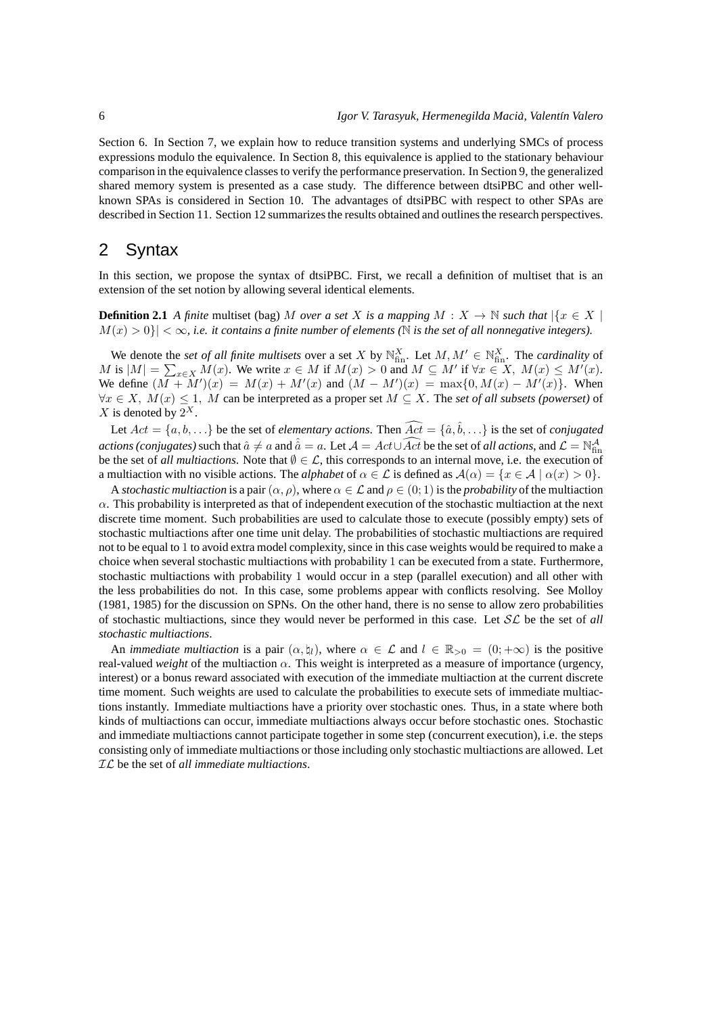Section 6. In Section 7, we explain how to reduce transition systems and underlying SMCs of process expressions modulo the equivalence. In Section 8, this equivalence is applied to the stationary behaviour comparison in the equivalence classes to verify the performance preservation. In Section 9, the generalized shared memory system is presented as a case study. The difference between dtsiPBC and other wellknown SPAs is considered in Section 10. The advantages of dtsiPBC with respect to other SPAs are described in Section 11. Section 12 summarizes the results obtained and outlines the research perspectives.

# 2 Syntax

In this section, we propose the syntax of dtsiPBC. First, we recall a definition of multiset that is an extension of the set notion by allowing several identical elements.

**Definition 2.1** *A finite* multiset (bag) M *over a set* X *is a mapping*  $M : X \to \mathbb{N}$  *such that*  $|\{x \in X |$  $M(x) > 0$ }  $| \langle \infty, i.e.$  *it contains a finite number of elements* (N *is the set of all nonnegative integers*).

We denote the *set of all finite multisets* over a set X by  $\mathbb{N}_{\text{fin}}^X$ . Let  $M, M' \in \mathbb{N}_{\text{fin}}^X$ . The *cardinality* of M is  $|M| = \sum_{x \in X} M(x)$ . We write  $x \in M$  if  $M(x) > 0$  and  $M \subseteq M'$  if  $\forall x \in X$ ,  $M(x) \le M'(x)$ . We define  $(M + M')(x) = M(x) + M'(x)$  and  $(M - M')(x) = \max\{0, M(x) - M'(x)\}\$ . When  $∀x ∈ X, M(x) ≤ 1, M$  can be interpreted as a proper set  $M ⊆ X$ . The *set of all subsets (powerset)* of  $X$  is denoted by  $2^X$ .

Let  $Act = \{a, b, ...\}$  be the set of *elementary actions*. Then  $\widehat{Act} = \{\hat{a}, \hat{b}, ...\}$  is the set of *conjugated actions (conjugates)* such that  $\hat{a} \neq a$  and  $\hat{a} = a$ . Let  $\mathcal{A} = Act \cup \widehat{Act}$  be the set of *all actions*, and  $\mathcal{L} = \mathbb{N}^{\mathcal{A}}_{fin}$ be the set of *all multiactions*. Note that  $\emptyset \in \mathcal{L}$ , this corresponds to an internal move, i.e. the execution of a multiaction with no visible actions. The *alphabet* of  $\alpha \in \mathcal{L}$  is defined as  $\mathcal{A}(\alpha) = \{x \in \mathcal{A} \mid \alpha(x) > 0\}$ .

A *stochastic multiaction* is a pair  $(\alpha, \rho)$ , where  $\alpha \in \mathcal{L}$  and  $\rho \in (0, 1)$  is the *probability* of the multiaction  $\alpha$ . This probability is interpreted as that of independent execution of the stochastic multiaction at the next discrete time moment. Such probabilities are used to calculate those to execute (possibly empty) sets of stochastic multiactions after one time unit delay. The probabilities of stochastic multiactions are required not to be equal to 1 to avoid extra model complexity, since in this case weights would be required to make a choice when several stochastic multiactions with probability 1 can be executed from a state. Furthermore, stochastic multiactions with probability 1 would occur in a step (parallel execution) and all other with the less probabilities do not. In this case, some problems appear with conflicts resolving. See Molloy (1981, 1985) for the discussion on SPNs. On the other hand, there is no sense to allow zero probabilities of stochastic multiactions, since they would never be performed in this case. Let  $SL$  be the set of *all stochastic multiactions*.

An *immediate multiaction* is a pair  $(\alpha, \nmid_l)$ , where  $\alpha \in \mathcal{L}$  and  $l \in \mathbb{R}_{>0} = (0, +\infty)$  is the positive real-valued *weight* of the multiaction α. This weight is interpreted as a measure of importance (urgency, interest) or a bonus reward associated with execution of the immediate multiaction at the current discrete time moment. Such weights are used to calculate the probabilities to execute sets of immediate multiactions instantly. Immediate multiactions have a priority over stochastic ones. Thus, in a state where both kinds of multiactions can occur, immediate multiactions always occur before stochastic ones. Stochastic and immediate multiactions cannot participate together in some step (concurrent execution), i.e. the steps consisting only of immediate multiactions or those including only stochastic multiactions are allowed. Let IL be the set of *all immediate multiactions*.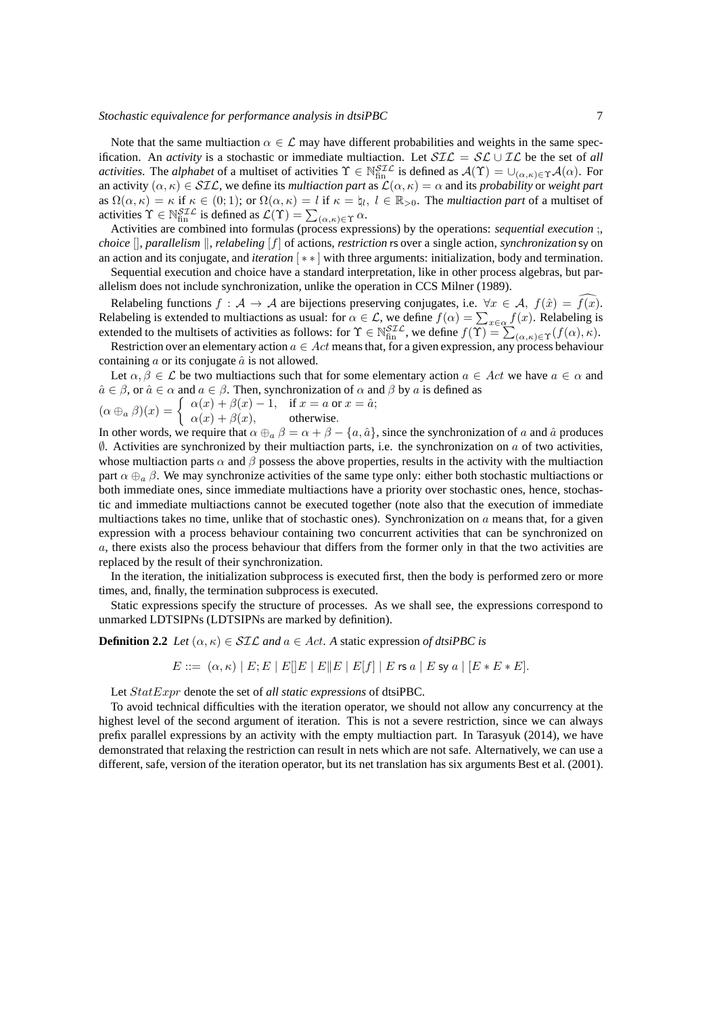Note that the same multiaction  $\alpha \in \mathcal{L}$  may have different probabilities and weights in the same specification. An *activity* is a stochastic or immediate multiaction. Let  $\mathcal{SIL} = \mathcal{SL} \cup \mathcal{IL}$  be the set of *all activities*. The *alphabet* of a multiset of activities  $\Upsilon \in \mathbb{N}_{fin}^{STL}$  is defined as  $\mathcal{A}(\Upsilon) = \cup_{(\alpha,\kappa) \in \Upsilon} \mathcal{A}(\alpha)$ . For an activity  $(\alpha, \kappa) \in \mathcal{SIL}$ , we define its *multiaction part* as  $\mathcal{L}(\alpha, \kappa) = \alpha$  and its *probability* or *weight part* as  $\Omega(\alpha,\kappa) = \kappa$  if  $\kappa \in (0,1)$ ; or  $\Omega(\alpha,\kappa) = l$  if  $\kappa = \mu_l, l \in \mathbb{R}_{>0}$ . The *multiaction part* of a multiset of activities  $\Upsilon \in \mathbb{N}_{\text{fin}}^{ST\mathcal{L}}$  is defined as  $\mathcal{L}(\Upsilon) = \sum_{(\alpha,\kappa) \in \Upsilon} \alpha$ .

Activities are combined into formulas (process expressions) by the operations: *sequential execution* ;, *choice*  $\lceil \cdot \rceil$ , *parallelism*  $\lceil \cdot \rceil$ , *relabeling*  $\lceil f \rceil$  of actions, *restriction* rs over a single action, *synchronization* sy on an action and its conjugate, and *iteration* [ ∗ ∗ ] with three arguments: initialization, body and termination.

Sequential execution and choice have a standard interpretation, like in other process algebras, but parallelism does not include synchronization, unlike the operation in CCS Milner (1989).

Relabeling functions  $f : A \to A$  are bijections preserving conjugates, i.e.  $\forall x \in A$ ,  $f(\hat{x}) = \overline{f(x)}$ . Relabeling is extended to multiactions as usual: for  $\alpha \in \mathcal{L}$ , we define  $f(\alpha) = \sum_{x \in \alpha} f(x)$ . Relabeling is extended to the multisets of activities as follows: for  $\Upsilon \in \mathbb{N}_{fin}^{STL}$ , we define  $f(\Upsilon) = \sum_{(\alpha,\kappa) \in \Upsilon} (f(\alpha), \kappa)$ .

Restriction over an elementary action  $a \in Act$  means that, for a given expression, any process behaviour containing  $\alpha$  or its conjugate  $\hat{\alpha}$  is not allowed.

Let  $\alpha, \beta \in \mathcal{L}$  be two multiactions such that for some elementary action  $a \in \mathcal{A}$  we have  $a \in \alpha$  and  $\hat{a} \in \beta$ , or  $\hat{a} \in \alpha$  and  $a \in \beta$ . Then, synchronization of  $\alpha$  and  $\beta$  by  $a$  is defined as

$$
(\alpha \oplus_{a} \beta)(x) = \begin{cases} \alpha(x) + \beta(x) - 1, & \text{if } x = a \text{ or } x = \hat{a}; \\ \alpha(x) + \beta(x), & \text{otherwise.} \end{cases}
$$

In other words, we require that  $\alpha \oplus_{\alpha} \beta = \alpha + \beta - \{a, \hat{a}\}\)$ , since the synchronization of a and  $\hat{a}$  produces  $\emptyset$ . Activities are synchronized by their multiaction parts, i.e. the synchronization on a of two activities, whose multiaction parts  $\alpha$  and  $\beta$  possess the above properties, results in the activity with the multiaction part  $\alpha \oplus_{\alpha} \beta$ . We may synchronize activities of the same type only: either both stochastic multiactions or both immediate ones, since immediate multiactions have a priority over stochastic ones, hence, stochastic and immediate multiactions cannot be executed together (note also that the execution of immediate multiactions takes no time, unlike that of stochastic ones). Synchronization on  $a$  means that, for a given expression with a process behaviour containing two concurrent activities that can be synchronized on a, there exists also the process behaviour that differs from the former only in that the two activities are replaced by the result of their synchronization.

In the iteration, the initialization subprocess is executed first, then the body is performed zero or more times, and, finally, the termination subprocess is executed.

Static expressions specify the structure of processes. As we shall see, the expressions correspond to unmarked LDTSIPNs (LDTSIPNs are marked by definition).

**Definition 2.2** *Let*  $(\alpha, \kappa) \in \mathcal{SIL}$  *and*  $a \in Act$ *.* A static expression of dtsiPBC is

$$
E ::= (\alpha, \kappa) | E; E | E | E | E | E | E | E | f | | E \text{ is a } | E \text{ s y a} | [E * E * E].
$$

Let StatExpr denote the set of *all static expressions* of dtsiPBC.

To avoid technical difficulties with the iteration operator, we should not allow any concurrency at the highest level of the second argument of iteration. This is not a severe restriction, since we can always prefix parallel expressions by an activity with the empty multiaction part. In Tarasyuk (2014), we have demonstrated that relaxing the restriction can result in nets which are not safe. Alternatively, we can use a different, safe, version of the iteration operator, but its net translation has six arguments Best et al. (2001).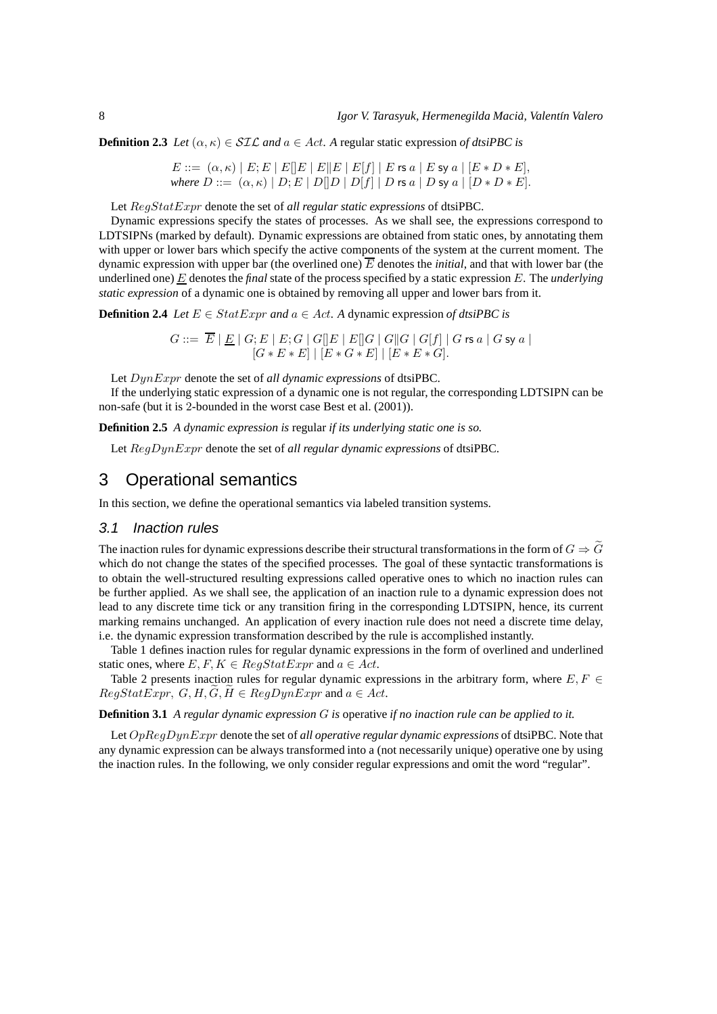**Definition 2.3** *Let*  $(\alpha, \kappa) \in SLC$  *and*  $a \in Act$ . A regular static expression *of dtsiPBC is* 

 $E ::= (\alpha, \kappa) | E; E | E | E | E | E | E | E | f | E \text{ is a } | E \text{ sy a } | [E * D * E],$ *where*  $D ::= (\alpha, \kappa) | D; E | D[|D | D[f] | D$  rs  $a | D$  sy  $a | [D * D * E].$ 

Let RegStatExpr denote the set of *all regular static expressions* of dtsiPBC.

Dynamic expressions specify the states of processes. As we shall see, the expressions correspond to LDTSIPNs (marked by default). Dynamic expressions are obtained from static ones, by annotating them with upper or lower bars which specify the active components of the system at the current moment. The dynamic expression with upper bar (the overlined one)  $\overline{E}$  denotes the *initial*, and that with lower bar (the underlined one) E denotes the *final* state of the process specified by a static expression E. The *underlying static expression* of a dynamic one is obtained by removing all upper and lower bars from it.

**Definition 2.4** *Let*  $E \in StatExpr$  *and*  $a \in Act$ *.* A dynamic expression of dtsiPBC is

 $G ::= \hspace{0.1cm} E \hspace{0.1cm} | \hspace{0.1cm} \underline{E} \hspace{0.1cm} | \hspace{0.1cm} G; E \hspace{0.1cm} | \hspace{0.1cm} E; G \hspace{0.1cm} | \hspace{0.1cm} G[\![E \hspace{0.1cm}]| \hspace{0.1cm} E \hspace{0.1cm} | \hspace{0.1cm} | \hspace{0.1cm} G \hspace{0.1cm} | \hspace{0.1cm} | \hspace{0.1cm} G \hspace{0.1cm} | \hspace{0.1cm} | \hspace{0.1cm} G \hspace{0.1$  $[G * E * E] | [E * G * E] | [E * E * G].$ 

Let DynExpr denote the set of *all dynamic expressions* of dtsiPBC.

If the underlying static expression of a dynamic one is not regular, the corresponding LDTSIPN can be non-safe (but it is 2-bounded in the worst case Best et al. (2001)).

**Definition 2.5** *A dynamic expression is* regular *if its underlying static one is so.*

Let RegDynExpr denote the set of *all regular dynamic expressions* of dtsiPBC.

# 3 Operational semantics

In this section, we define the operational semantics via labeled transition systems.

#### 3.1 Inaction rules

The inaction rules for dynamic expressions describe their structural transformations in the form of  $G \Rightarrow \tilde{G}$ which do not change the states of the specified processes. The goal of these syntactic transformations is to obtain the well-structured resulting expressions called operative ones to which no inaction rules can be further applied. As we shall see, the application of an inaction rule to a dynamic expression does not lead to any discrete time tick or any transition firing in the corresponding LDTSIPN, hence, its current marking remains unchanged. An application of every inaction rule does not need a discrete time delay, i.e. the dynamic expression transformation described by the rule is accomplished instantly.

Table 1 defines inaction rules for regular dynamic expressions in the form of overlined and underlined static ones, where  $E, F, K \in RegStatExpr$  and  $a \in Act$ .

Table 2 presents inaction rules for regular dynamic expressions in the arbitrary form, where  $E, F \in$  $RegStatexpr$ ,  $G, H, \widetilde{G}, \widetilde{H} \in RegDynExpr$  and  $a \in Act$ .

**Definition 3.1** *A regular dynamic expression* G *is* operative *if no inaction rule can be applied to it.*

Let OpRegDynExpr denote the set of *all operative regular dynamic expressions* of dtsiPBC. Note that any dynamic expression can be always transformed into a (not necessarily unique) operative one by using the inaction rules. In the following, we only consider regular expressions and omit the word "regular".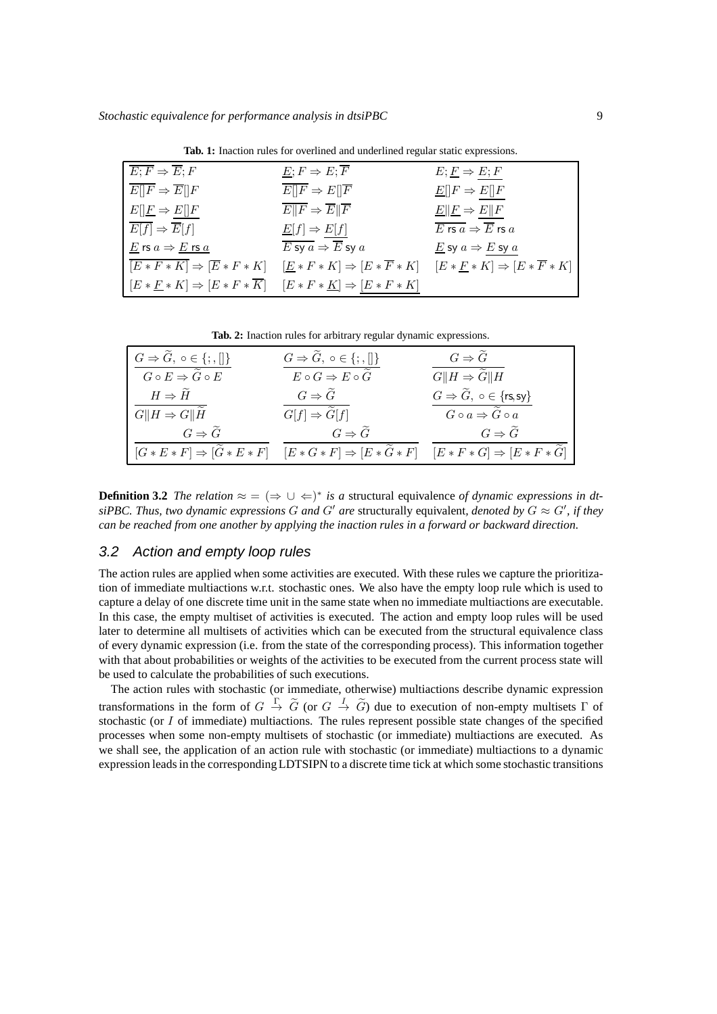**Tab. 1:** Inaction rules for overlined and underlined regular static expressions.

| $\overline{E;F} \Rightarrow \overline{E};F$                                                            | $E; F \Rightarrow E; \overline{F}$                                                                                                                        | $E; E \Rightarrow E; F$                                             |
|--------------------------------------------------------------------------------------------------------|-----------------------------------------------------------------------------------------------------------------------------------------------------------|---------------------------------------------------------------------|
| $E[]F \Rightarrow E[]F$                                                                                | $E  F \Rightarrow E  \overline{F}$                                                                                                                        | $\underline{E}[[F \Rightarrow E][F$                                 |
| $E[\underline{F} \Rightarrow E[\underline{F}]$                                                         | $\overline{E  F} \Rightarrow \overline{E  F}$                                                                                                             | $\underline{E}$    $\underline{F} \Rightarrow E$    $F$             |
| $E[f] \Rightarrow \overline{E}[f]$                                                                     | $\underline{E}[f] \Rightarrow E[f]$                                                                                                                       | $\overline{E \mathsf{rs} a} \Rightarrow \overline{E} \mathsf{rs} a$ |
| $\underline{E}$ rs $a \Rightarrow \underline{E}$ rs $\underline{a}$                                    | $\overline{E \text{ sy } a} \Rightarrow \overline{E} \text{ sy } a$                                                                                       | E sy $a \Rightarrow E$ sy $a$                                       |
|                                                                                                        | $\overline{[E*F*K]} \Rightarrow [\overline{E}*F*K] \quad [\underline{E}*F*K] \Rightarrow [E*\overline{F}*K] \quad [E*E*K] \Rightarrow [E*\overline{F}*K]$ |                                                                     |
| $[E * F * K] \Rightarrow [E * F * \overline{K}] \quad [E * F * \underline{K}] \Rightarrow [E * F * K]$ |                                                                                                                                                           |                                                                     |

**Tab. 2:** Inaction rules for arbitrary regular dynamic expressions.

| $G \Rightarrow \widetilde{G}, \circ \in \{;\Pi\}$                              | $G \Rightarrow \widetilde{G}, \circ \in \{;\Pi\}$                      | $G \Rightarrow \tilde{G}$                                                                                                |
|--------------------------------------------------------------------------------|------------------------------------------------------------------------|--------------------------------------------------------------------------------------------------------------------------|
| $G \circ E \Rightarrow \widetilde{G} \circ E$<br>$H \Rightarrow \tilde{H}$     | $E\circ G\Rightarrow E\circ\widetilde{G}$<br>$G \Rightarrow \tilde{G}$ | $G  H \Rightarrow \overline{\tilde{G}  H}$<br>$G \Rightarrow \widetilde{G}$ , $\circ \in \{\text{rs,sy}\}\$              |
| $G  H \Rightarrow G  \widetilde{H}$                                            | $G[f] \Rightarrow \overline{\widetilde{G}[f]}$                         | $G \circ a \Rightarrow \widetilde{G} \circ \overline{a}$                                                                 |
| $G \Rightarrow \tilde{G}$<br>$[G * E * F] \Rightarrow [\widetilde{G} * E * F]$ | $G \Rightarrow \widetilde{G}$                                          | $G \Rightarrow \tilde{G}$<br>$[E * G * F] \Rightarrow [E * \tilde{G} * F]$ $[E * F * G] \Rightarrow [E * F * \tilde{G}]$ |

**Definition 3.2** *The relation*  $\approx$  =  $(\Rightarrow \cup \Leftarrow)^*$  *is a* structural equivalence *of dynamic expressions in dt* $s$ *iPBC. Thus, two dynamic expressions* G and G' are structurally equivalent, denoted by  $G \approx G'$ , if they *can be reached from one another by applying the inaction rules in a forward or backward direction.*

## 3.2 Action and empty loop rules

The action rules are applied when some activities are executed. With these rules we capture the prioritization of immediate multiactions w.r.t. stochastic ones. We also have the empty loop rule which is used to capture a delay of one discrete time unit in the same state when no immediate multiactions are executable. In this case, the empty multiset of activities is executed. The action and empty loop rules will be used later to determine all multisets of activities which can be executed from the structural equivalence class of every dynamic expression (i.e. from the state of the corresponding process). This information together with that about probabilities or weights of the activities to be executed from the current process state will be used to calculate the probabilities of such executions.

The action rules with stochastic (or immediate, otherwise) multiactions describe dynamic expression transformations in the form of  $G \stackrel{\Gamma}{\to} \tilde{G}$  (or  $G \stackrel{I}{\to} \tilde{G}$ ) due to execution of non-empty multisets  $\Gamma$  of stochastic (or I of immediate) multiactions. The rules represent possible state changes of the specified processes when some non-empty multisets of stochastic (or immediate) multiactions are executed. As we shall see, the application of an action rule with stochastic (or immediate) multiactions to a dynamic expression leads in the corresponding LDTSIPN to a discrete time tick at which some stochastic transitions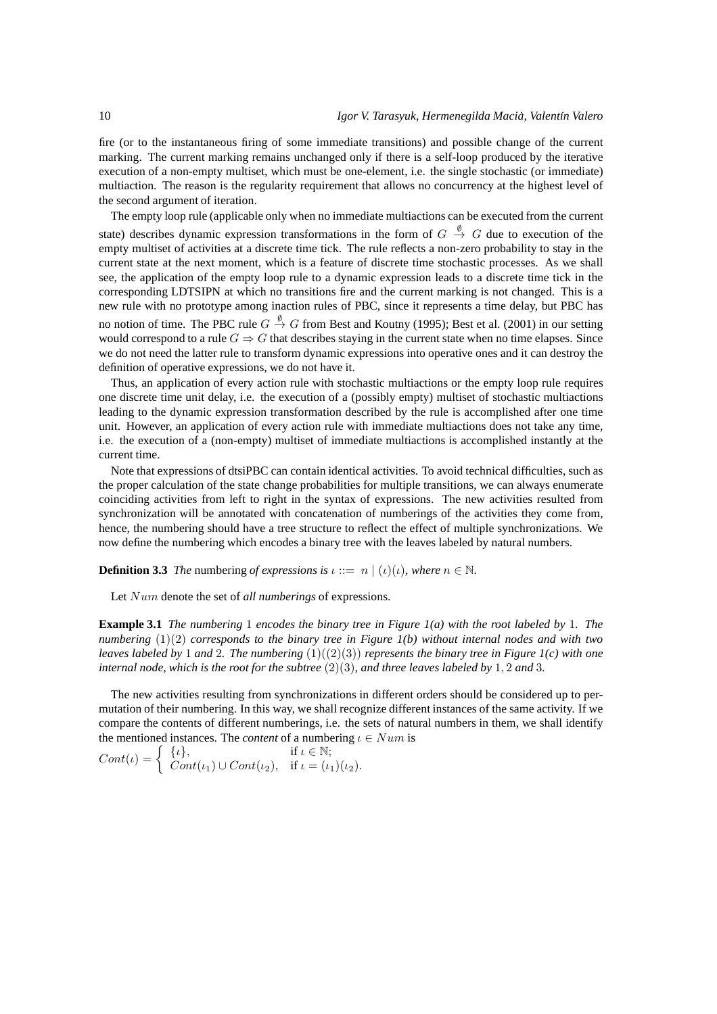fire (or to the instantaneous firing of some immediate transitions) and possible change of the current marking. The current marking remains unchanged only if there is a self-loop produced by the iterative execution of a non-empty multiset, which must be one-element, i.e. the single stochastic (or immediate) multiaction. The reason is the regularity requirement that allows no concurrency at the highest level of the second argument of iteration.

The empty loop rule (applicable only when no immediate multiactions can be executed from the current state) describes dynamic expression transformations in the form of  $G \stackrel{\emptyset}{\to} G$  due to execution of the empty multiset of activities at a discrete time tick. The rule reflects a non-zero probability to stay in the current state at the next moment, which is a feature of discrete time stochastic processes. As we shall see, the application of the empty loop rule to a dynamic expression leads to a discrete time tick in the corresponding LDTSIPN at which no transitions fire and the current marking is not changed. This is a new rule with no prototype among inaction rules of PBC, since it represents a time delay, but PBC has no notion of time. The PBC rule  $G \stackrel{\emptyset}{\to} G$  from Best and Koutny (1995); Best et al. (2001) in our setting would correspond to a rule  $G \Rightarrow G$  that describes staying in the current state when no time elapses. Since we do not need the latter rule to transform dynamic expressions into operative ones and it can destroy the definition of operative expressions, we do not have it.

Thus, an application of every action rule with stochastic multiactions or the empty loop rule requires one discrete time unit delay, i.e. the execution of a (possibly empty) multiset of stochastic multiactions leading to the dynamic expression transformation described by the rule is accomplished after one time unit. However, an application of every action rule with immediate multiactions does not take any time, i.e. the execution of a (non-empty) multiset of immediate multiactions is accomplished instantly at the current time.

Note that expressions of dtsiPBC can contain identical activities. To avoid technical difficulties, such as the proper calculation of the state change probabilities for multiple transitions, we can always enumerate coinciding activities from left to right in the syntax of expressions. The new activities resulted from synchronization will be annotated with concatenation of numberings of the activities they come from, hence, the numbering should have a tree structure to reflect the effect of multiple synchronizations. We now define the numbering which encodes a binary tree with the leaves labeled by natural numbers.

**Definition 3.3** *The* numbering *of expressions is*  $\iota ::= n \mid (\iota)(\iota)$ *, where*  $n \in \mathbb{N}$ *.* 

Let Num denote the set of *all numberings* of expressions.

**Example 3.1** *The numbering* 1 *encodes the binary tree in Figure 1(a) with the root labeled by* 1*. The numbering* (1)(2) *corresponds to the binary tree in Figure 1(b) without internal nodes and with two leaves labeled by* 1 *and* 2*. The numbering* (1)((2)(3)) *represents the binary tree in Figure 1(c) with one internal node, which is the root for the subtree*  $(2)(3)$ *, and three leaves labeled by* 1, 2 *and* 3*.* 

The new activities resulting from synchronizations in different orders should be considered up to permutation of their numbering. In this way, we shall recognize different instances of the same activity. If we compare the contents of different numberings, i.e. the sets of natural numbers in them, we shall identify the mentioned instances. The *content* of a numbering  $\iota \in Num$  is

$$
Cont(\iota) = \begin{cases} {\{\iota\}}, & \text{if } \iota \in \mathbb{N}; \\ Cont(\iota_1) \cup Cont(\iota_2), & \text{if } \iota = (\iota_1)(\iota_2). \end{cases}
$$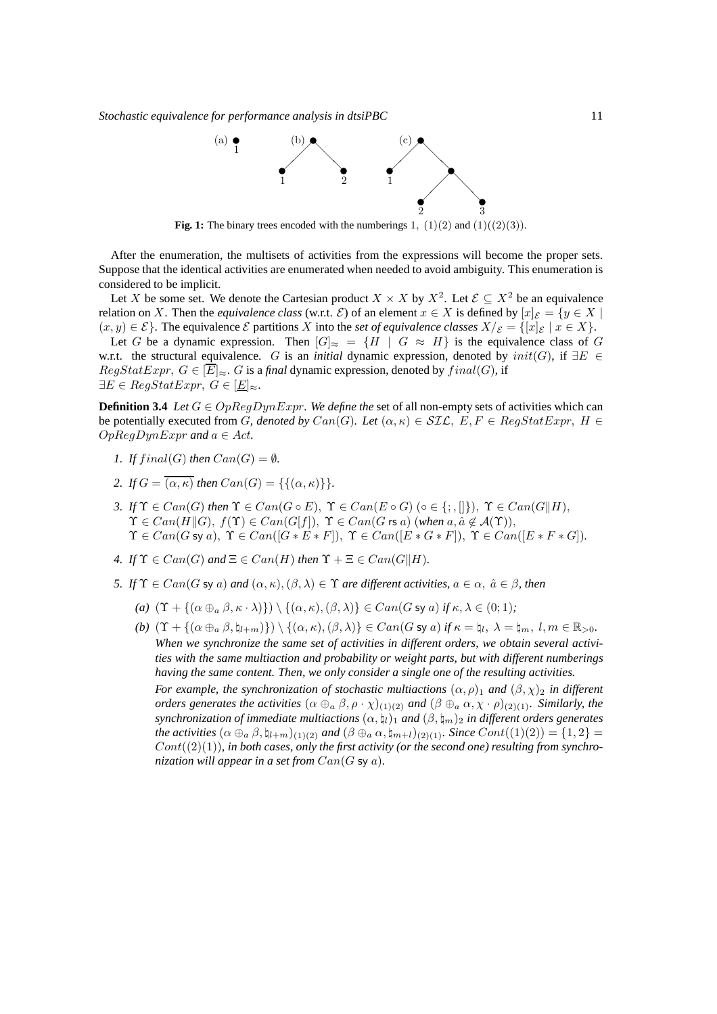

**Fig. 1:** The binary trees encoded with the numberings 1,  $(1)(2)$  and  $(1)((2)(3))$ .

After the enumeration, the multisets of activities from the expressions will become the proper sets. Suppose that the identical activities are enumerated when needed to avoid ambiguity. This enumeration is considered to be implicit.

Let X be some set. We denote the Cartesian product  $X \times X$  by  $X^2$ . Let  $\mathcal{E} \subseteq X^2$  be an equivalence relation on X. Then the *equivalence class* (w.r.t.  $\mathcal{E}$ ) of an element  $x \in X$  is defined by  $[x]_{\mathcal{E}} = \{y \in X \mid$  $(x, y) \in \mathcal{E}$ . The equivalence  $\mathcal E$  partitions X into the *set of equivalence classes*  $X/\mathcal E = \{[x]_{\mathcal E} \mid x \in X\}$ .

Let G be a dynamic expression. Then  $[G]_{\approx} = \{H \mid G \approx H\}$  is the equivalence class of G w.r.t. the structural equivalence. G is an *initial* dynamic expression, denoted by init(G), if ∃E ∈  $RegStatExpr, G \in \overline{E}|_{\infty}$ . G is a *final* dynamic expression, denoted by  $final(G)$ , if  $\exists E \in RegStatExpr, G \in [\underline{E}]_{\approx}.$ 

**Definition 3.4** *Let*  $G \in OpRegDynExpr$ *. We define the set of all non-empty sets of activities which can* be potentially executed from G, denoted by  $Can(G)$ *. Let*  $(\alpha, \kappa) \in \mathcal{SIL}$ ,  $E, F \in RegStatexpr$ ,  $H \in$  $OpRegDynExpr$  and  $a \in Act$ .

- *1. If*  $final(G)$  *then*  $Can(G) = \emptyset$ *.*
- 2. If  $G = \overline{(\alpha, \kappa)}$  then  $Can(G) = \{\{(\alpha, \kappa)\}\}.$
- *3.* If  $\Upsilon \in Can(G)$  then  $\Upsilon \in Can(G \circ E)$ ,  $\Upsilon \in Can(E \circ G)$  ( $\circ \in \{\cdot, \cdot\}$ ),  $\Upsilon \in Can(G||H)$ ,  $\Upsilon \in Can(H||G), f(\Upsilon) \in Can(G[f]), \Upsilon \in Can(G \text{ rs } a) \text{ (when } a, \hat{a} \notin A(\Upsilon)\text{),}$  $\Upsilon \in Can(G \text{ sy } a), \Upsilon \in Can[G * E * F]), \Upsilon \in Can([E * G * F]), \Upsilon \in Can([E * F * G]).$
- *4.* If  $\Upsilon \in Can(G)$  and  $\Xi \in Can(H)$  then  $\Upsilon + \Xi \in Can(G||H)$ .
- *5. If*  $\Upsilon \in Can(G \text{ sy } a)$  *and*  $(\alpha, \kappa), (\beta, \lambda) \in \Upsilon$  *are different activities,*  $a \in \alpha$ ,  $\hat{a} \in \beta$ *, then* 
	- *(a)*  $(\Upsilon + \{(\alpha \oplus_{a} \beta, \kappa \cdot \lambda)\}) \setminus \{(\alpha, \kappa), (\beta, \lambda)\}\in Can(G \text{ sy } a) \text{ if } \kappa, \lambda \in (0, 1)\}$
	- $(b)$   $(\Upsilon + {\alpha \oplus_a \beta, \natural_{l+m}}) \ \rangle \setminus {\alpha, \kappa}, (\beta, \lambda)} \in Can(G \text{ sy } a) \text{ if } \kappa = \natural_l, \ \lambda = \natural_m, \ l, m \in \mathbb{R}_{>0}.$ *When we synchronize the same set of activities in different orders, we obtain several activities with the same multiaction and probability or weight parts, but with different numberings having the same content. Then, we only consider a single one of the resulting activities.*

*For example, the synchronization of stochastic multiactions*  $(\alpha, \rho)$ <sup>1</sup> *and*  $(\beta, \chi)$ <sup>2</sup> *in different orders generates the activities*  $(\alpha \oplus_{a} \beta, \rho \cdot \chi)_{(1)(2)}$  *and*  $(\beta \oplus_{a} \alpha, \chi \cdot \rho)_{(2)(1)}$ *. Similarly, the synchronization of immediate multiactions*  $(\alpha, \natural_l)_1$  *and*  $(\beta, \natural_m)_2$  *in different orders generates the activities*  $(\alpha \oplus_{a} \beta, \natural_{l+m})_{(1)(2)}$  *and*  $(\beta \oplus_{a} \alpha, \natural_{m+l})_{(2)(1)}$ *. Since*  $Cont((1)(2)) = \{1, 2\}$  $Cont((2)(1))$ *, in both cases, only the first activity (or the second one) resulting from synchronization will appear in a set from* Can(G sy a)*.*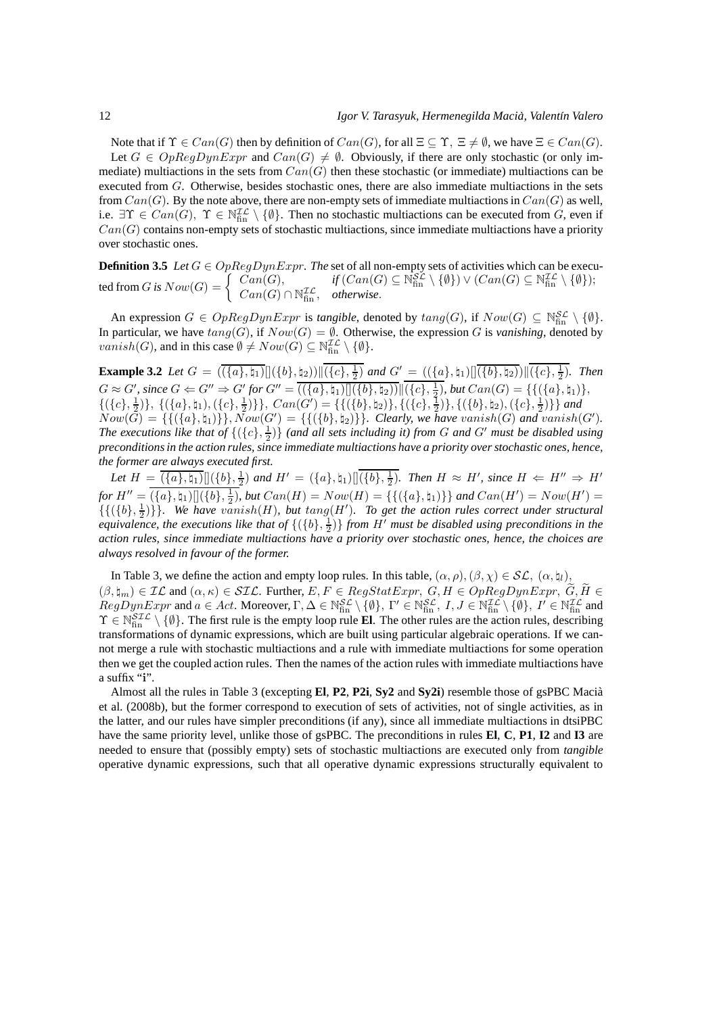Note that if  $\Upsilon \in Can(G)$  then by definition of  $Can(G)$ , for all  $\Xi \subset \Upsilon$ ,  $\Xi \neq \emptyset$ , we have  $\Xi \in Can(G)$ .

Let  $G \in OpRegDynExpr$  and  $Can(G) \neq \emptyset$ . Obviously, if there are only stochastic (or only immediate) multiactions in the sets from  $Can(G)$  then these stochastic (or immediate) multiactions can be executed from G. Otherwise, besides stochastic ones, there are also immediate multiactions in the sets from  $Can(G)$ . By the note above, there are non-empty sets of immediate multiactions in  $Can(G)$  as well, i.e.  $\exists \Upsilon \in Can(G), \ \Upsilon \in \mathbb{N}_{fin}^{\mathcal{IL}} \setminus \{\emptyset\}.$  Then no stochastic multiactions can be executed from  $G$ , even if  $Can(G)$  contains non-empty sets of stochastic multiactions, since immediate multiactions have a priority over stochastic ones.

**Definition 3.5** *Let* G ∈ OpRegDynExpr*. The* set of all non-empty sets of activities which can be executed from G is  $Now(G) = \begin{cases} \text{Can}(G), & \text{if } (Can(G) \subseteq \mathbb{N}_{\text{fin}}^{\mathcal{SL}} \setminus \{\emptyset\}) \vee (Can(G) \subseteq \mathbb{N}_{\text{fin}}^{\mathcal{IL}} \setminus \{\emptyset\}); \\ \text{Can}(G) \cap \mathbb{N}^{\mathcal{IL}} \subseteq \mathbb{N}_{\text{fin}}^{\mathcal{SL}} \setminus \{\emptyset\} \end{cases}$  $Can(G) \cap \mathbb{N}_{\text{fin}}^{\mathcal{IL}}, \text{ otherwise.}$ 

An expression  $G \in OpRegDynExpr$  is *tangible*, denoted by  $tang(G)$ , if  $Now(G) \subseteq \mathbb{N}_{fin}^{SL} \setminus \{\emptyset\}$ . In particular, we have  $tang(G)$ , if  $Now(G) = \emptyset$ . Otherwise, the expression G is *vanishing*, denoted by *vanish*(*G*), and in this case  $\emptyset \neq Now(G) \subseteq \mathbb{N}_{fin}^{\mathcal{IL}} \setminus \{\emptyset\}.$ 

**Example 3.2** *Let*  $G = (\overline{\langle \{a\}, \{a_1\} \rangle} \left[ \left| \{\{b\}, \{a_2\} \rangle \right| \left| \{\{c\}, \frac{1}{2}\} \right]$  *and*  $G' = (\overline{\langle \{a\}, \{a_1\} \rangle} \left| \left| \overline{\{\{b\}, \{a_2\} \rangle} \right| \left| \{\{c\}, \frac{1}{2}\} \right]$ *. Then*  $G \approx G'$ , since  $G \Leftarrow G'' \Rightarrow G'$  for  $G'' = \overline{(({a}, {h_1})[]({b}, {h_2})]} |(({c}, \frac{1}{2}), \text{ but } Can(G) = {(({a}, {h_1})},$  $\{(\{c\},\frac{1}{2})\},\{(\{a\},\natural_1),(\{c\},\frac{1}{2})\}\}\$ ,  $Can(G') = \{\{(\{b\},\natural_2)\},\{(\{c\},\frac{1}{2})\}\}\$  and  $Now(\bar{G}) = \{ \{ (\{a\}, \natural_1)\} \}, Now(\bar{G}') = \{ \{ (\{b\}, \natural_2)\} \}.$  Clearly, we have vanish(G) and vanish(G'). The executions like that of  $\{(\{c\},\frac{1}{2})\}$  (and all sets including it) from G and G' must be disabled using *preconditions in the action rules, since immediate multiactions have a priority over stochastic ones, hence, the former are always executed first.*

Let  $H = \overline{(\{a\},\natural_1)[(\{b\},\frac{1}{2})}$  and  $H' = (\{a\},\natural_1)[(\{b\},\frac{1}{2})$ . Then  $H \approx H'$ , since  $H \Leftarrow H'' \Rightarrow H'$  $for H'' = (\{a\}, \natural_1) [](\{b\}, \frac{1}{2}), but Can(H) = Now(H) = \{\{(\{a\}, \natural_1)\}\}$  and  $Can(H') = Now(H') =$  ${({({b}, \frac{1}{2})})}.$  We have  $vanish(H)$ , but  $tang(H')$ . To get the action rules correct under structural *equivalence, the executions like that of* {({b}, 1 2 )} *from* H′ *must be disabled using preconditions in the action rules, since immediate multiactions have a priority over stochastic ones, hence, the choices are always resolved in favour of the former.*

In Table 3, we define the action and empty loop rules. In this table,  $(\alpha, \rho), (\beta, \chi) \in \mathcal{SL}, (\alpha, \natural_l),$  $(\beta, \natural_m) \in \mathcal{IL}$  and  $(\alpha, \kappa) \in \mathcal{SIL}$ . Further,  $E, F \in RegStatexpr$ ,  $G, H \in OppRegDynExpr$ ,  $G, H \in$  $RegDynExpr$  and  $a \in Act$ . Moreover,  $\Gamma, \Delta \in \mathbb{N}_{\text{fin}}^{\mathcal{SL}} \setminus \{\emptyset\}, \Gamma' \in \mathbb{N}_{\text{fin}}^{\mathcal{SL}}, I, J \in \mathbb{N}_{\text{fin}}^{\mathcal{IL}} \setminus \{\emptyset\}, I' \in \mathbb{N}_{\text{fin}}^{\mathcal{IL}}$  and  $\Upsilon \in \mathbb{N}_{\text{fin}}^{STL} \setminus \{\emptyset\}$ . The first rule is the empty loop rule **El**. The other rules are the action rules, describing transformations of dynamic expressions, which are built using particular algebraic operations. If we cannot merge a rule with stochastic multiactions and a rule with immediate multiactions for some operation then we get the coupled action rules. Then the names of the action rules with immediate multiactions have a suffix "i".

Almost all the rules in Table 3 (excepting **El, P2, P2i**, Sy2 and Sy2i) resemble those of gsPBC Macià et al. (2008b), but the former correspond to execution of sets of activities, not of single activities, as in the latter, and our rules have simpler preconditions (if any), since all immediate multiactions in dtsiPBC have the same priority level, unlike those of gsPBC. The preconditions in rules **El**, **C**, **P1**, **I2** and **I3** are needed to ensure that (possibly empty) sets of stochastic multiactions are executed only from *tangible* operative dynamic expressions, such that all operative dynamic expressions structurally equivalent to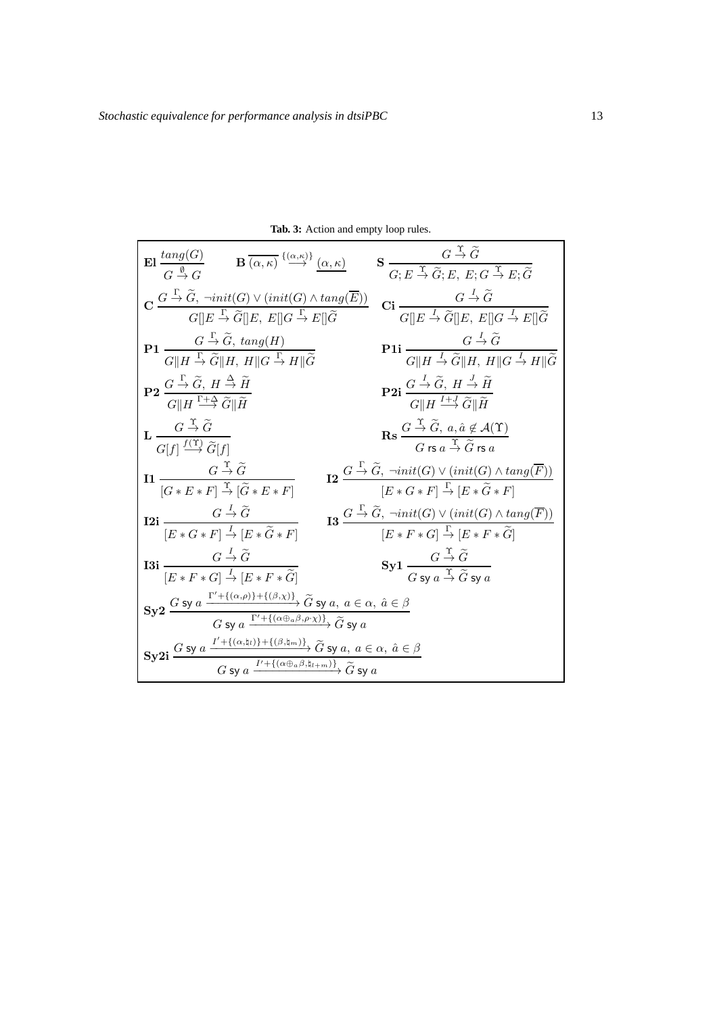| <b>El</b> $\frac{\tan g(G)}{G \stackrel{\emptyset}{\to} G}$ <b>B</b> $\overline{(\alpha,\kappa)} \stackrel{\{\alpha,\kappa\}}{\to} \underline{(\alpha,\kappa)}$                                                                                                                                                    | $\mathbf{S} \frac{G \stackrel{\Upsilon}{\to} \widetilde{G}}{G; E \stackrel{\Upsilon}{\to} \widetilde{G}; E, E; G \stackrel{\Upsilon}{\to} E; \widetilde{G}}$                                                                         |
|--------------------------------------------------------------------------------------------------------------------------------------------------------------------------------------------------------------------------------------------------------------------------------------------------------------------|--------------------------------------------------------------------------------------------------------------------------------------------------------------------------------------------------------------------------------------|
| $\mathbf{C} \frac{G \stackrel{\Gamma}{\rightarrow} \widetilde{G}, \ \neg init(G) \vee (init(G) \wedge tang(\overline{E}))}{G \parallel E \stackrel{\Gamma}{\rightarrow} \widetilde{G} \parallel E, \ E \parallel G \stackrel{\Gamma}{\rightarrow} E \parallel \widetilde{G}}$                                      | $\mathbf{Ci} \frac{G \stackrel{I}{\rightarrow} \widetilde{G}}{G \parallel E \stackrel{I}{\rightarrow} \widetilde{G} \parallel E, E \parallel G \stackrel{I}{\rightarrow} E \parallel \widetilde{G}}$                                 |
| <b>P1</b> $\frac{G \overset{\Gamma}{\rightarrow} \widetilde{G}, \; \text{tang}(H)}{G \parallel H \overset{\Gamma}{\rightarrow} \widetilde{G} \parallel H, \; H \parallel G \overset{\Gamma}{\rightarrow} H \parallel \widetilde{G}}$                                                                               | <b>P1i</b> $\frac{G \stackrel{I}{\rightarrow} \widetilde{G}}{G  H \stackrel{I}{\rightarrow} \widetilde{G}  H, H  G \stackrel{I}{\rightarrow} H  \widetilde{G}}$                                                                      |
| $P2 \frac{G \stackrel{\Gamma}{\rightarrow} \widetilde{G}, H \stackrel{\Delta}{\rightarrow} \widetilde{H}}{G \  H \stackrel{\Gamma + \Delta}{\rightarrow} \widetilde{G} \  \widetilde{H}}$                                                                                                                          | <b>P2i</b> $\frac{G \stackrel{I}{\rightarrow} \widetilde{G}, H \stackrel{J}{\rightarrow} \widetilde{H}}{G \  H \stackrel{I+J}{\rightarrow} \widetilde{G} \  \widetilde{H}}$                                                          |
| $\mathbf{L} \frac{G \stackrel{1}{\rightarrow} \widetilde{G}}{G[f] \stackrel{f(\Upsilon)}{\rightarrow} \widetilde{G}[f]}$                                                                                                                                                                                           | $\mathbf{Rs} \frac{G \stackrel{\mathrm{T}}{\rightarrow} \widetilde{G}, a, \hat{a} \notin \mathcal{A}(\Upsilon)}{G \mathop{\mathrm{rs}}\nolimits a \stackrel{\mathrm{T}}{\rightarrow} \widetilde{G} \mathop{\mathrm{rs}}\nolimits a}$ |
| $G \stackrel{\Upsilon}{\rightarrow} \widetilde{G}$<br>I1<br>$[G * E * F] \stackrel{\Upsilon}{\rightarrow} [\widetilde{G} * E * F]$                                                                                                                                                                                 | $\begin{array}{c}\n\mathbf{I2} \xrightarrow{\Gamma} \widetilde{G}, \neg init(G) \vee (init(G) \wedge tang(\overline{F})) \\ \hline\n[E * G * F] \xrightarrow{\Gamma} [E * \widetilde{G} * F]\n\end{array}$                           |
| <b>12i</b> $\frac{G \stackrel{I}{\rightarrow} \widetilde{G}}{[E * G * F] \stackrel{I}{\rightarrow} [E * \widetilde{G} * F]}$                                                                                                                                                                                       | <b>13</b> $\frac{G \overset{\Gamma}{\rightarrow} \widetilde{G}, \ \neg init(G) \vee (init(G) \wedge tang(\overline{F}))}{[E * F * G] \overset{\Gamma}{\rightarrow} [E * F * \widetilde{G}]}$                                         |
| I3i $\frac{G \stackrel{I}{\rightarrow} \widetilde{G}}{G}$<br>$E * F * G \rightarrow E * F * \widetilde{G}$                                                                                                                                                                                                         | $Syl \frac{G \stackrel{1}{\rightarrow} G}{G \text{sv } a \stackrel{\Upsilon}{\rightarrow} \widetilde{G} \text{sv } a}$                                                                                                               |
| $\textbf{Sy2}\xrightarrow{G\text{ sy }a\xrightarrow{\Gamma'+\{(\alpha,\rho)\}+\{(\beta,\chi)\}}\widetilde{G}\text{ sy }a,\ a\in\alpha,\ \hat{a}\in\beta}{G\text{ sy }a\xrightarrow{\Gamma'+\{(\alpha\oplus_a\beta,\rho\cdot\chi)\}}\widetilde{G}\text{ sy }a}$                                                     |                                                                                                                                                                                                                                      |
| $\textbf{Sy2i} \xrightarrow{G \text{ sy } a} \xrightarrow{I' + \{(\alpha, \natural_l)\} + \{(\beta, \natural_m)\}} \widetilde{G} \text{ sy } a, \ a \in \alpha, \ \hat{a} \in \beta$<br>$\xrightarrow{G \text{ sy } a} \xrightarrow{I' + \{(\alpha \oplus_a \beta, \natural_{l+m})\}} \widetilde{G} \text{ sy } a$ |                                                                                                                                                                                                                                      |

**Tab. 3:** Action and empty loop rules.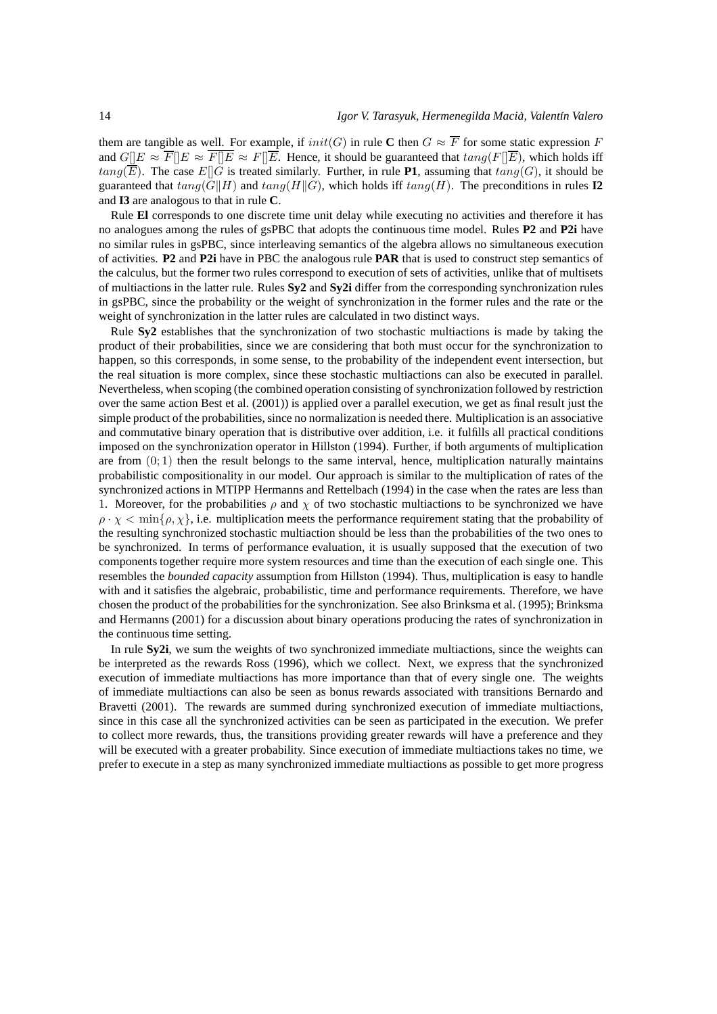them are tangible as well. For example, if  $init(G)$  in rule C then  $G \approx \overline{F}$  for some static expression F and  $G||E \approx \overline{F||E} \approx \overline{F||E} \approx F||\overline{E}$ . Hence, it should be guaranteed that  $tan q(F||\overline{E})$ , which holds iff  $tang(\overline{E})$ . The case  $E[[G]$  is treated similarly. Further, in rule **P1**, assuming that  $tang(G)$ , it should be guaranteed that  $tan(q)H||H)$  and  $tan(q)H||G)$ , which holds iff  $tan(q)H$ . The preconditions in rules **I2** and **I3** are analogous to that in rule **C**.

Rule **El** corresponds to one discrete time unit delay while executing no activities and therefore it has no analogues among the rules of gsPBC that adopts the continuous time model. Rules **P2** and **P2i** have no similar rules in gsPBC, since interleaving semantics of the algebra allows no simultaneous execution of activities. **P2** and **P2i** have in PBC the analogous rule **PAR** that is used to construct step semantics of the calculus, but the former two rules correspond to execution of sets of activities, unlike that of multisets of multiactions in the latter rule. Rules **Sy2** and **Sy2i** differ from the corresponding synchronization rules in gsPBC, since the probability or the weight of synchronization in the former rules and the rate or the weight of synchronization in the latter rules are calculated in two distinct ways.

Rule **Sy2** establishes that the synchronization of two stochastic multiactions is made by taking the product of their probabilities, since we are considering that both must occur for the synchronization to happen, so this corresponds, in some sense, to the probability of the independent event intersection, but the real situation is more complex, since these stochastic multiactions can also be executed in parallel. Nevertheless, when scoping (the combined operation consisting of synchronization followed by restriction over the same action Best et al. (2001)) is applied over a parallel execution, we get as final result just the simple product of the probabilities, since no normalization is needed there. Multiplication is an associative and commutative binary operation that is distributive over addition, i.e. it fulfills all practical conditions imposed on the synchronization operator in Hillston (1994). Further, if both arguments of multiplication are from  $(0, 1)$  then the result belongs to the same interval, hence, multiplication naturally maintains probabilistic compositionality in our model. Our approach is similar to the multiplication of rates of the synchronized actions in MTIPP Hermanns and Rettelbach (1994) in the case when the rates are less than 1. Moreover, for the probabilities  $\rho$  and  $\chi$  of two stochastic multiactions to be synchronized we have  $\rho \cdot \chi < \min\{\rho, \chi\}$ , i.e. multiplication meets the performance requirement stating that the probability of the resulting synchronized stochastic multiaction should be less than the probabilities of the two ones to be synchronized. In terms of performance evaluation, it is usually supposed that the execution of two components together require more system resources and time than the execution of each single one. This resembles the *bounded capacity* assumption from Hillston (1994). Thus, multiplication is easy to handle with and it satisfies the algebraic, probabilistic, time and performance requirements. Therefore, we have chosen the product of the probabilities for the synchronization. See also Brinksma et al. (1995); Brinksma and Hermanns (2001) for a discussion about binary operations producing the rates of synchronization in the continuous time setting.

In rule **Sy2i**, we sum the weights of two synchronized immediate multiactions, since the weights can be interpreted as the rewards Ross (1996), which we collect. Next, we express that the synchronized execution of immediate multiactions has more importance than that of every single one. The weights of immediate multiactions can also be seen as bonus rewards associated with transitions Bernardo and Bravetti (2001). The rewards are summed during synchronized execution of immediate multiactions, since in this case all the synchronized activities can be seen as participated in the execution. We prefer to collect more rewards, thus, the transitions providing greater rewards will have a preference and they will be executed with a greater probability. Since execution of immediate multiactions takes no time, we prefer to execute in a step as many synchronized immediate multiactions as possible to get more progress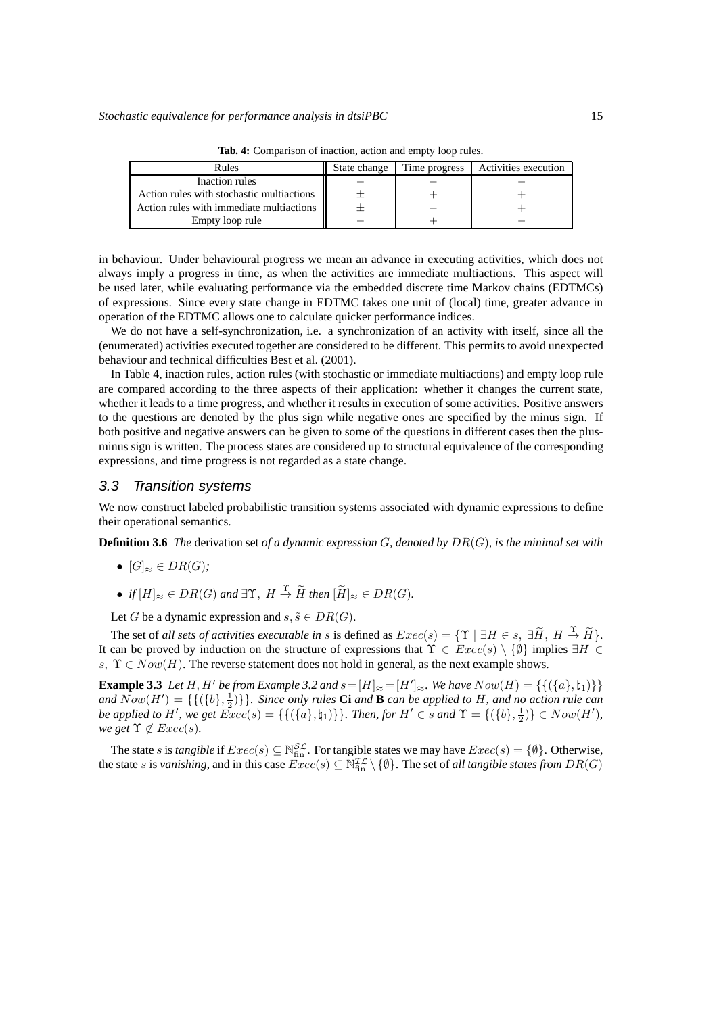| Rules                                     | State change | Time progress | Activities execution |
|-------------------------------------------|--------------|---------------|----------------------|
| Inaction rules                            |              |               |                      |
| Action rules with stochastic multiactions |              |               |                      |
| Action rules with immediate multiactions  |              |               |                      |
| Empty loop rule                           |              |               |                      |

**Tab. 4:** Comparison of inaction, action and empty loop rules.

in behaviour. Under behavioural progress we mean an advance in executing activities, which does not always imply a progress in time, as when the activities are immediate multiactions. This aspect will be used later, while evaluating performance via the embedded discrete time Markov chains (EDTMCs) of expressions. Since every state change in EDTMC takes one unit of (local) time, greater advance in operation of the EDTMC allows one to calculate quicker performance indices.

We do not have a self-synchronization, i.e. a synchronization of an activity with itself, since all the (enumerated) activities executed together are considered to be different. This permits to avoid unexpected behaviour and technical difficulties Best et al. (2001).

In Table 4, inaction rules, action rules (with stochastic or immediate multiactions) and empty loop rule are compared according to the three aspects of their application: whether it changes the current state, whether it leads to a time progress, and whether it results in execution of some activities. Positive answers to the questions are denoted by the plus sign while negative ones are specified by the minus sign. If both positive and negative answers can be given to some of the questions in different cases then the plusminus sign is written. The process states are considered up to structural equivalence of the corresponding expressions, and time progress is not regarded as a state change.

#### 3.3 Transition systems

We now construct labeled probabilistic transition systems associated with dynamic expressions to define their operational semantics.

**Definition 3.6** *The* derivation set *of a dynamic expression* G*, denoted by* DR(G)*, is the minimal set with*

- $[G]_{\approx} \in DR(G);$
- *if*  $[H]_{\approx} \in DR(G)$  and  $\exists \Upsilon$ ,  $H \stackrel{\Upsilon}{\rightarrow} \widetilde{H}$  then  $[\widetilde{H}]_{\approx} \in DR(G)$ *.*

Let G be a dynamic expression and  $s, \tilde{s} \in DR(G)$ .

The set of *all sets of activities executable in s* is defined as  $Exec(s) = \{ \Upsilon \mid \exists H \in s, \exists \widetilde{H}, H \stackrel{\Upsilon}{\rightarrow} \widetilde{H} \}.$ It can be proved by induction on the structure of expressions that  $\Upsilon \in \mathcal{E} \mathcal{E} \{ \emptyset \}$  implies  $\exists H \in$ s,  $\Upsilon \in Now(H)$ . The reverse statement does not hold in general, as the next example shows.

**Example 3.3** *Let* H, H' *be from Example 3.2 and*  $s = [H]_{\approx} = [H']_{\approx}$ *. We have*  $Now(H) = \{\{(\{a\}, \phi_1)\}\}\$ *and*  $Now(H') = \{ \{ (\{b\}, \frac{1}{2}) \} \}$ *. Since only rules* **Ci** *and* **B** *can be applied to H, and no action rule can be applied to*  $H'$ *, we get*  $\overline{Exc}(s) = \{ \{ (\{a\},\natural_1)\} \}$ *. Then, for*  $H' \in s$  *and*  $\Upsilon = \{ (\{b\},\frac{1}{2}) \} \in Now(H')$ *, we get*  $\Upsilon \notin \text{Exec}(s)$ *.* 

The state *s* is *tangible* if  $Exec(s) \subseteq \mathbb{N}_{fin}^{S_{\mathcal{L}}}$ . For tangible states we may have  $Exec(s) = \{\emptyset\}$ . Otherwise, the state s is *vanishing*, and in this case  $\text{Exec}(s) \subseteq \mathbb{N}_{fin}^{\mathcal{IL}} \setminus \{\emptyset\}$ . The set of *all tangible states from*  $DR(G)$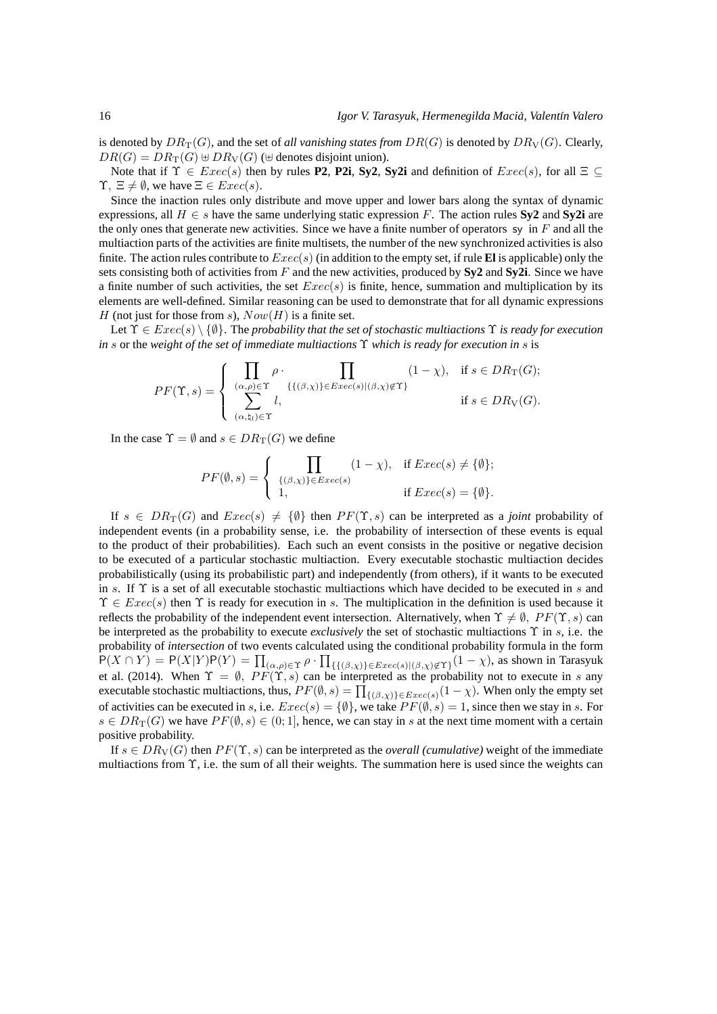is denoted by  $DR_T(G)$ , and the set of *all vanishing states from*  $DR(G)$  is denoted by  $DR_V(G)$ . Clearly,  $DR(G) = DR_T(G) \oplus DR_V(G)$  ( $\oplus$  denotes disjoint union).

Note that if  $\Upsilon \in \text{Exec}(s)$  then by rules **P2**, **P2i**, **Sy2**, **Sy2i** and definition of  $\text{Exec}(s)$ , for all  $\Xi \subseteq \Box$  $\Upsilon$ ,  $\Xi \neq \emptyset$ , we have  $\Xi \in \text{Exec}(s)$ .

Since the inaction rules only distribute and move upper and lower bars along the syntax of dynamic expressions, all  $H \in s$  have the same underlying static expression F. The action rules **Sy2** and **Sy2i** are the only ones that generate new activities. Since we have a finite number of operators sy in  $F$  and all the multiaction parts of the activities are finite multisets, the number of the new synchronized activities is also finite. The action rules contribute to  $Exec(s)$  (in addition to the empty set, if rule **El** is applicable) only the sets consisting both of activities from F and the new activities, produced by **Sy2** and **Sy2i**. Since we have a finite number of such activities, the set  $Exec(s)$  is finite, hence, summation and multiplication by its elements are well-defined. Similar reasoning can be used to demonstrate that for all dynamic expressions H (not just for those from s),  $Now(H)$  is a finite set.

Let  $\Upsilon \in \text{Exec}(s) \setminus \{\emptyset\}$ . The *probability that the set of stochastic multiactions*  $\Upsilon$  *is ready for execution in* s or the *weight of the set of immediate multiactions* Υ *which is ready for execution in* s is

$$
PF(\Upsilon, s) = \begin{cases} \prod_{(\alpha, \rho) \in \Upsilon} \rho \cdot \prod_{\{(\beta, \chi)\} \in E \text{vec}(s) | (\beta, \chi) \notin \Upsilon\}} (1 - \chi), & \text{if } s \in DR_{\Upsilon}(G); \\ \sum_{(\alpha, \natural_l) \in \Upsilon} l, & \text{if } s \in DR_{\mathcal{V}}(G). \end{cases}
$$

In the case  $\Upsilon = \emptyset$  and  $s \in DR_T(G)$  we define

$$
PF(\emptyset, s) = \begin{cases} \prod_{\{(\beta,\chi)\}\in\text{Exec}(s)} (1-\chi), & \text{if } \text{Exec}(s) \neq \{\emptyset\}; \\ 1, & \text{if } \text{Exec}(s) = \{\emptyset\}. \end{cases}
$$

If  $s \in DR_T(G)$  and  $Exec(s) \neq {\emptyset}$  then  $PF(\Upsilon, s)$  can be interpreted as a *joint* probability of independent events (in a probability sense, i.e. the probability of intersection of these events is equal to the product of their probabilities). Each such an event consists in the positive or negative decision to be executed of a particular stochastic multiaction. Every executable stochastic multiaction decides probabilistically (using its probabilistic part) and independently (from others), if it wants to be executed in s. If  $\Upsilon$  is a set of all executable stochastic multiactions which have decided to be executed in s and  $\Upsilon \in \text{Exec}(s)$  then  $\Upsilon$  is ready for execution in s. The multiplication in the definition is used because it reflects the probability of the independent event intersection. Alternatively, when  $\Upsilon \neq \emptyset$ ,  $PF(\Upsilon, s)$  can be interpreted as the probability to execute *exclusively* the set of stochastic multiactions Υ in s, i.e. the probability of *intersection* of two events calculated using the conditional probability formula in the form  $P(X \cap Y) = P(X|Y)P(Y) = \prod_{(\alpha,\rho) \in \Upsilon} \rho \cdot \prod_{\{\{(\beta,\chi)\}\in Excel(\beta,\chi)\notin\Upsilon\}} (1-\chi)$ , as shown in Tarasyuk et al. (2014). When  $\Upsilon = \emptyset$ ,  $PF(\Upsilon, s)$  can be interpreted as the probability not to execute in s any executable stochastic multiactions, thus,  $PF(\emptyset, s) = \prod_{\{(\beta, \chi)\}\in Exercise(s)} (1 - \chi)$ . When only the empty set of activities can be executed in s, i.e.  $Exec(s) = \{\emptyset\}$ , we take  $PF(\emptyset, s) = 1$ , since then we stay in s. For  $s \in DR_T(G)$  we have  $PF(\emptyset, s) \in (0, 1]$ , hence, we can stay in s at the next time moment with a certain positive probability.

If  $s \in DR_V(G)$  then  $PF(\Upsilon, s)$  can be interpreted as the *overall (cumulative)* weight of the immediate multiactions from  $\Upsilon$ , i.e. the sum of all their weights. The summation here is used since the weights can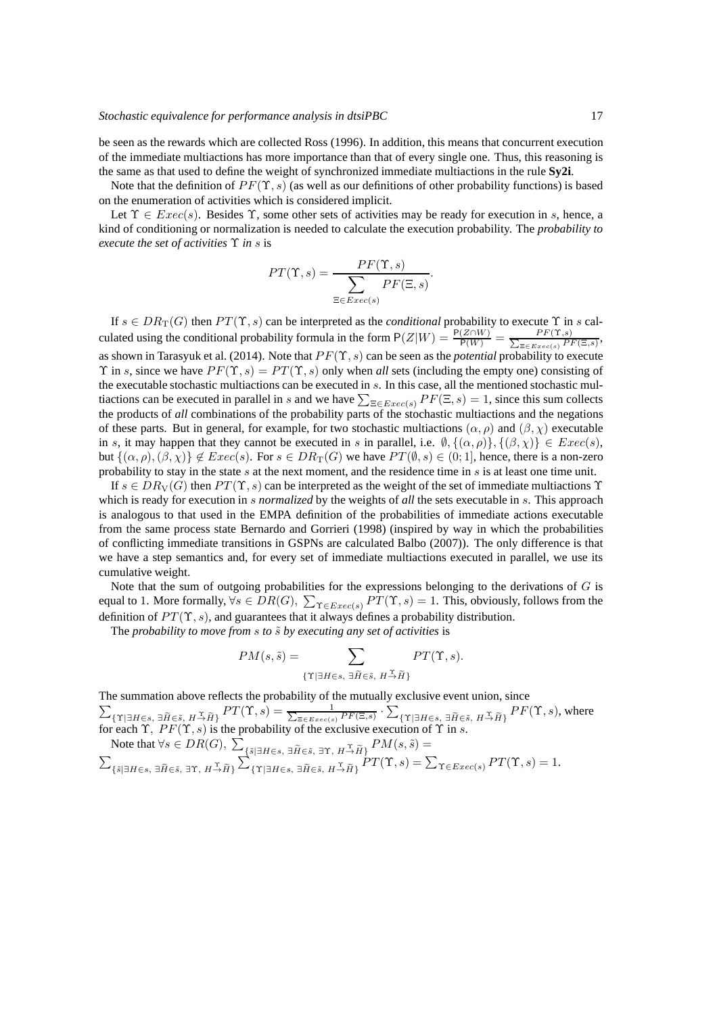be seen as the rewards which are collected Ross (1996). In addition, this means that concurrent execution of the immediate multiactions has more importance than that of every single one. Thus, this reasoning is the same as that used to define the weight of synchronized immediate multiactions in the rule **Sy2i**.

Note that the definition of  $PF(\Upsilon, s)$  (as well as our definitions of other probability functions) is based on the enumeration of activities which is considered implicit.

Let  $\Upsilon \in \text{Exec}(s)$ . Besides  $\Upsilon$ , some other sets of activities may be ready for execution in s, hence, a kind of conditioning or normalization is needed to calculate the execution probability. The *probability to execute the set of activities* Υ *in* s is

$$
PT(\Upsilon, s) = \frac{PF(\Upsilon, s)}{\sum_{\Xi \in \text{Exec}(s)} PF(\Xi, s)}.
$$

If  $s \in DR_T(G)$  then  $PT(\Upsilon, s)$  can be interpreted as the *conditional* probability to execute  $\Upsilon$  in s calculated using the conditional probability formula in the form  $P(Z|W) = \frac{P(Z \cap W)}{P(W)} = \frac{P(F(Y, s))}{\sum_{\exists \in E, \text{rec}(s)} P(Y, s)}$  $\frac{Pr(1,s)}{E\in Exc(s)}$ as shown in Tarasyuk et al. (2014). Note that  $PF(\Upsilon, s)$  can be seen as the *potential* probability to execute  $\Upsilon$  in s, since we have  $PF(\Upsilon, s) = PT(\Upsilon, s)$  only when *all* sets (including the empty one) consisting of the executable stochastic multiactions can be executed in s. In this case, all the mentioned stochastic multiactions can be executed in parallel in s and we have  $\sum_{\Xi \in E \text{vec}(s)} PF(\Xi, s) = 1$ , since this sum collects the products of *all* combinations of the probability parts of the stochastic multiactions and the negations of these parts. But in general, for example, for two stochastic multiactions  $(\alpha, \rho)$  and  $(\beta, \chi)$  executable in s, it may happen that they cannot be executed in s in parallel, i.e.  $\emptyset$ ,  $\{(\alpha, \rho)\}, \{(\beta, \chi)\}\in \text{Exec}(s)$ , but  $\{(\alpha, \rho),(\beta, \chi)\}\notin Excel(s)$ . For  $s \in DR_T(G)$  we have  $PT(\emptyset, s) \in (0, 1]$ , hence, there is a non-zero probability to stay in the state s at the next moment, and the residence time in s is at least one time unit.

If  $s \in DR_V(G)$  then  $PT(\Upsilon, s)$  can be interpreted as the weight of the set of immediate multiactions  $\Upsilon$ which is ready for execution in s *normalized* by the weights of *all* the sets executable in s. This approach is analogous to that used in the EMPA definition of the probabilities of immediate actions executable from the same process state Bernardo and Gorrieri (1998) (inspired by way in which the probabilities of conflicting immediate transitions in GSPNs are calculated Balbo (2007)). The only difference is that we have a step semantics and, for every set of immediate multiactions executed in parallel, we use its cumulative weight.

Note that the sum of outgoing probabilities for the expressions belonging to the derivations of  $G$  is equal to 1. More formally,  $\forall s \in DR(G), \ \sum_{\Upsilon \in Excel(s)} PT(\Upsilon, s) = 1$ . This, obviously, follows from the definition of  $PT(\Upsilon, s)$ , and guarantees that it always defines a probability distribution.

The *probability to move from s to*  $\tilde{s}$  *by executing any set of activities* is

$$
PM(s, \tilde{s}) = \sum_{\{\Upsilon \mid \exists H \in s, \ \exists \widetilde{H} \in \tilde{s}, \ H \stackrel{\Upsilon}{\rightarrow} \widetilde{H}\}} PT(\Upsilon, s).
$$

The summation above reflects the probability of the mutually  $\sum$ exclusive event union, since  ${P}{T}(\Upsilon, s) = \frac{1}{\sum_{\Xi \in {Exec}(s)} {PF}(\Xi, s)} \cdot \sum_{\Xi \in {Exec}(s)} {PF}(\Xi, s)$  $\{\Upsilon | \exists H \in \mathfrak{s}, \ \exists \widetilde{H} \in \widetilde{\mathfrak{s}}, \ H \overset{\sim}{\to} \widetilde{H} \}$   $PF(\Upsilon, s)$ , where for each  $\Upsilon$ ,  $PF(\Upsilon, s)$  is the probability of the exclusive execution of  $\Upsilon$  in s.

Note that 
$$
\forall s \in DR(G), \sum_{\{\tilde{s}|\exists H \in s, \exists \tilde{H} \in \tilde{s}, \exists \Upsilon, H^{\tilde{\Delta}}\tilde{H}\}} PM(s, \tilde{s}) =
$$
  

$$
\sum_{\{\tilde{s}|\exists H \in s, \exists \tilde{H} \in \tilde{s}, \exists \Upsilon, H^{\tilde{\Delta}}\tilde{H}\}} \sum_{\{\Upsilon|\exists H \in s, \exists \tilde{H} \in \tilde{s}, H^{\tilde{\Delta}}\tilde{H}\}} PM(s, \tilde{s}) = \sum_{\Upsilon \in Excel(s)} PT(\Upsilon, s) = 1.
$$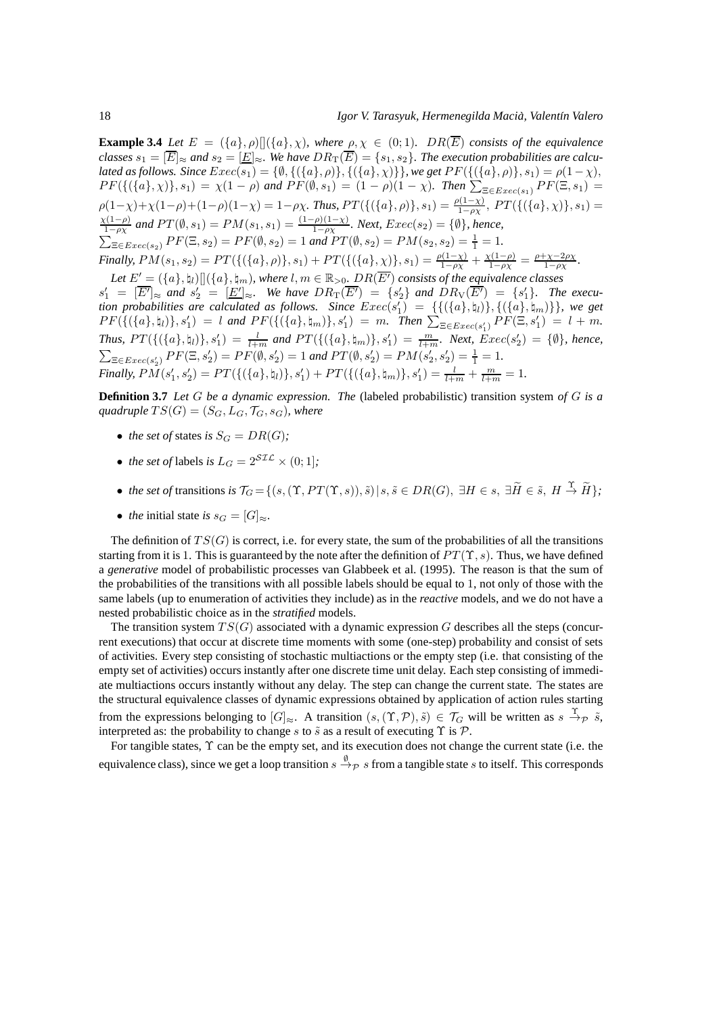**Example 3.4** *Let*  $E = (\{a\}, \rho)$   $[(\{a\}, \chi)$ *, where*  $\rho, \chi \in (0, 1)$ *.*  $DR(\overline{E})$  *consists of the equivalence classes*  $s_1 = [\overline{E}]_{\approx}$  and  $s_2 = [\underline{E}]_{\approx}$ . We have  $DR_T(\overline{E}) = \{s_1, s_2\}$ . The execution probabilities are calcu*lated as follows. Since*  $Exec(s_1)=\{\emptyset,\{(\{a\},\rho)\},\{(\{a\},\chi)\}\}$ *, we get*  $PF(\{(\{a\},\rho)\},s_1)=\rho(1-\chi),$  $PF(\{(\{a\}, \chi)\}, s_1) = \chi(1-\rho)$  and  $PF(\emptyset, s_1) = (1-\rho)(1-\chi)$ . Then  $\sum_{\Xi \in Exercise(s_1)} PF(\Xi, s_1) =$  $\rho(1-\chi)+\chi(1-\rho)+(1-\rho)(1-\chi)=1-\rho\chi$ . Thus,  $PT(\{(\{a\}, \rho)\}, s_1)=\frac{\rho(1-\chi)}{1-\rho\chi}$ ,  $PT(\{(\{a\}, \chi)\}, s_1)=$  $\chi(1-\rho)$  $\frac{\chi(1-p)}{1-p\chi}$  and PT( $\emptyset$ , s<sub>1</sub>) = PM(s<sub>1</sub>, s<sub>1</sub>) =  $\frac{(1-p)(1-\chi)}{1-p\chi}$ . Next, Exec(s<sub>2</sub>) = { $\emptyset$ }, hence,  $\sum_{\Xi \in Excel(s_2)} PF(\Xi, s_2) = PF(\emptyset, s_2) = 1$  and  $PT(\emptyset, s_2) = PM(s_2, s_2) = \frac{1}{1} = 1$ . *Finally,*  $PM(s_1, s_2) = PT(\{(\{a\}, \rho)\}, s_1) + PT(\{(\{a\}, \chi)\}, s_1) = \frac{\rho(1-\chi)}{1-\rho\chi} + \frac{\chi(1-\rho)}{1-\rho\chi} = \frac{\rho+\chi-2\rho\chi}{1-\rho\chi}.$  $Let E' = (\{a\}, \natural_l)[](\{a\}, \natural_m),$  where  $l, m \in \mathbb{R}_{>0}$ .  $DR(\overline{E'})$  consists of the equivalence classes  $s'_1 = [\overline{E'}]_{\approx}$  and  $s'_2 = [\underline{E'}]_{\approx}$ . We have  $DR_T(\overline{E'}) = \{s'_2\}$  and  $DR_V(\overline{E'}) = \{s'_1\}$ . The execu*tion probabilities are calculated as follows. Since*  $Exec(s'_1) = \{ \{ (\{a\}, \natural_l) \}, \{ (\{a\}, \natural_m) \} \}$ *, we get*  $PF(\{(\{a\},\xi_1)\},s'_1) = l \text{ and } PF(\{(\{a\},\xi_m)\},s'_1) = m. \text{ Then } \sum_{\Xi \in Excel(1)} PF(\Xi,s'_1) = l + m.$ *Thus,*  $PT(\{(\{a\},\natural_l)\},s'_1) = \frac{l}{l+m}$  and  $PT(\{(\{a\},\natural_m)\},s'_1) = \frac{m}{l+m}$ *. Next,*  $Exec(s'_2) = \{\emptyset\}$ *, hence,*  $\sum_{\Xi \in \text{Exec}(s'_2)} PF(\Xi, s'_2) = PF(\emptyset, s'_2) = 1$  and  $PT(\emptyset, s'_2) = PM(s'_2, s'_2) = \frac{1}{1} = 1$ . *Finally,*  $PM(s'_1, s'_2) = PT(\{(\{a\}, \natural_l)\}, s'_1) + PT(\{(\{a\}, \natural_m)\}, s'_1) = \frac{l}{l+m} + \frac{m}{l+m}$  $\mathcal{L}'_1, s'_2$ ) =  $PT(\{(\{a\}, \mathfrak{h}_l)\}, s'_1) + PT(\{(\{a\}, \mathfrak{h}_m)\}, s'_1) = \frac{l}{l+m} + \frac{m}{l+m} = 1.$ 

**Definition 3.7** *Let* G *be a dynamic expression. The* (labeled probabilistic) transition system *of* G *is a quadruple*  $TS(G) = (S_G, L_G, \mathcal{T}_G, s_G)$ *, where* 

- *the set of states is*  $S_G = DR(G)$ ;
- *the set of* labels *is*  $L_G = 2^{STL} \times (0, 1]$ ;
- *the set of* transitions *is*  $\mathcal{T}_G = \{ (s, (\Upsilon, PT(\Upsilon, s)), \tilde{s}) | s, \tilde{s} \in DR(G), \exists H \in s, \exists \tilde{H} \in \tilde{s}, H \stackrel{\Upsilon}{\rightarrow} \tilde{H} \};$
- *the* initial state *is*  $s_G = [G]_{\approx}$ .

The definition of  $TS(G)$  is correct, i.e. for every state, the sum of the probabilities of all the transitions starting from it is 1. This is guaranteed by the note after the definition of  $PT(\Upsilon, s)$ . Thus, we have defined a *generative* model of probabilistic processes van Glabbeek et al. (1995). The reason is that the sum of the probabilities of the transitions with all possible labels should be equal to 1, not only of those with the same labels (up to enumeration of activities they include) as in the *reactive* models, and we do not have a nested probabilistic choice as in the *stratified* models.

The transition system  $TS(G)$  associated with a dynamic expression G describes all the steps (concurrent executions) that occur at discrete time moments with some (one-step) probability and consist of sets of activities. Every step consisting of stochastic multiactions or the empty step (i.e. that consisting of the empty set of activities) occurs instantly after one discrete time unit delay. Each step consisting of immediate multiactions occurs instantly without any delay. The step can change the current state. The states are the structural equivalence classes of dynamic expressions obtained by application of action rules starting from the expressions belonging to  $[G]_{\approx}$ . A transition  $(s,(\Upsilon,\mathcal{P}),\tilde{s}) \in \mathcal{T}_G$  will be written as  $s \stackrel{\Upsilon}{\to} \rho \tilde{s}$ , interpreted as: the probability to change s to  $\tilde{s}$  as a result of executing  $\Upsilon$  is  $\mathcal{P}$ .

For tangible states, Υ can be the empty set, and its execution does not change the current state (i.e. the equivalence class), since we get a loop transition  $s\stackrel{\emptyset}{\to}_{\mathcal{P}} s$  from a tangible state s to itself. This corresponds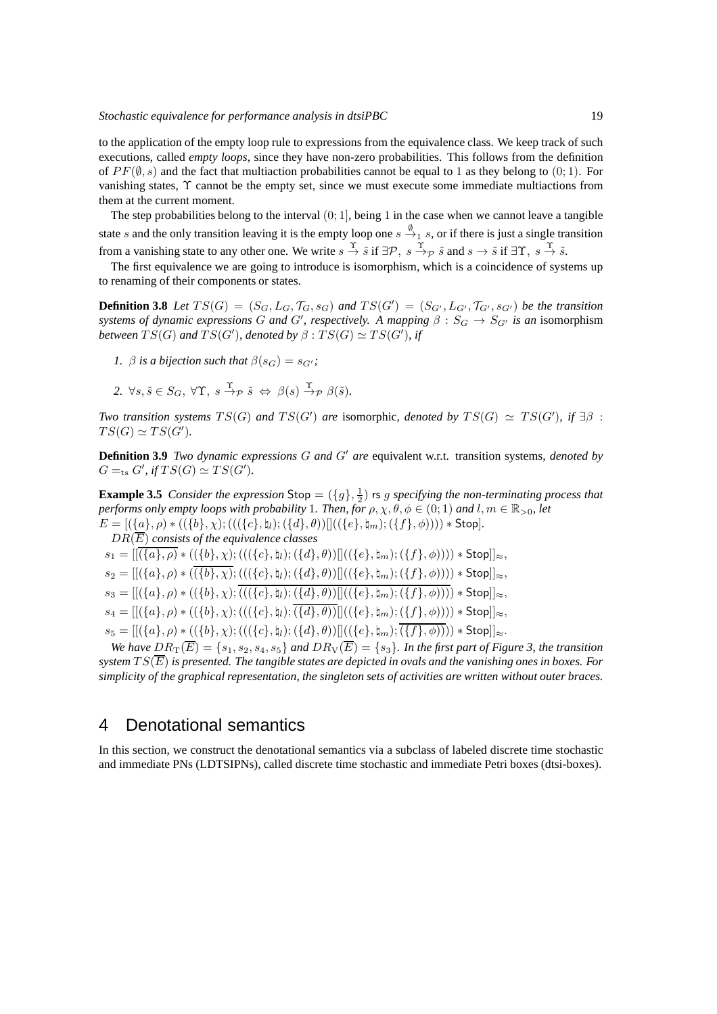to the application of the empty loop rule to expressions from the equivalence class. We keep track of such executions, called *empty loops*, since they have non-zero probabilities. This follows from the definition of  $PF(\emptyset, s)$  and the fact that multiaction probabilities cannot be equal to 1 as they belong to (0; 1). For vanishing states, Υ cannot be the empty set, since we must execute some immediate multiactions from them at the current moment.

The step probabilities belong to the interval  $(0, 1]$ , being 1 in the case when we cannot leave a tangible state s and the only transition leaving it is the empty loop one  $s \stackrel{\emptyset}{\to}_1 s$ , or if there is just a single transition from a vanishing state to any other one. We write  $s \stackrel{\Upsilon}{\rightarrow} \tilde{s}$  if  $\exists \mathcal{P}, s \stackrel{\Upsilon}{\rightarrow} \tilde{s}$  and  $s \rightarrow \tilde{s}$  if  $\exists \Upsilon, s \stackrel{\Upsilon}{\rightarrow} \tilde{s}$ .

The first equivalence we are going to introduce is isomorphism, which is a coincidence of systems up to renaming of their components or states.

**Definition 3.8** Let  $TS(G) = (S_G, L_G, \mathcal{T}_G, s_G)$  and  $TS(G') = (S_{G'}, L_{G'}, \mathcal{T}_{G'}, s_{G'})$  be the transition *systems of dynamic expressions* G and G', respectively. A mapping  $\beta : S_G \to S_{G'}$  is an isomorphism *between*  $TS(G)$  and  $TS(G')$ , denoted by  $\beta : TS(G) \simeq TS(G')$ , if

- *1.*  $\beta$  *is a bijection such that*  $\beta(s_G) = s_{G'}$ ;
- 2.  $\forall s, \tilde{s} \in S_G$ ,  $\forall \Upsilon$ ,  $s \stackrel{\Upsilon}{\rightarrow} p \tilde{s} \Leftrightarrow \beta(s) \stackrel{\Upsilon}{\rightarrow} p \beta(\tilde{s})$ .

*Two transition systems*  $TS(G)$  *and*  $TS(G')$  *are* isomorphic, denoted by  $TS(G) \simeq TS(G')$ , if  $\exists \beta$ :  $TS(G) \simeq TS(G').$ 

**Definition 3.9** *Two dynamic expressions* G *and* G′ *are* equivalent w.r.t. transition systems*, denoted by*  $G =_{\text{ts}} G'$ , if  $TS(G) \simeq TS(G')$ .

**Example 3.5** *Consider the expression*  $\mathsf{Stop} = (\{g\}, \frac{1}{2})$  *rs g specifying the non-terminating process that performs only empty loops with probability* 1*. Then, for*  $\rho, \chi, \theta, \phi \in (0, 1)$  *and*  $l, m \in \mathbb{R}_{>0}$ *, let*  $E = [(\{a\}, \rho) * ((\{b\}, \chi); (((\{c\}, \natural_l); (\{d\}, \theta))] ]((\{e\}, \natural_m); (\{f\}, \phi)))) * Stop].$ 

DR(E) *consists of the equivalence classes*  $s_1 = [[(\{a\}, \rho) * ((\{b\}, \chi) ; (((\{c\}, \natural_l); (\{d\}, \theta))]]((\{e\}, \natural_m) ; (\{f\}, \phi)))) * Stop]]_{\approx},$  $s_2 = ||(\{a\}, \rho) * (\overline{(\{b\}, \chi)}; (((\{c\}, \natural_l); (\{d\}, \theta))||((\{e\}, \natural_m); (\{f\}, \phi)))) * Stop||_{\approx},$  $s_3 = [[(\{a\}, \rho) * ((\{b\}, \chi); \overline{(((\{c\}, \natural_l); (\{d\}, \theta)) || ((\{e\}, \natural_m); (\{f\}, \phi))))} * \text{Stop}]]_{\approx}$  $s_4 = ||(\{a\}, \rho) * ((\{b\}, \chi); (((\{c\}, \natural_l); \overline{(\{d\}, \theta))}||((\{e\}, \natural_m); (\{f\}, \phi)))) * Stop||_{\approx}$ ,  $s_5 = [[({a}, \rho) * (({b}, \chi); ((({{c}, \mu); ({{d}, \theta})})]](({{c}, \mu_m); ({{f}, \phi})})$ ) \* Stop $]_{\approx}$ .

*We have*  $DR_T(\overline{E}) = \{s_1, s_2, s_4, s_5\}$  *and*  $DR_V(\overline{E}) = \{s_3\}$ *. In the first part of Figure 3, the transition system*  $TS(\overline{E})$  *is presented. The tangible states are depicted in ovals and the vanishing ones in boxes. For simplicity of the graphical representation, the singleton sets of activities are written without outer braces.*

# 4 Denotational semantics

In this section, we construct the denotational semantics via a subclass of labeled discrete time stochastic and immediate PNs (LDTSIPNs), called discrete time stochastic and immediate Petri boxes (dtsi-boxes).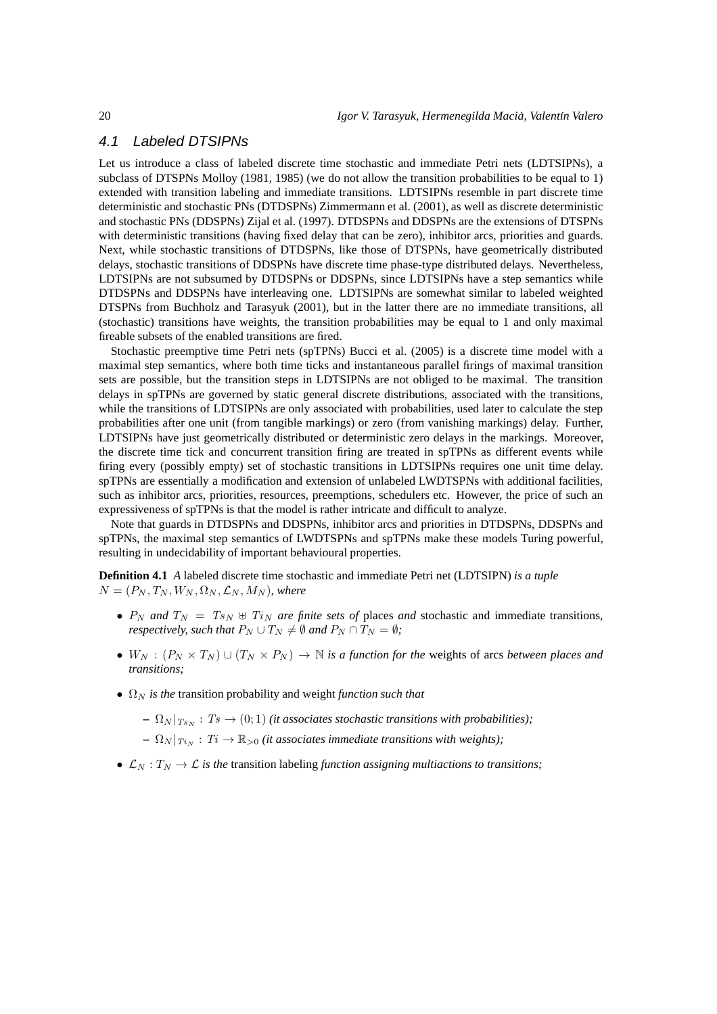# 4.1 Labeled DTSIPNs

Let us introduce a class of labeled discrete time stochastic and immediate Petri nets (LDTSIPNs), a subclass of DTSPNs Molloy (1981, 1985) (we do not allow the transition probabilities to be equal to 1) extended with transition labeling and immediate transitions. LDTSIPNs resemble in part discrete time deterministic and stochastic PNs (DTDSPNs) Zimmermann et al. (2001), as well as discrete deterministic and stochastic PNs (DDSPNs) Zijal et al. (1997). DTDSPNs and DDSPNs are the extensions of DTSPNs with deterministic transitions (having fixed delay that can be zero), inhibitor arcs, priorities and guards. Next, while stochastic transitions of DTDSPNs, like those of DTSPNs, have geometrically distributed delays, stochastic transitions of DDSPNs have discrete time phase-type distributed delays. Nevertheless, LDTSIPNs are not subsumed by DTDSPNs or DDSPNs, since LDTSIPNs have a step semantics while DTDSPNs and DDSPNs have interleaving one. LDTSIPNs are somewhat similar to labeled weighted DTSPNs from Buchholz and Tarasyuk (2001), but in the latter there are no immediate transitions, all (stochastic) transitions have weights, the transition probabilities may be equal to 1 and only maximal fireable subsets of the enabled transitions are fired.

Stochastic preemptive time Petri nets (spTPNs) Bucci et al. (2005) is a discrete time model with a maximal step semantics, where both time ticks and instantaneous parallel firings of maximal transition sets are possible, but the transition steps in LDTSIPNs are not obliged to be maximal. The transition delays in spTPNs are governed by static general discrete distributions, associated with the transitions, while the transitions of LDTSIPNs are only associated with probabilities, used later to calculate the step probabilities after one unit (from tangible markings) or zero (from vanishing markings) delay. Further, LDTSIPNs have just geometrically distributed or deterministic zero delays in the markings. Moreover, the discrete time tick and concurrent transition firing are treated in spTPNs as different events while firing every (possibly empty) set of stochastic transitions in LDTSIPNs requires one unit time delay. spTPNs are essentially a modification and extension of unlabeled LWDTSPNs with additional facilities, such as inhibitor arcs, priorities, resources, preemptions, schedulers etc. However, the price of such an expressiveness of spTPNs is that the model is rather intricate and difficult to analyze.

Note that guards in DTDSPNs and DDSPNs, inhibitor arcs and priorities in DTDSPNs, DDSPNs and spTPNs, the maximal step semantics of LWDTSPNs and spTPNs make these models Turing powerful, resulting in undecidability of important behavioural properties.

**Definition 4.1** *A* labeled discrete time stochastic and immediate Petri net (LDTSIPN) *is a tuple*  $N = (P_N, T_N, W_N, \Omega_N, \mathcal{L}_N, M_N)$ *, where* 

- $P_N$  and  $T_N = T_{SN} \oplus T_{iN}$  are finite sets of places and stochastic and immediate transitions, *respectively, such that*  $P_N \cup T_N \neq \emptyset$  *and*  $P_N \cap T_N = \emptyset$ *;*
- $W_N$ :  $(P_N \times T_N) \cup (T_N \times P_N) \to \mathbb{N}$  *is a function for the weights of arcs between places and transitions;*
- $\Omega_N$  *is the* transition probability and weight *function such that* 
	- $\Omega_N |_{Ts_N} : Ts \to (0, 1)$  *(it associates stochastic transitions with probabilities)*;
	- $\Omega_N |_{T_{i_N}} : T_i \to \mathbb{R}_{>0}$  *(it associates immediate transitions with weights)*;
- $\mathcal{L}_N: T_N \to \mathcal{L}$  *is the* transition labeling *function assigning multiactions to transitions*;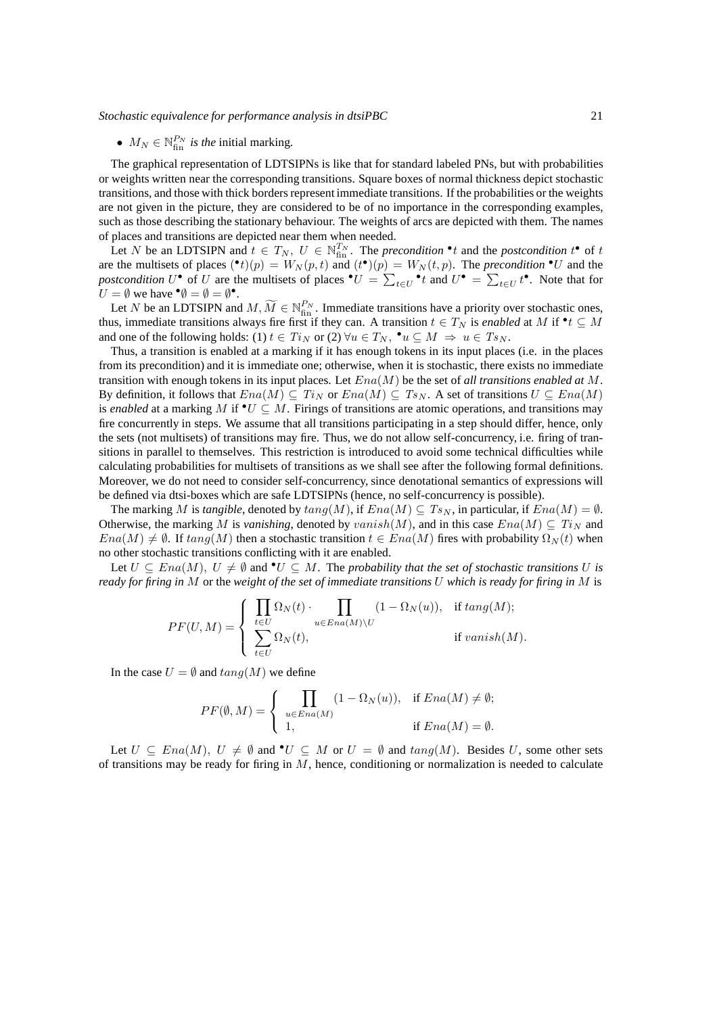# •  $M_N \in \mathbb{N}_{\text{fin}}^{P_N}$  *is the initial marking.*

The graphical representation of LDTSIPNs is like that for standard labeled PNs, but with probabilities or weights written near the corresponding transitions. Square boxes of normal thickness depict stochastic transitions, and those with thick borders represent immediate transitions. If the probabilities or the weights are not given in the picture, they are considered to be of no importance in the corresponding examples, such as those describing the stationary behaviour. The weights of arcs are depicted with them. The names of places and transitions are depicted near them when needed.

Let N be an LDTSIPN and  $t \in T_N$ ,  $U \in \mathbb{N}_{\text{fin}}^{T_N}$ . The *precondition*  $\cdot t$  and the *postcondition*  $t^{\bullet}$  of t are the multisets of places  $(\bullet t)(p) = W_N(p, t)$  and  $(t^{\bullet})(p) = W_N(t, p)$ . The *precondition*  $\bullet U$  and the postcondition  $U^{\bullet}$  of U are the multisets of places  $^{\bullet}U = \sum_{t \in U}^{\bullet}t$  and  $U^{\bullet} = \sum_{t \in U}t^{\bullet}$ . Note that for  $U = \emptyset$  we have  $\mathbf{\Theta} = \emptyset = \emptyset$ <sup> $\bullet$ </sup>.

Let N be an LDTSIPN and  $M, \widetilde{M} \in \mathbb{N}_{fin}^{P_N}$ . Immediate transitions have a priority over stochastic ones, thus, immediate transitions always fire first if they can. A transition  $t \in T_N$  is *enabled* at M if  $\bullet t \subseteq M$ and one of the following holds: (1)  $t \in Ti_N$  or (2)  $\forall u \in T_N$ ,  $\bullet u \subseteq M \Rightarrow u \in Ts_N$ .

Thus, a transition is enabled at a marking if it has enough tokens in its input places (i.e. in the places from its precondition) and it is immediate one; otherwise, when it is stochastic, there exists no immediate transition with enough tokens in its input places. Let Ena(M) be the set of *all transitions enabled at* M. By definition, it follows that  $Ena(M) \subseteq Ti_N$  or  $Ena(M) \subseteq Ts_N$ . A set of transitions  $U \subseteq Ena(M)$ is *enabled* at a marking M if  $\mathbf{v} \in M$ . Firings of transitions are atomic operations, and transitions may fire concurrently in steps. We assume that all transitions participating in a step should differ, hence, only the sets (not multisets) of transitions may fire. Thus, we do not allow self-concurrency, i.e. firing of transitions in parallel to themselves. This restriction is introduced to avoid some technical difficulties while calculating probabilities for multisets of transitions as we shall see after the following formal definitions. Moreover, we do not need to consider self-concurrency, since denotational semantics of expressions will be defined via dtsi-boxes which are safe LDTSIPNs (hence, no self-concurrency is possible).

The marking M is *tangible*, denoted by  $tan(qM)$ , if  $Ena(M) \subseteq Ts_N$ , in particular, if  $Ena(M) = \emptyset$ . Otherwise, the marking M is *vanishing*, denoted by  $vanish(M)$ , and in this case  $Ena(M) \subseteq Ti<sub>N</sub>$  and  $Ena(M) \neq \emptyset$ . If  $tang(M)$  then a stochastic transition  $t \in Ena(M)$  fires with probability  $\Omega_N(t)$  when no other stochastic transitions conflicting with it are enabled.

Let  $U \subseteq Ena(M)$ ,  $U \neq \emptyset$  and  $\bullet U \subseteq M$ . The *probability that the set of stochastic transitions* U is *ready for firing in* M or the *weight of the set of immediate transitions* U *which is ready for firing in* M is

$$
PF(U,M) = \begin{cases} \prod_{t \in U} \Omega_N(t) \cdot \prod_{u \in Ena(M) \backslash U} (1 - \Omega_N(u)), & \text{if } tang(M); \\ \sum_{t \in U} \Omega_N(t), & \text{if } vanish(M). \end{cases}
$$

In the case  $U = \emptyset$  and  $tana(M)$  we define

$$
PF(\emptyset, M) = \begin{cases} \prod_{u \in Ena(M)} (1 - \Omega_N(u)), & \text{if } Ena(M) \neq \emptyset; \\ 1, & \text{if } Ena(M) = \emptyset. \end{cases}
$$

Let  $U \subseteq Ena(M), U \neq \emptyset$  and  $\bullet U \subseteq M$  or  $U = \emptyset$  and  $tang(M)$ . Besides U, some other sets of transitions may be ready for firing in  $M$ , hence, conditioning or normalization is needed to calculate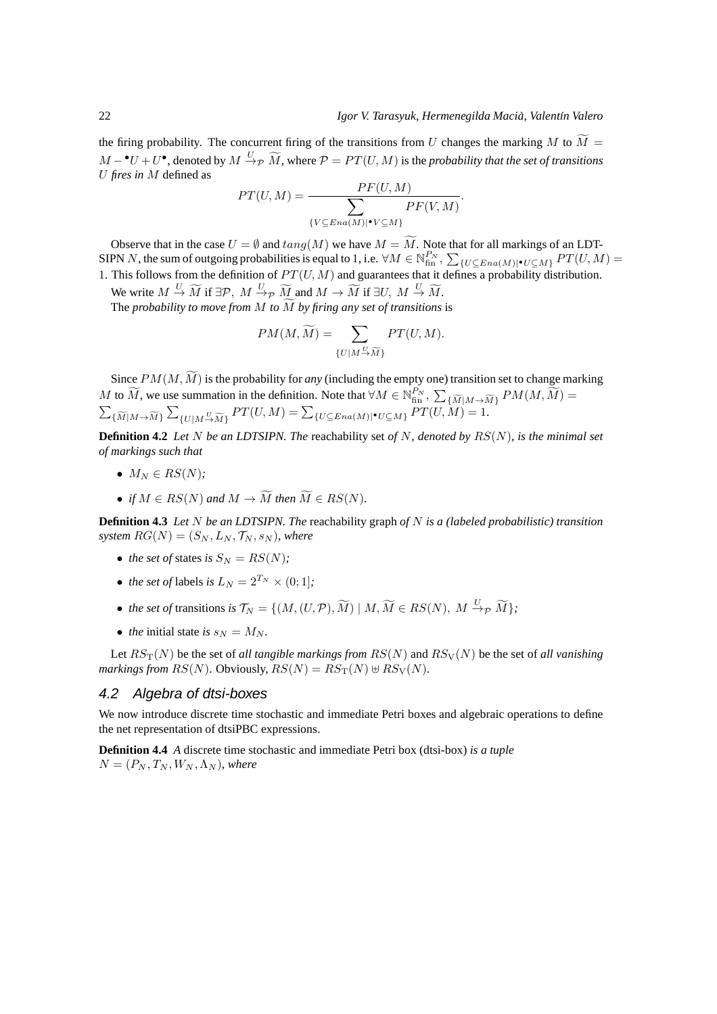the firing probability. The concurrent firing of the transitions from U changes the marking M to  $\widetilde{M} =$  $M-\bullet U+U\bullet$ , denoted by  $M\stackrel{U}{\to}_{\mathcal{P}} \widetilde{M}$ , where  $\mathcal{P}=PT(U,M)$  is the *probability that the set of transitions* U *fires in* M defined as

$$
PT(U, M) = \frac{PF(U, M)}{\sum_{\{V \subseteq Ena(M)|\bullet V \subseteq M\}} PF(V, M)}.
$$

Observe that in the case  $U = \emptyset$  and  $tang(M)$  we have  $M = \widetilde{M}$ . Note that for all markings of an LDT-SIPN N, the sum of outgoing probabilities is equal to 1, i.e.  $\forall M \in \mathbb{N}_{\text{fin}}^{P_N}, \sum_{\{U \subseteq Ena(M)|\bullet U \subseteq M\}} PT(U, M) =$ 1. This follows from the definition of  $PT(U, M)$  and guarantees that it defines a probability distribution.

We write  $M \stackrel{U}{\rightarrow} \widetilde{M}$  if  $\exists \mathcal{P}, M \stackrel{U}{\rightarrow} \widetilde{M}$  and  $M \rightarrow \widetilde{M}$  if  $\exists U, M \stackrel{U}{\rightarrow} \widetilde{M}$ . The *probability to move from*  $M$  *to*  $\widetilde{M}$  *by firing any set of transitions* is

$$
PM(M, \widetilde{M}) = \sum_{\{U \mid M \stackrel{U}{\to} \widetilde{M}\}} PT(U, M).
$$

Since  $PM(M, \widetilde{M})$  is the probability for *any* (including the empty one) transition set to change marking M to  $\widetilde{M}$ , we use summation in the definition. Note that  $\forall M \in \mathbb{N}_{\text{fin}}^{P_N}$ ,  $\sum_{\{\widetilde{M}|M \to \widetilde{M}\}} PM(M, \widetilde{M}) =$  $\sum_{\{\widetilde{M}|M\to\widetilde{M}\}}\sum_{\{U|M\stackrel{U}{\to}\widetilde{M}\}}PT(U,M)=\sum_{\{U\subseteq Ena(M)|\bullet U\subseteq M\}}PT(U,M)=1.$ 

**Definition 4.2** *Let* N *be an LDTSIPN. The* reachability set *of* N*, denoted by* RS(N)*, is the minimal set of markings such that*

- $M_N \in RS(N)$ ;
- *if*  $M \in RS(N)$  and  $M \to \widetilde{M}$  *then*  $\widetilde{M} \in RS(N)$ *.*

**Definition 4.3** *Let* N *be an LDTSIPN. The* reachability graph *of* N *is a (labeled probabilistic) transition system*  $RG(N) = (S_N, L_N, \mathcal{T}_N, s_N)$ *, where* 

- *the set of states is*  $S_N = RS(N)$ ;
- *the set of* labels *is*  $L_N = 2^{T_N} \times (0; 1]$ ;
- *the set of* transitions *is*  $\mathcal{T}_N = \{ (M, (U, \mathcal{P}), \widetilde{M}) \mid M, \widetilde{M} \in RS(N), M \stackrel{U}{\to}_{\mathcal{P}} \widetilde{M} \};$
- *the* initial state *is*  $s_N = M_N$ .

Let  $RS_{\rm T}(N)$  be the set of *all tangible markings from*  $RS(N)$  and  $RS_{\rm V}(N)$  be the set of *all vanishing markings from*  $RS(N)$ . Obviously,  $RS(N) = RS_T(N) \oplus RS_V(N)$ .

## 4.2 Algebra of dtsi-boxes

We now introduce discrete time stochastic and immediate Petri boxes and algebraic operations to define the net representation of dtsiPBC expressions.

**Definition 4.4** *A* discrete time stochastic and immediate Petri box (dtsi-box) *is a tuple*  $N = (P_N, T_N, W_N, \Lambda_N)$ , where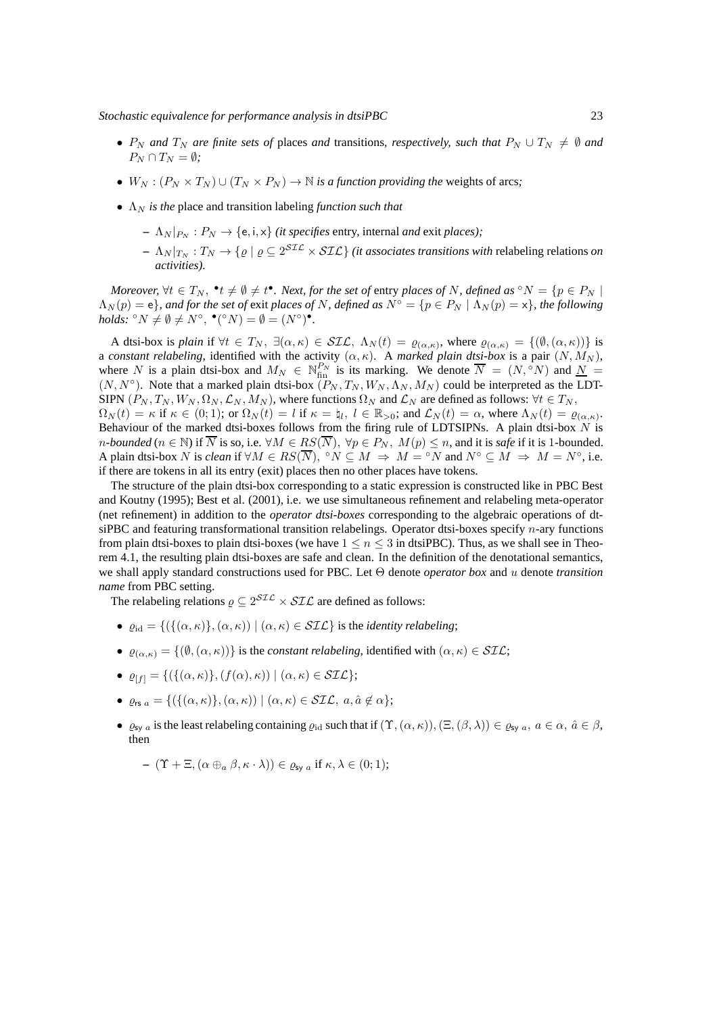- $P_N$  *and*  $T_N$  *are finite sets of* places *and* transitions, *respectively, such that*  $P_N \cup T_N \neq \emptyset$  *and*  $P_N \cap T_N = \emptyset$ *;*
- $W_N$ :  $(P_N \times T_N) \cup (T_N \times P_N) \rightarrow \mathbb{N}$  *is a function providing the weights of arcs;*
- $\Lambda_N$  *is the* place and transition labeling *function such that* 
	- $\Lambda_N |_{P_N} : P_N \to \{e, i, x\}$  *(it specifies entry, internal and exit places);*
	- $\Lambda_N|_{T_N}:T_N\to\{ \varrho\mid \varrho\subseteq 2^{ST\mathcal{L}}\times ST\mathcal{L}\}$  *(it associates transitions with r*elabeling relations *on activities).*

*Moreover,*  $\forall t \in T_N$ ,  $\cdot^*t \neq \emptyset \neq t^*$ . *Next, for the set of entry places of* N, defined as  $\circ N = \{p \in P_N \mid p \in N\}$  $\Lambda_N(p) = e$ *}, and for the set of exit places of* N, defined as  $N^\circ = \{p \in P_N \mid \Lambda_N(p) = x\}$ , the following *holds:*  ${}^{\circ}N \neq \emptyset \neq N^{\circ},$   ${}^{\bullet}({}^{\circ}N) = \emptyset = (N^{\circ})^{\bullet}.$ 

A dtsi-box is *plain* if  $\forall t \in T_N$ ,  $\exists (\alpha, \kappa) \in \mathcal{SIL}$ ,  $\Lambda_N(t) = \varrho_{(\alpha, \kappa)}$ , where  $\varrho_{(\alpha, \kappa)} = \{(\emptyset, (\alpha, \kappa))\}$  is a *constant relabeling*, identified with the activity  $(\alpha, \kappa)$ . A *marked plain dtsi-box* is a pair  $(N, M_N)$ , where N is a plain dtsi-box and  $M_N \in \mathbb{N}_{\text{fin}}^{P_N}$  is its marking. We denote  $\overline{N} = (N, \degree N)$  and  $\underline{N} =$  $(N, N^{\circ})$ . Note that a marked plain dtsi-box  $(P_N, T_N, W_N, \Lambda_N, M_N)$  could be interpreted as the LDT-SIPN  $(P_N, T_N, W_N, \Omega_N, \mathcal{L}_N, M_N)$ , where functions  $\Omega_N$  and  $\mathcal{L}_N$  are defined as follows:  $\forall t \in T_N$ ,  $\Omega_N(t) = \kappa$  if  $\kappa \in (0, 1)$ ; or  $\Omega_N(t) = l$  if  $\kappa = \natural_l$ ,  $l \in \mathbb{R}_{>0}$ ; and  $\mathcal{L}_N(t) = \alpha$ , where  $\Lambda_N(t) = \varrho_{(\alpha, \kappa)}$ . Behaviour of the marked dtsi-boxes follows from the firing rule of LDTSIPNs. A plain dtsi-box  $N$  is n-bounded ( $n \in \mathbb{N}$ ) if  $\overline{N}$  is so, i.e.  $\forall M \in RS(\overline{N})$ ,  $\forall p \in P_N$ ,  $M(p) \leq n$ , and it is *safe* if it is 1-bounded. A plain dtsi-box N is *clean* if  $\forall M \in RS(\overline{N})$ ,  $\circ N \subseteq M \Rightarrow M = \circ N$  and  $N^{\circ} \subseteq M \Rightarrow M = N^{\circ}$ , i.e.

if there are tokens in all its entry (exit) places then no other places have tokens.

The structure of the plain dtsi-box corresponding to a static expression is constructed like in PBC Best and Koutny (1995); Best et al. (2001), i.e. we use simultaneous refinement and relabeling meta-operator (net refinement) in addition to the *operator dtsi-boxes* corresponding to the algebraic operations of dtsiPBC and featuring transformational transition relabelings. Operator dtsi-boxes specify  $n$ -ary functions from plain dtsi-boxes to plain dtsi-boxes (we have  $1 \le n \le 3$  in dtsiPBC). Thus, as we shall see in Theorem 4.1, the resulting plain dtsi-boxes are safe and clean. In the definition of the denotational semantics, we shall apply standard constructions used for PBC. Let Θ denote *operator box* and u denote *transition name* from PBC setting.

The relabeling relations  $\rho \subseteq 2^{STL} \times STL$  are defined as follows:

- $\rho_{\rm id} = \{ (\{(\alpha, \kappa), (\alpha, \kappa)) \mid (\alpha, \kappa) \in \mathcal{SL} \}$  is the *identity relabeling*;
- $\varrho_{(\alpha,\kappa)} = \{(\emptyset, (\alpha,\kappa))\}$  is the *constant relabeling*, identified with  $(\alpha,\kappa) \in \mathcal{SIL}$ ;
- $\varrho_{[f]} = \{ (\{(\alpha,\kappa)\},(f(\alpha),\kappa)) \mid (\alpha,\kappa) \in \mathcal{SIL} \};$
- $\rho_{rs\,a} = \{ (\{ (\alpha,\kappa) \},(\alpha,\kappa)) \mid (\alpha,\kappa) \in \mathcal{SIL}, \ a, \hat{a} \notin \alpha \};$
- $\varrho_{\text{sv }a}$  is the least relabeling containing  $\varrho_{\text{id}}$  such that if  $(\Upsilon, (\alpha, \kappa)),(\Xi, (\beta, \lambda)) \in \varrho_{\text{sv }a}, a \in \alpha, \hat{a} \in \beta$ , then

$$
- ( \Upsilon + \Xi, (\alpha \oplus_a \beta, \kappa \cdot \lambda) ) \in \varrho_{sy} \text{ if } \kappa, \lambda \in (0,1);
$$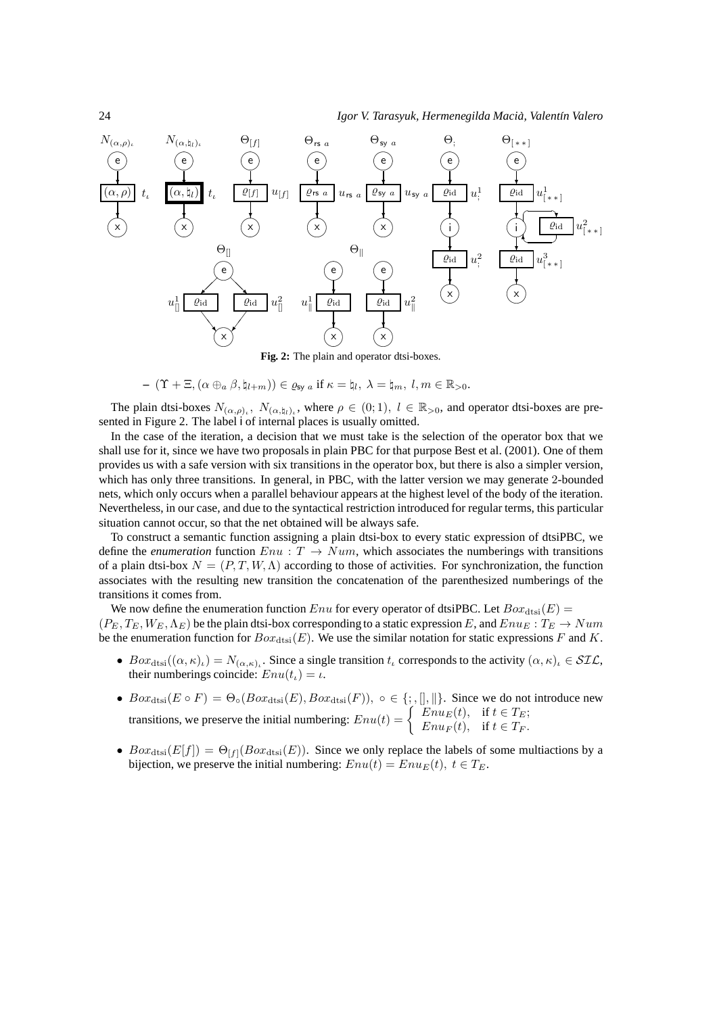

$$
-\ ( \Upsilon + \Xi, (\alpha \oplus_a \beta, \natural_{l+m})) \in \varrho_{\text{sy } a} \text{ if } \kappa = \natural_l, \ \lambda = \natural_m, \ l,m \in \mathbb{R}_{>0}.
$$

The plain dtsi-boxes  $N_{(\alpha,\rho)_i}$ ,  $N_{(\alpha,\natural_i)_i}$ , where  $\rho \in (0,1)$ ,  $l \in \mathbb{R}_{>0}$ , and operator dtsi-boxes are presented in Figure 2. The label i of internal places is usually omitted.

In the case of the iteration, a decision that we must take is the selection of the operator box that we shall use for it, since we have two proposals in plain PBC for that purpose Best et al. (2001). One of them provides us with a safe version with six transitions in the operator box, but there is also a simpler version, which has only three transitions. In general, in PBC, with the latter version we may generate 2-bounded nets, which only occurs when a parallel behaviour appears at the highest level of the body of the iteration. Nevertheless, in our case, and due to the syntactical restriction introduced for regular terms, this particular situation cannot occur, so that the net obtained will be always safe.

To construct a semantic function assigning a plain dtsi-box to every static expression of dtsiPBC, we define the *enumeration* function  $Enu : T \rightarrow Num$ , which associates the numberings with transitions of a plain dtsi-box  $N = (P, T, W, \Lambda)$  according to those of activities. For synchronization, the function associates with the resulting new transition the concatenation of the parenthesized numberings of the transitions it comes from.

We now define the enumeration function Enu for every operator of dtsiPBC. Let  $Box_{\text{dstis}}(E)$  =  $(P_E, T_E, W_E, \Lambda_E)$  be the plain dtsi-box corresponding to a static expression E, and  $Enu_E : T_E \to Num$ be the enumeration function for  $Box_{\text{dtsi}}(E)$ . We use the similar notation for static expressions F and K.

- $Box_{\text{dist}}((\alpha, \kappa)_t) = N_{(\alpha, \kappa)_t}$ . Since a single transition  $t_t$  corresponds to the activity  $(\alpha, \kappa)_t \in \mathcal{SIL}$ , their numberings coincide:  $Enu(t<sub>t</sub>) = \iota$ .
- $Box_{\text{dtsi}}(E \circ F) = \Theta_{\circ}(Box_{\text{dtsi}}(E),Box_{\text{dtsi}}(F)), \circ \in \{\, ; , \, \| , \| \}.$  Since we do not introduce new transitions, we preserve the initial numbering:  $Env(t) = \begin{cases} Enu_E(t), & \text{if } t \in T_E; \\ Enu_E(t), & \text{if } t \in T. \end{cases}$  $Enu<sub>F</sub>(t)$ , if  $t \in T_F$ .
- $Box_{\text{dst}}(E[f]) = \Theta_{[f]}(Box_{\text{dst}}(E))$ . Since we only replace the labels of some multiactions by a bijection, we preserve the initial numbering:  $Enu(t) = Enu_E(t), t \in T_E$ .

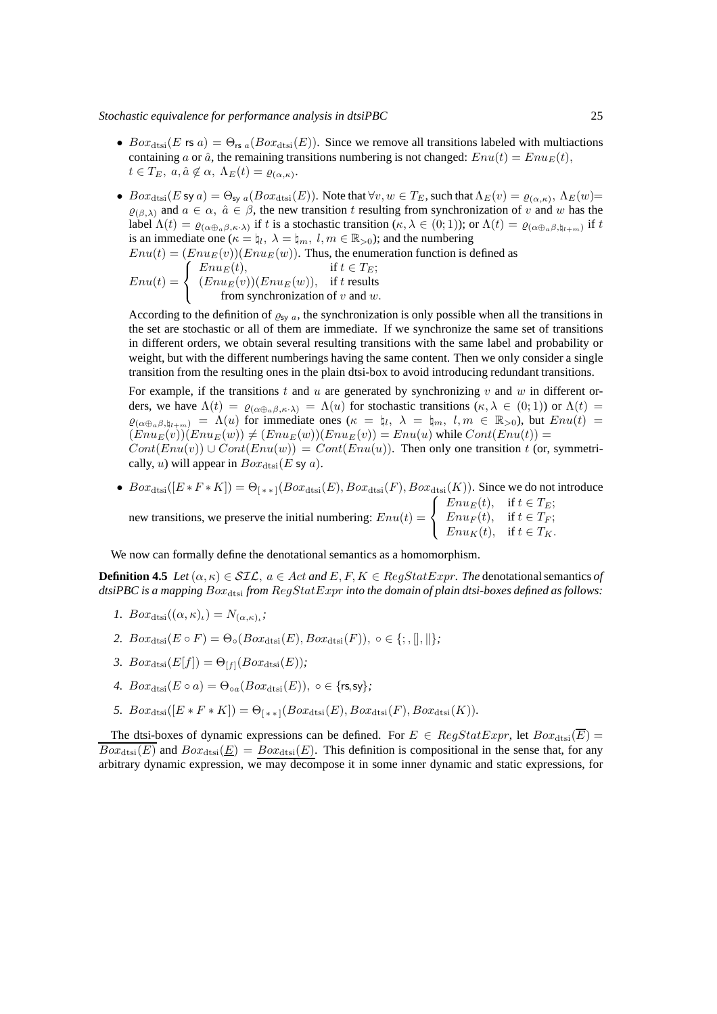- $Box_{\text{dtsi}}(E \text{ is } a) = \Theta_{\text{rs } a}(Box_{\text{dtsi}}(E)).$  Since we remove all transitions labeled with multiactions containing a or  $\hat{a}$ , the remaining transitions numbering is not changed:  $Env(t) = Enu_E(t)$ ,  $t \in T_E$ ,  $a, \hat{a} \notin \alpha$ ,  $\Lambda_E(t) = \varrho_{(\alpha,\kappa)}$ .
- $Box_{\text{dst}}(E \text{ sy } a) = \Theta_{\text{sy } a}(Box_{\text{dst}}(E))$ . Note that  $\forall v, w \in T_E$ , such that  $\Lambda_E(v) = \varrho_{(\alpha,\kappa)}, \Lambda_E(w) = \emptyset$  $\varrho_{(\beta,\lambda)}$  and  $a \in \alpha$ ,  $\hat{a} \in \beta$ , the new transition t resulting from synchronization of v and w has the label  $\Lambda(t) = \varrho_{(\alpha \oplus_{a} \beta, \kappa \cdot \lambda)}$  if t is a stochastic transition  $(\kappa, \lambda \in (0, 1))$ ; or  $\Lambda(t) = \varrho_{(\alpha \oplus_{a} \beta, \natural_{t+m})}$  if t is an immediate one ( $\kappa = \mu_l$ ,  $\lambda = \mu_m$ ,  $l, m \in \mathbb{R}_{>0}$ ); and the numbering

$$
Enu(t) = (EnuE(v))(EnuE(w)). Thus, the enumeration function is defined as\n
$$
Enu(t) = \begin{cases}\nEnuE(t), & \text{if } t \in TE;\n(EnuE(v))(EnuE(w)), & \text{if } t \text{ results} \\ \text{from synchronization of } v \text{ and } w.\n\end{cases}
$$
$$

According to the definition of  $\varrho_{sy}$  a, the synchronization is only possible when all the transitions in the set are stochastic or all of them are immediate. If we synchronize the same set of transitions in different orders, we obtain several resulting transitions with the same label and probability or weight, but with the different numberings having the same content. Then we only consider a single transition from the resulting ones in the plain dtsi-box to avoid introducing redundant transitions.

For example, if the transitions t and u are generated by synchronizing v and w in different orders, we have  $\Lambda(t) = \varrho_{(\alpha \oplus_{\alpha} \beta, \kappa \cdot \lambda)} = \Lambda(u)$  for stochastic transitions  $(\kappa, \lambda \in (0, 1))$  or  $\Lambda(t) =$  $\varrho_{(\alpha \oplus_{\alpha} \beta, \natural_{l+m})} = \Lambda(u)$  for immediate ones  $(\kappa = \natural_l, \lambda = \natural_m, l, m \in \mathbb{R}_{>0})$ , but  $Enu(t) =$  $(Enu_E(v))(Enu_E(w)) \neq (Enu_E(w))(Enu_E(v)) = Enu(u)$  while  $Cont(Enu(t))$  =  $Cont(Enu(v)) \cup Cont(Enu(w)) = Cont(Enu(u))$ . Then only one transition t (or, symmetrically, u) will appear in  $Box_{\text{dtsi}}(E \text{ sy } a)$ .

•  $Box_{\text{dtsi}}([E * F * K]) = \Theta_{[**]}(Box_{\text{dtsi}}(E), Box_{\text{dtsi}}(F), Box_{\text{dtsi}}(K))$ . Since we do not introduce new transitions, we preserve the initial numbering:  $Enu(t) =$  $\sqrt{ }$  $\frac{1}{2}$  $\mathbf{I}$  $Enu<sub>E</sub>(t)$ , if  $t \in T_E$ ;  $Enu<sub>F</sub>(t)$ , if  $t \in T_F$ ;  $Enu_K(t)$ , if  $t \in T_K$ .

We now can formally define the denotational semantics as a homomorphism.

**Definition 4.5** *Let*  $(\alpha, \kappa) \in \mathcal{SIL}$ ,  $a \in Act$  *and*  $E, F, K \in RegStatexpr$ . *The* denotational semantics of  $d$ tsiPBC is a mapping  $Box_{\text{dtsi}}$  *from*  $RegStatExpr$  *into the domain of plain dtsi-boxes defined as follows:* 

- *1.*  $Box_{\text{dtsi}}((\alpha, \kappa)_{\iota}) = N_{(\alpha, \kappa)_{\iota}};$
- 2.  $Box_{\text{dtsi}}(E \circ F) = \Theta_{\circ}(Box_{\text{dtsi}}(E),Box_{\text{dtsi}}(F)), \circ \in \{; , \|, \| \};$
- 3.  $Box_{\text{disi}}(E[f]) = \Theta_{[f]}(Box_{\text{disi}}(E));$
- 4.  $Box_{\text{dis}}(E \circ a) = \Theta_{\text{eq}}(Box_{\text{dis}}(E)), o \in \{\text{rs}, \text{sv}\};\$
- *5.*  $Box_{\text{dtsi}}([E * F * K]) = \Theta_{(**1}(Box_{\text{dtsi}}(E), Box_{\text{dtsi}}(F), Box_{\text{dtsi}}(K)).$

The dtsi-boxes of dynamic expressions can be defined. For  $E \in RegStatExpr$ , let  $Box_{\text{dtsi}}(\overline{E})$  $Box_{\text{dtsi}}(E)$  and  $Box_{\text{dtsi}}(E) = Box_{\text{dtsi}}(E)$ . This definition is compositional in the sense that, for any arbitrary dynamic expression, we may decompose it in some inner dynamic and static expressions, for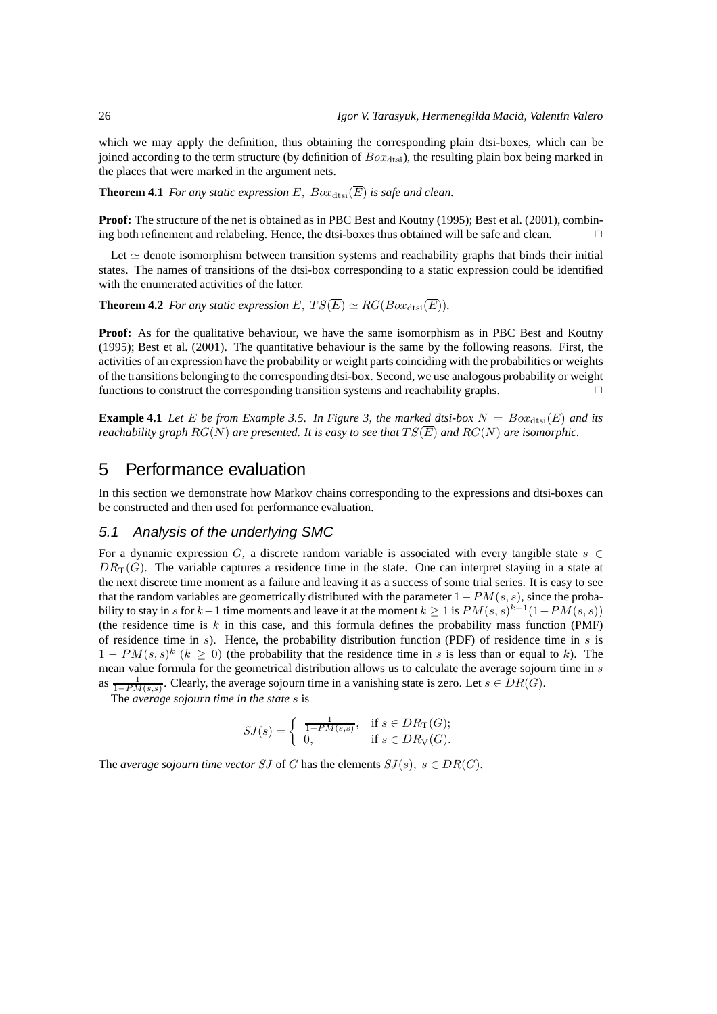which we may apply the definition, thus obtaining the corresponding plain dtsi-boxes, which can be joined according to the term structure (by definition of  $Box_{\text{dst}}$ ), the resulting plain box being marked in the places that were marked in the argument nets.

**Theorem 4.1** *For any static expression E*,  $Box_{\text{dtsi}}(\overline{E})$  *is safe and clean.* 

**Proof:** The structure of the net is obtained as in PBC Best and Koutny (1995); Best et al. (2001), combining both refinement and relabeling. Hence, the dtsi-boxes thus obtained will be safe and clean.  $\Box$ 

Let  $\simeq$  denote isomorphism between transition systems and reachability graphs that binds their initial states. The names of transitions of the dtsi-box corresponding to a static expression could be identified with the enumerated activities of the latter.

**Theorem 4.2** *For any static expression*  $E$ ,  $TS(\overline{E}) \simeq RG(Box_{\text{dtsi}}(\overline{E}))$ *.* 

**Proof:** As for the qualitative behaviour, we have the same isomorphism as in PBC Best and Koutny (1995); Best et al. (2001). The quantitative behaviour is the same by the following reasons. First, the activities of an expression have the probability or weight parts coinciding with the probabilities or weights of the transitions belonging to the corresponding dtsi-box. Second, we use analogous probability or weight functions to construct the corresponding transition systems and reachability graphs.

**Example 4.1** Let E be from Example 3.5. In Figure 3, the marked dtsi-box  $N = Box_{\text{dtsi}}(\overline{E})$  and its *reachability graph*  $RG(N)$  *are presented. It is easy to see that*  $TS(\overline{E})$  *and*  $RG(N)$  *are isomorphic.* 

# 5 Performance evaluation

In this section we demonstrate how Markov chains corresponding to the expressions and dtsi-boxes can be constructed and then used for performance evaluation.

## 5.1 Analysis of the underlying SMC

For a dynamic expression G, a discrete random variable is associated with every tangible state  $s \in \mathbb{R}$  $DR_T(G)$ . The variable captures a residence time in the state. One can interpret staying in a state at the next discrete time moment as a failure and leaving it as a success of some trial series. It is easy to see that the random variables are geometrically distributed with the parameter  $1-PM(s, s)$ , since the probability to stay in s for  $k-1$  time moments and leave it at the moment  $k \geq 1$  is  $PM(s,s)^{k-1}(1-PM(s,s))$ (the residence time is  $k$  in this case, and this formula defines the probability mass function (PMF) of residence time in  $s$ ). Hence, the probability distribution function (PDF) of residence time in  $s$  is  $1 - PM(s, s)^k$   $(k \ge 0)$  (the probability that the residence time in s is less than or equal to k). The mean value formula for the geometrical distribution allows us to calculate the average sojourn time in s as  $\frac{1}{1-PM(s,s)}$ . Clearly, the average sojourn time in a vanishing state is zero. Let  $s \in DR(G)$ .

The *average sojourn time in the state* s is

$$
SJ(s) = \begin{cases} \frac{1}{1 - PM(s, s)}, & \text{if } s \in DR_T(G); \\ 0, & \text{if } s \in DR_V(G). \end{cases}
$$

The *average sojourn time vector* SJ of G has the elements  $SJ(s)$ ,  $s \in DR(G)$ .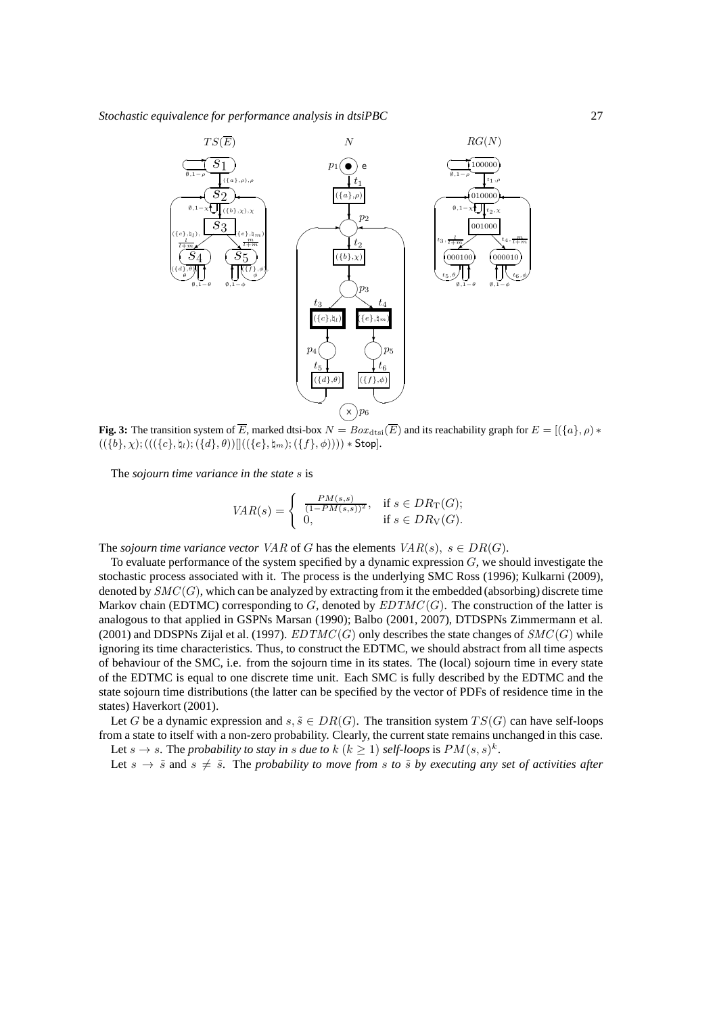

**Fig. 3:** The transition system of  $\overline{E}$ , marked dtsi-box  $N = Box_{\text{dtsi}}(\overline{E})$  and its reachability graph for  $E = [(\lbrace a \rbrace, \rho) *$  $((\{b\}, \chi); (((\{c\}, \natural_l); (\{d\}, \theta))]((\{e\}, \natural_m); (\{f\}, \phi)))) * Stop.$ 

The *sojourn time variance in the state* s is

$$
VAR(s) = \begin{cases} \frac{PM(s,s)}{(1 - PM(s,s))^2}, & \text{if } s \in DR_T(G); \\ 0, & \text{if } s \in DR_V(G). \end{cases}
$$

The *sojourn time variance vector* VAR of G has the elements  $VAR(s), s \in DR(G)$ .

To evaluate performance of the system specified by a dynamic expression  $G$ , we should investigate the stochastic process associated with it. The process is the underlying SMC Ross (1996); Kulkarni (2009), denoted by  $SMC(G)$ , which can be analyzed by extracting from it the embedded (absorbing) discrete time Markov chain (EDTMC) corresponding to  $G$ , denoted by  $EDTMC(G)$ . The construction of the latter is analogous to that applied in GSPNs Marsan (1990); Balbo (2001, 2007), DTDSPNs Zimmermann et al. (2001) and DDSPNs Zijal et al. (1997).  $EDTMC(G)$  only describes the state changes of  $SMC(G)$  while ignoring its time characteristics. Thus, to construct the EDTMC, we should abstract from all time aspects of behaviour of the SMC, i.e. from the sojourn time in its states. The (local) sojourn time in every state of the EDTMC is equal to one discrete time unit. Each SMC is fully described by the EDTMC and the state sojourn time distributions (the latter can be specified by the vector of PDFs of residence time in the states) Haverkort (2001).

Let G be a dynamic expression and  $s, \tilde{s} \in DR(G)$ . The transition system  $TS(G)$  can have self-loops from a state to itself with a non-zero probability. Clearly, the current state remains unchanged in this case. Let  $s \to s$ . The *probability to stay in s due to*  $k$   $(k \ge 1)$  *self-loops* is  $PM(s, s)^k$ .

Let  $s \to \tilde{s}$  and  $s \neq \tilde{s}$ . The *probability to move from* s *to*  $\tilde{s}$  *by executing any set of activities after*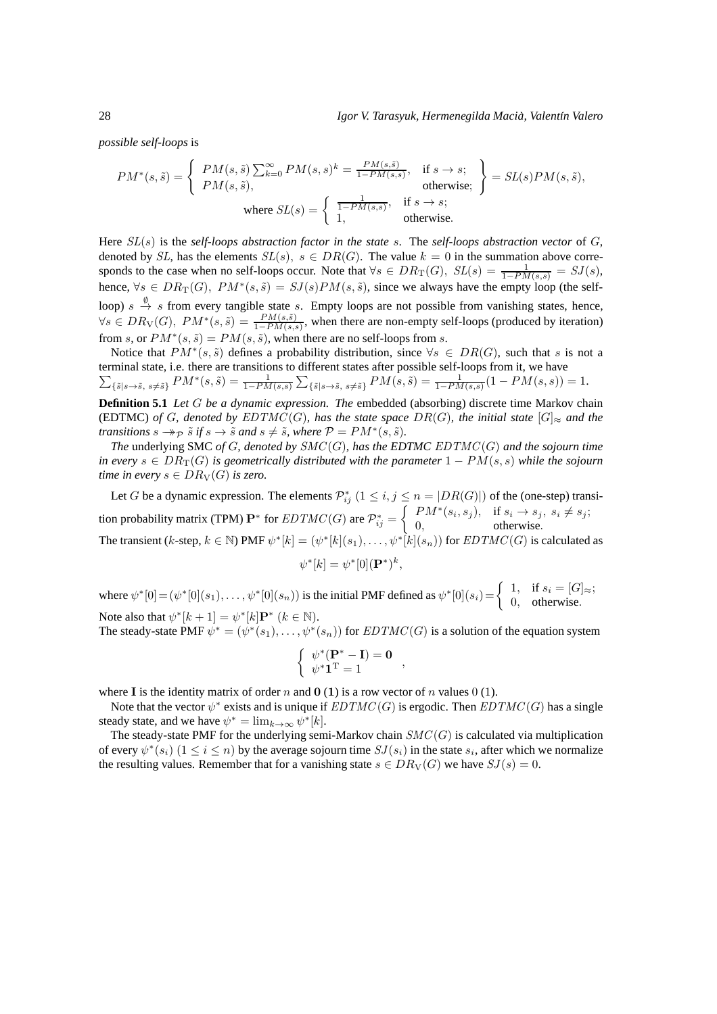*possible self-loops* is

$$
PM^*(s, \tilde{s}) = \begin{cases} PM(s, \tilde{s}) \sum_{k=0}^{\infty} PM(s, s)^k = \frac{PM(s, \tilde{s})}{1 - PM(s, s)}, & \text{if } s \to s; \\ PM(s, \tilde{s}), & \text{otherwise;} \end{cases} = SL(s)PM(s, \tilde{s}),
$$
  
where  $SL(s) = \begin{cases} \frac{1}{1 - PM(s, s)}, & \text{if } s \to s; \\ 1, & \text{otherwise.} \end{cases}$ 

Here SL(s) is the *self-loops abstraction factor in the state* s. The *self-loops abstraction vector* of G, denoted by SL, has the elements  $SL(s)$ ,  $s \in DR(G)$ . The value  $k = 0$  in the summation above corresponds to the case when no self-loops occur. Note that  $\forall s \in DR_T(G)$ ,  $SL(s) = \frac{1}{1 - PM(s,s)} = SJ(s)$ , hence,  $\forall s \in DR_T(G)$ ,  $PM^*(s, \tilde{s}) = SJ(s)PM(s, \tilde{s})$ , since we always have the empty loop (the selfloop)  $s \stackrel{\emptyset}{\to} s$  from every tangible state s. Empty loops are not possible from vanishing states, hence,  $\forall s \in DR_V(G), PM^*(s, \tilde{s}) = \frac{PM(s, \tilde{s})}{1 - PM(s, s)}$ , when there are non-empty self-loops (produced by iteration) from s, or  $PM^*(s, \tilde{s}) = PM(s, \tilde{s})$ , when there are no self-loops from s.

Notice that  $PM^*(s, \tilde{s})$  defines a probability distribution, since  $\forall s \in DR(G)$ , such that s is not a terminal state, i.e. there are transitions to different sta tes after possible self-loops from it, we have  $\sum_{\{\tilde{s}|s\to \tilde{s},\ s\neq \tilde{s}\}}PM^*(s, \tilde{s}) = \frac{1}{1-PM(s, s)}\sum_{\{\tilde{s}|s\to \tilde{s},\ s\neq \tilde{s}\}}PM(s, \tilde{s}) = \frac{1}{1-PM(s, s)}(1-PM(s, s)) = 1.$ 

**Definition 5.1** *Let* G *be a dynamic expression. The* embedded (absorbing) discrete time Markov chain (EDTMC) *of* G, denoted by  $EDTMC(G)$ *, has the state space*  $DR(G)$ *, the initial state*  $[G]_{\approx}$  *and the transitions*  $s \rightarrow p \tilde{s}$  *if*  $s \rightarrow \tilde{s}$  *and*  $s \neq \tilde{s}$ *, where*  $P = PM^*(s, \tilde{s})$ *.* 

*The* underlying SMC *of* G*, denoted by* SMC(G)*, has the EDTMC* EDTMC (G) *and the sojourn time in every*  $s \in DR_T(G)$  *is geometrically distributed with the parameter*  $1 - PM(s, s)$  *while the sojourn time in every*  $s \in DR_V(G)$  *is zero.* 

Let G be a dynamic expression. The elements  $\mathcal{P}_{ij}^*$   $(1 \leq i, j \leq n = |DR(G)|)$  of the (one-step) transition probability matrix (TPM)  $\mathbf{P}^*$  for  $EDTMC(G)$  are  $\mathcal{P}_{ij}^* =$  $\int PM^*(s_i, s_j), \text{ if } s_i \to s_j, s_i \neq s_j;$ 0, otherwise. The transient (k-step,  $k \in \mathbb{N}$ ) PMF  $\psi^*[k] = (\psi^*[k](s_1), \dots, \psi^*[\hat{k}](s_n))$  for  $EDTMC(G)$  is calculated as

$$
\psi^*[k] = \psi^*[0]({\mathbf P}^*)^k,
$$

where  $\psi^*[0] = (\psi^*[0](s_1), \dots, \psi^*[0](s_n))$  is the initial PMF defined as  $\psi^*[0](s_i) = \begin{cases} 1, & \text{if } s_i = [G] \approx i, \\ 0, & \text{otherwise} \end{cases}$ 0, otherwise. Note also that  $\psi^*[k+1] = \psi^*[k] \mathbf{P}^*$   $(k \in \mathbb{N})$ .

The steady-state PMF  $\psi^* = (\psi^*(s_1), \dots, \psi^*(s_n))$  for  $EDTMC(G)$  is a solution of the equation system

$$
\left\{ \begin{array}{c} \psi^*(\mathbf{P}^* - \mathbf{I}) = \mathbf{0} \\ \psi^* \mathbf{1}^{\mathrm{T}} = 1 \end{array} \right.,
$$

where I is the identity matrix of order n and  $\mathbf{0}$  (1) is a row vector of n values 0 (1).

Note that the vector  $\psi^*$  exists and is unique if  $EDTMC(G)$  is ergodic. Then  $EDTMC(G)$  has a single steady state, and we have  $\psi^* = \lim_{k \to \infty} \psi^*[k]$ .

The steady-state PMF for the underlying semi-Markov chain  $SMC(G)$  is calculated via multiplication of every  $\psi^*(s_i)$   $(1 \leq i \leq n)$  by the average sojourn time  $SJ(s_i)$  in the state  $s_i$ , after which we normalize the resulting values. Remember that for a vanishing state  $s \in DR_V(G)$  we have  $SJ(s) = 0$ .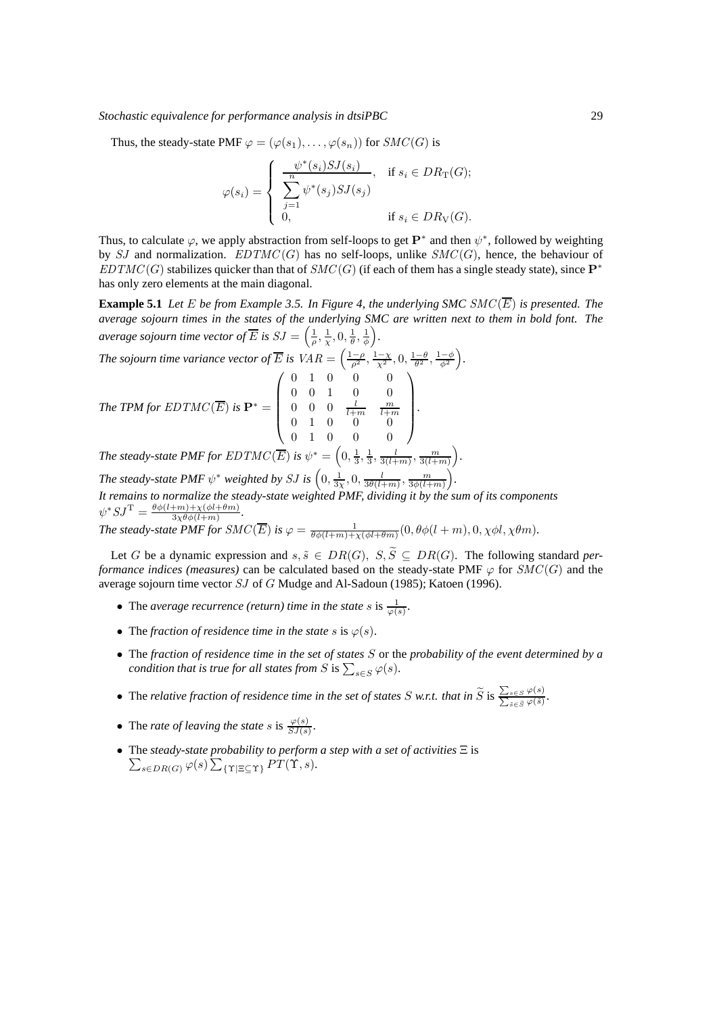Thus, the steady-state PMF  $\varphi = (\varphi(s_1), \dots, \varphi(s_n))$  for  $SMC(G)$  is

$$
\varphi(s_i) = \begin{cases} \frac{\psi^*(s_i) SJ(s_i)}{\sum_{j=1}^n \psi^*(s_j) SJ(s_j)}, & \text{if } s_i \in DR_T(G); \\ 0, & \text{if } s_i \in DR_T(G). \end{cases}
$$

Thus, to calculate  $\varphi$ , we apply abstraction from self-loops to get  $\mathbf{P}^*$  and then  $\psi^*$ , followed by weighting by SJ and normalization.  $EDTMC(G)$  has no self-loops, unlike  $SMC(G)$ , hence, the behaviour of  $EDTMC(G)$  stabilizes quicker than that of  $SMC(G)$  (if each of them has a single steady state), since  $\mathbf{P}^*$ has only zero elements at the main diagonal.

**Example 5.1** Let E be from Example 3.5. In Figure 4, the underlying SMC  $SMC(\overline{E})$  is presented. The *average sojourn times in the states of the underlying SMC are written next to them in bold font. The average sojourn time vector of*  $\overline{E}$  *is*  $SJ = \left(\frac{1}{\rho}, \frac{1}{\chi}, 0, \frac{1}{\theta}, \frac{1}{\phi}\right)$ *.*

The sojourn time variance vector of 
$$
\overline{E}
$$
 is  $VAR = \left(\frac{1-\rho}{\rho^2}, \frac{1-\chi}{\chi^2}, 0, \frac{1-\theta}{\theta^2}, \frac{1-\phi}{\phi^2}\right)$ .  
\nThe TPM for  $EDTMC(\overline{E})$  is  $\mathbf{P}^* = \begin{pmatrix} 0 & 1 & 0 & 0 & 0 \\ 0 & 0 & 1 & 0 & 0 \\ 0 & 0 & 0 & \frac{l}{l+m} & \frac{m}{l+m} \\ 0 & 1 & 0 & 0 & 0 \\ 0 & 1 & 0 & 0 & 0 \end{pmatrix}$ .

*The steady-state PMF for EDTMC*  $\overline{(E)}$  *is*  $\psi^* = \left(0, \frac{1}{3}, \frac{1}{3}, \frac{l}{3(l+m)}, \frac{m}{3(l+m)}\right)$ *.*

*The steady-state PMF*  $\psi^*$  *weighted by SJ is*  $\left(0, \frac{1}{3\chi}, 0, \frac{l}{3\theta(l+m)}, \frac{m}{3\phi(l+m)}\right)$  *. It remains to normalize the steady-state weighted PMF, dividing it by the sum of its components*  $\psi^* S J^{\mathrm{T}} = \frac{\theta \phi(l+m) + \chi(\phi l + \theta m)}{3 \chi \theta \phi(l+m)}$  $\frac{1+m)+\chi(\varphi l+\theta m)}{3\chi\theta\phi(l+m)}$ .

*The steady-state PMF for SMC*( $\overline{E}$ ) *is*  $\varphi = \frac{1}{\theta \phi(l+m)+\chi(\phi l+\theta m)}(0, \theta \phi(l+m), 0, \chi \phi l, \chi \theta m)$ .

Let G be a dynamic expression and  $s, \tilde{s} \in DR(G), S, \tilde{S} \subseteq DR(G)$ . The following standard *performance indices (measures)* can be calculated based on the steady-state PMF  $\varphi$  for  $SMC(G)$  and the average sojourn time vector SJ of G Mudge and Al-Sadoun (1985); Katoen (1996).

- The *average recurrence (return) time in the state*  $s$  is  $\frac{1}{\varphi(s)}$ .
- The *fraction of residence time in the state* s is  $\varphi(s)$ .
- The *fraction of residence time in the set of states* S or the *probability of the event determined by a condition that is true for all states from*  $S$  is  $\sum_{s \in S} \varphi(s)$ .
- The *relative fraction of residence time in the set of states*  $S$  *w.r.t. that in*  $\widetilde{S}$  is  $\frac{\sum_{s \in S} \varphi(s)}{\sum_{s \in \widetilde{S}} \varphi(\widetilde{s})}$ .
- The *rate of leaving the state* s is  $\frac{\varphi(s)}{SJ(s)}$ .
- The *steady-state probability to perform a step with a set of activities*  $\Xi$  is  $\sum_{s \in \text{D}D(\mathcal{O})} \varphi(s) \sum_{s \in \text{D}D(\mathcal{O})} \varphi(s) \sum_{s \in \text{D}D(\mathcal{O})} \varphi(s)$  $_{s\in DR(G)}$   $\varphi(s)\sum_{\{\Upsilon\mid\Xi\subseteq\Upsilon\}}PT(\Upsilon,s).$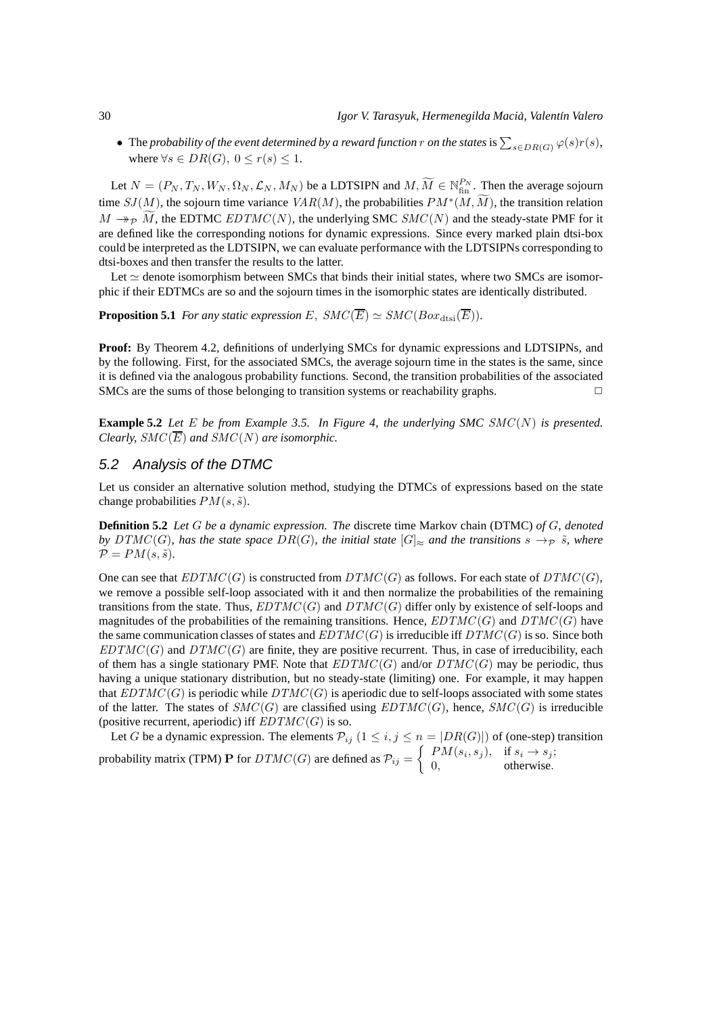• The *probability of the event determined by a reward function* r *on the states* is  $\sum_{s \in DR(G)} \varphi(s)r(s)$ , where  $\forall s \in DR(G), 0 \leq r(s) \leq 1$ .

Let  $N = (P_N, T_N, W_N, \Omega_N, \mathcal{L}_N, M_N)$  be a LDTSIPN and  $M, \widetilde{M} \in \mathbb{N}_{\text{fin}}^{P_N}$ . Then the average sojourn time  $SJ(M)$ , the sojourn time variance  $VAR(M)$ , the probabilities  $PM^*(M, \widetilde{M})$ , the transition relation  $M \rightarrow_{\mathcal{P}} \widetilde{M}$ , the EDTMC EDTMC(N), the underlying SMC SMC(N) and the steady-state PMF for it are defined like the corresponding notions for dynamic expressions. Since every marked plain dtsi-box could be interpreted as the LDTSIPN, we can evaluate performance with the LDTSIPNs corresponding to dtsi-boxes and then transfer the results to the latter.

Let  $\simeq$  denote isomorphism between SMCs that binds their initial states, where two SMCs are isomorphic if their EDTMCs are so and the sojourn times in the isomorphic states are identically distributed.

**Proposition 5.1** *For any static expression E*,  $SMC(\overline{E}) \simeq SMC(Box_{\text{dtsi}}(\overline{E})).$ 

**Proof:** By Theorem 4.2, definitions of underlying SMCs for dynamic expressions and LDTSIPNs, and by the following. First, for the associated SMCs, the average sojourn time in the states is the same, since it is defined via the analogous probability functions. Second, the transition probabilities of the associated SMCs are the sums of those belonging to transition systems or reachability graphs.

**Example 5.2** *Let* E *be from Example 3.5. In Figure 4, the underlying SMC* SMC(N) *is presented. Clearly,*  $SMC(\overline{E})$  *and*  $SMC(N)$  *are isomorphic.* 

## 5.2 Analysis of the DTMC

Let us consider an alternative solution method, studying the DTMCs of expressions based on the state change probabilities  $PM(s, \tilde{s})$ .

**Definition 5.2** *Let* G *be a dynamic expression. The* discrete time Markov chain (DTMC) *of* G*, denoted by* DTMC(G), has the state space DR(G), the initial state  $|G|_{\approx}$  and the transitions  $s \to_P \tilde{s}$ , where  $\mathcal{P} = PM(s, \tilde{s})$ .

One can see that  $EDTMC(G)$  is constructed from  $DTMC(G)$  as follows. For each state of  $DTMC(G)$ , we remove a possible self-loop associated with it and then normalize the probabilities of the remaining transitions from the state. Thus,  $EDTMC(G)$  and  $DTMC(G)$  differ only by existence of self-loops and magnitudes of the probabilities of the remaining transitions. Hence,  $EDTMC(G)$  and  $DTMC(G)$  have the same communication classes of states and  $EDTMC(G)$  is irreducible iff  $DTMC(G)$  is so. Since both  $EDTMC(G)$  and  $DTMC(G)$  are finite, they are positive recurrent. Thus, in case of irreducibility, each of them has a single stationary PMF. Note that  $EDTMC(G)$  and/or  $DTMC(G)$  may be periodic, thus having a unique stationary distribution, but no steady-state (limiting) one. For example, it may happen that  $EDTMC(G)$  is periodic while  $DTMC(G)$  is aperiodic due to self-loops associated with some states of the latter. The states of  $SMC(G)$  are classified using  $EDTMC(G)$ , hence,  $SMC(G)$  is irreducible (positive recurrent, aperiodic) iff  $EDTMC(G)$  is so.

Let G be a dynamic expression. The elements  $\mathcal{P}_{ij}$   $(1 \leq i,j \leq n = |DR(G)|)$  of (one-step) transition probability matrix (TPM) P for  $DTMC(G)$  are defined as  $\mathcal{P}_{ij} = \begin{cases} PM(s_i, s_j), & \text{if } s_i \to s_j; \\ 0 & \text{otherwise} \end{cases}$ 0, otherwise.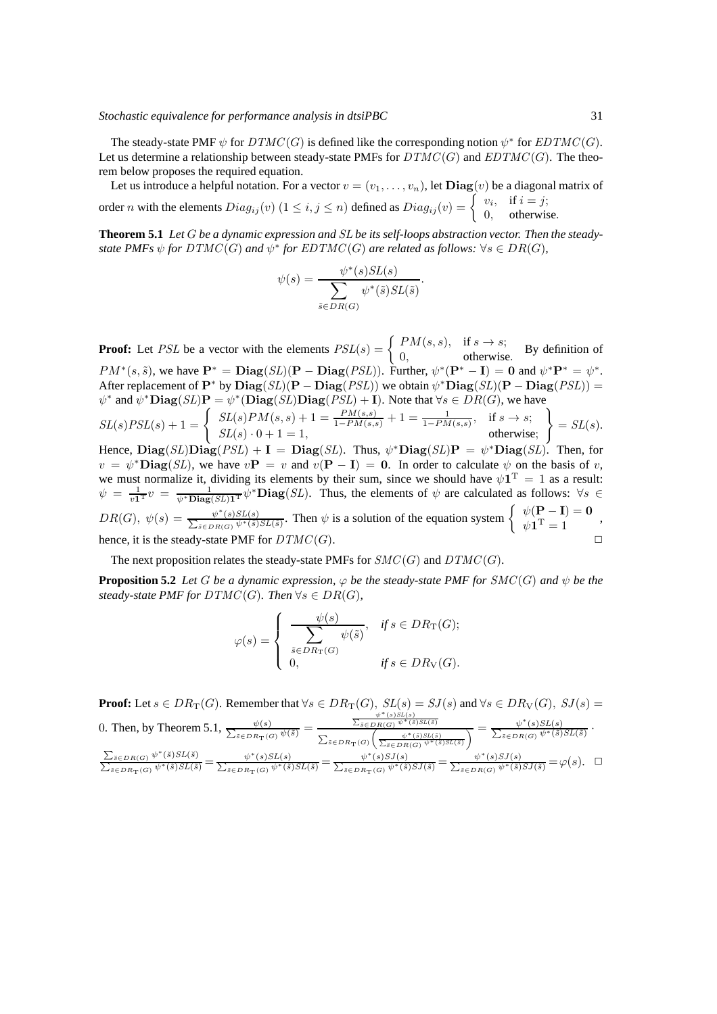The steady-state PMF  $\psi$  for  $DTMC(G)$  is defined like the corresponding notion  $\psi^*$  for  $EDTMC(G)$ . Let us determine a relationship between steady-state PMFs for  $DTMC(G)$  and  $EDTMC(G)$ . The theorem below proposes the required equation.

Let us introduce a helpful notation. For a vector  $v = (v_1, \ldots, v_n),$  let  $\mathbf{Diag}(v)$  be a diagonal matrix of order *n* with the elements  $Diag_{ij}(v)$   $(1 \le i, j \le n)$  defined as  $Diag_{ij}(v) = \begin{cases} v_i, & \text{if } i = j; \\ 0, & \text{otherwise} \end{cases}$ 0, otherwise.

**Theorem 5.1** *Let* G *be a dynamic expression and* SL *be its self-loops abstraction vector. Then the steadystate PMFs*  $\psi$  *for*  $DTMC(G)$  *and*  $\psi^*$  *for EDTMC*(*G*) *are related as follows:*  $\forall s \in DR(G)$ *,* 

$$
\psi(s) = \frac{\psi^*(s)SL(s)}{\sum_{\tilde{s} \in DR(G)} \psi^*(\tilde{s})SL(\tilde{s})}.
$$

**Proof:** Let *PSL* be a vector with the elements  $PSL(s) = \begin{cases} PM(s, s), & \text{if } s \to s; \\ 0, & \text{otherwise.} \end{cases}$  $\begin{array}{c}\n\frac{1}{2} M(3, 3), \\
0, \n\end{array}$  betwise. By definition of  $PM^*(s, \tilde{s})$ , we have  $\mathbf{P}^* = \mathbf{Diag}(SL)(\mathbf{P} - \mathbf{Diag}(PSL))$ . Further,  $\psi^*(\mathbf{P}^* - \mathbf{I}) = \mathbf{0}$  and  $\psi^* \mathbf{P}^* = \psi^*$ . After replacement of  $P^*$  by  $Diag(SL)(P - Diag(PSL))$  we obtain  $\psi^*Diag(SL)(P - Diag(PSL)) =$  $\psi^*$  and  $\overline{\psi^* \textbf{Diag}(SL) \textbf{P}} = \psi^* (\textbf{Diag}(SL) \textbf{Diag}(PSL) + \mathbf{I}).$  Note that  $\forall s \in DR(G)$ , we have  $SL(s)PSL(s) + 1 = \begin{cases} SL(s)PM(s, s) + 1 = \frac{PM(s, s)}{1 - PM(s, s)} + 1 = \frac{1}{1 - PM(s, s)}, & \text{if } s \to s; \end{cases}$  $SL(s) \cdot 0 + 1 = 1$ , otherwise; )  $= SL(s).$ Hence,  $\mathbf{Diag}(SL)\mathbf{Diag}(PSL) + \mathbf{I} = \mathbf{Diag}(SL)$ . Thus,  $\psi^* \mathbf{Diag}(SL) \mathbf{P} = \psi^* \mathbf{Diag}(SL)$ . Then, for  $v = \psi^* \text{Diag}(SL)$ , we have  $v\mathbf{P} = v$  and  $v(\mathbf{P} - \mathbf{I}) = 0$ . In order to calculate  $\psi$  on the basis of v, we must normalize it, dividing its elements by their sum, since we should have  $\psi \mathbf{1}^{\mathrm{T}} = 1$  as a result:  $\psi = \frac{1}{v^* \text{Diag}(SL) \cdot \text{T}} \psi^* \text{Diag}(SL)$ . Thus, the elements of  $\psi$  are calculated as follows:  $\forall s \in$  $DR(G), \ \psi(s) = \frac{\psi^*}{\sum_{s=1}^{s} s^s}$  $\frac{\psi^*(s)SL(s)}{\sum_{z \in \text{DR}(G)} \psi^*(\tilde{s})}$  $\psi^*(s)SL(s)$ <br>  $\psi^*(s)SL(s)$  Then  $\psi$  is a solution of the equation system  $\begin{cases} \psi(\mathbf{P} - \mathbf{I}) = \mathbf{0} \\ \psi \mathbf{1}^T = 1 \end{cases}$  $\psi(\mathbf{1}^T = 1) = 3$ , hence, it is the steady-state PMF for  $DTMC(G)$ .

The next proposition relates the steady-state PMFs for  $SMC(G)$  and  $DTMC(G)$ .

**Proposition 5.2** *Let* G *be a dynamic expression,*  $\varphi$  *be the steady-state PMF for*  $SMC(G)$  *and*  $\psi$  *be the steady-state PMF for*  $DTMC(G)$ *. Then*  $\forall s \in DR(G)$ *,* 

$$
\varphi(s) = \begin{cases} \frac{\psi(s)}{\displaystyle\sum_{\tilde{s} \in DR_{\mathrm{T}}(G)} \psi(\tilde{s})}, & \text{if } s \in DR_{\mathrm{T}}(G); \\ 0, & \text{if } s \in DR_{\mathrm{V}}(G). \end{cases}
$$

**Proof:** Let  $s \in DR_T(G)$ . Remember that  $\forall s \in DR_T(G)$ ,  $SL(s) = SJ(s)$  and  $\forall s \in DR_V(G)$ ,  $SJ(s) =$ <br> $\frac{\psi^*(s)SL(s)}{\sum_{s \in \mathcal{D}(G) \setminus \mathcal{D}(S)} \psi^*(s)SL(s)}}$ 

0. Then, by Theorem 5.1, 
$$
\frac{\psi(s)}{\sum_{\tilde{s}\in DR_{\Gamma}(G)}\psi^{*}(\tilde{s})SL(\tilde{s})} = \frac{\sum_{\tilde{s}\in DR_{\Gamma}(G)}\psi^{*}(\tilde{s})SL(\tilde{s})}{\sum_{\tilde{s}\in DR_{\Gamma}(G)}\psi^{*}(\tilde{s})SL(\tilde{s})} = \frac{\psi^{*}(s)SL(s)}{\sum_{\tilde{s}\in DR_{\Gamma}(G)}\psi^{*}(\tilde{s})SL(\tilde{s})}.
$$

$$
\frac{\sum_{\tilde{s}\in DR_{\Gamma}(G)}\psi^{*}(\tilde{s})SL(\tilde{s})}{\sum_{\tilde{s}\in DR_{\Gamma}(G)}\psi^{*}(\tilde{s})SL(\tilde{s})} = \frac{\psi^{*}(s)SL(s)}{\sum_{\tilde{s}\in DR_{\Gamma}(G)}\psi^{*}(\tilde{s})SL(\tilde{s})} = \frac{\psi^{*}(s)SL(s)}{\sum_{\tilde{s}\in DR_{\Gamma}(G)}\psi^{*}(\tilde{s})SL(\tilde{s})} = \frac{\psi^{*}(s)SL(s)}{\sum_{\tilde{s}\in DR_{\Gamma}(G)}\psi^{*}(\tilde{s})SL(\tilde{s})} = \varphi(s). \quad \Box
$$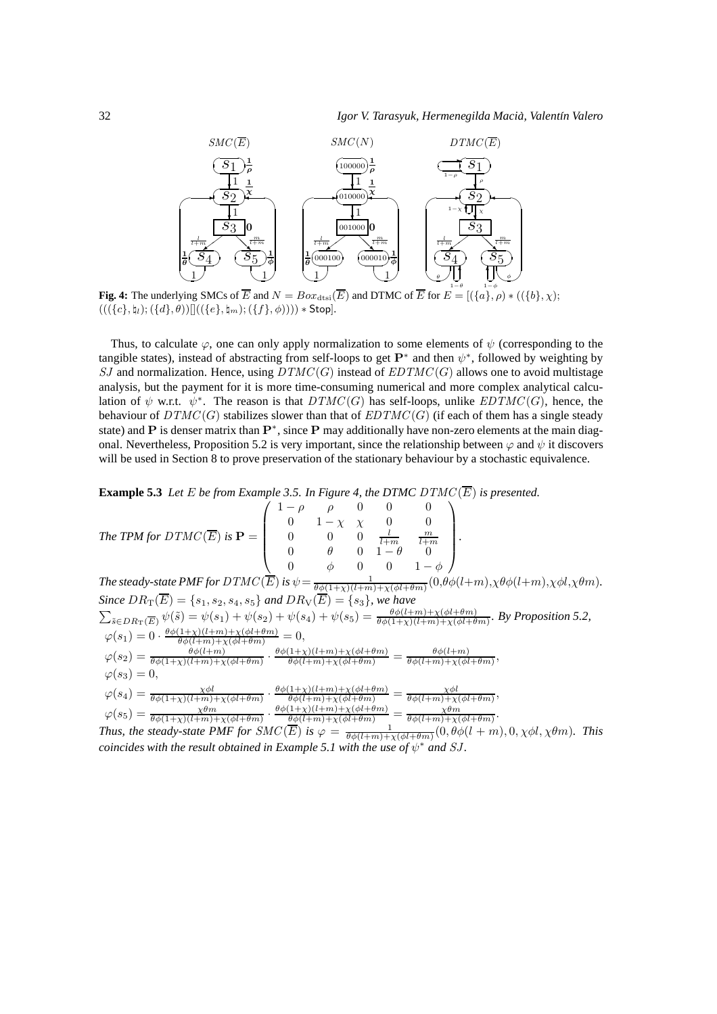

**Fig. 4:** The underlying SMCs of  $\overline{E}$  and  $N = Box_{\text{dtsi}}(\overline{E})$  and DTMC of  $\overline{E}$  for  $E = [(a], \rho) * ((\{b\}, \chi);$  $(((\{c\},\natural_l);(\{d\},\theta))]]((\{e\},\natural_m);(\{f\},\phi)))) * Stop].$ 

Thus, to calculate  $\varphi$ , one can only apply normalization to some elements of  $\psi$  (corresponding to the tangible states), instead of abstracting from self-loops to get  $\mathbf{P}^*$  and then  $\psi^*$ , followed by weighting by SJ and normalization. Hence, using  $DTMC(G)$  instead of  $EDTMC(G)$  allows one to avoid multistage analysis, but the payment for it is more time-consuming numerical and more complex analytical calculation of  $\psi$  w.r.t.  $\psi^*$ . The reason is that  $DTMC(G)$  has self-loops, unlike  $EDTMC(G)$ , hence, the behaviour of  $DTMC(G)$  stabilizes slower than that of  $EDTMC(G)$  (if each of them has a single steady state) and P is denser matrix than  $\mathbf{P}^*$ , since P may additionally have non-zero elements at the main diagonal. Nevertheless, Proposition 5.2 is very important, since the relationship between  $\varphi$  and  $\psi$  it discovers will be used in Section 8 to prove preservation of the stationary behaviour by a stochastic equivalence.

**Example 5.3** Let E be from Example 3.5. In Figure 4, the DTMC  $DTMC(\overline{E})$  is presented.

The TPM for 
$$
DTMC(\overline{E})
$$
 is 
$$
\mathbf{P} = \begin{pmatrix} 1-\rho & \rho & 0 & 0 & 0 \\ 0 & 1-\chi & \chi & 0 & 0 \\ 0 & 0 & 0 & \frac{l}{l+m} & \frac{m}{l+m} \\ 0 & \theta & 0 & 1-\theta & 0 \\ 0 & \phi & 0 & 0 & 1-\phi \end{pmatrix}.
$$

*The steady-state PMF for DTMC*  $(\overline{E})$  is  $\psi = \frac{1}{\theta \phi(1+\chi)(l+m)+\chi(\phi l+\theta m)}(0,\theta \phi(l+m),\chi \theta \phi(l+m),\chi \phi l,\chi \theta m)$ . *Since*  $DR_T(E) = \{s_1, s_2, s_4, s_5\}$  and  $DR_V(E) = \{s_3\}$ , we have  $\sum_{\tilde{s}\in DR_T(\overline{E})}\psi(\tilde{s}) = \psi(s_1)+\psi(s_2)+\psi(s_4)+\psi(s_5) = \frac{\theta\phi(l+m)+\chi(\phi l+\theta m)}{\theta\phi(1+\chi)(l+m)+\chi(\phi l+\theta m)}$ . By Proposition 5.2,  $\varphi(s_1) = 0 \cdot \frac{\theta \phi(1+\chi)(l+m) + \chi(\phi l + \theta m)}{\theta \phi(l+m) + \chi(\phi l + \theta m)} = 0,$  $\varphi(s_2) = \frac{\theta \phi(l+m)}{\theta \phi(1+\chi)(l+m)+\chi(\phi l+\theta m)}$  .  $\frac{\theta \phi(1+\chi)(l+m)+\chi(\phi l+\theta m)}{\theta \phi(l+m)+\chi(\phi l+\theta m)} = \frac{\theta \phi(l+m)}{\theta \phi(l+m)+\chi(\phi l+\theta m)}$  $\frac{\theta\phi(l+m)}{\theta\phi(l+m)+\chi(\phi l+\theta m)},$  $\varphi(s_3) = 0,$  $\varphi(s_4) = \frac{\chi \phi l}{\theta \phi (1+\chi)(l+m)+\chi(\phi l+\theta m)}$  $\cdot \frac{\theta \phi(1+\chi)(l+m)+\chi(\phi l+\theta m)}{\theta \phi(l+m)+\chi(\phi l+\theta m)} = \frac{\chi \phi l}{\theta \phi(l+m)+\chi(\phi l+\theta m)},$  $\varphi(s_5) = \frac{\chi \theta m}{\theta \phi(1+\chi)(l+m)+\chi(\phi l+\theta m)}$ ·  $\theta\phi(1+\chi)(l+m)+\chi(\phi l+\theta m)$  $\theta\phi(l+m)+\chi(\phi l+\theta m)$ χθm  $\frac{\chi \theta m}{\theta \phi(l+m)+\chi(\phi l+\theta m)}$ .

*Thus, the steady-state PMF for*  $SMC(\overline{E})$  *is*  $\varphi = \frac{1}{\theta \phi(l+m)+\chi(\phi l+\theta m)}(0, \theta \phi(l+m), 0, \chi \phi l, \chi \theta m)$ *. This coincides with the result obtained in Example 5.1 with the use of*  $\psi^*$  *and SJ.*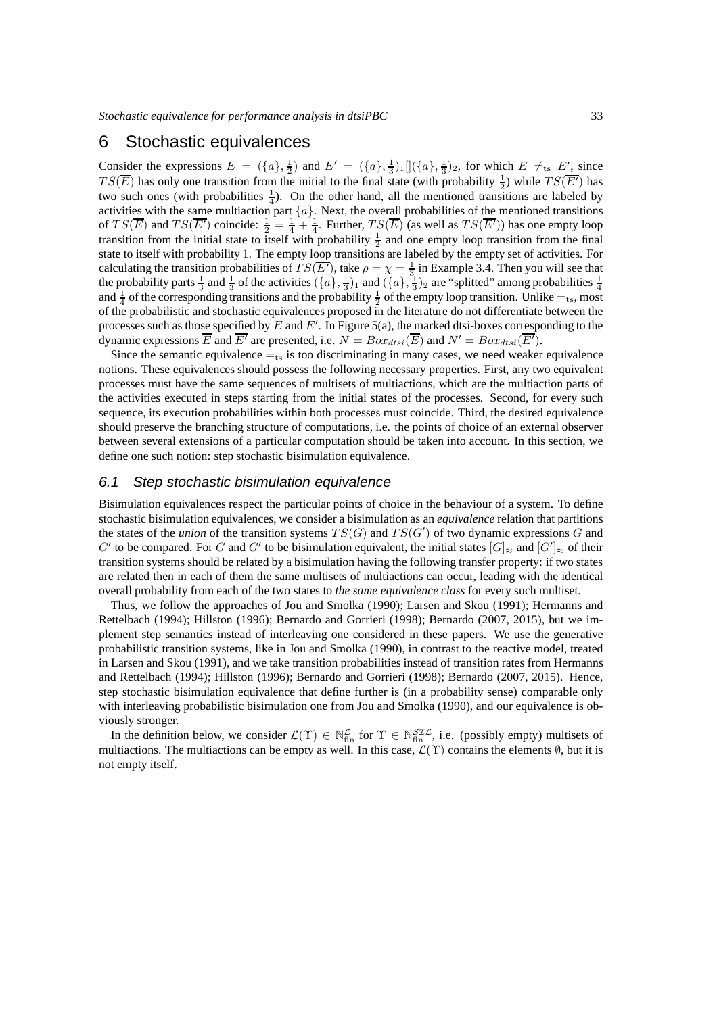## 6 Stochastic equivalences

Consider the expressions  $E = (\{a\}, \frac{1}{2})$  and  $E' = (\{a\}, \frac{1}{3})_1 [](\{a\}, \frac{1}{3})_2$ , for which  $\overline{E} \neq_{ts} \overline{E'}$ , since  $TS(\overline{E})$  has only one transition from the initial to the final state (with probability  $\frac{1}{2}$ ) while  $TS(\overline{E'})$  has two such ones (with probabilities  $\frac{1}{4}$ ). On the other hand, all the mentioned transitions are labeled by activities with the same multiaction part  $\{a\}$ . Next, the overall probabilities of the mentioned transitions of  $TS(\overline{E})$  and  $TS(\overline{E'})$  coincide:  $\frac{1}{2} = \frac{1}{4} + \frac{1}{4}$ . Further,  $TS(\overline{E})$  (as well as  $TS(\overline{E'})$ ) has one empty loop transition from the initial state to itself with probability  $\frac{1}{2}$  and one empty loop transition from the final state to itself with probability 1. The empty loop transitions are labeled by the empty set of activities. For calculating the transition probabilities of  $TS(\overline{E'})$ , take  $\rho = \chi = \frac{1}{3}$  in Example 3.4. Then you will see that the probability parts  $\frac{1}{3}$  and  $\frac{1}{3}$  of the activities  $(\{a\}, \frac{1}{3})_1$  and  $(\{a\}, \frac{1}{3})_2$  are "splitted" among probabilities  $\frac{1}{4}$ and  $\frac{1}{4}$  of the corresponding transitions and the probability  $\frac{1}{2}$  of the empty loop transition. Unlike  $=_{ts}$ , most of the probabilistic and stochastic equivalences proposed in the literature do not differentiate between the processes such as those specified by  $E$  and  $E'$ . In Figure 5(a), the marked dtsi-boxes corresponding to the dynamic expressions  $\overline{E}$  and  $\overline{E'}$  are presented, i.e.  $N = Box_{dtsi}(\overline{E})$  and  $N' = Box_{dtsi}(\overline{E'})$ .

Since the semantic equivalence  $=_{ts}$  is too discriminating in many cases, we need weaker equivalence notions. These equivalences should possess the following necessary properties. First, any two equivalent processes must have the same sequences of multisets of multiactions, which are the multiaction parts of the activities executed in steps starting from the initial states of the processes. Second, for every such sequence, its execution probabilities within both processes must coincide. Third, the desired equivalence should preserve the branching structure of computations, i.e. the points of choice of an external observer between several extensions of a particular computation should be taken into account. In this section, we define one such notion: step stochastic bisimulation equivalence.

#### 6.1 Step stochastic bisimulation equivalence

Bisimulation equivalences respect the particular points of choice in the behaviour of a system. To define stochastic bisimulation equivalences, we consider a bisimulation as an *equivalence* relation that partitions the states of the *union* of the transition systems  $TS(G)$  and  $TS(G')$  of two dynamic expressions G and G' to be compared. For G and G' to be bisimulation equivalent, the initial states  $[G]_{\approx}$  and  $[G']_{\approx}$  of their transition systems should be related by a bisimulation having the following transfer property: if two states are related then in each of them the same multisets of multiactions can occur, leading with the identical overall probability from each of the two states to *the same equivalence class* for every such multiset.

Thus, we follow the approaches of Jou and Smolka (1990); Larsen and Skou (1991); Hermanns and Rettelbach (1994); Hillston (1996); Bernardo and Gorrieri (1998); Bernardo (2007, 2015), but we implement step semantics instead of interleaving one considered in these papers. We use the generative probabilistic transition systems, like in Jou and Smolka (1990), in contrast to the reactive model, treated in Larsen and Skou (1991), and we take transition probabilities instead of transition rates from Hermanns and Rettelbach (1994); Hillston (1996); Bernardo and Gorrieri (1998); Bernardo (2007, 2015). Hence, step stochastic bisimulation equivalence that define further is (in a probability sense) comparable only with interleaving probabilistic bisimulation one from Jou and Smolka (1990), and our equivalence is obviously stronger.

In the definition below, we consider  $\mathcal{L}(\Upsilon) \in \mathbb{N}_{\text{fin}}^{\mathcal{L}}$  for  $\Upsilon \in \mathbb{N}_{\text{fin}}^{ST\mathcal{L}}$ , i.e. (possibly empty) multisets of multiactions. The multiactions can be empty as well. In this case,  $\mathcal{L}(\Upsilon)$  contains the elements  $\emptyset$ , but it is not empty itself.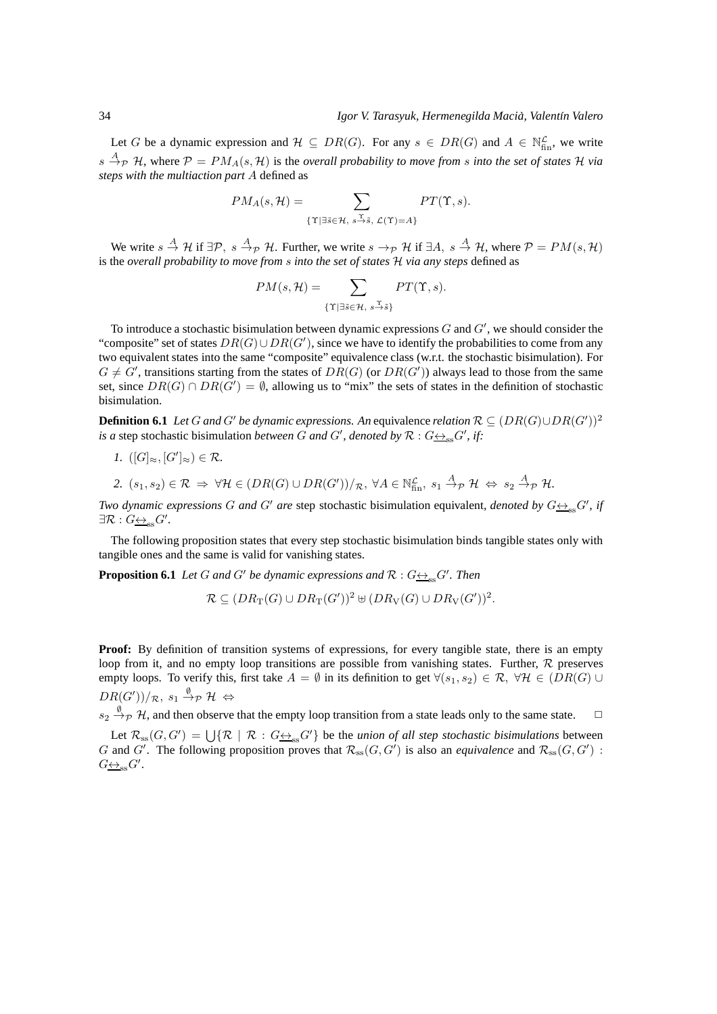Let G be a dynamic expression and  $\mathcal{H} \subseteq DR(G)$ . For any  $s \in DR(G)$  and  $A \in \mathbb{N}_{fin}^{\mathcal{L}}$ , we write  $s \stackrel{A}{\rightarrow} p$  H, where  $P = PM_A(s, H)$  is the *overall probability to move from s into the set of states* H *via steps with the multiaction part* A defined as

$$
PM_A(s, \mathcal{H}) = \sum_{\{\Upsilon \mid \exists \tilde{s} \in \mathcal{H}, \ s \stackrel{\Upsilon}{\rightarrow} \tilde{s}, \ \mathcal{L}(\Upsilon) = A\}} PT(\Upsilon, s).
$$

We write  $s \stackrel{A}{\to} H$  if  $\exists \mathcal{P}, s \stackrel{A}{\to} p$  H. Further, we write  $s \to_p \mathcal{H}$  if  $\exists A, s \stackrel{A}{\to} H$ , where  $\mathcal{P} = PM(s, \mathcal{H})$ is the *overall probability to move from* s *into the set of states* H *via any steps* defined as

$$
PM(s, \mathcal{H}) = \sum_{\{\Upsilon \mid \exists \tilde{s} \in \mathcal{H}, \ s \stackrel{\Upsilon}{\rightarrow} \tilde{s}\}} PT(\Upsilon, s).
$$

To introduce a stochastic bisimulation between dynamic expressions  $G$  and  $G'$ , we should consider the "composite" set of states  $DR(G) \cup DR(G')$ , since we have to identify the probabilities to come from any two equivalent states into the same "composite" equivalence class (w.r.t. the stochastic bisimulation). For  $G \neq G'$ , transitions starting from the states of  $DR(G)$  (or  $DR(G')$ ) always lead to those from the same set, since  $DR(G) \cap DR(G') = \emptyset$ , allowing us to "mix" the sets of states in the definition of stochastic bisimulation.

**Definition 6.1** *Let* G and G' be dynamic expressions. An equivalence relation  $\mathcal{R} \subseteq (DR(G) \cup DR(G'))^2$ *is a* step stochastic bisimulation *between G* and *G'*, denoted by  $\mathcal{R}: G \rightarrow_{\text{ss}} G'$ , if:

*1.*  $([G]_{\approx}, [G']_{\approx}) \in \mathcal{R}$ .

2. 
$$
(s_1, s_2) \in \mathcal{R} \Rightarrow \forall \mathcal{H} \in (DR(G) \cup DR(G'))/\mathcal{R}, \ \forall A \in \mathbb{N}_{fin}^{\mathcal{L}}, \ s_1 \stackrel{A}{\rightarrow} \mathcal{P} \ \mathcal{H} \ \Leftrightarrow \ s_2 \stackrel{A}{\rightarrow} \mathcal{P} \ \mathcal{H}.
$$

*Two dynamic expressions G* and *G'* are step stochastic bisimulation equivalent, denoted by  $G_{\frac{\leftrightarrow}{\infty}}G'$ , if  $\exists \mathcal{R}: G \underline{\leftrightarrow}_{\mathrm{ss}} G'.$ 

The following proposition states that every step stochastic bisimulation binds tangible states only with tangible ones and the same is valid for vanishing states.

**Proposition 6.1** *Let* G and G' be dynamic expressions and  $\mathcal{R}: G_{\frac{\leftrightarrow}{\sim} s}G'$ . Then

$$
\mathcal{R} \subseteq (DR_{\text{T}}(G) \cup DR_{\text{T}}(G'))^2 \uplus (DR_{\text{V}}(G) \cup DR_{\text{V}}(G'))^2.
$$

**Proof:** By definition of transition systems of expressions, for every tangible state, there is an empty loop from it, and no empty loop transitions are possible from vanishing states. Further,  $R$  preserves empty loops. To verify this, first take  $A = \emptyset$  in its definition to get  $\forall (s_1, s_2) \in \mathcal{R}, \forall \mathcal{H} \in (DR(G) \cup$  $DR(G'))/\mathcal{R}, \ s_1 \stackrel{\emptyset}{\rightarrow}_\mathcal{P} \mathcal{H} \ \Leftrightarrow$ 

 $s_2 \stackrel{\emptyset}{\rightarrow} \mathcal{P}$  H, and then observe that the empty loop transition from a state leads only to the same state.  $\Box$ 

Let  $\mathcal{R}_{ss}(G,G') = \bigcup \{ \mathcal{R} \mid \mathcal{R} : G \underline{\leftrightarrow}_{ss} G' \}$  be the *union of all step stochastic bisimulations* between G and G'. The following proposition proves that  $\mathcal{R}_{ss}(G, G')$  is also an *equivalence* and  $\mathcal{R}_{ss}(G, G')$ :  $G\underline{\leftrightarrow}_{\mathrm{ss}}G'.$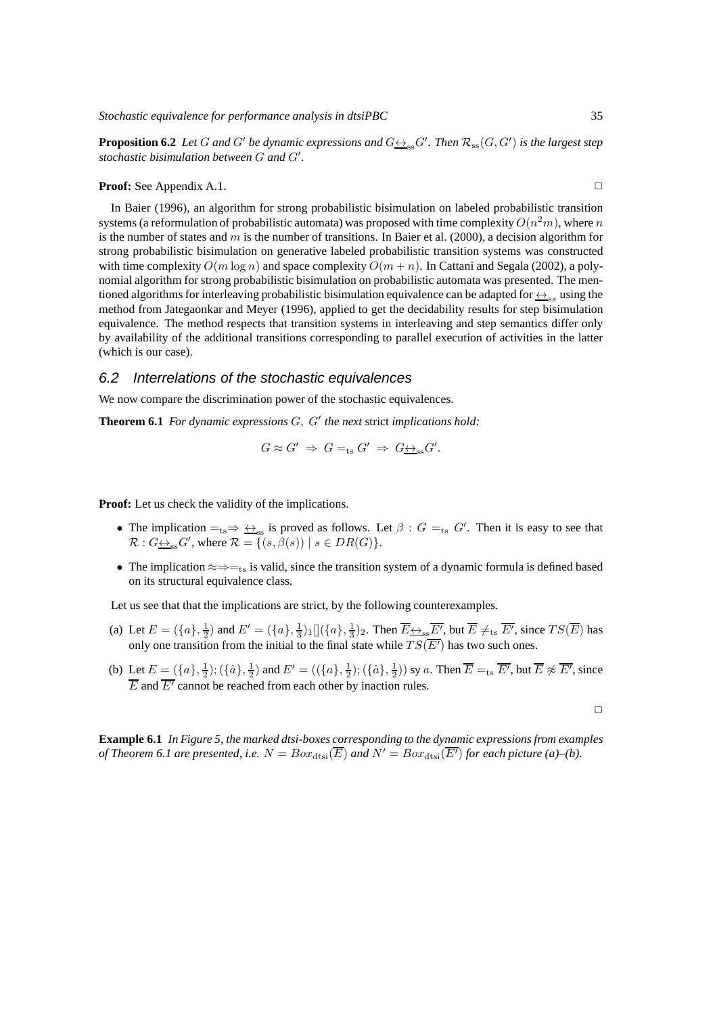**Proposition 6.2** Let G and G' be dynamic expressions and  $G \nrightarrow_{\text{ss}} G'$ . Then  $\mathcal{R}_{\text{ss}}(G, G')$  is the largest step *stochastic bisimulation between* G *and* G′ *.*

#### **Proof:** See Appendix A.1. ◯

In Baier (1996), an algorithm for strong probabilistic bisimulation on labeled probabilistic transition systems (a reformulation of probabilistic automata) was proposed with time complexity  $O(n^2m)$ , where  $n$ is the number of states and  $m$  is the number of transitions. In Baier et al. (2000), a decision algorithm for strong probabilistic bisimulation on generative labeled probabilistic transition systems was constructed with time complexity  $O(m \log n)$  and space complexity  $O(m + n)$ . In Cattani and Segala (2002), a polynomial algorithm for strong probabilistic bisimulation on probabilistic automata was presented. The mentioned algorithms for interleaving probabilistic bisimulation equivalence can be adapted for  $\leftrightarrow_{ss}$  using the method from Jategaonkar and Meyer (1996), applied to get the decidability results for step bisimulation equivalence. The method respects that transition systems in interleaving and step semantics differ only by availability of the additional transitions corresponding to parallel execution of activities in the latter (which is our case).

#### 6.2 Interrelations of the stochastic equivalences

We now compare the discrimination power of the stochastic equivalences.

**Theorem 6.1** *For dynamic expressions* G, G′ *the next* strict *implications hold:*

$$
G \approx G' \Rightarrow G =_{\text{ts}} G' \Rightarrow G \underline{\leftrightarrow}_{\text{ss}} G'.
$$

**Proof:** Let us check the validity of the implications.

- The implication  $=_{ts} \Rightarrow \frac{\leftrightarrow}{\leftrightarrow_{ss}}$  is proved as follows. Let  $\beta : G =_{ts} G'$ . Then it is easy to see that  $\mathcal{R}: G_{\underline{\leftrightarrow}_{\text{SS}}} G'$ , where  $\mathcal{R} = \{ (s, \beta(s)) \mid s \in DR(G) \}.$
- The implication  $\approx \Rightarrow$  = ts is valid, since the transition system of a dynamic formula is defined based on its structural equivalence class.

Let us see that that the implications are strict, by the following counterexamples.

- (a) Let  $E = (\{a\}, \frac{1}{2})$  and  $E' = (\{a\}, \frac{1}{3})_1 [](\{a\}, \frac{1}{3})_2$ . Then  $\overline{E} \leftrightarrow_{\text{ss}} \overline{E'}$ , but  $\overline{E} \neq_{\text{ts}} \overline{E'}$ , since  $TS(\overline{E})$  has only one transition from the initial to the final state while  $TS(\overline{E'})$  has two such ones.
- (b) Let  $E = (\{a\}, \frac{1}{2})$ ;  $(\{\hat{a}\}, \frac{1}{2})$  and  $E' = ((\{a\}, \frac{1}{2})$ ;  $(\{\hat{a}\}, \frac{1}{2}))$  sy a. Then  $\overline{E} =_{ts} \overline{E'}$ , but  $\overline{E} \not\approx \overline{E'}$ , since  $\overline{E}$  and  $\overline{E'}$  cannot be reached from each other by inaction rules.

 $\Box$ 

**Example 6.1** *In Figure 5, the marked dtsi-boxes corresponding to the dynamic expressions from examples of Theorem 6.1 are presented, i.e.*  $N = Box_{\text{dtsi}}(\overline{E})$  *and*  $N' = Box_{\text{dtsi}}(\overline{E'})$  *for each picture (a)–(b).*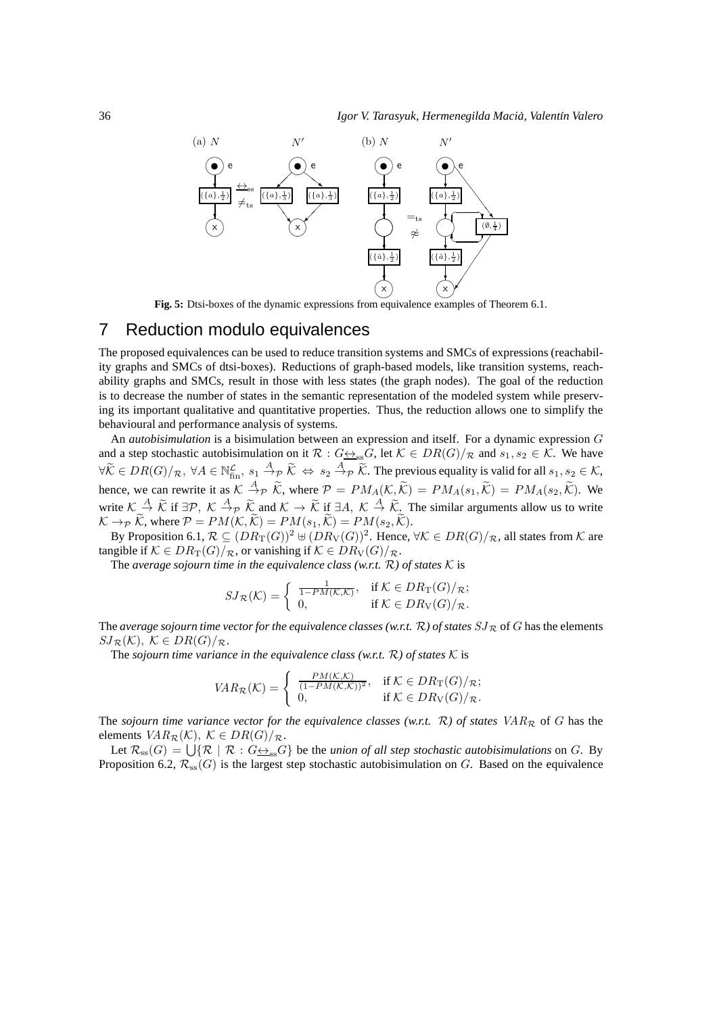

**Fig. 5:** Dtsi-boxes of the dynamic expressions from equivalence examples of Theorem 6.1.

# 7 Reduction modulo equivalences

The proposed equivalences can be used to reduce transition systems and SMCs of expressions (reachability graphs and SMCs of dtsi-boxes). Reductions of graph-based models, like transition systems, reachability graphs and SMCs, result in those with less states (the graph nodes). The goal of the reduction is to decrease the number of states in the semantic representation of the modeled system while preserving its important qualitative and quantitative properties. Thus, the reduction allows one to simplify the behavioural and performance analysis of systems.

An *autobisimulation* is a bisimulation between an expression and itself. For a dynamic expression G and a step stochastic autobisimulation on it  $\mathcal{R}: G \leftrightarrow_{\text{ss}} G$ , let  $\mathcal{K} \in DR(G)/\mathcal{R}$  and  $s_1, s_2 \in \mathcal{K}$ . We have  $\forall \widetilde{\mathcal{K}} \in DR(G)/_{\mathcal{R}}, \ \forall A \in \mathbb{N}_{\text{fin}}^{\mathcal{L}}, \ s_1 \stackrel{A}{\rightarrow}_{\mathcal{P}} \widetilde{\mathcal{K}} \Leftrightarrow s_2 \stackrel{A}{\rightarrow}_{\mathcal{P}} \widetilde{\mathcal{K}}$ . The previous equality is valid for all  $s_1, s_2 \in \mathcal{K}$ , hence, we can rewrite it as  $K \stackrel{A}{\to} p \widetilde{K}$ , where  $P = PM_A(\mathcal{K}, \widetilde{\mathcal{K}}) = PM_A(s_1, \widetilde{\mathcal{K}}) = PM_A(s_2, \widetilde{\mathcal{K}})$ . We write  $\mathcal{K} \stackrel{A}{\sim} \widetilde{\mathcal{K}}$  if  $\exists \mathcal{P}, \ \mathcal{K} \stackrel{A}{\rightarrow} \widetilde{\mathcal{K}}$  and  $\mathcal{K} \rightarrow \widetilde{\mathcal{K}}$  if  $\exists A, \ \mathcal{K} \stackrel{A}{\rightarrow} \widetilde{\mathcal{K}}$ . The similar arguments allow us to write  $K \rightarrow_{\mathcal{P}} \widetilde{K}$ , where  $\mathcal{P} = PM(K, \widetilde{K}) = PM(s_1, \widetilde{K}) = PM(s_2, \widetilde{K}).$ 

By Proposition 6.1,  $\mathcal{R}\subseteq (DR_{\mathrm{T}}(G))^2$   $\uplus (DR_{\mathrm{V}}(G))^2$ . Hence,  $\forall\mathcal{K}\in DR(G)/_{\mathcal{R}}$ , all states from  $\mathcal{K}$  are tangible if  $K \in DR_T(G)/_{\mathcal{R}}$ , or vanishing if  $K \in DR_V(G)/_{\mathcal{R}}$ .

The *average sojourn time in the equivalence class (w.r.t.*  $\mathcal{R}$ ) of *states*  $\mathcal{K}$  is

$$
SJ_{\mathcal{R}}(\mathcal{K}) = \begin{cases} \frac{1}{1 - PM(\mathcal{K}, \mathcal{K})}, & \text{if } \mathcal{K} \in DR_T(G)/_{\mathcal{R}}; \\ 0, & \text{if } \mathcal{K} \in DR_V(G)/_{\mathcal{R}}. \end{cases}
$$

The *average sojourn time vector for the equivalence classes (w.r.t.*  $\mathcal{R}$ ) of states  $SJ_{\mathcal{R}}$  of G has the elements  $SJ_{\mathcal{R}}(\mathcal{K}), \mathcal{K} \in DR(G)/_{\mathcal{R}}.$ 

The *sojourn time variance in the equivalence class (w.r.t.*  $\mathcal{R}$ ) of *states*  $\mathcal{K}$  is

$$
VAR_{\mathcal{R}}(\mathcal{K}) = \begin{cases} \frac{PM(\mathcal{K}, \mathcal{K})}{(1 - PM(\mathcal{K}, \mathcal{K}))^2}, & \text{if } \mathcal{K} \in DR_T(G)/_{\mathcal{R}}; \\ 0, & \text{if } \mathcal{K} \in DR_V(G)/_{\mathcal{R}}. \end{cases}
$$

The *sojourn time variance vector for the equivalence classes (w.r.t.*  $\mathcal{R}$ ) of *states*  $VAR_{\mathcal{R}}$  of G has the elements  $VAR_{\mathcal{R}}(\mathcal{K}), \ \mathcal{K} \in DR(G)/_{\mathcal{R}}.$ 

Let  $\mathcal{R}_{ss}(G) = \bigcup \{ \mathcal{R} \mid \mathcal{R} : G \underline{\leftrightarrow}_{ss} G \}$  be the *union of all step stochastic autobisimulations* on G. By Proposition 6.2,  $\mathcal{R}_{ss}(G)$  is the largest step stochastic autobisimulation on G. Based on the equivalence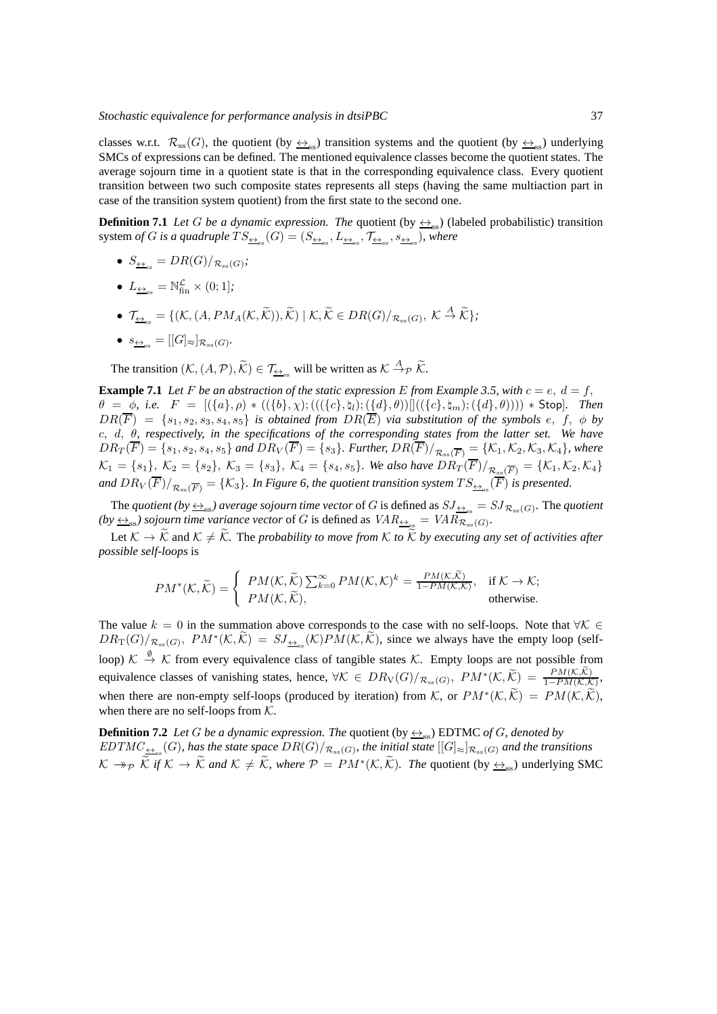classes w.r.t.  $\mathcal{R}_{ss}(G)$ , the quotient (by  $\leftrightarrow_{ss}$ ) transition systems and the quotient (by  $\leftrightarrow_{ss}$ ) underlying SMCs of expressions can be defined. The mentioned equivalence classes become the quotient states. The average sojourn time in a quotient state is that in the corresponding equivalence class. Every quotient transition between two such composite states represents all steps (having the same multiaction part in case of the transition system quotient) from the first state to the second one.

**Definition 7.1** *Let* G *be a dynamic expression. The* quotient (by  $\leftrightarrow$ <sub>ss</sub>) (labeled probabilistic) transition system *of G is a quadruple*  $TS_{\frac{\leftrightarrow}{\pm_{\rm ss}}}(G)=(S_{\frac{\leftrightarrow}{\pm_{\rm ss}},L_{\frac{\leftrightarrow}{\pm_{\rm ss}}},\mathcal{T}_{\frac{\leftrightarrow}{\pm_{\rm ss}},s_{\frac{\leftrightarrow}{\pm_{\rm ss}}})$ , where

- $S_{\underline{\leftrightarrow}_{\text{ss}}} = DR(G)/_{\mathcal{R}_{\text{ss}}(G)}$ ;
- $L_{\underline{\leftrightarrow}_{\text{ss}}} = \mathbb{N}_{\text{fin}}^{\mathcal{L}} \times (0; 1]$ ;
- $\mathcal{T}_{\underline{\leftrightarrow}_{\text{ss}}} = \{ (\mathcal{K}, (A, PM_A(\mathcal{K}, \widetilde{\mathcal{K}})), \widetilde{\mathcal{K}}) \mid \mathcal{K}, \widetilde{\mathcal{K}} \in DR(G)/_{\mathcal{R}_{\text{ss}}(G)}, \ \mathcal{K} \stackrel{A}{\rightarrow} \widetilde{\mathcal{K}} \};$
- $s_{\underline{\leftrightarrow}_{\text{ss}}} = [[G]_{\approx}]_{\mathcal{R}_{\text{ss}}(G)}$ .

The transition  $(K, (A, \mathcal{P}), \widetilde{K}) \in \mathcal{T}_{\underline{\leftrightarrow}_{\text{ss}}}$  will be written as  $K \stackrel{A}{\rightarrow}_{\mathcal{P}} \widetilde{K}$ .

**Example 7.1** Let F be an abstraction of the static expression E from Example 3.5, with  $c = e$ ,  $d = f$ ,  $\theta = \phi$ , i.e.  $F = [(\{a\}, \rho) * ((\{b\}, \chi); (((\{c\}, \{u\}); (\{d\}, \theta))]]((\{c\}, \{u_m\}; (\{d\}, \theta)))) * Stop].$  Then  $DR(F) = \{s_1, s_2, s_3, s_4, s_5\}$  *is obtained from*  $DR(E)$  *via substitution of the symbols*  $e, f, \phi$  *by* c, d, θ*, respectively, in the specifications of the corresponding states from the latter set. We have*  $DR_T(\overline{F}) = \{s_1, s_2, s_4, s_5\}$  and  $DR_V(\overline{F}) = \{s_3\}$ . Further,  $DR(\overline{F})/_{\mathcal{R}_{\text{ss}}(\overline{F})} = \{\mathcal{K}_1, \mathcal{K}_2, \mathcal{K}_3, \mathcal{K}_4\}$ , where  $\mathcal{K}_1 = \{s_1\}, \ \mathcal{K}_2 = \{s_2\}, \ \mathcal{K}_3 = \{s_3\}, \ \mathcal{K}_4 = \{s_4, s_5\}.$  We also have  $DR_T(\overline{F})/_{\mathcal{R}_{ss}(\overline{F})} = \{\mathcal{K}_1, \mathcal{K}_2, \mathcal{K}_4\}$ and  $DR_V(F)/_{\mathcal{R}_{\rm ss}(\overline{F})}=\{\mathcal{K}_3\}.$  In Figure 6, the quotient transition system  $TS_{\Delta_{\rm ss}}(F)$  is presented.

The *quotient (by*  $\leftrightarrow$ <sub>ss</sub>) average sojourn time vector of G is defined as  $SJ_{\leftrightarrow_{\text{ss}}}=SJ_{\mathcal{R}_{\text{ss}}(G)}$ . The *quotient*  $(by \leftrightarrow_{\text{ss}})$  sojourn time variance vector of G is defined as  $VAR_{\leftrightarrow_{\text{ss}}} = VAR_{\mathcal{R}_{\text{ss}}(G)}$ .

Let  $K \to \widetilde{K}$  and  $K \neq \widetilde{K}$ . The *probability to move from* K *to*  $\widetilde{K}$  *by executing any set of activities after possible self-loops* is

$$
PM^*(\mathcal{K}, \widetilde{\mathcal{K}}) = \begin{cases} PM(\mathcal{K}, \widetilde{\mathcal{K}}) \sum_{k=0}^{\infty} PM(\mathcal{K}, \mathcal{K})^k = \frac{PM(\mathcal{K}, \widetilde{\mathcal{K}})}{1 - PM(\mathcal{K}, \mathcal{K})}, & \text{if } \mathcal{K} \to \mathcal{K}; \\ PM(\mathcal{K}, \widetilde{\mathcal{K}}), & \text{otherwise.} \end{cases}
$$

The value  $k = 0$  in the summation above corresponds to the case with no self-loops. Note that  $\forall K \in$  $DR_T(G)/_{\mathcal{R}_{\text{ss}}(G)}, PM^*(\mathcal{K}, \widetilde{\mathcal{K}}) = SJ_{\frac{\leftrightarrow}{\pm \mathcal{S}}}(\mathcal{K})PM(\mathcal{K}, \widetilde{\mathcal{K}})$ , since we always have the empty loop (selfloop)  $K \stackrel{\emptyset}{\to} K$  from every equivalence class of tangible states K. Empty loops are not possible from equivalence classes of vanishing states, hence,  $\forall K \in DR_V(G)/_{\mathcal{R}_{ss}(G)}, PM^*(\mathcal{K},\widetilde{\mathcal{K}}) = \frac{PM(\mathcal{K},\mathcal{K})}{1-PM(\mathcal{K},\mathcal{K})}$ when there are non-empty self-loops (produced by iteration) from K, or  $PM^*(\mathcal{K}, \mathcal{K}) = PM(\mathcal{K}, \mathcal{K}),$ when there are no self-loops from  $K$ .

**Definition 7.2** *Let* G *be a dynamic expression. The quotient* (by  $\leftrightarrow$ <sub>ss</sub>) EDTMC *of* G, denoted by  $EDTMC_{\frac{\leftrightarrow}{\pm\infty}}(G)$ , has the state space  $DR(G)/_{\mathcal{R}_{\rm ss}(G)}$ , the initial state  $[[G]_\approx]_{\mathcal{R}_{\rm ss}(G)}$  and the transitions  $K \to_{\mathcal{P}} \tilde{\mathcal{K}}$  if  $K \to \tilde{\mathcal{K}}$  and  $K \neq \tilde{\mathcal{K}}$ , where  $\mathcal{P} = PM^*(\mathcal{K}, \tilde{\mathcal{K}})$ . The quotient (by  $\leftrightarrow_{\text{ss}}$ ) underlying SMC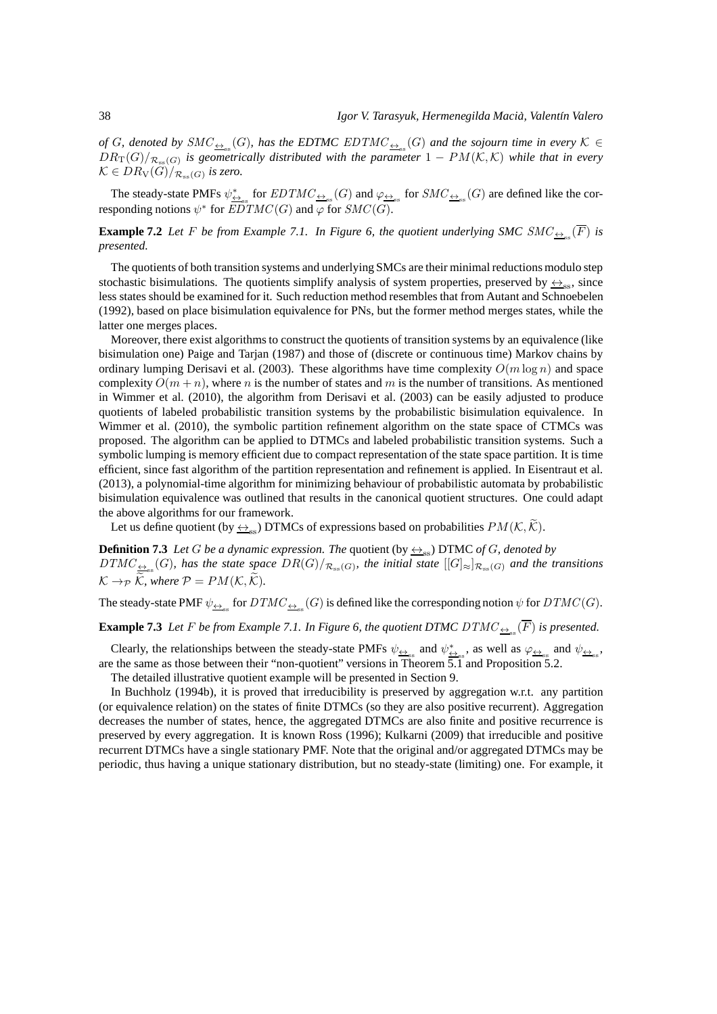of G, denoted by  $SMC_{\frac{\leftrightarrow}{\pm\infty}}(G)$ , has the EDTMC EDTMC<sub> $\frac{\leftrightarrow}{\pm\infty}$ </sub> $(G)$  and the sojourn time in every  $K \in$  $DR_T(G)/_{\mathcal{R}_{\mathrm{ss}}(G)}$  is geometrically distributed with the parameter  $1-PM(\mathcal{K},\mathcal{K})$  while that in every  $\mathcal{K}\in DR_{\mathrm{V}}(G)/_{\mathcal{R}_{\mathrm{ss}}(G)}$  is zero.

The steady-state PMFs  $\psi_{\text{L}_\text{ss}}^*$  for  $EDTMC_{\text{L}_\text{ss}}(G)$  and  $\varphi_{\text{L}_\text{ss}}$  for  $SMC_{\text{L}_\text{ss}}(G)$  are defined like the corresponding notions  $\psi^*$  for  $\overline{EDTMC}(G)$  and  $\varphi$  for  $SMC(G)$ .

#### **Example 7.2** Let F be from Example 7.1. In Figure 6, the quotient underlying SMC  $SMC_{\frac{\leftrightarrow}{\pm\infty}}(\overline{F})$  is *presented.*

The quotients of both transition systems and underlying SMCs are their minimal reductions modulo step stochastic bisimulations. The quotients simplify analysis of system properties, preserved by  $\leftrightarrow_{\rm ss}$ , since less states should be examined for it. Such reduction method resembles that from Autant and Schnoebelen (1992), based on place bisimulation equivalence for PNs, but the former method merges states, while the latter one merges places.

Moreover, there exist algorithms to construct the quotients of transition systems by an equivalence (like bisimulation one) Paige and Tarjan (1987) and those of (discrete or continuous time) Markov chains by ordinary lumping Derisavi et al. (2003). These algorithms have time complexity  $O(m \log n)$  and space complexity  $O(m + n)$ , where n is the number of states and m is the number of transitions. As mentioned in Wimmer et al. (2010), the algorithm from Derisavi et al. (2003) can be easily adjusted to produce quotients of labeled probabilistic transition systems by the probabilistic bisimulation equivalence. In Wimmer et al. (2010), the symbolic partition refinement algorithm on the state space of CTMCs was proposed. The algorithm can be applied to DTMCs and labeled probabilistic transition systems. Such a symbolic lumping is memory efficient due to compact representation of the state space partition. It is time efficient, since fast algorithm of the partition representation and refinement is applied. In Eisentraut et al. (2013), a polynomial-time algorithm for minimizing behaviour of probabilistic automata by probabilistic bisimulation equivalence was outlined that results in the canonical quotient structures. One could adapt the above algorithms for our framework.

Let us define quotient (by  $\leftrightarrow_{\infty}$ ) DTMCs of expressions based on probabilities  $PM(K, \widetilde{K})$ .

**Definition 7.3** *Let* G *be a dynamic expression. The quotient* (by  $\leftrightarrow$ <sub>ss</sub>) DTMC *of* G, denoted by  $DTMC_{\frac{\leftrightarrow}{\cos}}(G)$ , has the state space  $DR(G)/_{\mathcal{R}_{\text{ss}}(G)}$ , the initial state  $[[G]_{\approx}]_{\mathcal{R}_{\text{ss}}(G)}$  and the transitions  $K \rightarrow_{\mathcal{P}} \tilde{\mathcal{K}}$ , where  $\mathcal{P} = PM(\mathcal{K}, \tilde{\mathcal{K}})$ .

The steady-state PMF  $\psi_{\frac{\leftrightarrow}{\pm\infty}}$  for  $DTMC_{\frac{\leftrightarrow}{\pm\infty}}(G)$  is defined like the corresponding notion  $\psi$  for  $DTMC(G)$ .

**Example 7.3** Let F be from Example 7.1. In Figure 6, the quotient DTMC  $DTMC_{\frac{\leftrightarrow}{\pm\infty}}(\overline{F})$  is presented.

Clearly, the relationships between the steady-state PMFs  $\psi_{\underline{\leftrightarrow}_{\text{ss}}}$  and  $\psi_{\underline{\leftrightarrow}_{\text{ss}}}^*$ , as well as  $\varphi_{\underline{\leftrightarrow}_{\text{ss}}}$  and  $\psi_{\underline{\leftrightarrow}_{\text{ss}}}$ , are the same as those between their "non-quotient" versions in Theorem 5.1 and Proposition 5.2.

The detailed illustrative quotient example will be presented in Section 9.

In Buchholz (1994b), it is proved that irreducibility is preserved by aggregation w.r.t. any partition (or equivalence relation) on the states of finite DTMCs (so they are also positive recurrent). Aggregation decreases the number of states, hence, the aggregated DTMCs are also finite and positive recurrence is preserved by every aggregation. It is known Ross (1996); Kulkarni (2009) that irreducible and positive recurrent DTMCs have a single stationary PMF. Note that the original and/or aggregated DTMCs may be periodic, thus having a unique stationary distribution, but no steady-state (limiting) one. For example, it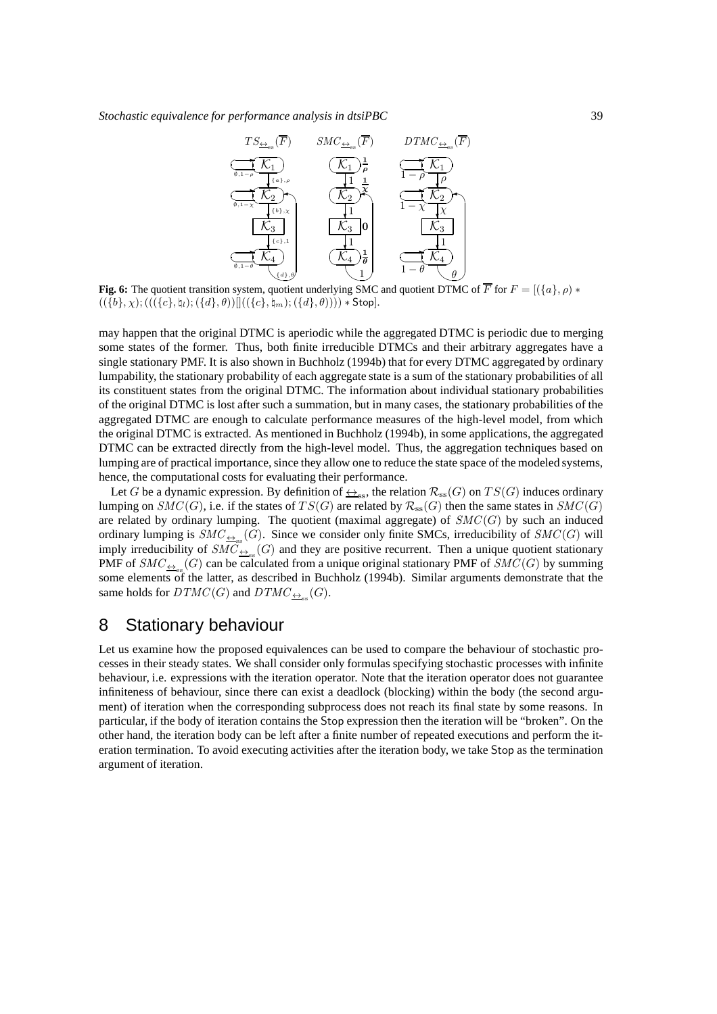

**Fig. 6:** The quotient transition system, quotient underlying SMC and quotient DTMC of  $\overline{F}$  for  $F = [(\lbrace a \rbrace, \rho) *$  $((\{b\}, \chi), (((\{c\}, \natural_l), ((\{d\}, \theta))]]((\{c\}, \natural_m), (\{d\}, \theta)))) * Stop].$ 

may happen that the original DTMC is aperiodic while the aggregated DTMC is periodic due to merging some states of the former. Thus, both finite irreducible DTMCs and their arbitrary aggregates have a single stationary PMF. It is also shown in Buchholz (1994b) that for every DTMC aggregated by ordinary lumpability, the stationary probability of each aggregate state is a sum of the stationary probabilities of all its constituent states from the original DTMC. The information about individual stationary probabilities of the original DTMC is lost after such a summation, but in many cases, the stationary probabilities of the aggregated DTMC are enough to calculate performance measures of the high-level model, from which the original DTMC is extracted. As mentioned in Buchholz (1994b), in some applications, the aggregated DTMC can be extracted directly from the high-level model. Thus, the aggregation techniques based on lumping are of practical importance, since they allow one to reduce the state space of the modeled systems, hence, the computational costs for evaluating their performance.

Let G be a dynamic expression. By definition of  $\leftrightarrow_{\rm ss}$ , the relation  $\mathcal{R}_{\rm ss}(G)$  on  $TS(G)$  induces ordinary lumping on  $SMC(G)$ , i.e. if the states of  $TS(G)$  are related by  $\mathcal{R}_{ss}(G)$  then the same states in  $SMC(G)$ are related by ordinary lumping. The quotient (maximal aggregate) of  $SMC(G)$  by such an induced ordinary lumping is  $SMC_{\frac{\leftrightarrow}{\infty}}(G)$ . Since we consider only finite SMCs, irreducibility of  $SMC(G)$  will imply irreducibility of  $\widehat{SMC}_{\triangleq_{ss}}(G)$  and they are positive recurrent. Then a unique quotient stationary PMF of  $SMC_{\frac{\leftrightarrow}{\infty}}(G)$  can be calculated from a unique original stationary PMF of  $SMC(G)$  by summing some elements of the latter, as described in Buchholz (1994b). Similar arguments demonstrate that the same holds for  $DTMC(G)$  and  $DTMC_{\underbrace{\leftrightarrow_{\text{ss}}}}(G)$ .

# 8 Stationary behaviour

Let us examine how the proposed equivalences can be used to compare the behaviour of stochastic processes in their steady states. We shall consider only formulas specifying stochastic processes with infinite behaviour, i.e. expressions with the iteration operator. Note that the iteration operator does not guarantee infiniteness of behaviour, since there can exist a deadlock (blocking) within the body (the second argument) of iteration when the corresponding subprocess does not reach its final state by some reasons. In particular, if the body of iteration contains the Stop expression then the iteration will be "broken". On the other hand, the iteration body can be left after a finite number of repeated executions and perform the iteration termination. To avoid executing activities after the iteration body, we take Stop as the termination argument of iteration.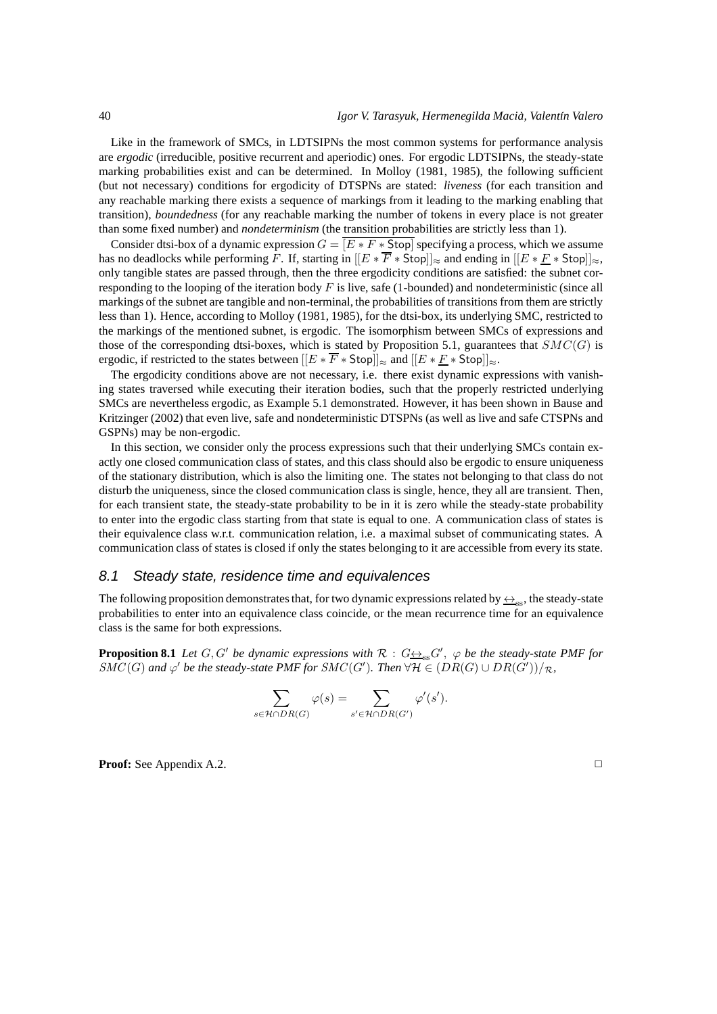Like in the framework of SMCs, in LDTSIPNs the most common systems for performance analysis are *ergodic* (irreducible, positive recurrent and aperiodic) ones. For ergodic LDTSIPNs, the steady-state marking probabilities exist and can be determined. In Molloy (1981, 1985), the following sufficient (but not necessary) conditions for ergodicity of DTSPNs are stated: *liveness* (for each transition and any reachable marking there exists a sequence of markings from it leading to the marking enabling that transition), *boundedness* (for any reachable marking the number of tokens in every place is not greater than some fixed number) and *nondeterminism* (the transition probabilities are strictly less than 1).

Consider dtsi-box of a dynamic expression  $G = \boxed{E * F * \text{Stop}}$  specifying a process, which we assume has no deadlocks while performing F. If, starting in  $[[E * \overline{F} * Stop]] \approx$  and ending in  $[[E * \underline{F} * Stop]] \approx$ , only tangible states are passed through, then the three ergodicity conditions are satisfied: the subnet corresponding to the looping of the iteration body  $F$  is live, safe (1-bounded) and nondeterministic (since all markings of the subnet are tangible and non-terminal, the probabilities of transitions from them are strictly less than 1). Hence, according to Molloy (1981, 1985), for the dtsi-box, its underlying SMC, restricted to the markings of the mentioned subnet, is ergodic. The isomorphism between SMCs of expressions and those of the corresponding dtsi-boxes, which is stated by Proposition 5.1, guarantees that  $SMC(G)$  is ergodic, if restricted to the states between  $[[E * F * Stop]]_{\approx}$  and  $[[E * \underline{F} * Stop]]_{\approx}$ .

The ergodicity conditions above are not necessary, i.e. there exist dynamic expressions with vanishing states traversed while executing their iteration bodies, such that the properly restricted underlying SMCs are nevertheless ergodic, as Example 5.1 demonstrated. However, it has been shown in Bause and Kritzinger (2002) that even live, safe and nondeterministic DTSPNs (as well as live and safe CTSPNs and GSPNs) may be non-ergodic.

In this section, we consider only the process expressions such that their underlying SMCs contain exactly one closed communication class of states, and this class should also be ergodic to ensure uniqueness of the stationary distribution, which is also the limiting one. The states not belonging to that class do not disturb the uniqueness, since the closed communication class is single, hence, they all are transient. Then, for each transient state, the steady-state probability to be in it is zero while the steady-state probability to enter into the ergodic class starting from that state is equal to one. A communication class of states is their equivalence class w.r.t. communication relation, i.e. a maximal subset of communicating states. A communication class of states is closed if only the states belonging to it are accessible from every its state.

## 8.1 Steady state, residence time and equivalences

The following proposition demonstrates that, for two dynamic expressions related by  $\leftrightarrow_{\rm ss}$ , the steady-state probabilities to enter into an equivalence class coincide, or the mean recurrence time for an equivalence class is the same for both expressions.

**Proposition 8.1** *Let*  $G, G'$  *be dynamic expressions with*  $\mathcal{R}: G_{\frac{\leftrightarrow}{\leq S}}G'$ ,  $\varphi$  *be the steady-state PMF for* SMC(G) and  $\varphi'$  be the steady-state PMF for SMC(G'). Then  $\forall H \in (DR(G) \cup DR(G'))/R$ ,

$$
\sum_{s \in \mathcal{H} \cap DR(G)} \varphi(s) = \sum_{s' \in \mathcal{H} \cap DR(G')} \varphi'(s').
$$

**Proof:** See Appendix A.2. ◯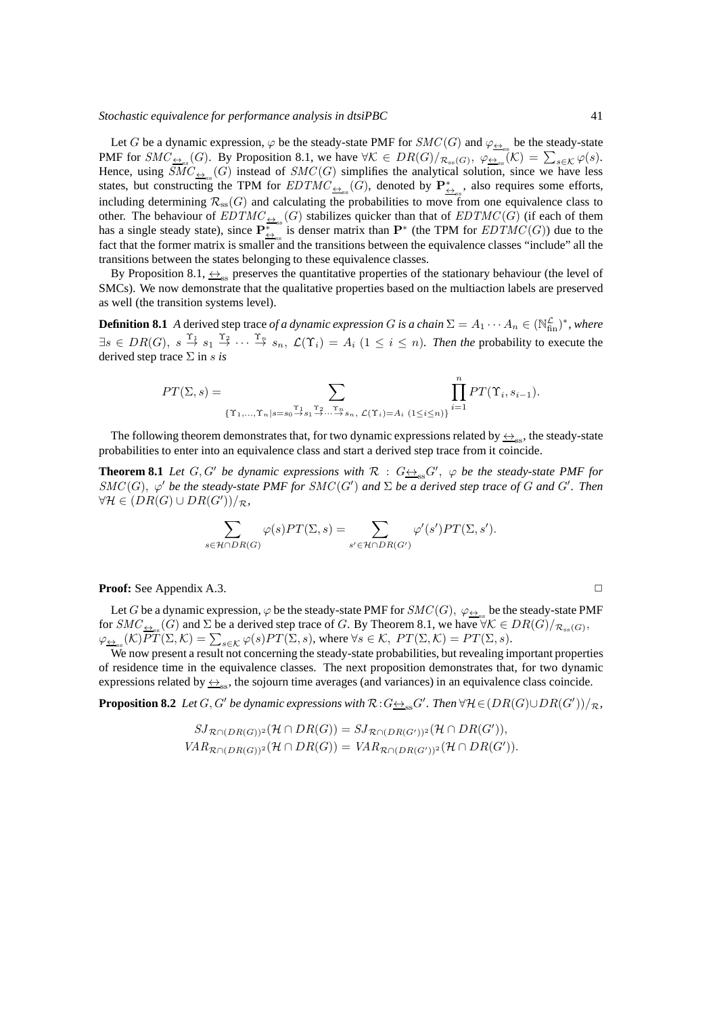Let G be a dynamic expression,  $\varphi$  be the steady-state PMF for  $SMC(G)$  and  $\varphi_{\underline{\leftrightarrow}_{\text{ss}}}$  be the steady-state PMF for  $SMC_{\frac{\leftrightarrow}{\infty}}(G)$ . By Proposition 8.1, we have  $\forall K \in DR(G)/_{\mathcal{R}_{\text{ss}}(G)}, \varphi_{\frac{\leftrightarrow}{\infty}}(K) = \sum_{s \in \mathcal{K}} \varphi(s)$ . Hence, using  $\overline{SMC}_{\triangleq_{\text{ss}}}(G)$  instead of  $SMC(G)$  simplifies the analytical solution, since we have less states, but constructing the TPM for  $EDTMC_{\leftrightarrow_{\text{ss}}}(G)$ , denoted by  $\mathbf{P}_{\leftrightarrow_{\text{ss}}}^*$ , also requires some efforts, including determining  $\mathcal{R}_{ss}(G)$  and calculating the probabilities to move from one equivalence class to other. The behaviour of  $EDTMC_{\frac{\leftarrow}{2\pi s}}(G)$  stabilizes quicker than that of  $EDTMC(G)$  (if each of them has a single steady state), since  $\overline{P_{\leftrightarrow}^*}$  is denser matrix than  $P^*$  (the TPM for  $EDTMC(G)$ ) due to the fact that the former matrix is smaller and the transitions between the equivalence classes "include" all the transitions between the states belonging to these equivalence classes.

By Proposition 8.1,  $\leftrightarrow_{\text{ss}}$  preserves the quantitative properties of the stationary behaviour (the level of SMCs). We now demonstrate that the qualitative properties based on the multiaction labels are preserved as well (the transition systems level).

**Definition 8.1** *A* derived step trace *of a dynamic expression G is a chain*  $\Sigma = A_1 \cdots A_n \in (\mathbb{N}_{\text{fin}}^{\mathcal{L}})^*$ *, where*  $\exists s \in DR(G), s \stackrel{\Upsilon_1}{\rightarrow} s_1 \stackrel{\Upsilon_2}{\rightarrow} \cdots \stackrel{\Upsilon_n}{\rightarrow} s_n$ ,  $\mathcal{L}(\Upsilon_i) = A_i$   $(1 \leq i \leq n)$ . Then the probability to execute the derived step trace Σ in s *is*

$$
PT(\Sigma, s) = \sum_{\{\Upsilon_1, \dots, \Upsilon_n | s = s_0 \stackrel{\Upsilon_1}{\rightarrow} s_1 \stackrel{\Upsilon_2}{\rightarrow} \dots \stackrel{\Upsilon_n}{\rightarrow} s_n, \ \mathcal{L}(\Upsilon_i) = A_i} \prod_{i=1}^n PT(\Upsilon_i, s_{i-1}).
$$

The following theorem demonstrates that, for two dynamic expressions related by  $\leftrightarrow_{\rm ss}$ , the steady-state probabilities to enter into an equivalence class and start a derived step trace from it coincide.

**Theorem 8.1** *Let*  $G, G'$  *be dynamic expressions with*  $R : G \rightarrow S$ <sub>ss</sub> $G'$ ,  $\varphi$  *be the steady-state PMF for*  $SMC(G)$ ,  $\varphi'$  be the steady-state PMF for SMC(G') and  $\Sigma$  be a derived step trace of G and G'. Then  $\forall \mathcal{H} \in (DR(G) \cup DR(G'))/R$ 

$$
\sum_{s \in \mathcal{H} \cap DR(G)} \varphi(s) PT(\Sigma, s) = \sum_{s' \in \mathcal{H} \cap DR(G')} \varphi'(s') PT(\Sigma, s').
$$

**Proof:** See Appendix A.3. ◯

Let G be a dynamic expression,  $\varphi$  be the steady-state PMF for  $SMC(G)$ ,  $\varphi_{\underline{\leftrightarrow}_{\text{ss}}}$  be the steady-state PMF for  $SMC_{\frac{\leftrightarrow}{\text{S}}}(G)$  and  $\Sigma$  be a derived step trace of G. By Theorem 8.1, we have  $\forall K \in DR(G)/_{\mathcal{R}_{\text{ss}}(G)}$ ,  $\varphi_{\underline{\leftrightarrow}_{\mathrm{ss}}}(\mathcal{K})\overline{PT}(\Sigma,\mathcal{K})=\sum_{s\in\mathcal{K}}\varphi(s)PT(\Sigma,s),$  where  $\forall s\in\mathcal{K},\ PT(\Sigma,\mathcal{K})=PT(\Sigma,s).$ 

We now present a result not concerning the steady-state probabilities, but revealing important properties of residence time in the equivalence classes. The next proposition demonstrates that, for two dynamic expressions related by  $\leftrightarrow_{\text{ss}}$ , the sojourn time averages (and variances) in an equivalence class coincide.

**Proposition 8.2** Let  $G, G'$  be dynamic expressions with  $\mathcal{R}: G \leftrightarrow_{\text{ss}} G'$ . Then  $\forall \mathcal{H} \in (DR(G) \cup DR(G'))/\mathcal{R}$ ,

$$
SJ_{\mathcal{R}\cap (DR(G))^2}(\mathcal{H}\cap DR(G))=SJ_{\mathcal{R}\cap (DR(G'))^2}(\mathcal{H}\cap DR(G')),
$$
  

$$
VAR_{\mathcal{R}\cap (DR(G))^2}(\mathcal{H}\cap DR(G))=VAR_{\mathcal{R}\cap (DR(G'))^2}(\mathcal{H}\cap DR(G')).
$$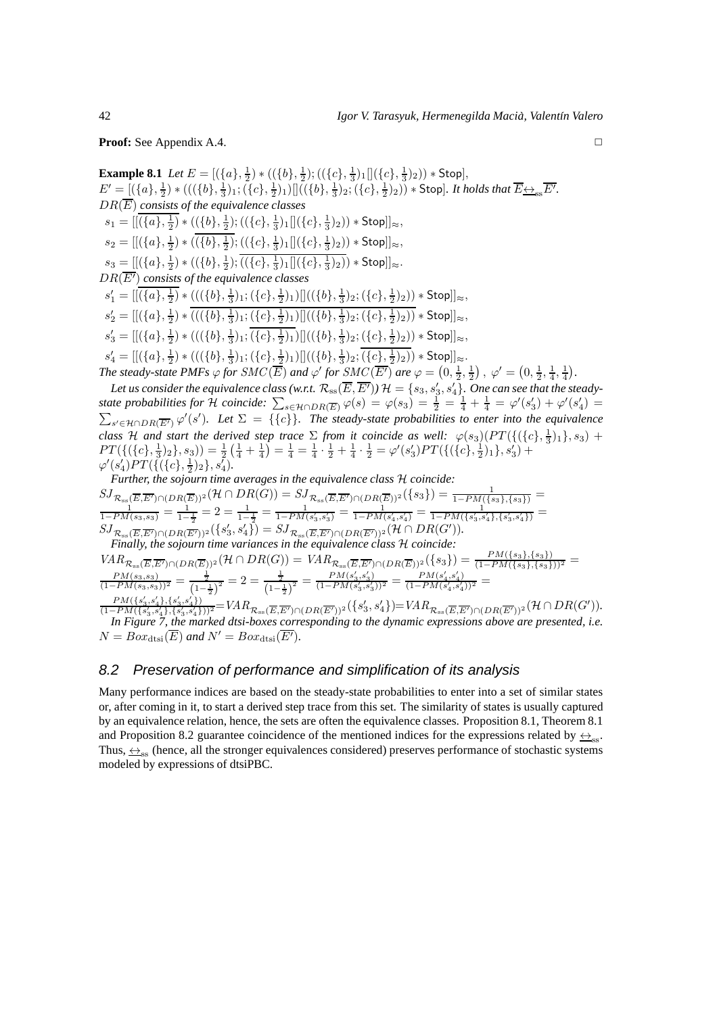**Proof:** See Appendix A.4. ◯

**Example 8.1** *Let*  $E = [(\{a\}, \frac{1}{2}) * ((\{b\}, \frac{1}{2}) ; ((\{c\}, \frac{1}{3}) _1 ]](\{c\}, \frac{1}{3}) _2 )) * Stop],$  $E' = [(\{a\}, \frac{1}{2}) * (((\{b\}, \frac{1}{3})_1; (\{c\}, \frac{1}{2})_1)][((\{b\}, \frac{1}{3})_2; (\{c\}, \frac{1}{2})_2)) * \text{Stop}]$ *. It holds that*  $\overline{E_{\leftrightarrowss}}\overline{E'}.$ DR(E) *consists of the equivalence classes*  $s_1 = [[(\{a\},\frac{1}{2}) * ((\{b\},\frac{1}{2});((\{c\},\frac{1}{3})_1 [](\{c\},\frac{1}{3})_2)) * \textsf{Stop}]]_{\approx},$  $s_2 = [[(\{a\},\frac{1}{2}) * ((\{b\},\frac{1}{2});((\{c\},\frac{1}{3})_1 [](\{c\},\frac{1}{3})_2)) * \textsf{Stop}]]_{\approx},$  $s_3 = [[(\{a\},\frac{1}{2}) * ((\{b\},\frac{1}{2});((\{c\},\frac{1}{3})_1][(\{c\},\frac{1}{3})_2)) * \textsf{Stop}]]_{\approx}.$ DR(E′) *consists of the equivalence classes*  $s'_1 = [[(\{a\},\frac{1}{2}) * (((\{b\},\frac{1}{3})_1;(\{c\},\frac{1}{2})_1)][((\{b\},\frac{1}{3})_2;(\{c\},\frac{1}{2})_2)) * \mathsf{Stop}]]_{\approx},$  $s'_2 = [[(\{a\},\frac{1}{2}) * (((\{b\},\frac{1}{3})_1;(\{c\},\frac{1}{2})_1)][((\{b\},\frac{1}{3})_2;(\{c\},\frac{1}{2})_2)) * \mathsf{Stop}]]_{\approx},$  $s'_3 = [[(\{a\},\frac{1}{2}) * (((\{b\},\frac{1}{3})_1;(\{c\},\frac{1}{2})_1)][((\{b\},\frac{1}{3})_2;(\{c\},\frac{1}{2})_2)) * \mathsf{Stop}]]_{\approx},$  $s'_4 = [[(\{a\},\frac{1}{2}) * (((\{b\},\frac{1}{3})_1;(\{c\},\frac{1}{2})_1)][((\{b\},\frac{1}{3})_2;(\{c\},\frac{1}{2})_2)) * \mathsf{Stop}]]_{\approx}.$ *The steady-state PMFs*  $\varphi$  *for*  $SMC(\overline{E})$  *and*  $\varphi'$  *for*  $SMC(\overline{E'})$  *are*  $\varphi = (0, \frac{1}{2}, \frac{1}{2})$ ,  $\varphi' = (0, \frac{1}{2}, \frac{1}{4}, \frac{1}{4})$ . Let us consider the equivalence class (w.r.t.  $\mathcal{R}_{\rm ss}(\overline{E},\overline{E'}))$   $\mathcal{H}=\{s_3,s'_3,s'_4\}.$  One can see that the steady*state probabilities for*  $H$  *coincide:*  $\sum_{s \in \mathcal{H} \cap DR(\overline{E})} \varphi(s) = \varphi(s_3) = \frac{1}{2} = \frac{1}{4} + \frac{1}{4} = \varphi'(s_3') + \varphi'(s_4') =$  $\sum_{s' \in \mathcal{H} \cap DR(\overline{E'})} \varphi'(s')$ . Let  $\Sigma = \{\{c\}\}\$ . The steady-state probabilities to enter into the equivalence *class* H *and start the derived step trace*  $\Sigma$  *from it coincide as well:*  $\varphi(s_3)(PT(\{(c), \frac{1}{3})_1\}, s_3)$  +  $PT(\{(\{c\},\frac{1}{3})_2\},s_3)) = \frac{1}{2}(\frac{1}{4} + \frac{1}{4}) = \frac{1}{4} = \frac{1}{4} \cdot \frac{1}{2} + \frac{1}{4} \cdot \frac{1}{2} = \varphi'(s_3')PT(\{(\{c\},\frac{1}{2})_1\},s_3') +$  $\varphi'(s'_4)PT(\{(\{c\},\frac{1}{2})_2\},s'_4).$ *Further, the sojourn time averages in the equivalence class* H *coincide:*  $\frac{SJ_{\mathcal{R}_{ss}(\overline{E},\overline{E'})\cap (DR(\overline{E}))^2}(\mathcal{H}\cap DR(G))=SJ_{\mathcal{R}_{ss}(\overline{E},\overline{E'})\cap (DR(\overline{E}))^2}(\{s_3\})=\frac{1}{1-PM(\{s_3\},\{s_3\})}=\frac{1}{1-PM(s_3,s_3)}=\frac{1}{1-\frac{1}{2}}=2=\frac{1}{1-\frac{1}{2}}=\frac{1}{1-PM(s_3',s_3')}=\frac{1}{1-PM(s_4',s_4')}=\frac{1}{1-PM(\{s_3',s_4'\},\{s_3',s_4'\})}=$  $SJ_{\mathcal{R}_{ss}(\overline{E},\overline{E'})\cap (DR(\overline{E'}))^2}(\lbrace s'_3,s'_4\rbrace) = SJ_{\mathcal{R}_{ss}(\overline{E},\overline{E'})\cap (DR(\overline{E'}))^2}(\mathcal{H}\cap DR(G')).$ *Finally, the sojourn time variances in the equivalence class* H *coincide:*

$$
VAR_{\mathcal{R}_{ss}(\overline{E},\overline{E'}) \cap (DR(\overline{E}))^2}(\mathcal{H} \cap DR(G)) = VAR_{\mathcal{R}_{ss}(\overline{E},\overline{E'}) \cap (DR(\overline{E}))^2}(\{s_3\}) = \frac{PM(\{s_3\},\{s_3\})}{(1-PM(\{s_3\},\{s_3\}))^2} = \frac{\frac{1}{2}}{(1-\frac{1}{2})^2} = 2 = \frac{\frac{1}{2}}{(1-\frac{1}{2})^2} = \frac{PM(s'_3,s'_3)}{(1-PM(s'_3,s'_3))^2} = \frac{PM(s'_4,s'_4)}{(1-PM(s'_4,s'_4))^2} = \frac{PM(s'_4,s'_4)}{(1-PM(s'_4,s'_4))^2} = \frac{PM(s'_4,s'_4)}{(1-PM(s'_3,s'_4),\{s'_3,s'_4\})} = VAR_{\mathcal{R}_{ss}(\overline{E},\overline{E'}) \cap (DR(\overline{E'}))^2}(\{s'_3,s'_4\}) = VAR_{\mathcal{R}_{ss}(\overline{E},\overline{E'}) \cap (DR(\overline{E'}))^2}(\mathcal{H} \cap DR(G')).
$$

*In Figure 7, the marked dtsi-boxes corresponding to the dynamic expressions above are presented, i.e.*  $N = Box_{\text{dtsi}}(\overline{E})$  and  $N' = Box_{\text{dtsi}}(\overline{E'}).$ 

# 8.2 Preservation of performance and simplification of its analysis

Many performance indices are based on the steady-state probabilities to enter into a set of similar states or, after coming in it, to start a derived step trace from this set. The similarity of states is usually captured by an equivalence relation, hence, the sets are often the equivalence classes. Proposition 8.1, Theorem 8.1 and Proposition 8.2 guarantee coincidence of the mentioned indices for the expressions related by  $\leftrightarrow_{\rm ss}$ . Thus,  $\leftrightarrow_{\infty}$  (hence, all the stronger equivalences considered) preserves performance of stochastic systems modeled by expressions of dtsiPBC.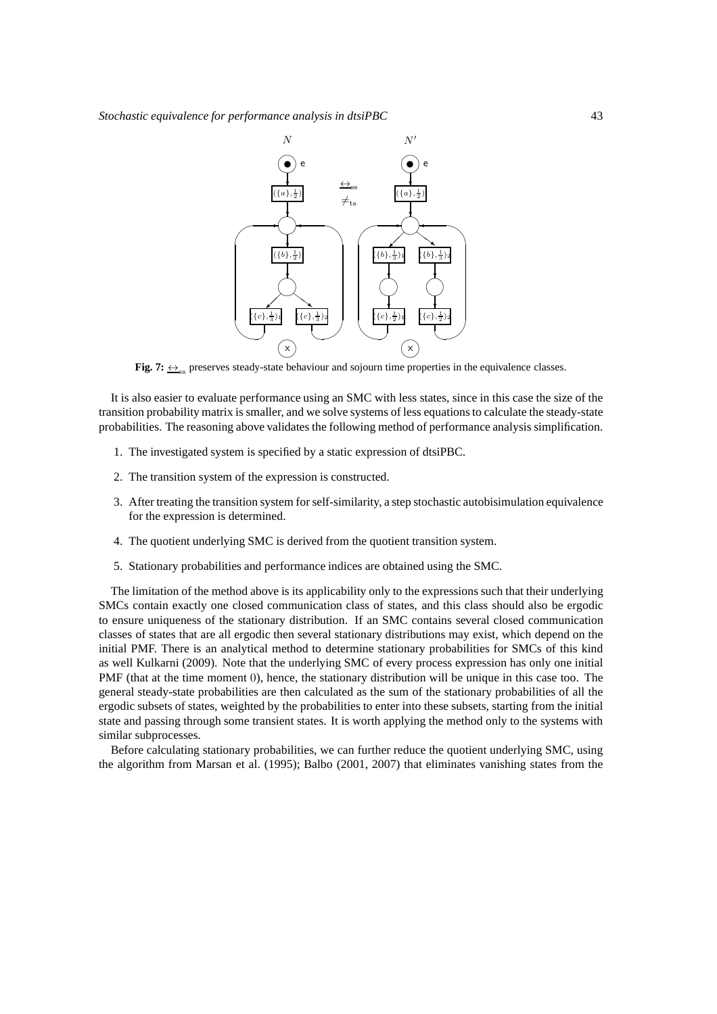

**Fig. 7:**  $\leftrightarrow$ <sub>ss</sub> preserves steady-state behaviour and sojourn time properties in the equivalence classes.

It is also easier to evaluate performance using an SMC with less states, since in this case the size of the transition probability matrix is smaller, and we solve systems of less equations to calculate the steady-state probabilities. The reasoning above validates the following method of performance analysis simplification.

- 1. The investigated system is specified by a static expression of dtsiPBC.
- 2. The transition system of the expression is constructed.
- 3. After treating the transition system for self-similarity, a step stochastic autobisimulation equivalence for the expression is determined.
- 4. The quotient underlying SMC is derived from the quotient transition system.
- 5. Stationary probabilities and performance indices are obtained using the SMC.

The limitation of the method above is its applicability only to the expressions such that their underlying SMCs contain exactly one closed communication class of states, and this class should also be ergodic to ensure uniqueness of the stationary distribution. If an SMC contains several closed communication classes of states that are all ergodic then several stationary distributions may exist, which depend on the initial PMF. There is an analytical method to determine stationary probabilities for SMCs of this kind as well Kulkarni (2009). Note that the underlying SMC of every process expression has only one initial PMF (that at the time moment 0), hence, the stationary distribution will be unique in this case too. The general steady-state probabilities are then calculated as the sum of the stationary probabilities of all the ergodic subsets of states, weighted by the probabilities to enter into these subsets, starting from the initial state and passing through some transient states. It is worth applying the method only to the systems with similar subprocesses.

Before calculating stationary probabilities, we can further reduce the quotient underlying SMC, using the algorithm from Marsan et al. (1995); Balbo (2001, 2007) that eliminates vanishing states from the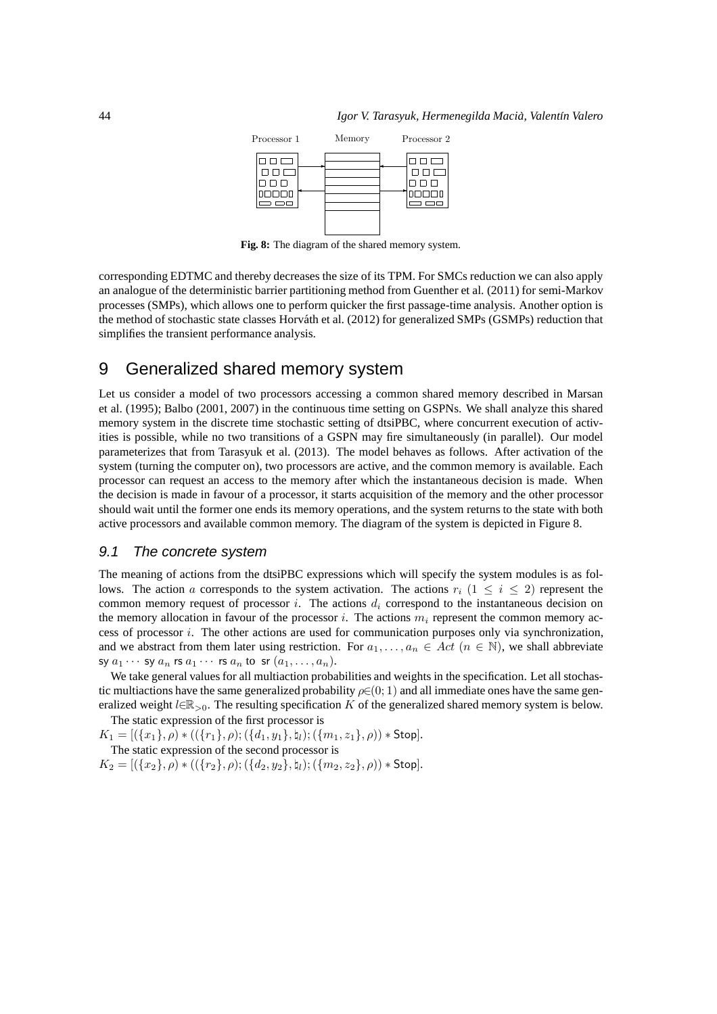

**Fig. 8:** The diagram of the shared memory system.

corresponding EDTMC and thereby decreases the size of its TPM. For SMCs reduction we can also apply an analogue of the deterministic barrier partitioning method from Guenther et al. (2011) for semi-Markov processes (SMPs), which allows one to perform quicker the first passage-time analysis. Another option is the method of stochastic state classes Horváth et al. (2012) for generalized SMPs (GSMPs) reduction that simplifies the transient performance analysis.

# 9 Generalized shared memory system

Let us consider a model of two processors accessing a common shared memory described in Marsan et al. (1995); Balbo (2001, 2007) in the continuous time setting on GSPNs. We shall analyze this shared memory system in the discrete time stochastic setting of dtsiPBC, where concurrent execution of activities is possible, while no two transitions of a GSPN may fire simultaneously (in parallel). Our model parameterizes that from Tarasyuk et al. (2013). The model behaves as follows. After activation of the system (turning the computer on), two processors are active, and the common memory is available. Each processor can request an access to the memory after which the instantaneous decision is made. When the decision is made in favour of a processor, it starts acquisition of the memory and the other processor should wait until the former one ends its memory operations, and the system returns to the state with both active processors and available common memory. The diagram of the system is depicted in Figure 8.

#### 9.1 The concrete system

The meaning of actions from the dtsiPBC expressions which will specify the system modules is as follows. The action a corresponds to the system activation. The actions  $r_i$  (1  $\leq i \leq 2$ ) represent the common memory request of processor i. The actions  $d_i$  correspond to the instantaneous decision on the memory allocation in favour of the processor i. The actions  $m_i$  represent the common memory access of processor  $i$ . The other actions are used for communication purposes only via synchronization, and we abstract from them later using restriction. For  $a_1, \ldots, a_n \in Act$   $(n \in \mathbb{N})$ , we shall abbreviate sy  $a_1 \cdots$  sy  $a_n$  rs  $a_1 \cdots$  rs  $a_n$  to sr  $(a_1, \ldots, a_n)$ .

We take general values for all multiaction probabilities and weights in the specification. Let all stochastic multiactions have the same generalized probability  $\rho \in (0, 1)$  and all immediate ones have the same generalized weight  $l \in \mathbb{R}_{>0}$ . The resulting specification K of the generalized shared memory system is below. The static expression of the first processor is

 $K_1 = [(\{x_1\}, \rho) * ((\{r_1\}, \rho); (\{d_1, y_1\}, \mathfrak{h}_l); (\{m_1, z_1\}, \rho)) * \text{Stop}].$ 

The static expression of the second processor is

 $K_2 = \left[ (\{x_2\}, \rho) * ((\{r_2\}, \rho); (\{d_2, y_2\}, \natural_l); (\{m_2, z_2\}, \rho)) * \text{Stop} \right].$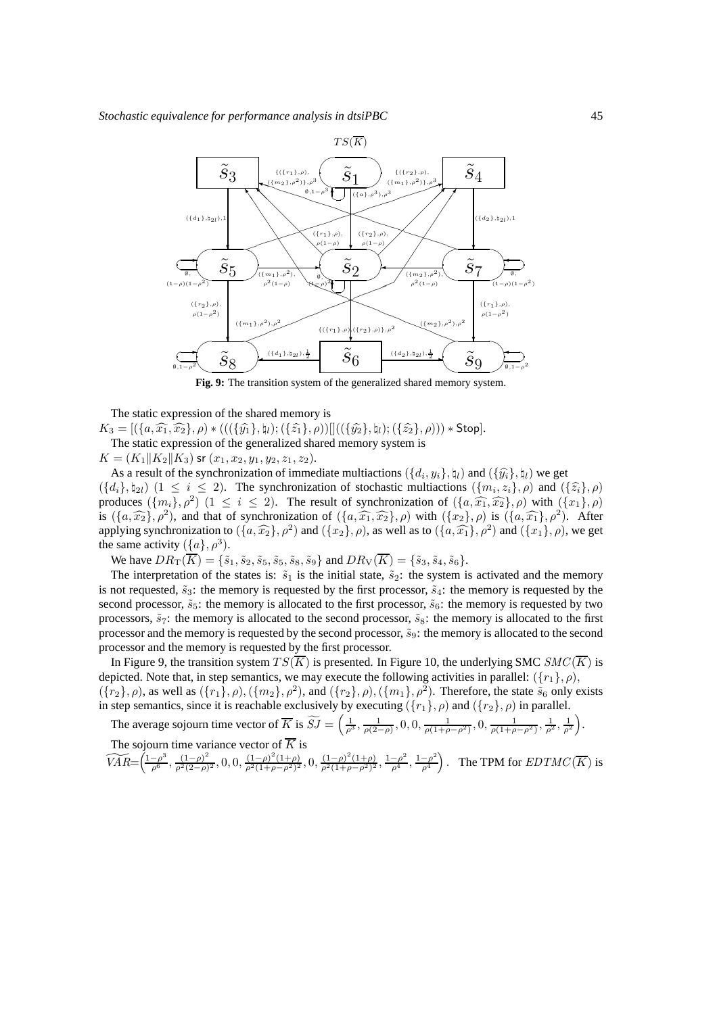

**Fig. 9:** The transition system of the generalized shared memory system.

The static expression of the shared memory is  $K_3 = [(\{a,\widehat{x_1},\widehat{x_2}\},\rho) * (((\{\widehat{y_1}\},\natural_l);(\{\widehat{z_1}\},\rho))]]((\{\widehat{y_2}\},\natural_l);(\{\widehat{z_2}\},\rho))) * Stop].$ The static expression of the generalized shared memory system is  $K = (K_1 || K_2 || K_3)$  sr  $(x_1, x_2, y_1, y_2, z_1, z_2)$ .

As a result of the synchronization of immediate multiactions  $(\{d_i, y_i\}, \mathfrak{h}_l)$  and  $(\{\hat{y_i}\}, \mathfrak{h}_l)$  we get  $(\{d_i\}, \natural_{2l})$   $(1 \le i \le 2)$ . The synchronization of stochastic multiactions  $(\{m_i, z_i\}, \rho)$  and  $(\{\hat{z}_i\}, \rho)$ produces  $({m_i}, \rho^2)$   $(1 \le i \le 2)$ . The result of synchronization of  $({a, \widehat{x_1}, \widehat{x_2}}, \rho)$  with  $({x_1}, \rho)$ is  $(\{a, \widehat{x_1}, \rho^2\})$ , and that of synchronization of  $(\{a, \widehat{x_1}, \widehat{x_2}\}, \rho)$  with  $(\{x_2\}, \rho)$  is  $(\{a, \widehat{x_1}\}, \rho^2)$ . After applying synchronization to  $(\{a,\widehat{x_2}\}, \rho^2)$  and  $(\{x_2\}, \rho)$ , as well as to  $(\{a,\widehat{x_1}\}, \rho^2)$  and  $(\{x_1\}, \rho)$ , we get the same activity  $({a}, \rho^3)$ .

We have  $DR_{\text{T}}(\overline{K}) = {\{\tilde{s}_1, \tilde{s}_2, \tilde{s}_5, \tilde{s}_5, \tilde{s}_8, \tilde{s}_9\}}$  and  $DR_{\text{V}}(\overline{K}) = {\{\tilde{s}_3, \tilde{s}_4, \tilde{s}_6\}}$ .

The interpretation of the states is:  $\tilde{s}_1$  is the initial state,  $\tilde{s}_2$ : the system is activated and the memory is not requested,  $\tilde{s}_3$ : the memory is requested by the first processor,  $\tilde{s}_4$ : the memory is requested by the second processor,  $\tilde{s}_5$ : the memory is allocated to the first processor,  $\tilde{s}_6$ : the memory is requested by two processors,  $\tilde{s}_7$ : the memory is allocated to the second processor,  $\tilde{s}_8$ : the memory is allocated to the first processor and the memory is requested by the second processor,  $\tilde{s}_9$ : the memory is allocated to the second processor and the memory is requested by the first processor.

In Figure 9, the transition system  $TS(\overline{K})$  is presented. In Figure 10, the underlying SMC  $SMC(\overline{K})$  is depicted. Note that, in step semantics, we may execute the following activities in parallel:  $({r_1}, \rho)$ ,  $({r_2}, \rho)$ , as well as  $({r_1}, \rho)$ ,  $({m_2}, \rho^2)$ , and  $({r_2}, \rho)$ ,  $({m_1}, \rho^2)$ . Therefore, the state  $\tilde{s}_6$  only exists in step semantics, since it is reachable exclusively by executing  $({r_1}, \rho)$  and  $({r_2}, \rho)$  in parallel.

The average sojourn time vector of  $\overline{K}$  is  $\widetilde{SJ} = \left(\frac{1}{\rho^3}, \frac{1}{\rho(2-\rho)}, 0, 0, \frac{1}{\rho(1+\rho-\rho^2)}, 0, \frac{1}{\rho(1+\rho-\rho^2)}, \frac{1}{\rho^2}, \frac{1}{\rho^2}\right)$  . The sojourn time variance vector of  $\overline{K}$  is

 $\widetilde{VAR} = \left( \frac{1-\rho^3}{\rho^6}, \frac{(1-\rho)^2}{\rho^2(2-\rho)} \right)$  $\frac{(1-\rho)^2}{\rho^2(2-\rho)^2}, 0, 0, \frac{(1-\rho)^2(1+\rho)}{\rho^2(1+\rho-\rho^2)^2}, 0, \frac{(1-\rho)^2(1+\rho)}{\rho^2(1+\rho-\rho^2)^2}, \frac{1-\rho^2}{\rho^4}, \frac{1-\rho^2}{\rho^4}$  $\rho^4$ ). The TPM for  $EDTMC(\overline{K})$  is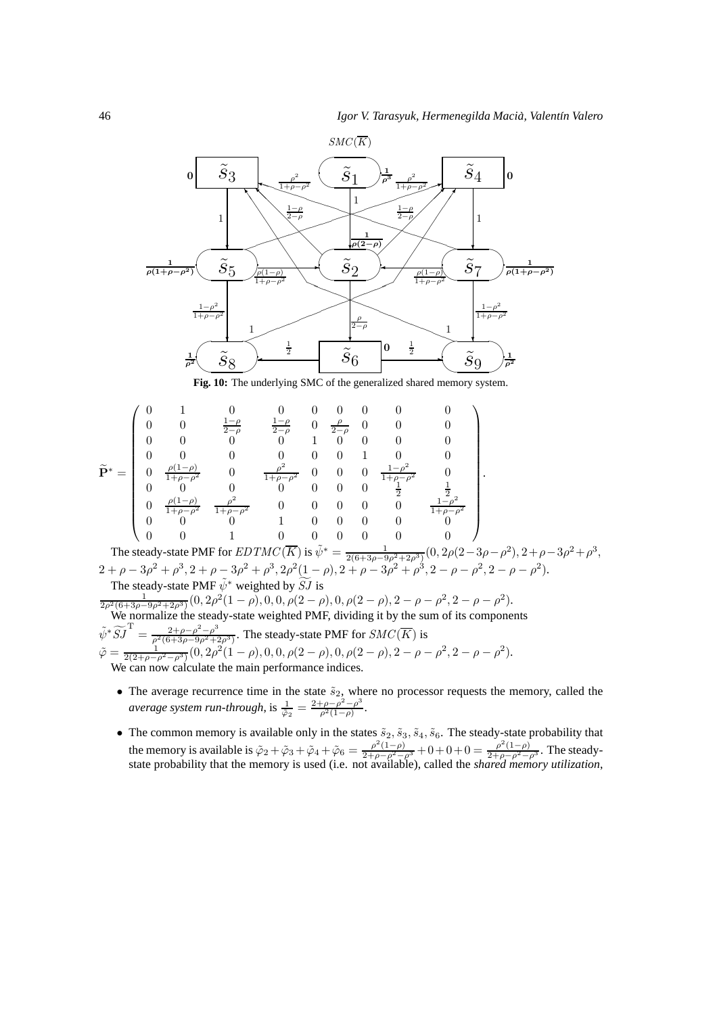

$$
\widetilde{\mathbf{P}}^{*} = \begin{pmatrix}\n0 & 1 & 0 & 0 & 0 & 0 & 0 & 0 & 0 \\
0 & 0 & \frac{1-\rho}{2-\rho} & \frac{1-\rho}{2-\rho} & 0 & \frac{\rho}{2-\rho} & 0 & 0 \\
0 & 0 & 0 & 0 & 1 & 0 & 0 & 0 \\
0 & 0 & 0 & 0 & 0 & 0 & 1 & 0 & 0 \\
0 & \frac{\rho(1-\rho)}{1+\rho-\rho^{2}} & 0 & \frac{\rho^{2}}{1+\rho-\rho^{2}} & 0 & 0 & 0 & \frac{1-\rho^{2}}{1+\rho-\rho^{2}} & 0 \\
0 & 0 & 0 & 0 & 0 & 0 & 0 & \frac{1}{2} & \frac{1}{2} \\
0 & \frac{\rho(1-\rho)}{1+\rho-\rho^{2}} & \frac{\rho^{2}}{1+\rho-\rho^{2}} & 0 & 0 & 0 & 0 & \frac{1}{2} & \frac{1-\rho^{2}}{1+\rho-\rho^{2}} \\
0 & 0 & 0 & 1 & 0 & 0 & 0 & 0 & 0 \\
0 & 0 & 1 & 0 & 0 & 0 & 0 & 0 & 0\n\end{pmatrix}
$$
\nThe steady-state PMF for *EDTMC*(*K*) is  $q_{\mu}^{*} = -1$  (0, 2*a*(2-3*a* - *a*<sup>2</sup>) 2 + *a* - 3*a*<sup>2</sup> + *a*

The steady-state PMF for  $EDTMC(\overline{K})$  is  $\tilde{\psi}^* = \frac{1}{2(6+3\rho-9\rho^2+2\rho^3)}(0, 2\rho(2-3\rho-\rho^2), 2+\rho-3\rho^2+\rho^3,$  $2 + \rho - 3\rho^2 + \rho^3$ ,  $2 + \rho - 3\rho^2 + \rho^3$ ,  $2\rho^2(1 - \rho)$ ,  $2 + \rho - 3\rho^2 + \rho^3$ ,  $2 - \rho - \rho^2$ ,  $2 - \rho - \rho^2$ ). The steady-state PMF  $\tilde{\psi}^*$  weighted by  $\widetilde{SJ}$  is

 $\frac{1}{2\rho^2(6+3\rho-9\rho^2+2\rho^3)}(0, 2\rho^2(1-\rho), 0, 0, \rho(2-\rho), 0, \rho(2-\rho), 2-\rho-\rho^2, 2-\rho-\rho^2).$ We normalize the steady-state weighted PMF, dividing it by the sum of its components

 $\tilde{\psi}^* \widetilde{S} \widetilde{J}^{\mathrm{T}} = \frac{2 + \rho - \rho^2 - \rho^3}{\rho^2 (6 + 3\rho - 9\rho^2 + 2\rho^2)}$  $\frac{2+\rho-\rho^2-\rho^3}{\rho^2(6+3\rho-9\rho^2+2\rho^3)}$ . The steady-state PMF for  $SMC(\overline{K})$  is

 $\tilde{\varphi} = \frac{1}{2(2+\rho-\rho^2-\rho^3)}(0, 2\rho^2(1-\rho), 0, 0, \rho(2-\rho), 0, \rho(2-\rho), 2-\rho-\rho^2, 2-\rho-\rho^2).$ We can now calculate the main performance indices.

- The average recurrence time in the state  $\tilde{s}_2$ , where no processor requests the memory, called the *average system run-through*, is  $\frac{1}{\tilde{\varphi}_2} = \frac{2+\rho-\rho^2-\rho^3}{\rho^2(1-\rho)}$  $\frac{\rho-\rho^2-\rho^3}{\rho^2(1-\rho)}.$
- The common memory is available only in the states  $\tilde{s}_2$ ,  $\tilde{s}_3$ ,  $\tilde{s}_4$ ,  $\tilde{s}_6$ . The steady-state probability that the memory is available is  $\tilde{\varphi}_2 + \tilde{\varphi}_3 + \tilde{\varphi}_4 + \tilde{\varphi}_6 = \frac{\rho^2(1-\rho)}{2+\rho-\rho^2-\rho^3} + 0 + 0 + 0 = \frac{\rho^2(1-\rho)}{2+\rho-\rho^2-\rho^3}$ . The steadystate probability that the memory is used (i.e. not available), called the *shared memory utilization*,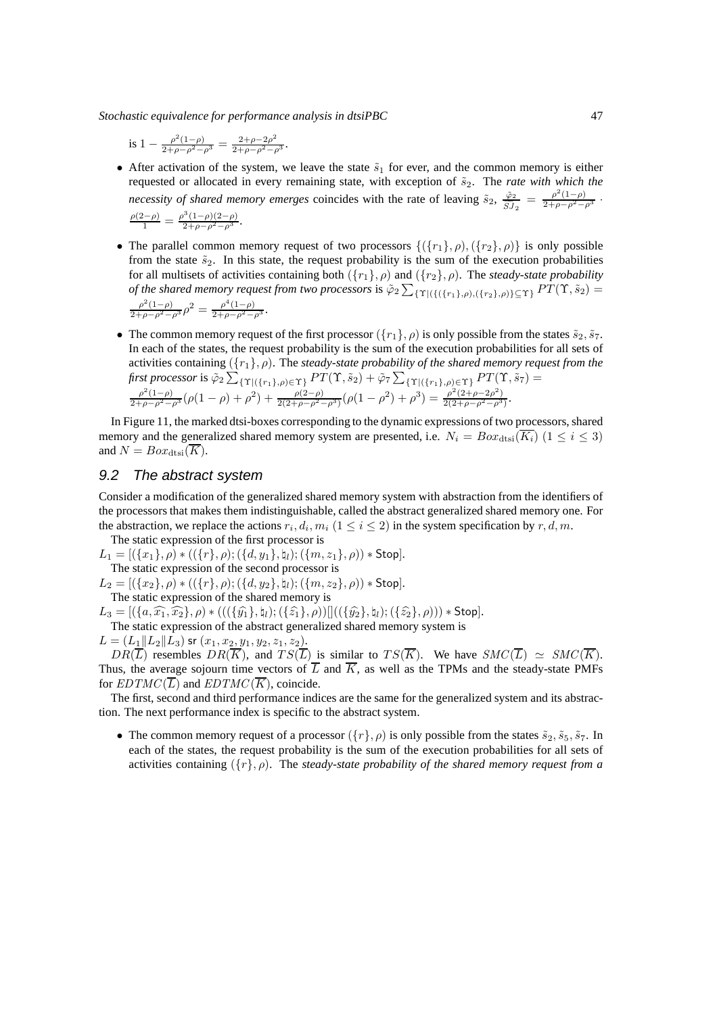is 
$$
1 - \frac{\rho^2 (1 - \rho)}{2 + \rho - \rho^2 - \rho^3} = \frac{2 + \rho - 2\rho^2}{2 + \rho - \rho^2 - \rho^3}
$$
.

- After activation of the system, we leave the state  $\tilde{s}_1$  for ever, and the common memory is either requested or allocated in every remaining state, with exception of  $\tilde{s}_2$ . The *rate with which the necessity of shared memory emerges* coincides with the rate of leaving  $\tilde{s}_2$ ,  $\frac{\tilde{\varphi}_2}{\tilde{\varphi}_1}$  $\frac{\tilde{\varphi}_2}{\tilde{S}J_2} = \frac{\rho^2(1-\rho)}{2+\rho-\rho^2-\rho^3}$ .  $\frac{\rho(2-\rho)}{1} = \frac{\rho^3(1-\rho)(2-\rho)}{2+\rho-\rho^2-\rho^3}.$
- The parallel common memory request of two processors  $\{(\{r_1\}, \rho), (\{r_2\}, \rho)\}\$ is only possible from the state  $\tilde{s}_2$ . In this state, the request probability is the sum of the execution probabilities for all multisets of activities containing both  $({r_1}, \rho)$  and  $({r_2}, \rho)$ . The *steady-state probability of the shared memory request from two processors* is  $\tilde{\varphi}_2 \sum_{\{\Upsilon | (\{(r_1), \rho), (\{r_2\}, \rho)\} \subseteq \Upsilon\}} PT(\Upsilon, \tilde{s}_2) =$  $\frac{\rho^2(1-\rho)}{2+\rho-\rho^2-\rho^3}\rho^2 = \frac{\rho^4(1-\rho)}{2+\rho-\rho^2-\rho^3}.$
- The common memory request of the first processor  $({r_1}, \rho)$  is only possible from the states  $\tilde{s}_2, \tilde{s}_7$ . In each of the states, the request probability is the sum of the execution probabilities for all sets of activities containing ({r1}, ρ). The *steady-state probability of the shared memory request from the* first processor is  $\tilde{\varphi}_2\sum_{\{\Upsilon|(\{r_1\},\rho)\in\Upsilon\}}PT(\Upsilon, \tilde{s}_2)+\tilde{\varphi}_7\sum_{\{\Upsilon|(\{r_1\},\rho)\in\Upsilon\}}PT(\Upsilon, \tilde{s}_7)=$  $\frac{\rho^2(1-\rho)}{2+\rho-\rho^2-\rho^3}(\rho(1-\rho)+\rho^2)+\frac{\rho(2-\rho)}{2(2+\rho-\rho^2-\rho^3)}(\rho(1-\rho^2)+\rho^3)=\frac{\rho^2(2+\rho-2\rho^2)}{2(2+\rho-\rho^2-\rho^3)}.$

In Figure 11, the marked dtsi-boxes corresponding to the dynamic expressions of two processors, shared memory and the generalized shared memory system are presented, i.e.  $N_i = Box_{dtsi}(\overline{K_i})$  ( $1 \le i \le 3$ ) and  $N = Box_{\text{dtsi}}(\overline{K})$ .

## 9.2 The abstract system

Consider a modification of the generalized shared memory system with abstraction from the identifiers of the processors that makes them indistinguishable, called the abstract generalized shared memory one. For the abstraction, we replace the actions  $r_i, d_i, m_i$   $(1 \le i \le 2)$  in the system specification by  $r, d, m$ .

The static expression of the first processor is  $L_1 = [(\{x_1\}, \rho) * ((\{r\}, \rho); (\{d, y_1\}, \natural_l); (\{m, z_1\}, \rho)) * \text{Stop}].$ 

The static expression of the second processor is

 $L_2 = [(\{x_2\}, \rho) * ((\{r\}, \rho); (\{d, y_2\}, \natural_l); (\{m, z_2\}, \rho)) * \textsf{Stop}].$ The static expression of the shared memory is

 $L_3 = [(\{a,\widehat{x_1},\widehat{x_2}\},\rho) * (((\{\widehat{y_1}\},\natural_l);(\{\widehat{z_1}\},\rho))]]((\{\widehat{y_2}\},\natural_l);(\{\widehat{z_2}\},\rho))) * Stop].$ 

The static expression of the abstract generalized shared memory system is

 $L = (L_1||L_2||L_3)$  sr  $(x_1, x_2, y_1, y_2, z_1, z_2).$ 

 $DR(\overline{L})$  resembles  $DR(\overline{K})$ , and  $TS(\overline{L})$  is similar to  $TS(\overline{K})$ . We have  $SMC(\overline{L}) \simeq SMC(\overline{K})$ . Thus, the average sojourn time vectors of  $\overline{L}$  and  $\overline{K}$ , as well as the TPMs and the steady-state PMFs for  $EDTMC(\overline{L})$  and  $EDTMC(\overline{K})$ , coincide.

The first, second and third performance indices are the same for the generalized system and its abstraction. The next performance index is specific to the abstract system.

• The common memory request of a processor  $({r}, \rho)$  is only possible from the states  $\tilde{s}_2, \tilde{s}_5, \tilde{s}_7$ . In each of the states, the request probability is the sum of the execution probabilities for all sets of activities containing  $({r}, \rho)$ . The *steady-state probability of the shared memory request from a*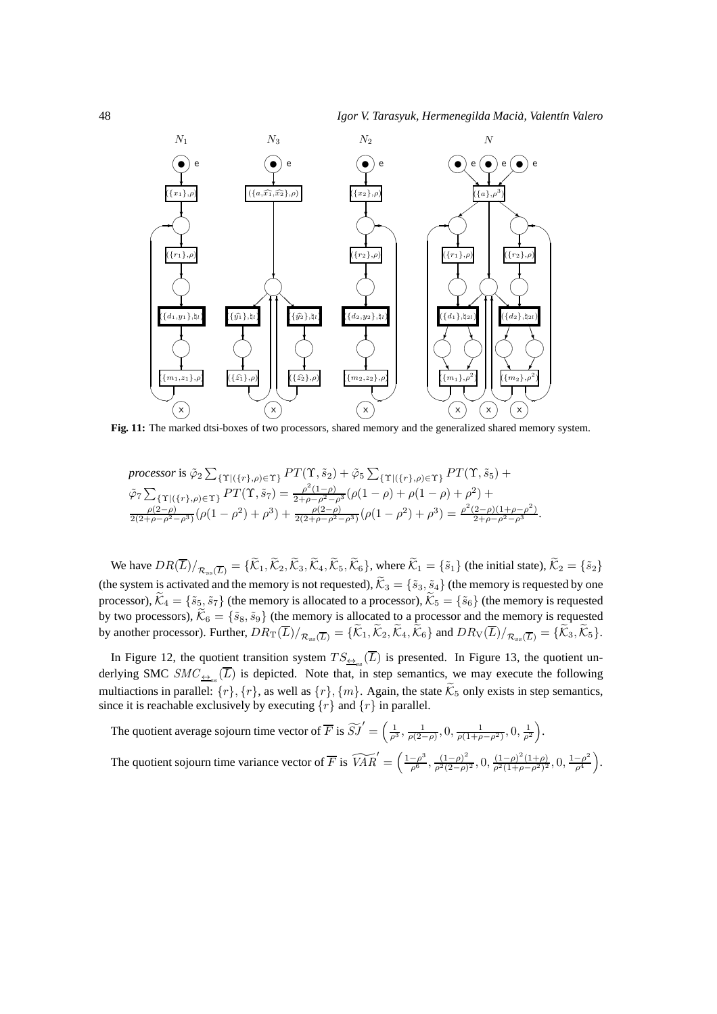

*processor* is 
$$
\tilde{\varphi}_2 \sum_{\{\Upsilon | (\{r\}, \rho) \in \Upsilon\}} PT(\Upsilon, \tilde{s}_2) + \tilde{\varphi}_5 \sum_{\{\Upsilon | (\{r\}, \rho) \in \Upsilon\}} PT(\Upsilon, \tilde{s}_5) +
$$
  
\n $\tilde{\varphi}_7 \sum_{\{\Upsilon | (\{r\}, \rho) \in \Upsilon\}} PT(\Upsilon, \tilde{s}_7) = \frac{\rho^2 (1-\rho)}{2 + \rho - \rho^2 - \rho^3} (\rho (1-\rho) + \rho (1-\rho) + \rho^2) +$   
\n $\frac{\rho(2-\rho)}{2(2+\rho-\rho^2-\rho^3)} (\rho (1-\rho^2) + \rho^3) + \frac{\rho(2-\rho)}{2(2+\rho-\rho^2-\rho^3)} (\rho (1-\rho^2) + \rho^3) = \frac{\rho^2 (2-\rho)(1+\rho-\rho^2)}{2 + \rho - \rho^2 - \rho^3}.$ 

We have  $DR(\overline{L})/_{\mathcal{R}_{ss}(\overline{L})} = {\{\widetilde{\mathcal{K}}_1,\widetilde{\mathcal{K}}_2,\widetilde{\mathcal{K}}_3,\widetilde{\mathcal{K}}_4,\widetilde{\mathcal{K}}_5,\widetilde{\mathcal{K}}_6\}},$  where  $\widetilde{\mathcal{K}}_1 = {\{\widetilde{s}_1\}}$  (the initial state),  $\widetilde{\mathcal{K}}_2 = {\{\widetilde{s}_2\}}$ (the system is activated and the memory is not requested),  $\tilde{K}_3 = \{\tilde{s}_3, \tilde{s}_4\}$  (the memory is requested by one processor),  $\widetilde{\mathcal{K}}_4 = \{\widetilde{s}_5, \widetilde{s}_7\}$  (the memory is allocated to a processor),  $\widetilde{\mathcal{K}}_5 = \{\widetilde{s}_6\}$  (the memory is requested by two processors),  $\mathcal{K}_6 = \{\tilde{s}_8, \tilde{s}_9\}$  (the memory is allocated to a processor and the memory is requested by another processor). Further,  $DR_T(L)/_{\mathcal{R}_{ss}(\overline{L})} = \{\mathcal{K}_1, \mathcal{K}_2, \mathcal{K}_4, \mathcal{K}_6\}$  and  $DR_V(L)/_{\mathcal{R}_{ss}(\overline{L})} = \{\mathcal{K}_3, \mathcal{K}_5\}.$ 

In Figure 12, the quotient transition system  $TS_{\triangleq_{ss}}(L)$  is presented. In Figure 13, the quotient underlying SMC  $SMC_{\frac{\leftrightarrow}{\pm\infty}}(\overline{L})$  is depicted. Note that, in step semantics, we may execute the following multiactions in parallel:  $\{r\}, \{r\}, \{m\}$ . Again, the state  $\tilde{\mathcal{K}}_5$  only exists in step semantics, since it is reachable exclusively by executing  $\{r\}$  and  $\{r\}$  in parallel.

The quotient average sojourn time vector of  $\overline{F}$  is  $\widetilde{SJ}' = \left(\frac{1}{\rho^3}, \frac{1}{\rho(2-\rho)}, 0, \frac{1}{\rho(1+\rho-\rho^2)}, 0, \frac{1}{\rho^2}\right)$ .

The quotient sojourn time variance vector of  $\overline{F}$  is  $\widetilde{VAR}' = \left(\frac{1-\rho^3}{\rho^6}, \frac{(1-\rho)^2}{\rho^2(2-\rho)}\right)$  $\frac{(1-\rho)^2}{\rho^2(2-\rho)^2}$ ,  $0, \frac{(1-\rho)^2(1+\rho)}{\rho^2(1+\rho-\rho^2)^2}$ ,  $0, \frac{1-\rho^2}{\rho^4}$  $\rho^4$ .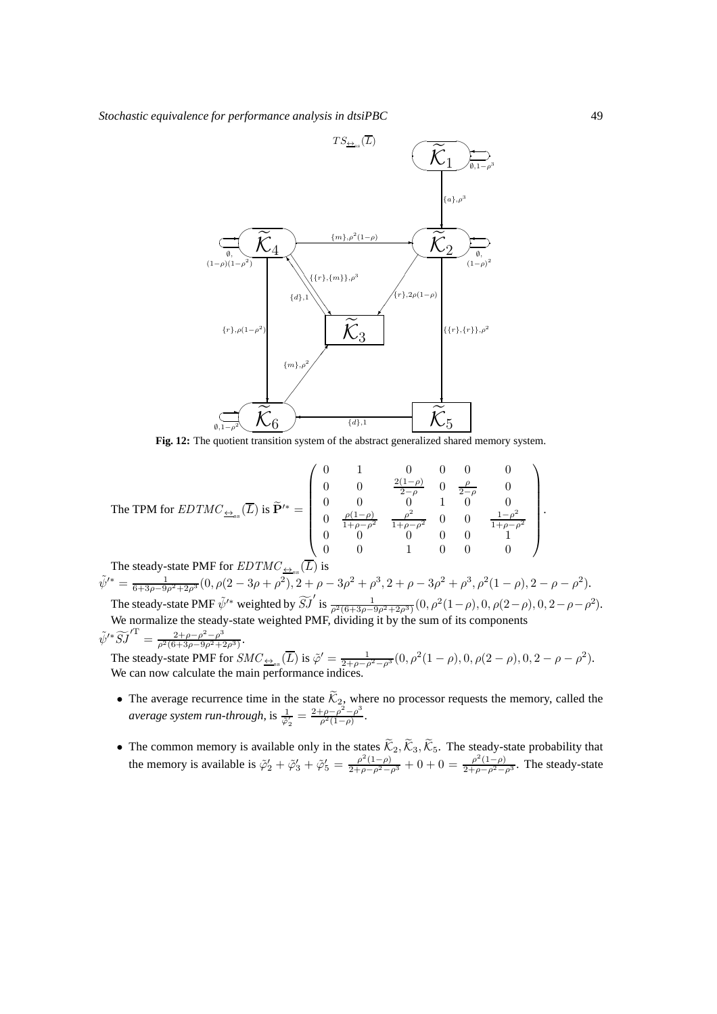

The TPM for 
$$
EDTMC_{\frac{\leftarrow}{\pm s}}(\overline{L})
$$
 is  $\tilde{\mathbf{P}}'^* = \begin{pmatrix} 0 & 1 & 0 & 0 & 0 & 0 \\ 0 & 0 & \frac{2(1-\rho)}{2-\rho} & 0 & \frac{\rho}{2-\rho} & 0 \\ 0 & 0 & 0 & 1 & 0 & 0 \\ 0 & \frac{\rho(1-\rho)}{1+\rho-\rho^2} & \frac{\rho^2}{1+\rho-\rho^2} & 0 & 0 & \frac{1-\rho^2}{1+\rho-\rho^2} \\ 0 & 0 & 0 & 0 & 0 & 1 \\ 0 & 0 & 1 & 0 & 0 & 0 \end{pmatrix}$ .

The steady-state PMF for  $EDTMC_{\frac{\leftrightarrow}{\pm\text{ss}}}(\overline{L})$  is  $\tilde{\psi}'^* = \frac{1}{6+3\rho-9\rho^2+2\rho^3}(0,\rho(2-3\rho+\rho^2),2+\rho-3\rho^2+\rho^3,2+\rho-3\rho^2+\rho^3,\rho^2(1-\rho),2-\rho-\rho^2).$ The steady-state PMF  $\tilde{\psi}'^*$  weighted by  $\tilde{SJ}'$  is  $\frac{1}{\rho^2(6+3\rho-9\rho^2+2\rho^3)}(0, \rho^2(1-\rho), 0, \rho(2-\rho), 0, 2-\rho-\rho^2)$ .

We normalize the steady-state weighted PMF, dividing it by the sum of its components  $\tilde{\psi}'^* \widetilde{S} \widetilde{J}'^{\mathrm{T}} = \frac{2+\rho-\rho^2-\rho^3}{\rho^2(6+3\rho-9\rho^2+2\rho^2)}$  $\frac{2+\rho-\rho^--\rho^*}{\rho^2(6+3\rho-9\rho^2+2\rho^3)}$ .

The steady-state PMF for  $SMC_{\frac{\leftrightarrow}{2\text{ss}}}(\overline{L})$  is  $\tilde{\varphi}' = \frac{1}{2+\rho-\rho^2-\rho^3}(0,\rho^2(1-\rho),0,\rho(2-\rho),0,2-\rho-\rho^2)$ . We can now calculate the main performance indices.

- The average recurrence time in the state  $\mathcal{K}_2$ , where no processor requests the memory, called the *average system run-through*, is  $\frac{1}{\tilde{\varphi}'_2} = \frac{2+\rho-\rho^2-\rho^3}{\rho^2(1-\rho)}$  $\frac{\rho-\rho^2-\rho^3}{\rho^2(1-\rho)}.$
- The common memory is available only in the states  $\mathcal{K}_2, \mathcal{K}_3, \mathcal{K}_5$ . The steady-state probability that the memory is available is  $\tilde{\varphi}'_2 + \tilde{\varphi}'_3 + \tilde{\varphi}'_5 = \frac{\rho^2(1-\rho)}{2+\rho-\rho^2-\rho^3} + 0 + 0 = \frac{\rho^2(1-\rho)}{2+\rho-\rho^2-\rho^3}$ . The steady-state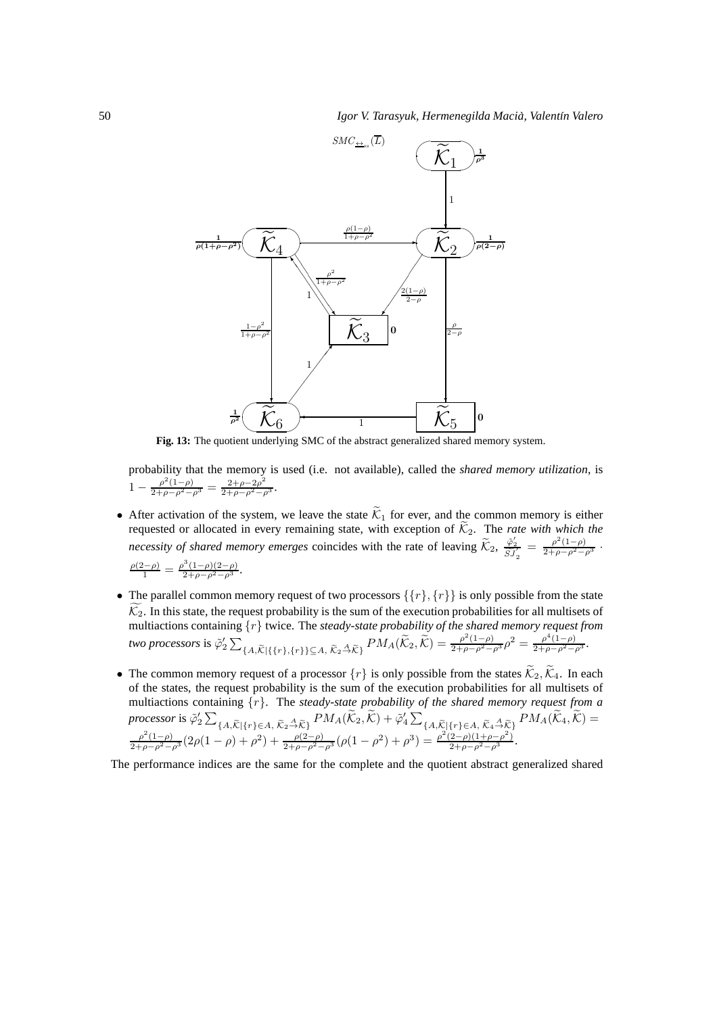

probability that the memory is used (i.e. not available), called the *shared memory utilization*, is  $1 - \frac{\rho^2 (1-\rho)}{2+\rho-\rho^2-\rho^3} = \frac{2+\rho-2\rho^2}{2+\rho-\rho^2-\rho^3}.$ 

• After activation of the system, we leave the state  $\tilde{\mathcal{K}}_1$  for ever, and the common memory is either requested or allocated in every remaining state, with exception of  $K_2$ . The *rate with which the necessity of shared memory emerges* coincides with the rate of leaving  $\widetilde{\mathcal{K}}_2$ ,  $\frac{\widetilde{\varphi}_2'}{\widetilde{SJ}_2'} = \frac{\rho^2(1-\rho)}{2+\rho-\rho^2-\rho^3}$ .

$$
\frac{\rho(2-\rho)}{1} = \frac{\rho^3(1-\rho)(2-\rho)}{2+\rho-\rho^2-\rho^3}.
$$

- The parallel common memory request of two processors  $\{\{r\}, \{r\}\}\$ is only possible from the state  $\mathcal{K}_2$ . In this state, the request probability is the sum of the execution probabilities for all multisets of multiactions containing  $\{r\}$  twice. The *steady-state probability of the shared memory request from* two processors is  $\tilde{\varphi}_2' \sum$  ${A, \tilde{\mathcal{K}} \mid \{r\}, \{r\}\}\subseteq A, \ \tilde{\mathcal{K}}_2 \stackrel{A}{\to} \tilde{\mathcal{K}}_1} P M_A(\tilde{\mathcal{K}}_2, \tilde{\mathcal{K}}) = \frac{\rho^2(1-\rho)}{2+\rho-\rho^2-\rho^3} \rho^2 = \frac{\rho^4(1-\rho)}{2+\rho-\rho^2-\rho^3}.$
- The common memory request of a processor  $\{r\}$  is only possible from the states  $\tilde{\mathcal{K}}_2$ ,  $\tilde{\mathcal{K}}_4$ . In each of the states, the request probability is the sum of the execution probabilities for all multisets of multiactions containing {r}. The *steady-state probability of the shared memory request from a* processor is  $\tilde{\varphi}_2' \sum$  ${A,\widetilde{\mathcal{K}}}\left[{r}\right]\in A, \widetilde{\mathcal{K}}_2 \stackrel{A}{\rightarrow} \widetilde{\mathcal{K}}_1 P M_A(\widetilde{\mathcal{K}}_2,\widetilde{\mathcal{K}}) + \widetilde{\varphi}_4' \sum$  ${A,\widetilde{\mathcal{K}}\vert \{r\} \in A, \, \widetilde{\mathcal{K}}_4 \stackrel{A}{\rightarrow} \widetilde{\mathcal{K}}_1}^{PM_A}(\mathcal{K}_4, \mathcal{K}) =$  $\frac{\rho^2(1-\rho)}{2+\rho-\rho^2-\rho^3}(2\rho(1-\rho)+\rho^2)+\frac{\rho(2-\rho)}{2+\rho-\rho^2-\rho^3}(\rho(1-\rho^2)+\rho^3)=\frac{\rho^2(2-\rho)(1+\rho-\rho^2)}{2+\rho-\rho^2-\rho^3}.$

The performance indices are the same for the complete and the quotient abstract generalized shared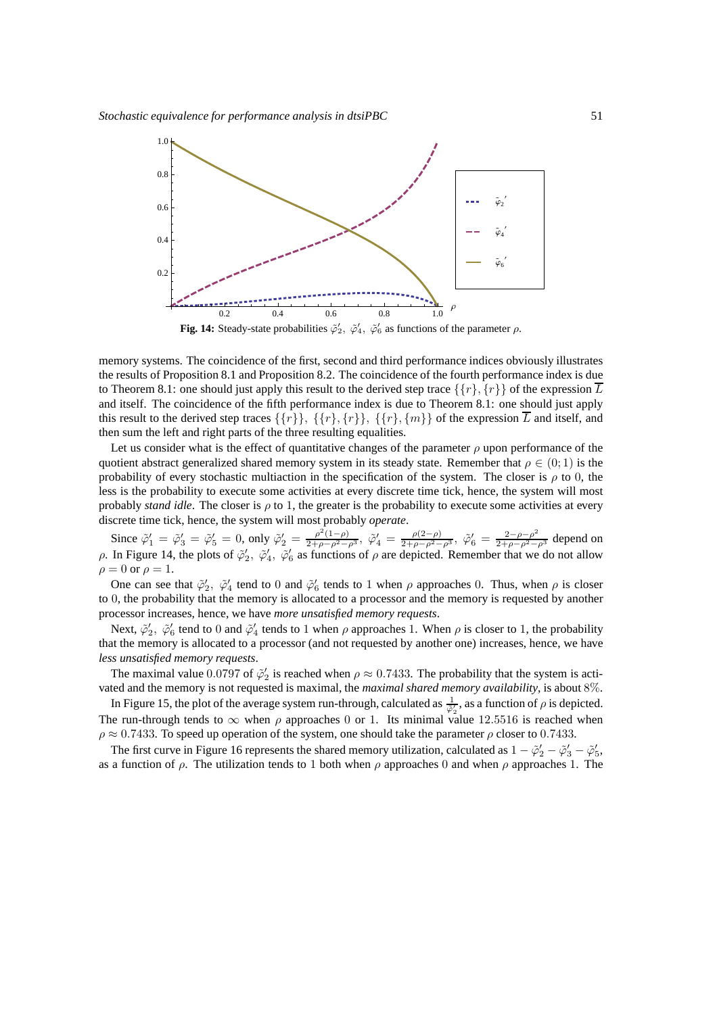

**Fig. 14:** Steady-state probabilities  $\tilde{\varphi}'_2$ ,  $\tilde{\varphi}'_4$ ,  $\tilde{\varphi}'_6$  as functions of the parameter  $\rho$ .

memory systems. The coincidence of the first, second and third performance indices obviously illustrates the results of Proposition 8.1 and Proposition 8.2. The coincidence of the fourth performance index is due to Theorem 8.1: one should just apply this result to the derived step trace  $\{\{r\}, \{r\}\}\$  of the expression  $\overline{L}$ and itself. The coincidence of the fifth performance index is due to Theorem 8.1: one should just apply this result to the derived step traces  $\{\{r\}\}\ \{\{r\},\{r\}\ \{\{r\},\{m\}\}\$  of the expression  $\overline{L}$  and itself, and then sum the left and right parts of the three resulting equalities.

Let us consider what is the effect of quantitative changes of the parameter  $\rho$  upon performance of the quotient abstract generalized shared memory system in its steady state. Remember that  $\rho \in (0, 1)$  is the probability of every stochastic multiaction in the specification of the system. The closer is  $\rho$  to 0, the less is the probability to execute some activities at every discrete time tick, hence, the system will most probably *stand idle*. The closer is ρ to 1, the greater is the probability to execute some activities at every discrete time tick, hence, the system will most probably *operate*.

Since  $\tilde{\varphi}_1' = \tilde{\varphi}_3' = \tilde{\varphi}_5' = 0$ , only  $\tilde{\varphi}_2' = \frac{\rho^2 (1-\rho)}{2+\rho-\rho^2-\rho^3}$ ,  $\tilde{\varphi}_4' = \frac{\rho(2-\rho)}{2+\rho-\rho^2-\rho^3}$ ,  $\tilde{\varphi}_6' = \frac{2-\rho-\rho^2}{2+\rho-\rho^2-\rho^3}$  depend on  $ρ$ . In Figure 14, the plots of  $\tilde{φ}'_2$ ,  $\tilde{φ}'_4$ ,  $\tilde{φ}'_6$  as functions of  $ρ$  are depicted. Remember that we do not allow  $\rho = 0$  or  $\rho = 1$ .

One can see that  $\tilde{\varphi}'_2$ ,  $\tilde{\varphi}'_4$  tend to 0 and  $\tilde{\varphi}'_6$  tends to 1 when  $\rho$  approaches 0. Thus, when  $\rho$  is closer to 0, the probability that the memory is allocated to a processor and the memory is requested by another processor increases, hence, we have *more unsatisfied memory requests*.

Next,  $\tilde{\varphi}'_2$ ,  $\tilde{\varphi}'_6$  tend to 0 and  $\tilde{\varphi}'_4$  tends to 1 when  $\rho$  approaches 1. When  $\rho$  is closer to 1, the probability that the memory is allocated to a processor (and not requested by another one) increases, hence, we have *less unsatisfied memory requests*.

The maximal value 0.0797 of  $\tilde{\varphi}'_2$  is reached when  $\rho \approx 0.7433$ . The probability that the system is activated and the memory is not requested is maximal, the *maximal shared memory availability*, is about 8%.

In Figure 15, the plot of the average system run-through, calculated as  $\frac{1}{\tilde{\varphi}_2}$ , as a function of  $\rho$  is depicted. The run-through tends to  $\infty$  when  $\rho$  approaches 0 or 1. Its minimal value 12.5516 is reached when  $\rho \approx 0.7433$ . To speed up operation of the system, one should take the parameter  $\rho$  closer to 0.7433.

The first curve in Figure 16 represents the shared memory utilization, calculated as  $1-\tilde{\varphi}_2'-\tilde{\varphi}_3'-\tilde{\varphi}_5'$ , as a function of  $\rho$ . The utilization tends to 1 both when  $\rho$  approaches 0 and when  $\rho$  approaches 1. The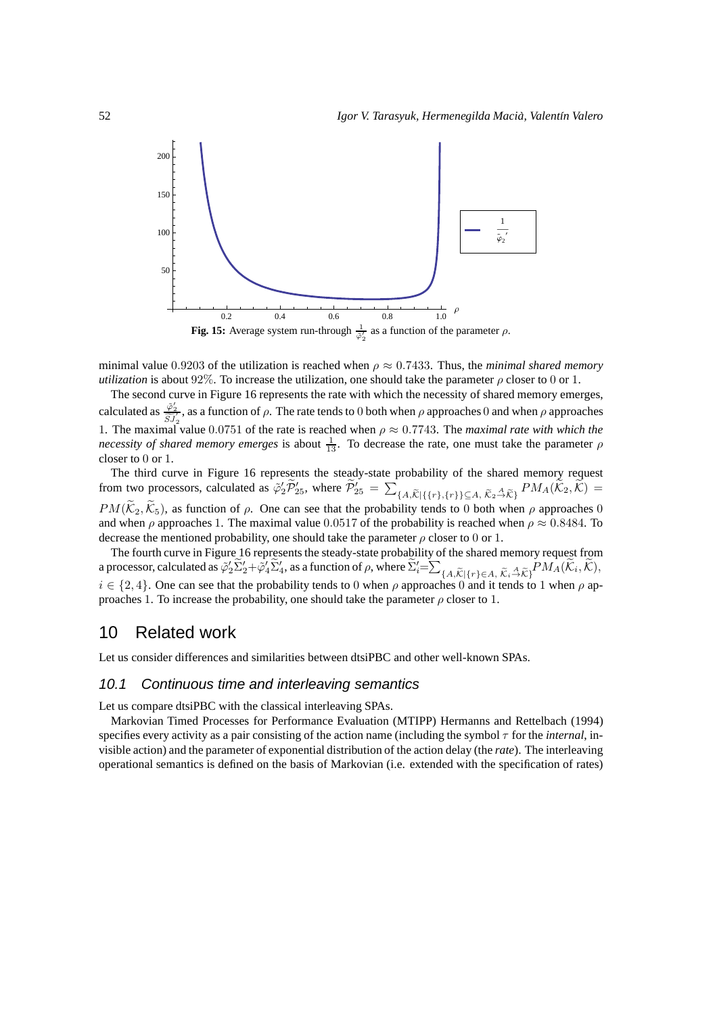

minimal value 0.9203 of the utilization is reached when  $\rho \approx 0.7433$ . Thus, the *minimal shared memory utilization* is about 92%. To increase the utilization, one should take the parameter  $\rho$  closer to 0 or 1.

The second curve in Figure 16 represents the rate with which the necessity of shared memory emerges, calculated as  $\frac{\tilde{\varphi}_2'}{SJ_2'}$ , as a function of  $\rho$ . The rate tends to 0 both when  $\rho$  approaches 0 and when  $\rho$  approaches 1. The maximal value 0.0751 of the rate is reached when  $\rho \approx 0.7743$ . The *maximal rate with which the necessity of shared memory emerges* is about  $\frac{1}{13}$ . To decrease the rate, one must take the parameter  $\rho$ closer to 0 or 1.

The third curve in Figure 16 represents the steady-state probability of the shared memory request from two processors, calculated as  $\tilde{\varphi}_2' \tilde{\mathcal{P}}'_{25}$ , where  $\tilde{\mathcal{P}}'_{25} = \sum$  ${A,\widetilde{\mathcal{K}}}\left[ \{r\},\{r\} \right]\subseteq A,\ \widetilde{\mathcal{K}}_2\overset{A}{\to}\widetilde{\mathcal{K}}\}$   $PM_A(\mathcal{K}_2,\mathcal{K})=$  $PM(\widetilde{K}_2, \widetilde{K}_5)$ , as function of  $\rho$ . One can see that the probability tends to 0 both when  $\rho$  approaches 0 and when  $\rho$  approaches 1. The maximal value 0.0517 of the probability is reached when  $\rho \approx 0.8484$ . To decrease the mentioned probability, one should take the parameter  $\rho$  closer to 0 or 1.

The fourth curve in Figure 16 represents the steady-state probability of the shared memory request from a processor, calculated as  $\tilde{\varphi}_2' \tilde{\Sigma}_2' + \tilde{\varphi}_4' \tilde{\Sigma}_4'$ , as a function of  $\rho$ , where  $\tilde{\Sigma}_i' = \sum$  ${A,\widetilde{\mathcal{K}}|\{r\} \in A, \widetilde{\mathcal{K}}_i \stackrel{A}{\rightarrow} \widetilde{\mathcal{K}}_j}^{PM_A}(\mathcal{K}_i, \mathcal{K}),$  $i \in \{2, 4\}$ . One can see that the probability tends to 0 when  $\rho$  approaches 0 and it tends to 1 when  $\rho$  approaches 1. To increase the probability, one should take the parameter  $\rho$  closer to 1.

# 10 Related work

Let us consider differences and similarities between dtsiPBC and other well-known SPAs.

#### 10.1 Continuous time and interleaving semantics

Let us compare dtsiPBC with the classical interleaving SPAs.

Markovian Timed Processes for Performance Evaluation (MTIPP) Hermanns and Rettelbach (1994) specifies every activity as a pair consisting of the action name (including the symbol τ for the *internal*, invisible action) and the parameter of exponential distribution of the action delay (the *rate*). The interleaving operational semantics is defined on the basis of Markovian (i.e. extended with the specification of rates)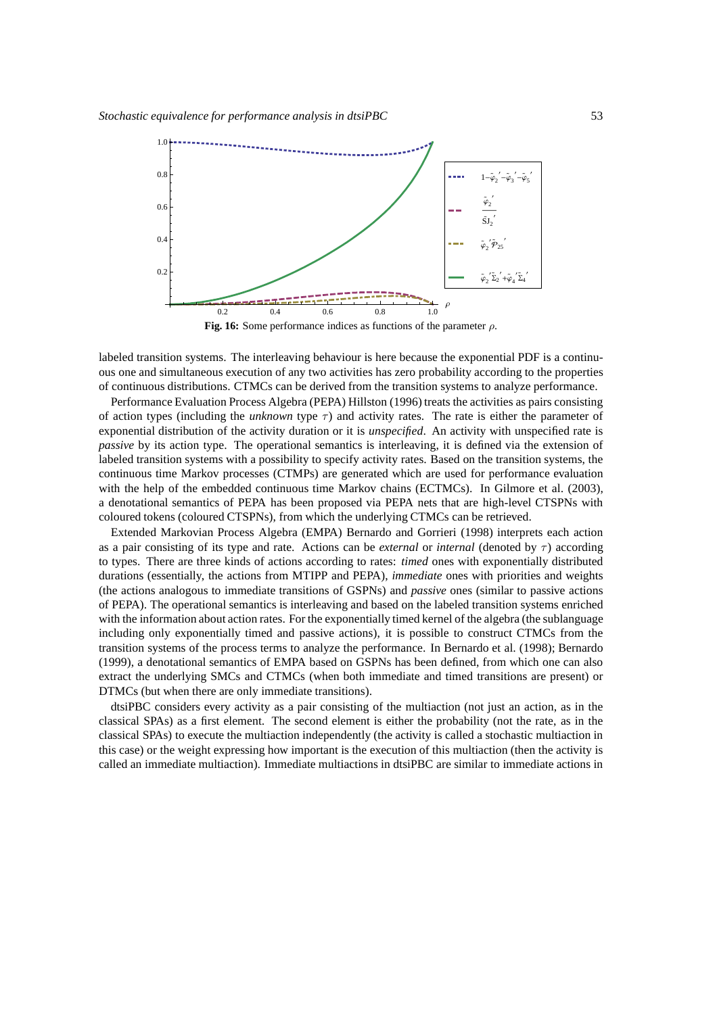

**Fig. 16:** Some performance indices as functions of the parameter  $\rho$ .

labeled transition systems. The interleaving behaviour is here because the exponential PDF is a continuous one and simultaneous execution of any two activities has zero probability according to the properties of continuous distributions. CTMCs can be derived from the transition systems to analyze performance.

Performance Evaluation Process Algebra (PEPA) Hillston (1996) treats the activities as pairs consisting of action types (including the *unknown* type  $\tau$ ) and activity rates. The rate is either the parameter of exponential distribution of the activity duration or it is *unspecified*. An activity with unspecified rate is *passive* by its action type. The operational semantics is interleaving, it is defined via the extension of labeled transition systems with a possibility to specify activity rates. Based on the transition systems, the continuous time Markov processes (CTMPs) are generated which are used for performance evaluation with the help of the embedded continuous time Markov chains (ECTMCs). In Gilmore et al. (2003), a denotational semantics of PEPA has been proposed via PEPA nets that are high-level CTSPNs with coloured tokens (coloured CTSPNs), from which the underlying CTMCs can be retrieved.

Extended Markovian Process Algebra (EMPA) Bernardo and Gorrieri (1998) interprets each action as a pair consisting of its type and rate. Actions can be *external* or *internal* (denoted by τ) according to types. There are three kinds of actions according to rates: *timed* ones with exponentially distributed durations (essentially, the actions from MTIPP and PEPA), *immediate* ones with priorities and weights (the actions analogous to immediate transitions of GSPNs) and *passive* ones (similar to passive actions of PEPA). The operational semantics is interleaving and based on the labeled transition systems enriched with the information about action rates. For the exponentially timed kernel of the algebra (the sublanguage including only exponentially timed and passive actions), it is possible to construct CTMCs from the transition systems of the process terms to analyze the performance. In Bernardo et al. (1998); Bernardo (1999), a denotational semantics of EMPA based on GSPNs has been defined, from which one can also extract the underlying SMCs and CTMCs (when both immediate and timed transitions are present) or DTMCs (but when there are only immediate transitions).

dtsiPBC considers every activity as a pair consisting of the multiaction (not just an action, as in the classical SPAs) as a first element. The second element is either the probability (not the rate, as in the classical SPAs) to execute the multiaction independently (the activity is called a stochastic multiaction in this case) or the weight expressing how important is the execution of this multiaction (then the activity is called an immediate multiaction). Immediate multiactions in dtsiPBC are similar to immediate actions in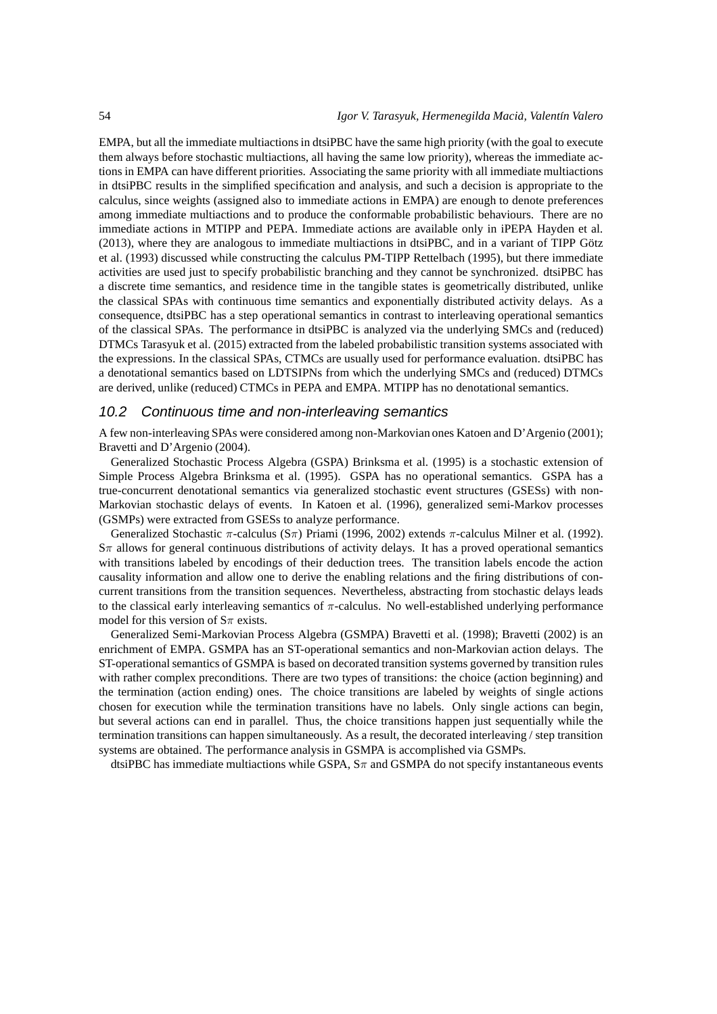EMPA, but all the immediate multiactions in dtsiPBC have the same high priority (with the goal to execute them always before stochastic multiactions, all having the same low priority), whereas the immediate actions in EMPA can have different priorities. Associating the same priority with all immediate multiactions in dtsiPBC results in the simplified specification and analysis, and such a decision is appropriate to the calculus, since weights (assigned also to immediate actions in EMPA) are enough to denote preferences among immediate multiactions and to produce the conformable probabilistic behaviours. There are no immediate actions in MTIPP and PEPA. Immediate actions are available only in iPEPA Hayden et al.  $(2013)$ , where they are analogous to immediate multiactions in dtsiPBC, and in a variant of TIPP Götz et al. (1993) discussed while constructing the calculus PM-TIPP Rettelbach (1995), but there immediate activities are used just to specify probabilistic branching and they cannot be synchronized. dtsiPBC has a discrete time semantics, and residence time in the tangible states is geometrically distributed, unlike the classical SPAs with continuous time semantics and exponentially distributed activity delays. As a consequence, dtsiPBC has a step operational semantics in contrast to interleaving operational semantics of the classical SPAs. The performance in dtsiPBC is analyzed via the underlying SMCs and (reduced) DTMCs Tarasyuk et al. (2015) extracted from the labeled probabilistic transition systems associated with the expressions. In the classical SPAs, CTMCs are usually used for performance evaluation. dtsiPBC has a denotational semantics based on LDTSIPNs from which the underlying SMCs and (reduced) DTMCs are derived, unlike (reduced) CTMCs in PEPA and EMPA. MTIPP has no denotational semantics.

#### 10.2 Continuous time and non-interleaving semantics

A few non-interleaving SPAs were considered among non-Markovian ones Katoen and D'Argenio (2001); Bravetti and D'Argenio (2004).

Generalized Stochastic Process Algebra (GSPA) Brinksma et al. (1995) is a stochastic extension of Simple Process Algebra Brinksma et al. (1995). GSPA has no operational semantics. GSPA has a true-concurrent denotational semantics via generalized stochastic event structures (GSESs) with non-Markovian stochastic delays of events. In Katoen et al. (1996), generalized semi-Markov processes (GSMPs) were extracted from GSESs to analyze performance.

Generalized Stochastic  $\pi$ -calculus (S $\pi$ ) Priami (1996, 2002) extends  $\pi$ -calculus Milner et al. (1992).  $S_{\pi}$  allows for general continuous distributions of activity delays. It has a proved operational semantics with transitions labeled by encodings of their deduction trees. The transition labels encode the action causality information and allow one to derive the enabling relations and the firing distributions of concurrent transitions from the transition sequences. Nevertheless, abstracting from stochastic delays leads to the classical early interleaving semantics of  $\pi$ -calculus. No well-established underlying performance model for this version of  $S_{\pi}$  exists.

Generalized Semi-Markovian Process Algebra (GSMPA) Bravetti et al. (1998); Bravetti (2002) is an enrichment of EMPA. GSMPA has an ST-operational semantics and non-Markovian action delays. The ST-operational semantics of GSMPA is based on decorated transition systems governed by transition rules with rather complex preconditions. There are two types of transitions: the choice (action beginning) and the termination (action ending) ones. The choice transitions are labeled by weights of single actions chosen for execution while the termination transitions have no labels. Only single actions can begin, but several actions can end in parallel. Thus, the choice transitions happen just sequentially while the termination transitions can happen simultaneously. As a result, the decorated interleaving / step transition systems are obtained. The performance analysis in GSMPA is accomplished via GSMPs.

dtsiPBC has immediate multiactions while GSPA,  $S_{\pi}$  and GSMPA do not specify instantaneous events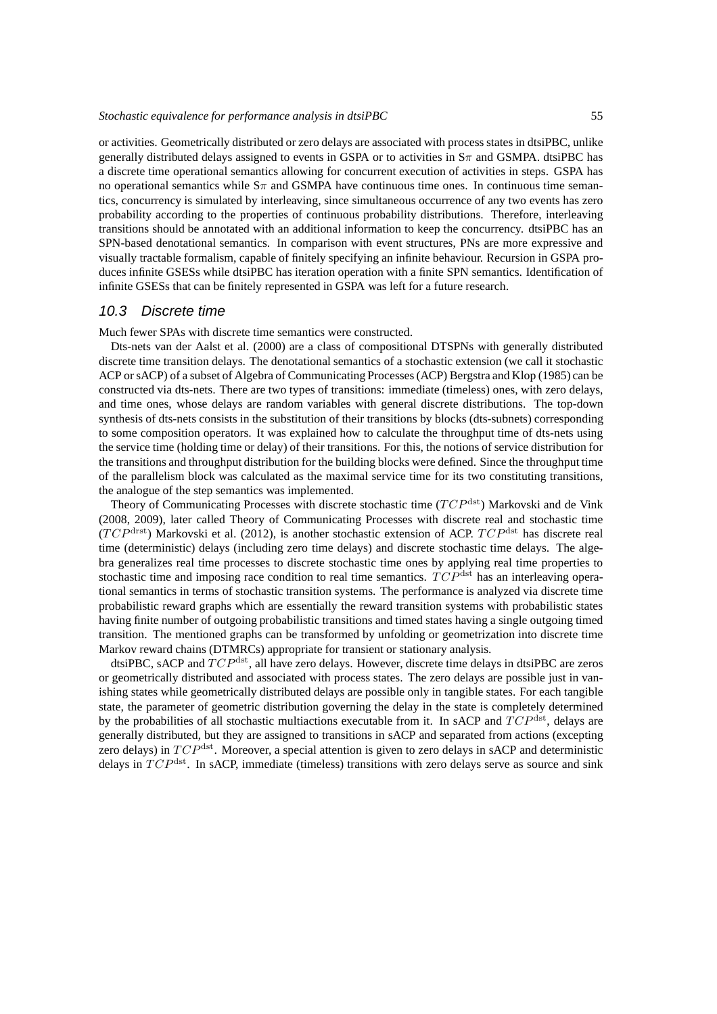or activities. Geometrically distributed or zero delays are associated with process states in dtsiPBC, unlike generally distributed delays assigned to events in GSPA or to activities in  $S_{\pi}$  and GSMPA. dtsiPBC has a discrete time operational semantics allowing for concurrent execution of activities in steps. GSPA has no operational semantics while  $S_{\pi}$  and GSMPA have continuous time ones. In continuous time semantics, concurrency is simulated by interleaving, since simultaneous occurrence of any two events has zero probability according to the properties of continuous probability distributions. Therefore, interleaving transitions should be annotated with an additional information to keep the concurrency. dtsiPBC has an SPN-based denotational semantics. In comparison with event structures, PNs are more expressive and visually tractable formalism, capable of finitely specifying an infinite behaviour. Recursion in GSPA produces infinite GSESs while dtsiPBC has iteration operation with a finite SPN semantics. Identification of infinite GSESs that can be finitely represented in GSPA was left for a future research.

#### 10.3 Discrete time

Much fewer SPAs with discrete time semantics were constructed.

Dts-nets van der Aalst et al. (2000) are a class of compositional DTSPNs with generally distributed discrete time transition delays. The denotational semantics of a stochastic extension (we call it stochastic ACP or sACP) of a subset of Algebra of Communicating Processes (ACP) Bergstra and Klop (1985) can be constructed via dts-nets. There are two types of transitions: immediate (timeless) ones, with zero delays, and time ones, whose delays are random variables with general discrete distributions. The top-down synthesis of dts-nets consists in the substitution of their transitions by blocks (dts-subnets) corresponding to some composition operators. It was explained how to calculate the throughput time of dts-nets using the service time (holding time or delay) of their transitions. For this, the notions of service distribution for the transitions and throughput distribution for the building blocks were defined. Since the throughput time of the parallelism block was calculated as the maximal service time for its two constituting transitions, the analogue of the step semantics was implemented.

Theory of Communicating Processes with discrete stochastic time  $(TCP^{dst})$  Markovski and de Vink (2008, 2009), later called Theory of Communicating Processes with discrete real and stochastic time  $(TCP<sup>drst</sup>)$  Markovski et al. (2012), is another stochastic extension of ACP.  $TCP<sup>dst</sup>$  has discrete real time (deterministic) delays (including zero time delays) and discrete stochastic time delays. The algebra generalizes real time processes to discrete stochastic time ones by applying real time properties to stochastic time and imposing race condition to real time semantics.  $TCP<sup>dst</sup>$  has an interleaving operational semantics in terms of stochastic transition systems. The performance is analyzed via discrete time probabilistic reward graphs which are essentially the reward transition systems with probabilistic states having finite number of outgoing probabilistic transitions and timed states having a single outgoing timed transition. The mentioned graphs can be transformed by unfolding or geometrization into discrete time Markov reward chains (DTMRCs) appropriate for transient or stationary analysis.

dtsiPBC, sACP and  $TCP<sup>dst</sup>$ , all have zero delays. However, discrete time delays in dtsiPBC are zeros or geometrically distributed and associated with process states. The zero delays are possible just in vanishing states while geometrically distributed delays are possible only in tangible states. For each tangible state, the parameter of geometric distribution governing the delay in the state is completely determined by the probabilities of all stochastic multiactions executable from it. In sACP and  $TCP^{\text{dst}}$ , delays are generally distributed, but they are assigned to transitions in sACP and separated from actions (excepting zero delays) in  $TCP<sup>dst</sup>$ . Moreover, a special attention is given to zero delays in sACP and deterministic delays in  $TCP<sup>dst</sup>$ . In sACP, immediate (timeless) transitions with zero delays serve as source and sink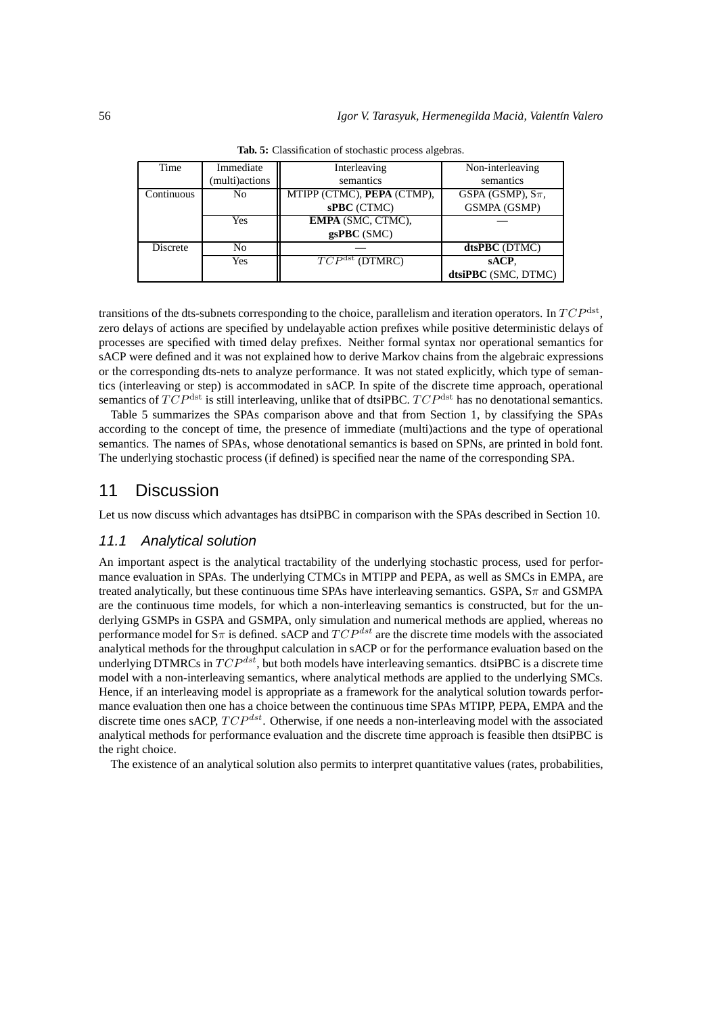| Time       | Immediate       | Interleaving                         | Non-interleaving         |
|------------|-----------------|--------------------------------------|--------------------------|
|            | (multi) actions | semantics                            | semantics                |
| Continuous | N <sub>0</sub>  | MTIPP (CTMC), PEPA (CTMP),           | GSPA (GSMP), $S_{\pi}$ , |
|            |                 | sPBC (CTMC)                          | GSMPA (GSMP)             |
|            | Yes             | EMPA (SMC, CTMC),                    |                          |
|            |                 | $\mathbf{gsPBC}$ (SMC)               |                          |
| Discrete   | No              |                                      | dtsPBC (DTMC)            |
|            | Yes             | $\overline{TCP^{\text{dst}}(DTMRC)}$ | sACP.                    |
|            |                 |                                      | dtsiPBC (SMC, DTMC)      |

**Tab. 5:** Classification of stochastic process algebras.

transitions of the dts-subnets corresponding to the choice, parallelism and iteration operators. In  $TCP^{\rm dest}$ , zero delays of actions are specified by undelayable action prefixes while positive deterministic delays of processes are specified with timed delay prefixes. Neither formal syntax nor operational semantics for sACP were defined and it was not explained how to derive Markov chains from the algebraic expressions or the corresponding dts-nets to analyze performance. It was not stated explicitly, which type of semantics (interleaving or step) is accommodated in sACP. In spite of the discrete time approach, operational semantics of  $TCP<sup>dst</sup>$  is still interleaving, unlike that of dtsiPBC.  $TCP<sup>dst</sup>$  has no denotational semantics.

Table 5 summarizes the SPAs comparison above and that from Section 1, by classifying the SPAs according to the concept of time, the presence of immediate (multi)actions and the type of operational semantics. The names of SPAs, whose denotational semantics is based on SPNs, are printed in bold font. The underlying stochastic process (if defined) is specified near the name of the corresponding SPA.

# 11 Discussion

Let us now discuss which advantages has dtsiPBC in comparison with the SPAs described in Section 10.

#### 11.1 Analytical solution

An important aspect is the analytical tractability of the underlying stochastic process, used for performance evaluation in SPAs. The underlying CTMCs in MTIPP and PEPA, as well as SMCs in EMPA, are treated analytically, but these continuous time SPAs have interleaving semantics. GSPA,  $S_{\pi}$  and GSMPA are the continuous time models, for which a non-interleaving semantics is constructed, but for the underlying GSMPs in GSPA and GSMPA, only simulation and numerical methods are applied, whereas no performance model for  $S_{\pi}$  is defined. sACP and  $TCP^{dst}$  are the discrete time models with the associated analytical methods for the throughput calculation in sACP or for the performance evaluation based on the underlying DTMRCs in  $TCP^{dst}$ , but both models have interleaving semantics. dtsiPBC is a discrete time model with a non-interleaving semantics, where analytical methods are applied to the underlying SMCs. Hence, if an interleaving model is appropriate as a framework for the analytical solution towards performance evaluation then one has a choice between the continuous time SPAs MTIPP, PEPA, EMPA and the discrete time ones sACP,  $TCP^{dst}$ . Otherwise, if one needs a non-interleaving model with the associated analytical methods for performance evaluation and the discrete time approach is feasible then dtsiPBC is the right choice.

The existence of an analytical solution also permits to interpret quantitative values (rates, probabilities,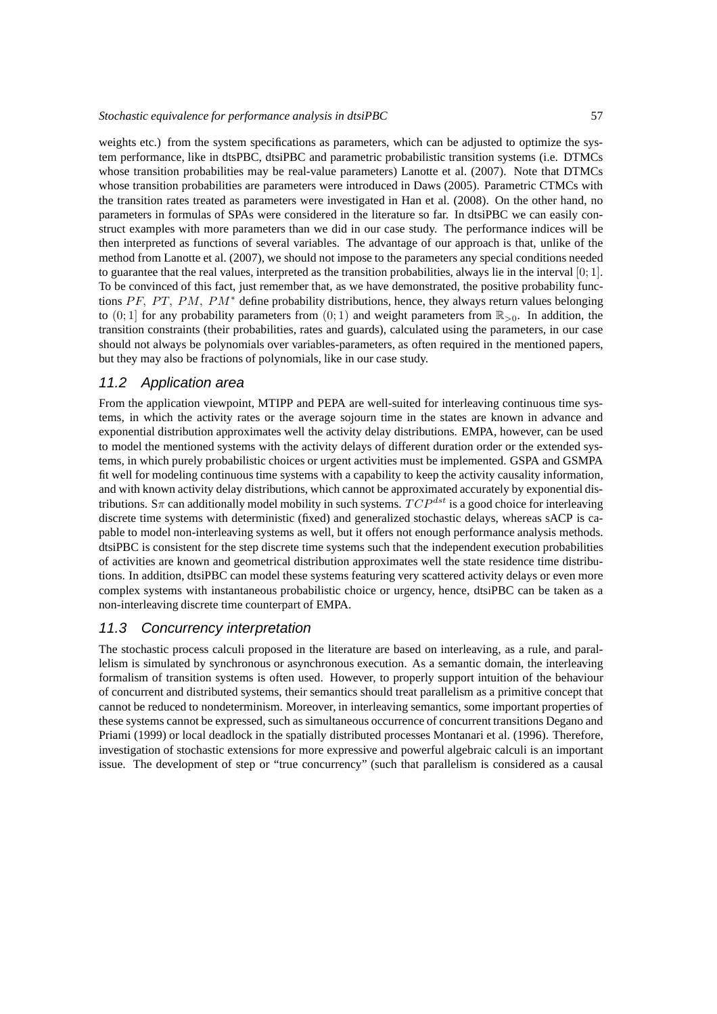weights etc.) from the system specifications as parameters, which can be adjusted to optimize the system performance, like in dtsPBC, dtsiPBC and parametric probabilistic transition systems (i.e. DTMCs whose transition probabilities may be real-value parameters) Lanotte et al. (2007). Note that DTMCs whose transition probabilities are parameters were introduced in Daws (2005). Parametric CTMCs with the transition rates treated as parameters were investigated in Han et al. (2008). On the other hand, no parameters in formulas of SPAs were considered in the literature so far. In dtsiPBC we can easily construct examples with more parameters than we did in our case study. The performance indices will be then interpreted as functions of several variables. The advantage of our approach is that, unlike of the method from Lanotte et al. (2007), we should not impose to the parameters any special conditions needed to guarantee that the real values, interpreted as the transition probabilities, always lie in the interval  $[0; 1]$ . To be convinced of this fact, just remember that, as we have demonstrated, the positive probability functions PF, PT, PM, PM<sup>\*</sup> define probability distributions, hence, they always return values belonging to  $(0, 1]$  for any probability parameters from  $(0, 1)$  and weight parameters from  $\mathbb{R}_{>0}$ . In addition, the transition constraints (their probabilities, rates and guards), calculated using the parameters, in our case should not always be polynomials over variables-parameters, as often required in the mentioned papers, but they may also be fractions of polynomials, like in our case study.

## 11.2 Application area

From the application viewpoint, MTIPP and PEPA are well-suited for interleaving continuous time systems, in which the activity rates or the average sojourn time in the states are known in advance and exponential distribution approximates well the activity delay distributions. EMPA, however, can be used to model the mentioned systems with the activity delays of different duration order or the extended systems, in which purely probabilistic choices or urgent activities must be implemented. GSPA and GSMPA fit well for modeling continuous time systems with a capability to keep the activity causality information, and with known activity delay distributions, which cannot be approximated accurately by exponential distributions. S $\pi$  can additionally model mobility in such systems.  $TCP^{dst}$  is a good choice for interleaving discrete time systems with deterministic (fixed) and generalized stochastic delays, whereas sACP is capable to model non-interleaving systems as well, but it offers not enough performance analysis methods. dtsiPBC is consistent for the step discrete time systems such that the independent execution probabilities of activities are known and geometrical distribution approximates well the state residence time distributions. In addition, dtsiPBC can model these systems featuring very scattered activity delays or even more complex systems with instantaneous probabilistic choice or urgency, hence, dtsiPBC can be taken as a non-interleaving discrete time counterpart of EMPA.

#### 11.3 Concurrency interpretation

The stochastic process calculi proposed in the literature are based on interleaving, as a rule, and parallelism is simulated by synchronous or asynchronous execution. As a semantic domain, the interleaving formalism of transition systems is often used. However, to properly support intuition of the behaviour of concurrent and distributed systems, their semantics should treat parallelism as a primitive concept that cannot be reduced to nondeterminism. Moreover, in interleaving semantics, some important properties of these systems cannot be expressed, such as simultaneous occurrence of concurrent transitions Degano and Priami (1999) or local deadlock in the spatially distributed processes Montanari et al. (1996). Therefore, investigation of stochastic extensions for more expressive and powerful algebraic calculi is an important issue. The development of step or "true concurrency" (such that parallelism is considered as a causal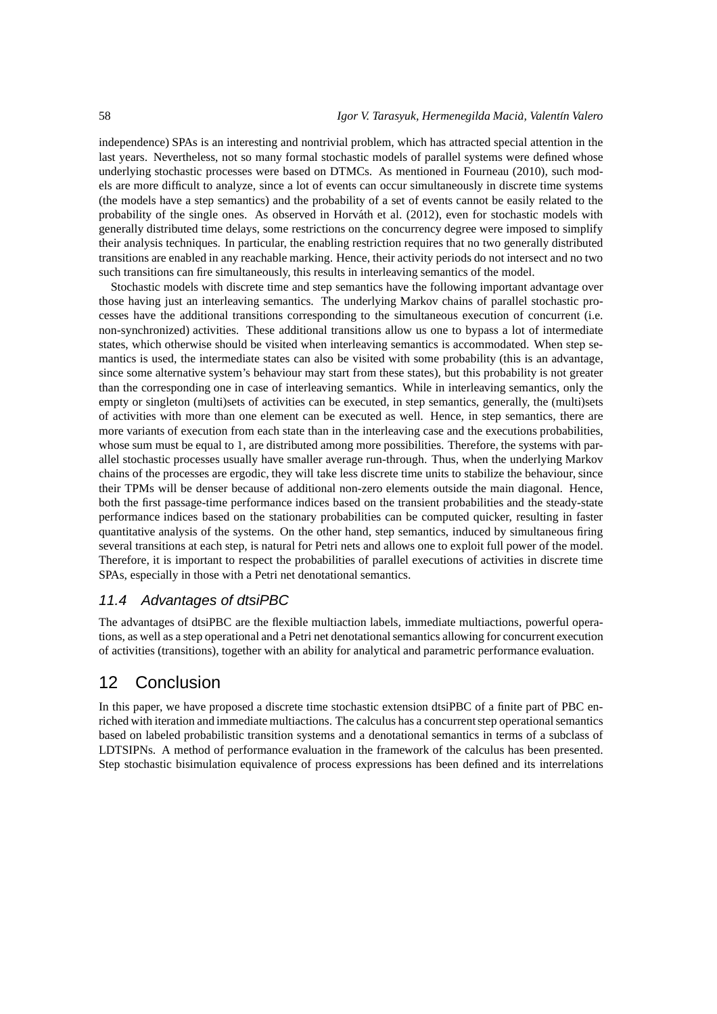independence) SPAs is an interesting and nontrivial problem, which has attracted special attention in the last years. Nevertheless, not so many formal stochastic models of parallel systems were defined whose underlying stochastic processes were based on DTMCs. As mentioned in Fourneau (2010), such models are more difficult to analyze, since a lot of events can occur simultaneously in discrete time systems (the models have a step semantics) and the probability of a set of events cannot be easily related to the probability of the single ones. As observed in Horváth et al. (2012), even for stochastic models with generally distributed time delays, some restrictions on the concurrency degree were imposed to simplify their analysis techniques. In particular, the enabling restriction requires that no two generally distributed transitions are enabled in any reachable marking. Hence, their activity periods do not intersect and no two such transitions can fire simultaneously, this results in interleaving semantics of the model.

Stochastic models with discrete time and step semantics have the following important advantage over those having just an interleaving semantics. The underlying Markov chains of parallel stochastic processes have the additional transitions corresponding to the simultaneous execution of concurrent (i.e. non-synchronized) activities. These additional transitions allow us one to bypass a lot of intermediate states, which otherwise should be visited when interleaving semantics is accommodated. When step semantics is used, the intermediate states can also be visited with some probability (this is an advantage, since some alternative system's behaviour may start from these states), but this probability is not greater than the corresponding one in case of interleaving semantics. While in interleaving semantics, only the empty or singleton (multi)sets of activities can be executed, in step semantics, generally, the (multi)sets of activities with more than one element can be executed as well. Hence, in step semantics, there are more variants of execution from each state than in the interleaving case and the executions probabilities, whose sum must be equal to 1, are distributed among more possibilities. Therefore, the systems with parallel stochastic processes usually have smaller average run-through. Thus, when the underlying Markov chains of the processes are ergodic, they will take less discrete time units to stabilize the behaviour, since their TPMs will be denser because of additional non-zero elements outside the main diagonal. Hence, both the first passage-time performance indices based on the transient probabilities and the steady-state performance indices based on the stationary probabilities can be computed quicker, resulting in faster quantitative analysis of the systems. On the other hand, step semantics, induced by simultaneous firing several transitions at each step, is natural for Petri nets and allows one to exploit full power of the model. Therefore, it is important to respect the probabilities of parallel executions of activities in discrete time SPAs, especially in those with a Petri net denotational semantics.

## 11.4 Advantages of dtsiPBC

The advantages of dtsiPBC are the flexible multiaction labels, immediate multiactions, powerful operations, as well as a step operational and a Petri net denotational semantics allowing for concurrent execution of activities (transitions), together with an ability for analytical and parametric performance evaluation.

# 12 Conclusion

In this paper, we have proposed a discrete time stochastic extension dtsiPBC of a finite part of PBC enriched with iteration and immediate multiactions. The calculus has a concurrent step operational semantics based on labeled probabilistic transition systems and a denotational semantics in terms of a subclass of LDTSIPNs. A method of performance evaluation in the framework of the calculus has been presented. Step stochastic bisimulation equivalence of process expressions has been defined and its interrelations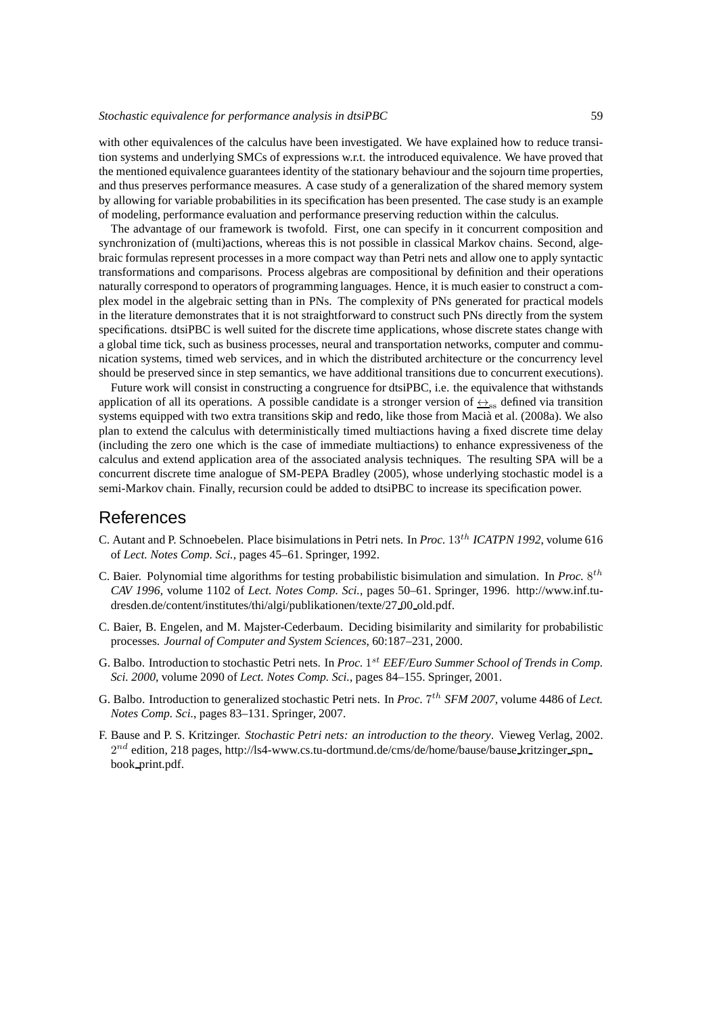with other equivalences of the calculus have been investigated. We have explained how to reduce transition systems and underlying SMCs of expressions w.r.t. the introduced equivalence. We have proved that the mentioned equivalence guarantees identity of the stationary behaviour and the sojourn time properties, and thus preserves performance measures. A case study of a generalization of the shared memory system by allowing for variable probabilities in its specification has been presented. The case study is an example of modeling, performance evaluation and performance preserving reduction within the calculus.

The advantage of our framework is twofold. First, one can specify in it concurrent composition and synchronization of (multi)actions, whereas this is not possible in classical Markov chains. Second, algebraic formulas represent processes in a more compact way than Petri nets and allow one to apply syntactic transformations and comparisons. Process algebras are compositional by definition and their operations naturally correspond to operators of programming languages. Hence, it is much easier to construct a complex model in the algebraic setting than in PNs. The complexity of PNs generated for practical models in the literature demonstrates that it is not straightforward to construct such PNs directly from the system specifications. dtsiPBC is well suited for the discrete time applications, whose discrete states change with a global time tick, such as business processes, neural and transportation networks, computer and communication systems, timed web services, and in which the distributed architecture or the concurrency level should be preserved since in step semantics, we have additional transitions due to concurrent executions).

Future work will consist in constructing a congruence for dtsiPBC, i.e. the equivalence that withstands application of all its operations. A possible candidate is a stronger version of  $\leftrightarrow_{\infty}$  defined via transition systems equipped with two extra transitions skip and redo, like those from Macià et al. (2008a). We also plan to extend the calculus with deterministically timed multiactions having a fixed discrete time delay (including the zero one which is the case of immediate multiactions) to enhance expressiveness of the calculus and extend application area of the associated analysis techniques. The resulting SPA will be a concurrent discrete time analogue of SM-PEPA Bradley (2005), whose underlying stochastic model is a semi-Markov chain. Finally, recursion could be added to dtsiPBC to increase its specification power.

# References

- C. Autant and P. Schnoebelen. Place bisimulations in Petri nets. In *Proc.* 13th *ICATPN 1992*, volume 616 of *Lect. Notes Comp. Sci.*, pages 45–61. Springer, 1992.
- C. Baier. Polynomial time algorithms for testing probabilistic bisimulation and simulation. In *Proc.* 8<sup>th</sup> *CAV 1996*, volume 1102 of *Lect. Notes Comp. Sci.*, pages 50–61. Springer, 1996. http://www.inf.tudresden.de/content/institutes/thi/algi/publikationen/texte/27 00 old.pdf.
- C. Baier, B. Engelen, and M. Majster-Cederbaum. Deciding bisimilarity and similarity for probabilistic processes. *Journal of Computer and System Sciences*, 60:187–231, 2000.
- G. Balbo. Introduction to stochastic Petri nets. In *Proc.* 1<sup>st</sup> EEF/Euro Summer School of Trends in Comp. *Sci. 2000*, volume 2090 of *Lect. Notes Comp. Sci.*, pages 84–155. Springer, 2001.
- G. Balbo. Introduction to generalized stochastic Petri nets. In *Proc.* 7<sup>th</sup> SFM 2007, volume 4486 of Lect. *Notes Comp. Sci.*, pages 83–131. Springer, 2007.
- F. Bause and P. S. Kritzinger. *Stochastic Petri nets: an introduction to the theory*. Vieweg Verlag, 2002.  $2^{nd}$  edition, 218 pages, http://ls4-www.cs.tu-dortmund.de/cms/de/home/bause/bause kritzinger\_spn book print.pdf.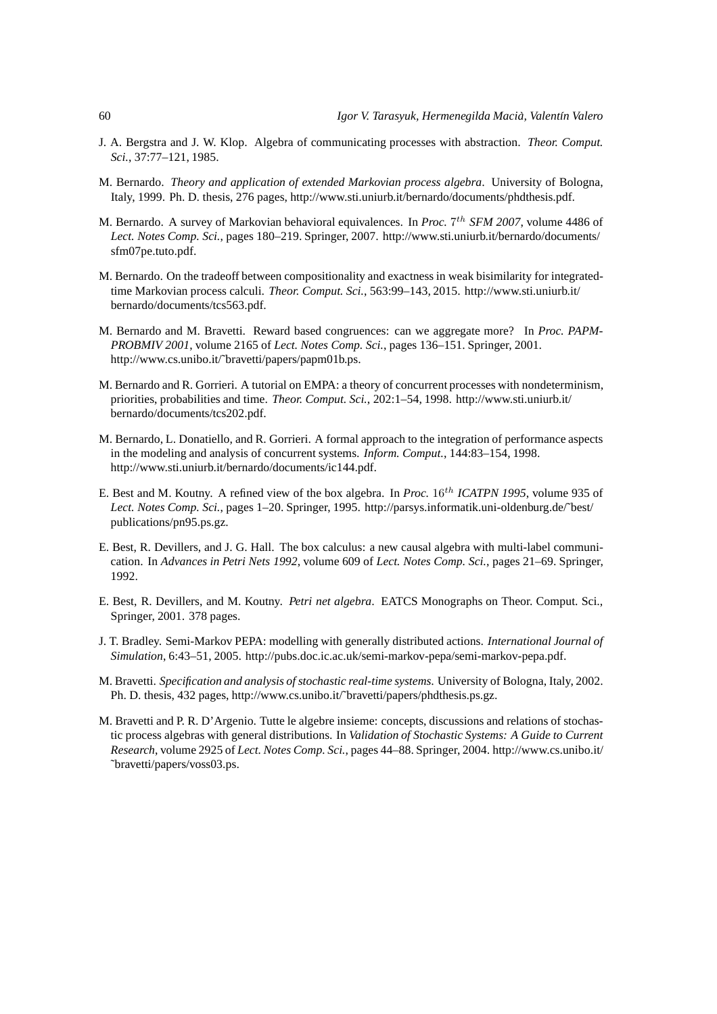- J. A. Bergstra and J. W. Klop. Algebra of communicating processes with abstraction. *Theor. Comput. Sci.*, 37:77–121, 1985.
- M. Bernardo. *Theory and application of extended Markovian process algebra*. University of Bologna, Italy, 1999. Ph. D. thesis, 276 pages, http://www.sti.uniurb.it/bernardo/documents/phdthesis.pdf.
- M. Bernardo. A survey of Markovian behavioral equivalences. In *Proc.* 7<sup>th</sup> SFM 2007, volume 4486 of *Lect. Notes Comp. Sci.*, pages 180–219. Springer, 2007. http://www.sti.uniurb.it/bernardo/documents/ sfm07pe.tuto.pdf.
- M. Bernardo. On the tradeoff between compositionality and exactness in weak bisimilarity for integratedtime Markovian process calculi. *Theor. Comput. Sci.*, 563:99–143, 2015. http://www.sti.uniurb.it/ bernardo/documents/tcs563.pdf.
- M. Bernardo and M. Bravetti. Reward based congruences: can we aggregate more? In *Proc. PAPM-PROBMIV 2001*, volume 2165 of *Lect. Notes Comp. Sci.*, pages 136–151. Springer, 2001. http://www.cs.unibo.it/˜bravetti/papers/papm01b.ps.
- M. Bernardo and R. Gorrieri. A tutorial on EMPA: a theory of concurrent processes with nondeterminism, priorities, probabilities and time. *Theor. Comput. Sci.*, 202:1–54, 1998. http://www.sti.uniurb.it/ bernardo/documents/tcs202.pdf.
- M. Bernardo, L. Donatiello, and R. Gorrieri. A formal approach to the integration of performance aspects in the modeling and analysis of concurrent systems. *Inform. Comput.*, 144:83–154, 1998. http://www.sti.uniurb.it/bernardo/documents/ic144.pdf.
- E. Best and M. Koutny. A refined view of the box algebra. In *Proc.* 16<sup>th</sup> ICATPN 1995, volume 935 of *Lect. Notes Comp. Sci.*, pages 1–20. Springer, 1995. http://parsys.informatik.uni-oldenburg.de/˜best/ publications/pn95.ps.gz.
- E. Best, R. Devillers, and J. G. Hall. The box calculus: a new causal algebra with multi-label communication. In *Advances in Petri Nets 1992*, volume 609 of *Lect. Notes Comp. Sci.*, pages 21–69. Springer, 1992.
- E. Best, R. Devillers, and M. Koutny. *Petri net algebra*. EATCS Monographs on Theor. Comput. Sci., Springer, 2001. 378 pages.
- J. T. Bradley. Semi-Markov PEPA: modelling with generally distributed actions. *International Journal of Simulation*, 6:43–51, 2005. http://pubs.doc.ic.ac.uk/semi-markov-pepa/semi-markov-pepa.pdf.
- M. Bravetti. *Specification and analysis of stochastic real-time systems*. University of Bologna, Italy, 2002. Ph. D. thesis, 432 pages, http://www.cs.unibo.it/˜bravetti/papers/phdthesis.ps.gz.
- M. Bravetti and P. R. D'Argenio. Tutte le algebre insieme: concepts, discussions and relations of stochastic process algebras with general distributions. In *Validation of Stochastic Systems: A Guide to Current Research*, volume 2925 of *Lect. Notes Comp. Sci.*, pages 44–88. Springer, 2004. http://www.cs.unibo.it/ ˜bravetti/papers/voss03.ps.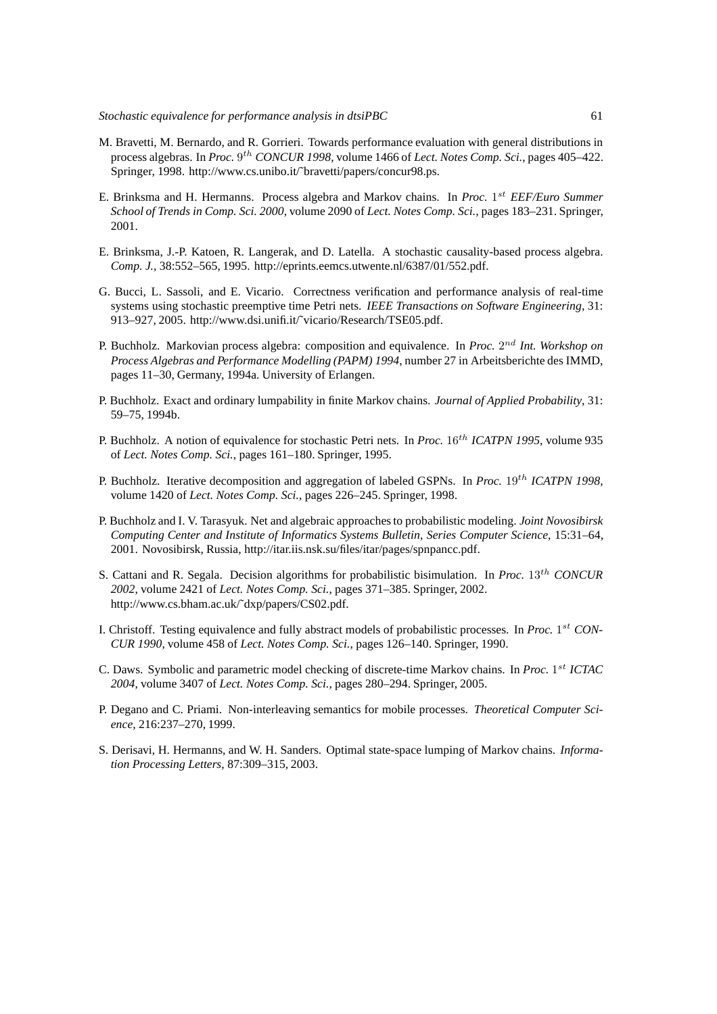- M. Bravetti, M. Bernardo, and R. Gorrieri. Towards performance evaluation with general distributions in process algebras. In *Proc.* 9 th *CONCUR 1998*, volume 1466 of *Lect. Notes Comp. Sci.*, pages 405–422. Springer, 1998. http://www.cs.unibo.it/~bravetti/papers/concur98.ps.
- E. Brinksma and H. Hermanns. Process algebra and Markov chains. In *Proc.* 1 st *EEF/Euro Summer School of Trends in Comp. Sci. 2000*, volume 2090 of *Lect. Notes Comp. Sci.*, pages 183–231. Springer, 2001.
- E. Brinksma, J.-P. Katoen, R. Langerak, and D. Latella. A stochastic causality-based process algebra. *Comp. J.*, 38:552–565, 1995. http://eprints.eemcs.utwente.nl/6387/01/552.pdf.
- G. Bucci, L. Sassoli, and E. Vicario. Correctness verification and performance analysis of real-time systems using stochastic preemptive time Petri nets. *IEEE Transactions on Software Engineering*, 31: 913–927, 2005. http://www.dsi.unifi.it/˜vicario/Research/TSE05.pdf.
- P. Buchholz. Markovian process algebra: composition and equivalence. In *Proc.* 2<sup>nd</sup> Int. Workshop on *Process Algebras and Performance Modelling (PAPM) 1994*, number 27 in Arbeitsberichte des IMMD, pages 11–30, Germany, 1994a. University of Erlangen.
- P. Buchholz. Exact and ordinary lumpability in finite Markov chains. *Journal of Applied Probability*, 31: 59–75, 1994b.
- P. Buchholz. A notion of equivalence for stochastic Petri nets. In *Proc.* 16th *ICATPN 1995*, volume 935 of *Lect. Notes Comp. Sci.*, pages 161–180. Springer, 1995.
- P. Buchholz. Iterative decomposition and aggregation of labeled GSPNs. In *Proc.* 19<sup>th</sup> *ICATPN 1998*, volume 1420 of *Lect. Notes Comp. Sci.*, pages 226–245. Springer, 1998.
- P. Buchholz and I. V. Tarasyuk. Net and algebraic approachesto probabilistic modeling. *Joint Novosibirsk Computing Center and Institute of Informatics Systems Bulletin, Series Computer Science*, 15:31–64, 2001. Novosibirsk, Russia, http://itar.iis.nsk.su/files/itar/pages/spnpancc.pdf.
- S. Cattani and R. Segala. Decision algorithms for probabilistic bisimulation. In *Proc.* 13th *CONCUR 2002*, volume 2421 of *Lect. Notes Comp. Sci.*, pages 371–385. Springer, 2002. http://www.cs.bham.ac.uk/˜dxp/papers/CS02.pdf.
- I. Christoff. Testing equivalence and fully abstract models of probabilistic processes. In *Proc.* 1 st *CON-CUR 1990*, volume 458 of *Lect. Notes Comp. Sci.*, pages 126–140. Springer, 1990.
- C. Daws. Symbolic and parametric model checking of discrete-time Markov chains. In *Proc.* 1 st *ICTAC 2004*, volume 3407 of *Lect. Notes Comp. Sci.*, pages 280–294. Springer, 2005.
- P. Degano and C. Priami. Non-interleaving semantics for mobile processes. *Theoretical Computer Science*, 216:237–270, 1999.
- S. Derisavi, H. Hermanns, and W. H. Sanders. Optimal state-space lumping of Markov chains. *Information Processing Letters*, 87:309–315, 2003.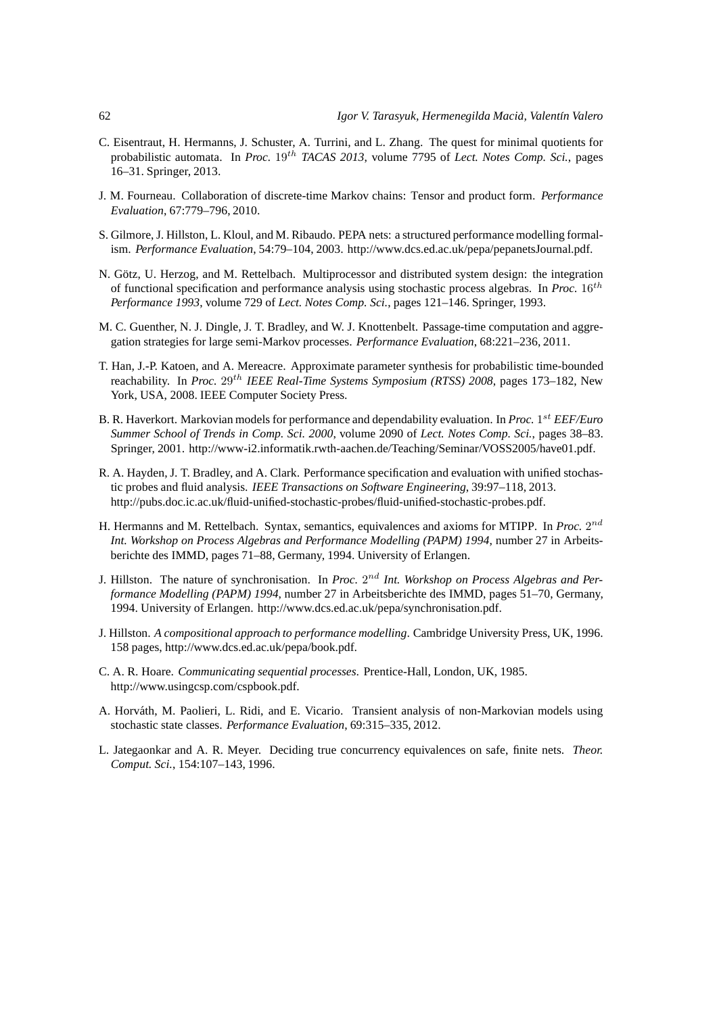- C. Eisentraut, H. Hermanns, J. Schuster, A. Turrini, and L. Zhang. The quest for minimal quotients for probabilistic automata. In *Proc.* 19<sup>th</sup> *TACAS 2013*, volume 7795 of *Lect. Notes Comp. Sci.*, pages 16–31. Springer, 2013.
- J. M. Fourneau. Collaboration of discrete-time Markov chains: Tensor and product form. *Performance Evaluation*, 67:779–796, 2010.
- S. Gilmore, J. Hillston, L. Kloul, and M. Ribaudo. PEPA nets: a structured performance modelling formalism. *Performance Evaluation*, 54:79–104, 2003. http://www.dcs.ed.ac.uk/pepa/pepanetsJournal.pdf.
- N. Götz, U. Herzog, and M. Rettelbach. Multiprocessor and distributed system design: the integration of functional specification and performance analysis using stochastic process algebras. In *Proc.* 16th *Performance 1993*, volume 729 of *Lect. Notes Comp. Sci.*, pages 121–146. Springer, 1993.
- M. C. Guenther, N. J. Dingle, J. T. Bradley, and W. J. Knottenbelt. Passage-time computation and aggregation strategies for large semi-Markov processes. *Performance Evaluation*, 68:221–236, 2011.
- T. Han, J.-P. Katoen, and A. Mereacre. Approximate parameter synthesis for probabilistic time-bounded reachability. In *Proc.* 29<sup>th</sup> IEEE Real-Time Systems Symposium (RTSS) 2008, pages 173–182, New York, USA, 2008. IEEE Computer Society Press.
- B. R. Haverkort. Markovian models for performance and dependability evaluation. In *Proc.* 1 st *EEF/Euro Summer School of Trends in Comp. Sci. 2000*, volume 2090 of *Lect. Notes Comp. Sci.*, pages 38–83. Springer, 2001. http://www-i2.informatik.rwth-aachen.de/Teaching/Seminar/VOSS2005/have01.pdf.
- R. A. Hayden, J. T. Bradley, and A. Clark. Performance specification and evaluation with unified stochastic probes and fluid analysis. *IEEE Transactions on Software Engineering*, 39:97–118, 2013. http://pubs.doc.ic.ac.uk/fluid-unified-stochastic-probes/fluid-unified-stochastic-probes.pdf.
- H. Hermanns and M. Rettelbach. Syntax, semantics, equivalences and axioms for MTIPP. In *Proc.* 2<sup>nd</sup> *Int. Workshop on Process Algebras and Performance Modelling (PAPM) 1994*, number 27 in Arbeitsberichte des IMMD, pages 71–88, Germany, 1994. University of Erlangen.
- J. Hillston. The nature of synchronisation. In *Proc.* 2<sup>nd</sup> Int. Workshop on Process Algebras and Per*formance Modelling (PAPM) 1994*, number 27 in Arbeitsberichte des IMMD, pages 51–70, Germany, 1994. University of Erlangen. http://www.dcs.ed.ac.uk/pepa/synchronisation.pdf.
- J. Hillston. *A compositional approach to performance modelling*. Cambridge University Press, UK, 1996. 158 pages, http://www.dcs.ed.ac.uk/pepa/book.pdf.
- C. A. R. Hoare. *Communicating sequential processes*. Prentice-Hall, London, UK, 1985. http://www.usingcsp.com/cspbook.pdf.
- A. Horváth, M. Paolieri, L. Ridi, and E. Vicario. Transient analysis of non-Markovian models using stochastic state classes. *Performance Evaluation*, 69:315–335, 2012.
- L. Jategaonkar and A. R. Meyer. Deciding true concurrency equivalences on safe, finite nets. *Theor. Comput. Sci.*, 154:107–143, 1996.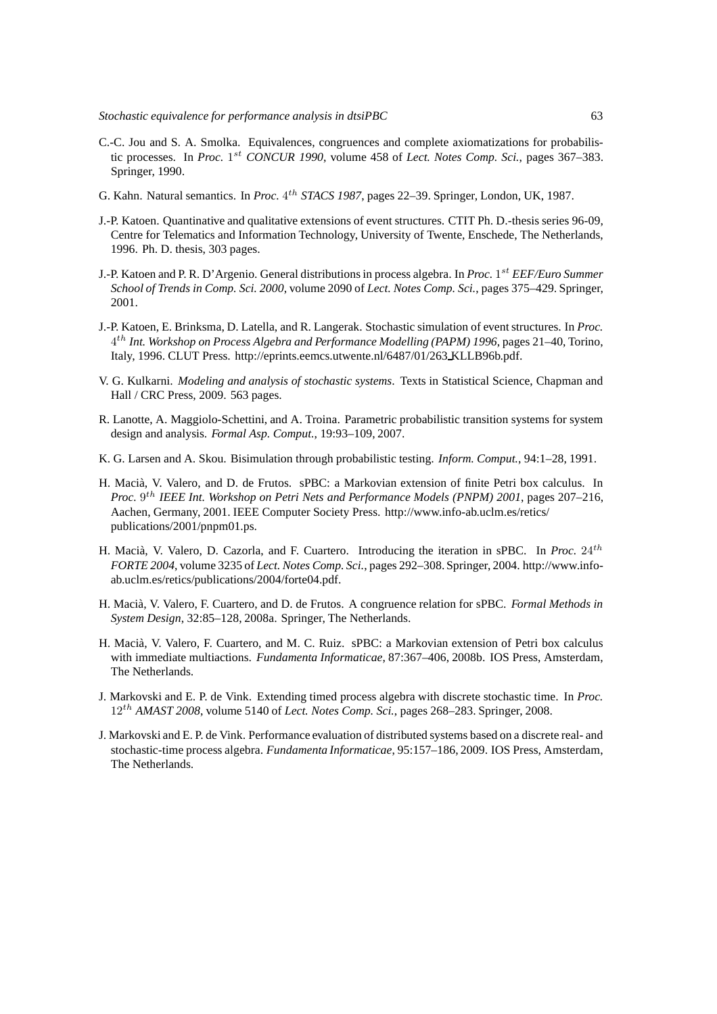- C.-C. Jou and S. A. Smolka. Equivalences, congruences and complete axiomatizations for probabilistic processes. In *Proc.* 1<sup>st</sup> CONCUR 1990, volume 458 of *Lect. Notes Comp. Sci.*, pages 367–383. Springer, 1990.
- G. Kahn. Natural semantics. In *Proc.* 4<sup>th</sup> STACS 1987, pages 22–39. Springer, London, UK, 1987.
- J.-P. Katoen. Quantinative and qualitative extensions of event structures. CTIT Ph. D.-thesis series 96-09, Centre for Telematics and Information Technology, University of Twente, Enschede, The Netherlands, 1996. Ph. D. thesis, 303 pages.
- J.-P. Katoen and P. R. D'Argenio. General distributions in process algebra. In *Proc.* 1 st *EEF/Euro Summer School of Trends in Comp. Sci. 2000*, volume 2090 of *Lect. Notes Comp. Sci.*, pages 375–429. Springer, 2001.
- J.-P. Katoen, E. Brinksma, D. Latella, and R. Langerak. Stochastic simulation of event structures. In *Proc.* 4 th *Int. Workshop on Process Algebra and Performance Modelling (PAPM) 1996*, pages 21–40, Torino, Italy, 1996. CLUT Press. http://eprints.eemcs.utwente.nl/6487/01/263 KLLB96b.pdf.
- V. G. Kulkarni. *Modeling and analysis of stochastic systems*. Texts in Statistical Science, Chapman and Hall / CRC Press, 2009. 563 pages.
- R. Lanotte, A. Maggiolo-Schettini, and A. Troina. Parametric probabilistic transition systems for system design and analysis. *Formal Asp. Comput.*, 19:93–109, 2007.
- K. G. Larsen and A. Skou. Bisimulation through probabilistic testing. *Inform. Comput.*, 94:1–28, 1991.
- H. Macià, V. Valero, and D. de Frutos. sPBC: a Markovian extension of finite Petri box calculus. In Proc. 9<sup>th</sup> IEEE Int. Workshop on Petri Nets and Performance Models (PNPM) 2001, pages 207–216, Aachen, Germany, 2001. IEEE Computer Society Press. http://www.info-ab.uclm.es/retics/ publications/2001/pnpm01.ps.
- H. Macià, V. Valero, D. Cazorla, and F. Cuartero. Introducing the iteration in sPBC. In *Proc.* 24<sup>th</sup> *FORTE 2004*, volume 3235 of *Lect. Notes Comp. Sci.*, pages 292–308. Springer, 2004. http://www.infoab.uclm.es/retics/publications/2004/forte04.pdf.
- H. Maci`a, V. Valero, F. Cuartero, and D. de Frutos. A congruence relation for sPBC. *Formal Methods in System Design*, 32:85–128, 2008a. Springer, The Netherlands.
- H. Macià, V. Valero, F. Cuartero, and M. C. Ruiz. sPBC: a Markovian extension of Petri box calculus with immediate multiactions. *Fundamenta Informaticae*, 87:367–406, 2008b. IOS Press, Amsterdam, The Netherlands.
- J. Markovski and E. P. de Vink. Extending timed process algebra with discrete stochastic time. In *Proc.* 12th *AMAST 2008*, volume 5140 of *Lect. Notes Comp. Sci.*, pages 268–283. Springer, 2008.
- J. Markovski and E. P. de Vink. Performance evaluation of distributed systems based on a discrete real- and stochastic-time process algebra. *Fundamenta Informaticae*, 95:157–186, 2009. IOS Press, Amsterdam, The Netherlands.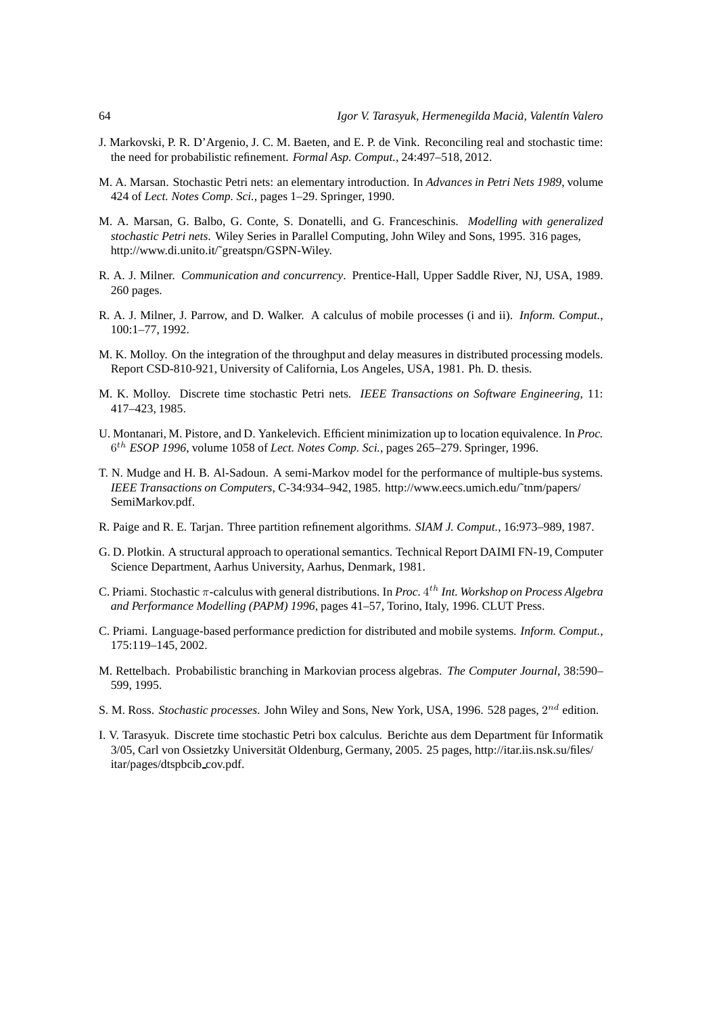- J. Markovski, P. R. D'Argenio, J. C. M. Baeten, and E. P. de Vink. Reconciling real and stochastic time: the need for probabilistic refinement. *Formal Asp. Comput.*, 24:497–518, 2012.
- M. A. Marsan. Stochastic Petri nets: an elementary introduction. In *Advances in Petri Nets 1989*, volume 424 of *Lect. Notes Comp. Sci.*, pages 1–29. Springer, 1990.
- M. A. Marsan, G. Balbo, G. Conte, S. Donatelli, and G. Franceschinis. *Modelling with generalized stochastic Petri nets*. Wiley Series in Parallel Computing, John Wiley and Sons, 1995. 316 pages, http://www.di.unito.it/˜greatspn/GSPN-Wiley.
- R. A. J. Milner. *Communication and concurrency*. Prentice-Hall, Upper Saddle River, NJ, USA, 1989. 260 pages.
- R. A. J. Milner, J. Parrow, and D. Walker. A calculus of mobile processes (i and ii). *Inform. Comput.*, 100:1–77, 1992.
- M. K. Molloy. On the integration of the throughput and delay measures in distributed processing models. Report CSD-810-921, University of California, Los Angeles, USA, 1981. Ph. D. thesis.
- M. K. Molloy. Discrete time stochastic Petri nets. *IEEE Transactions on Software Engineering*, 11: 417–423, 1985.
- U. Montanari, M. Pistore, and D. Yankelevich. Efficient minimization up to location equivalence. In *Proc.* 6 th *ESOP 1996*, volume 1058 of *Lect. Notes Comp. Sci.*, pages 265–279. Springer, 1996.
- T. N. Mudge and H. B. Al-Sadoun. A semi-Markov model for the performance of multiple-bus systems. *IEEE Transactions on Computers*, C-34:934–942, 1985. http://www.eecs.umich.edu/˜tnm/papers/ SemiMarkov.pdf.
- R. Paige and R. E. Tarjan. Three partition refinement algorithms. *SIAM J. Comput.*, 16:973–989, 1987.
- G. D. Plotkin. A structural approach to operational semantics. Technical Report DAIMI FN-19, Computer Science Department, Aarhus University, Aarhus, Denmark, 1981.
- C. Priami. Stochastic π-calculus with general distributions. In *Proc.* 4 th *Int. Workshop on Process Algebra and Performance Modelling (PAPM) 1996*, pages 41–57, Torino, Italy, 1996. CLUT Press.
- C. Priami. Language-based performance prediction for distributed and mobile systems. *Inform. Comput.*, 175:119–145, 2002.
- M. Rettelbach. Probabilistic branching in Markovian process algebras. *The Computer Journal*, 38:590– 599, 1995.
- S. M. Ross. Stochastic processes. John Wiley and Sons, New York, USA, 1996. 528 pages, 2<sup>nd</sup> edition.
- I. V. Tarasyuk. Discrete time stochastic Petri box calculus. Berichte aus dem Department für Informatik 3/05, Carl von Ossietzky Universität Oldenburg, Germany, 2005. 25 pages, http://itar.iis.nsk.su/files/ itar/pages/dtspbcib cov.pdf.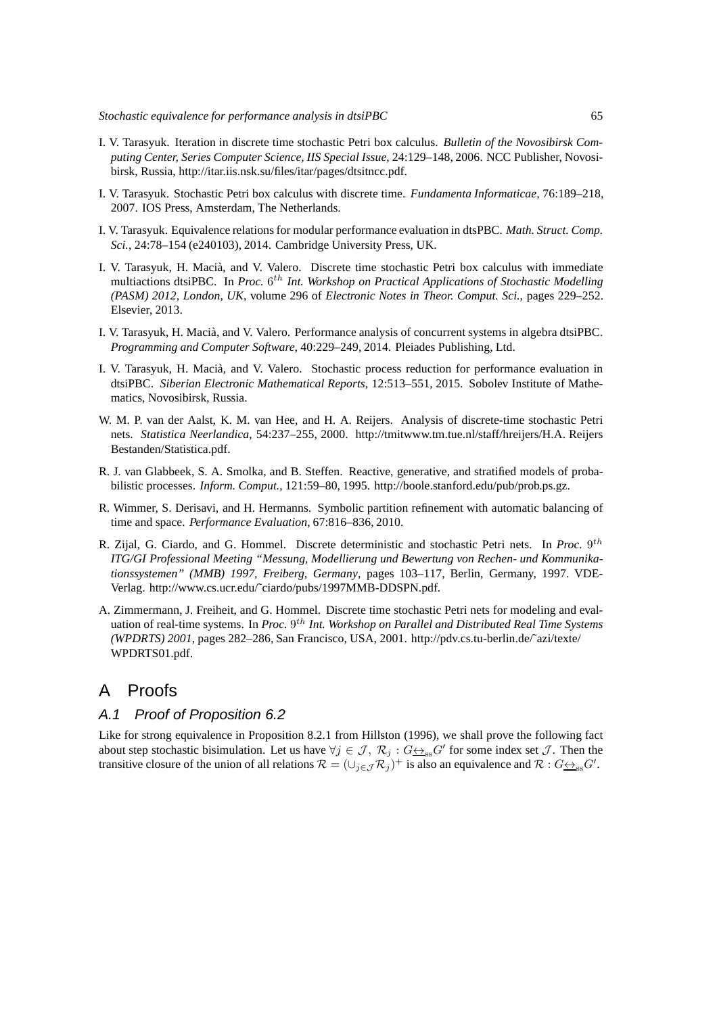- I. V. Tarasyuk. Iteration in discrete time stochastic Petri box calculus. *Bulletin of the Novosibirsk Computing Center, Series Computer Science, IIS Special Issue*, 24:129–148, 2006. NCC Publisher, Novosibirsk, Russia, http://itar.iis.nsk.su/files/itar/pages/dtsitncc.pdf.
- I. V. Tarasyuk. Stochastic Petri box calculus with discrete time. *Fundamenta Informaticae*, 76:189–218, 2007. IOS Press, Amsterdam, The Netherlands.
- I. V. Tarasyuk. Equivalence relations for modular performance evaluation in dtsPBC. *Math. Struct. Comp. Sci.*, 24:78–154 (e240103), 2014. Cambridge University Press, UK.
- I. V. Tarasyuk, H. Macià, and V. Valero. Discrete time stochastic Petri box calculus with immediate multiactions dtsiPBC. In *Proc.* 6<sup>th</sup> Int. Workshop on Practical Applications of Stochastic Modelling *(PASM) 2012, London, UK*, volume 296 of *Electronic Notes in Theor. Comput. Sci.*, pages 229–252. Elsevier, 2013.
- I. V. Tarasyuk, H. Macià, and V. Valero. Performance analysis of concurrent systems in algebra dtsiPBC. *Programming and Computer Software*, 40:229–249, 2014. Pleiades Publishing, Ltd.
- I. V. Tarasyuk, H. Macià, and V. Valero. Stochastic process reduction for performance evaluation in dtsiPBC. *Siberian Electronic Mathematical Reports*, 12:513–551, 2015. Sobolev Institute of Mathematics, Novosibirsk, Russia.
- W. M. P. van der Aalst, K. M. van Hee, and H. A. Reijers. Analysis of discrete-time stochastic Petri nets. *Statistica Neerlandica*, 54:237–255, 2000. http://tmitwww.tm.tue.nl/staff/hreijers/H.A. Reijers Bestanden/Statistica.pdf.
- R. J. van Glabbeek, S. A. Smolka, and B. Steffen. Reactive, generative, and stratified models of probabilistic processes. *Inform. Comput.*, 121:59–80, 1995. http://boole.stanford.edu/pub/prob.ps.gz.
- R. Wimmer, S. Derisavi, and H. Hermanns. Symbolic partition refinement with automatic balancing of time and space. *Performance Evaluation*, 67:816–836, 2010.
- R. Zijal, G. Ciardo, and G. Hommel. Discrete deterministic and stochastic Petri nets. In *Proc.* 9<sup>th</sup> *ITG/GI Professional Meeting "Messung, Modellierung und Bewertung von Rechen- und Kommunikationssystemen" (MMB) 1997, Freiberg, Germany*, pages 103–117, Berlin, Germany, 1997. VDE-Verlag. http://www.cs.ucr.edu/˜ciardo/pubs/1997MMB-DDSPN.pdf.
- A. Zimmermann, J. Freiheit, and G. Hommel. Discrete time stochastic Petri nets for modeling and evaluation of real-time systems. In *Proc.* 9<sup>th</sup> Int. Workshop on Parallel and Distributed Real Time Systems *(WPDRTS) 2001*, pages 282–286, San Francisco, USA, 2001. http://pdv.cs.tu-berlin.de/˜azi/texte/ WPDRTS01.pdf.

# A Proofs

## A.1 Proof of Proposition 6.2

Like for strong equivalence in Proposition 8.2.1 from Hillston (1996), we shall prove the following fact about step stochastic bisimulation. Let us have  $\forall j \in \mathcal{J}, \mathcal{R}_j : G \rightarrow_{\text{ss}} G'$  for some index set  $\mathcal{J}$ . Then the transitive closure of the union of all relations  $\mathcal{R} = (\cup_{j \in \mathcal{J}} \mathcal{R}_j)^+$  is also an equivalence and  $\mathcal{R}$  :  $G \rightarrow_{ss} G'$ .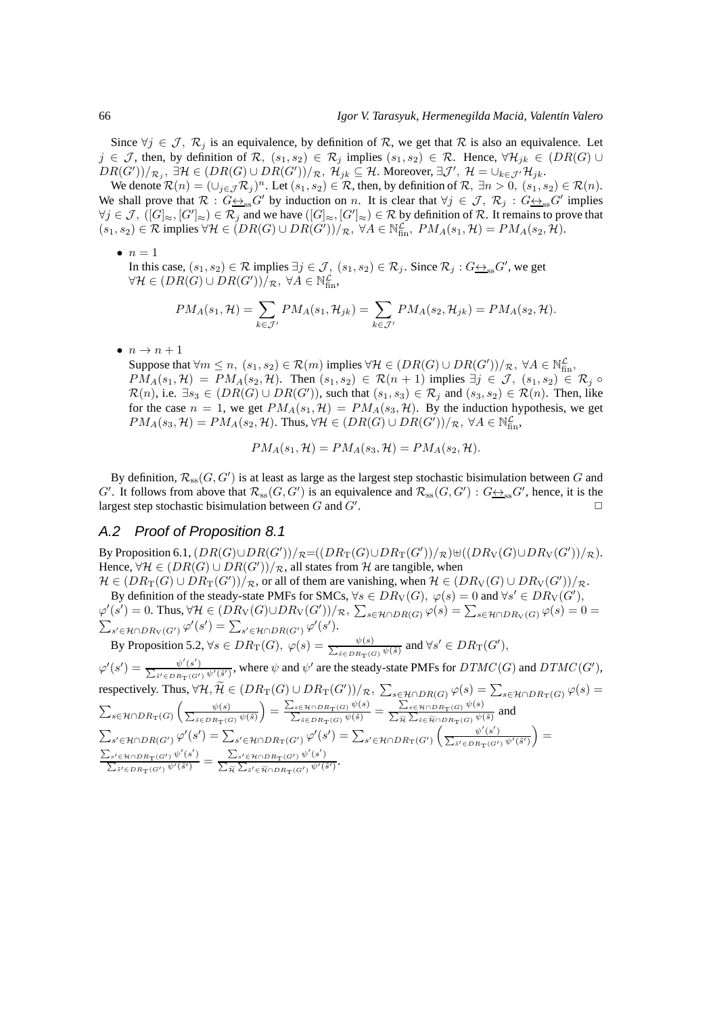Since  $\forall j \in \mathcal{J}, \mathcal{R}_j$  is an equivalence, by definition of R, we get that R is also an equivalence. Let  $j \in \mathcal{J}$ , then, by definition of  $\mathcal{R}$ ,  $(s_1, s_2) \in \mathcal{R}_i$  implies  $(s_1, s_2) \in \mathcal{R}$ . Hence,  $\forall \mathcal{H}_{ik} \in (DR(G) \cup$  $DR(G'))/_{\mathcal{R}_j}, \ \exists \mathcal{H} \in (DR(G) \cup DR(G'))/_{\mathcal{R}}, \ \mathcal{H}_{jk} \subseteq \mathcal{H}.$  Moreover,  $\exists \mathcal{J}', \ \mathcal{H} = \cup_{k \in \mathcal{J}'} \mathcal{H}_{jk}.$ 

We denote  $\mathcal{R}(n) = (\cup_{j \in \mathcal{J}} \mathcal{R}_j)^n$ . Let  $(s_1, s_2) \in \mathcal{R}$ , then, by definition of  $\mathcal{R}, \exists n > 0, (s_1, s_2) \in \mathcal{R}(n)$ . We shall prove that  $\mathcal{R}: G \rightarrow_{\text{ss}} G'$  by induction on n. It is clear that  $\forall j \in \mathcal{J}, \mathcal{R}_j: G \rightarrow_{\text{ss}} G'$  implies  $\forall j \in \mathcal{J}, \ ([G]_{\approx}, [G']_{\approx}) \in \mathcal{R}_j$  and we have  $([G]_{\approx}, [G']_{\approx}) \in \mathcal{R}$  by definition of  $\mathcal{R}$ . It remains to prove that  $(s_1, s_2) \in \mathcal{R}$  implies  $\forall \mathcal{H} \in (DR(G) \cup DR(G'))/R$ ,  $\forall A \in \mathbb{N}_{fin}^{\mathcal{L}}$ ,  $PM_A(s_1, \mathcal{H}) = PM_A(s_2, \mathcal{H})$ .

 $\bullet$   $n=1$ 

In this case,  $(s_1, s_2) \in \mathcal{R}$  implies  $\exists j \in \mathcal{J}, (s_1, s_2) \in \mathcal{R}_j$ . Since  $\mathcal{R}_j : G \rightarrow_{\text{ss}} G'$ , we get  $\forall \mathcal{H} \in (DR(G) \cup DR(G'))/R, \ \forall A \in \mathbb{N}_{\text{fin}}^{\mathcal{L}},$ 

$$
PM_A(s_1, \mathcal{H}) = \sum_{k \in \mathcal{J}'} PM_A(s_1, \mathcal{H}_{jk}) = \sum_{k \in \mathcal{J}'} PM_A(s_2, \mathcal{H}_{jk}) = PM_A(s_2, \mathcal{H}).
$$

 $\bullet$   $n \rightarrow n+1$ 

Suppose that  $\forall m \leq n, (s_1, s_2) \in \mathcal{R}(m)$  implies  $\forall \mathcal{H} \in (DR(G) \cup DR(G'))/R, \ \forall A \in \mathbb{N}_{fin}^{\mathcal{L}},$  $PM_A(s_1, \mathcal{H}) = PM_A(s_2, \mathcal{H})$ . Then  $(s_1, s_2) \in \mathcal{R}(n+1)$  implies  $\exists j \in \mathcal{J}, (s_1, s_2) \in \mathcal{R}_j \circ$  $\mathcal{R}(n)$ , i.e.  $\exists s_3 \in (DR(G) \cup DR(G'))$ , such that  $(s_1, s_3) \in \mathcal{R}_j$  and  $(s_3, s_2) \in \mathcal{R}(n)$ . Then, like for the case  $n = 1$ , we get  $PM_A(s_1, \mathcal{H}) = PM_A(s_3, \mathcal{H})$ . By the induction hypothesis, we get  $PM_A(s_3, \mathcal{H}) = PM_A(s_2, \mathcal{H})$ . Thus,  $\forall \mathcal{H} \in (DR(G) \cup DR(G'))/\mathcal{R}$ ,  $\forall A \in \mathbb{N}_{fin}^{\mathcal{L}}$ ,

$$
PM_A(s_1, \mathcal{H}) = PM_A(s_3, \mathcal{H}) = PM_A(s_2, \mathcal{H}).
$$

By definition,  $\mathcal{R}_{\mathrm{ss}}(G, G')$  is at least as large as the largest step stochastic bisimulation between  $G$  and G'. It follows from above that  $\mathcal{R}_{ss}(G, G')$  is an equivalence and  $\mathcal{R}_{ss}(G, G') : G \rightarrow_{ss} G'$ , hence, it is the largest step stochastic bisimulation between  $G$  and  $G'$ . .  $\Box$ 

#### A.2 Proof of Proposition 8.1

By Proposition 6.1,  $(DR(G) \cup DR(G'))/\pi = ((DR_T(G) \cup DR_T(G'))/\pi) \uplus ((DR_V(G) \cup DR_V(G'))/\pi).$ Hence,  $\forall \mathcal{H} \in (DR(G) \cup DR(G'))/R$ , all states from H are tangible, when

 $\mathcal{H} \in (DR_T(G) \cup DR_T(G'))/R$ , or all of them are vanishing, when  $\mathcal{H} \in (DR_V(G) \cup DR_V(G'))/R$ . By definition of the steady-state PMFs for SMCs,  $\forall s \in DR_V(G)$ ,  $\varphi(s) = 0$  and  $\forall s' \in DR_V(G')$ ,  $\varphi'(s') = 0$ . Thus,  $\forall \mathcal{H} \in (DR_V(G) \cup DR_V(G'))/R$ ,  $\sum_{s \in \mathcal{H} \cap DR(G)} \varphi(s) = \sum_{s \in \mathcal{H} \cap DR_V(G)} \varphi(s) = 0$  $\sum_{s' \in \mathcal{H} \cap DR_V(G')} \varphi'(s') = \sum_{s' \in \mathcal{H} \cap DR(G')} \varphi'(s').$ 

By Proposition 5.2,  $\forall s \in DR_T(G), \ \varphi(s) = \frac{\psi(s)}{\sum_{s \in RR} \psi(s)}$  $\frac{\psi(s)}{s \in DR_{\mathrm{T}}(G)} \psi(\tilde{s})$  and  $\forall s' \in DR_{\mathrm{T}}(G'),$ 

 $\varphi'(s') = \frac{\psi'(s')}{\sum_{s=1}^{s-1} \chi(s)}$  $\frac{\psi'(s')}{\sum_{s' \in DR_T(G')} \psi'(s')}$ , where  $\psi$  and  $\psi'$  are the steady-state PMFs for  $DTMC(G)$  and  $DTMC(G')$ , respectively. Thus,  $\forall H, \widetilde{H} \in (DR_{\mathrm{T}}(G) \cup DR_{\mathrm{T}}(G'))/R, \ \sum_{s \in \mathcal{H} \cap DR(G)} \varphi(s) = \sum_{s \in \mathcal{H} \cap DR_{\mathrm{T}}(G)} \varphi(s)$  $\sum_{s\in\mathcal{H}\cap DR_{\textbf{T}}(G)}$  $\left(\frac{\psi(s)}{\sum_{s \in \text{DR}} \psi(s)}\right)$  $\tilde{s} \in DR_T(G) \psi(\tilde{s})$  $=\frac{\sum_{s\in \mathcal{H}\cap DR_{\mathrm{T}}(G)}\psi(s)}{\sum_{\tilde{s}\in DR_{\mathrm{T}}(G)}\psi(\tilde{s})}=\frac{\sum_{s\in \mathcal{H}\cap DR_{\mathrm{T}}(G)}\psi(s)}{\sum_{\tilde{\mathcal{H}}}\sum_{\tilde{s}\in \tilde{\mathcal{H}}\cap DR_{\mathrm{T}}(G)}\psi(\tilde{s})}$  and  $\sum_{s' \in \mathcal{H} \cap DR(G')} \varphi'(s') = \sum_{s' \in \mathcal{H} \cap DR_{\mathrm{T}}(G')} \varphi'(s') = \sum_{s' \in \mathcal{H} \cap DR_{\mathrm{T}}(G')}$  $\int$ <sup>1</sup>  $\psi'(s')$  $\frac{\psi'(s')}{\sum_{\tilde{s}' \in DR_{\rm T}(G')}\psi'(\tilde{s}') }$  $=$  $\sum_{s' \in \mathcal{H} \cap DR_{\textbf{T}}(G') } \psi'(s')$  $\frac{\sum_{s'\in\mathcal{H}\cap DR_{\mathrm{T}}(G')}\psi'(s')}{\sum_{\tilde{s}'\in DR_{\mathrm{T}}(G')}\psi'(\tilde{s}')}=\frac{\sum_{s'\in\mathcal{H}\cap DR_{\mathrm{T}}(G')}\psi'(s')}{\sum_{\widetilde{\pi}}\sum_{\tilde{s}'\in\widetilde{\mathcal{H}}\cap DR_{\mathrm{T}}(G')}\psi'(\tilde{s}')}.$  $\frac{\sum_{s'\in \mathcal{H}}\cap \mathrm{DR}_{\mathrm{T}}(G')\notin \mathcal{C}}{\sum_{\widetilde{\mathcal{H}}} \sum_{\widetilde{s}'\in \widetilde{\mathcal{H}}\cap \mathrm{DR}_{\mathrm{T}}(G')}\psi'(\widetilde{s}')}$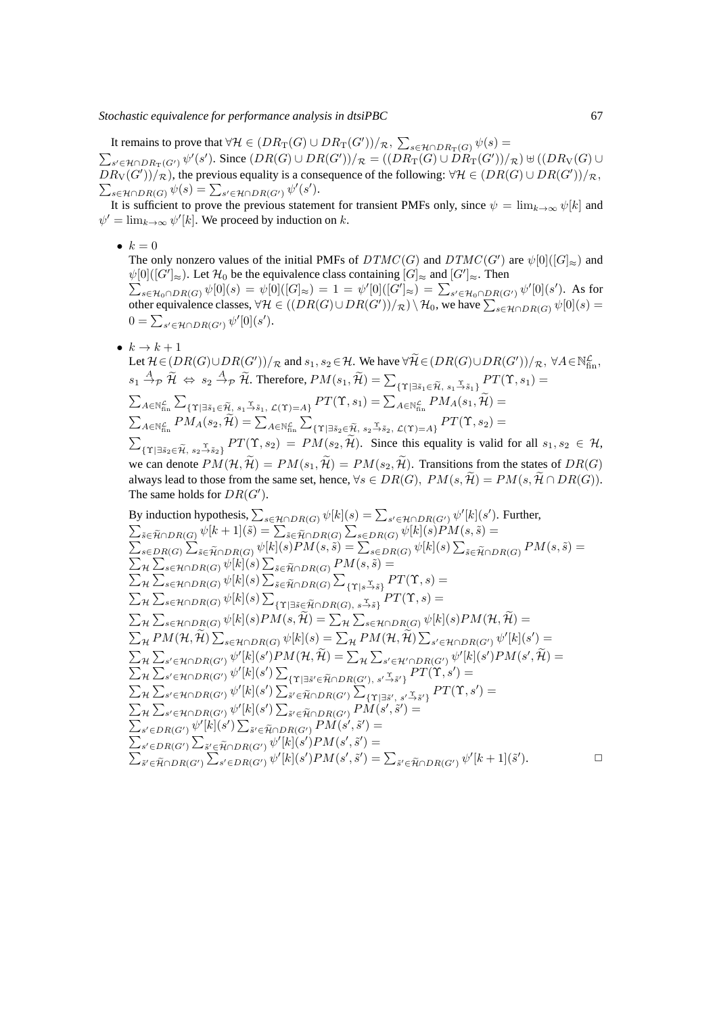It remains to prove that  $\forall H \in (DR_{\operatorname{T}}(G) \cup DR_{\operatorname{T}}(G'))/\mathcal{R}, \ \sum_{s \in \mathcal{H} \cap DR_{\operatorname{T}}(G)} \psi(s) =$  $\sum_{s' \in \mathcal{H} \cap DR_{\textbf{T}}(G')} \psi'(s')$ . Since  $(DR(G) \cup DR(G'))/R = ((DR_{\textbf{T}}(G) \cup DR_{\textbf{T}}(G'))/R) \uplus ((DR_{\textbf{V}}(G) \cup DR_{\textbf{T}}(G'))/R)$  $DR_V(G'))/R$ , the previous equality is a consequence of the following:  $\forall H \in (DR(G) \cup DR(G'))/R$ ,  $\sum_{s\in\mathcal{H}\cap DR(G)}\psi(s)=\sum_{s'\in\mathcal{H}\cap DR(G')}\psi'(s').$ 

It is sufficient to prove the previous statement for transient PMFs only, since  $\psi = \lim_{k \to \infty} \psi[k]$  and  $\psi' = \lim_{k \to \infty} \psi'[k]$ . We proceed by induction on k.

•  $k = 0$ 

The only nonzero values of the initial PMFs of  $DTMC(G)$  and  $DTMC(G')$  are  $\psi[0]([G]_{\approx})$  and  $\psi[0]([G']_\approx)$ . Let  $\mathcal{H}_0$  be the equivalence class containing  $[G]_\approx$  and  $[G']_\approx$ . Then  $\sum_{s \in \mathcal{H}_0 \cap DR(G)} \psi[0](s) = \psi[0]([G]_{\approx}) = 1 = \psi'[0]([G']_{\approx}) = \sum_{s' \in \mathcal{H}_0 \cap DR(G')} \psi'[0](s')$ . As for

other equivalence classes,  $\forall H \in ((DR(G) \cup DR(G'))/\mathcal{R}) \setminus \mathcal{H}_0$ , we have  $\sum_{s \in \mathcal{H} \cap DR(G)} \psi[0](s) =$  $0 = \sum_{s' \in \mathcal{H} \cap DR(G')} \psi'[0](s').$ 

•  $k \to k+1$ 

Let  $\mathcal{H} \in (DR(G) \cup DR(G'))/R$  and  $s_1, s_2 \in \mathcal{H}$ . We have  $\forall \widetilde{\mathcal{H}} \in (DR(G) \cup DR(G'))/R$ ,  $\forall A \in \mathbb{N}_{\text{fin}}^{\mathcal{L}}$ ,  $s_1 \stackrel{A}{\rightarrow} p \widetilde{\mathcal{H}} \Leftrightarrow s_2 \stackrel{A}{\rightarrow} p \widetilde{\mathcal{H}}.$  Therefore,  $PM(s_1, \widetilde{\mathcal{H}}) = \sum_{\{\Upsilon \mid \exists \tilde{s}_1 \in \widetilde{\mathcal{H}}, \ s_1 \stackrel{\Upsilon}{\rightarrow} \tilde{s}_1\}} PT(\Upsilon, s_1) =$  $\sum_{A \in \mathbb{N}_{\textrm{fin}}^{\mathcal{L}}} \sum$  $\{ \Upsilon | \exists \tilde{s}_1 \in \widetilde{\mathcal{H}}, \, s_1 \overset{\Upsilon}{\to} \tilde{s}_1, \, \mathcal{L}(\Upsilon) = A \} \, PT(\Upsilon,s_1) = \sum_{A \in \mathbb{N}_{\text{fin}}^{\mathcal{L}}} PM_A(s_1, \widetilde{\mathcal{H}}) = 0$  $\sum_{A\in\mathbb{N}_{\text{fin}}^{\mathcal{L}}}PM_A(s_2,\widetilde{\mathcal{H}})=\sum_{A\in\mathbb{N}_{\text{fin}}^{\mathcal{L}}}\sum$  $\{\Upsilon|\exists \tilde s_2\in \widetilde{\mathcal{H}},\, s_2 \overset{\Upsilon}{\rightarrow} \tilde s_2,\, \mathcal{L}(\Upsilon){=}A\}\,PT(\Upsilon,s_2)=0$  $\sum$  ${\{\Upsilon | \exists \tilde{s}_2 \in \tilde{\mathcal{H}}, s_2 \to \tilde{s}_2\}} PT(\Upsilon, s_2) = PM(s_2, \mathcal{H}).$  Since this equality is valid for all  $s_1, s_2 \in \mathcal{H},$ we can denote  $PM(\mathcal{H}, \widetilde{\mathcal{H}}) = PM(s_1, \widetilde{\mathcal{H}}) = PM(s_2, \widetilde{\mathcal{H}})$ . Transitions from the states of  $DR(G)$ always lead to those from the same set, hence,  $\forall s \in DR(G)$ ,  $PM(s, \mathcal{H}) = PM(s, \mathcal{H} \cap DR(G))$ . The same holds for  $DR(G')$ .

By induction hypothesis, 
$$
\sum_{s \in \mathcal{H} \cap DR(G)} \psi[k](s) = \sum_{s' \in \mathcal{H} \cap DR(G')} \psi[k](s').
$$
 Further,  
\n
$$
\sum_{\tilde{s} \in \tilde{\mathcal{H}} \cap DR(G)} \psi[k+1](\tilde{s}) = \sum_{\tilde{s} \in \tilde{\mathcal{H}} \cap DR(G)} \sum_{s \in DR(G)} \psi[k](s)PM(s, \tilde{s}) =
$$
\n
$$
\sum_{s \in DR(G)} \sum_{\tilde{s} \in \tilde{\mathcal{H}} \cap DR(G)} \psi[k](s)PM(s, \tilde{s}) = \sum_{s \in DR(G)} \psi[k](s) \sum_{\tilde{s} \in \tilde{\mathcal{H}} \cap DR(G)} \psi[k](s) \sum_{\tilde{s} \in \tilde{\mathcal{H}} \cap DR(G)} PM(s, \tilde{s}) =
$$
\n
$$
\sum_{\mathcal{H}} \sum_{s \in \mathcal{H} \cap DR(G)} \psi[k](s) \sum_{\tilde{s} \in \tilde{\mathcal{H}} \cap DR(G)} PM(s, \tilde{s}) =
$$
\n
$$
\sum_{\mathcal{H}} \sum_{s \in \mathcal{H} \cap DR(G)} \psi[k](s) \sum_{\tilde{s} \in \tilde{\mathcal{H}} \cap DR(G)} \sum_{\{Y|s \leq \tilde{s}\}} PT(\Upsilon, s) =
$$
\n
$$
\sum_{\mathcal{H}} \sum_{s \in \mathcal{H} \cap DR(G)} \psi[k](s)PM(s, \tilde{\mathcal{H}}) = \sum_{\mathcal{H}} \sum_{s \in \mathcal{H} \cap DR(G)} \psi[k](s)PM(\mathcal{H}, \tilde{\mathcal{H}}) =
$$
\n
$$
\sum_{\mathcal{H}} PM(\mathcal{H}, \tilde{\mathcal{H}}) \sum_{s \in \mathcal{H} \cap DR(G')} \psi[k](s) = \sum_{\mathcal{H}} PM(\mathcal{H}, \tilde{\mathcal{H}}) \sum_{s' \in \mathcal{H} \cap DR(G')} \psi'[k](s') =
$$
\n
$$
\sum_{\mathcal{H}} \sum_{s' \in \mathcal{H} \cap DR(G')} \psi'[k](s') \sum_{\{Y| \exists \tilde{s}' \in \tilde{\mathcal{H}} \cap DR(G')\}} \sum_{s' \in \mathcal{H} \cap DR(G')} \psi'[
$$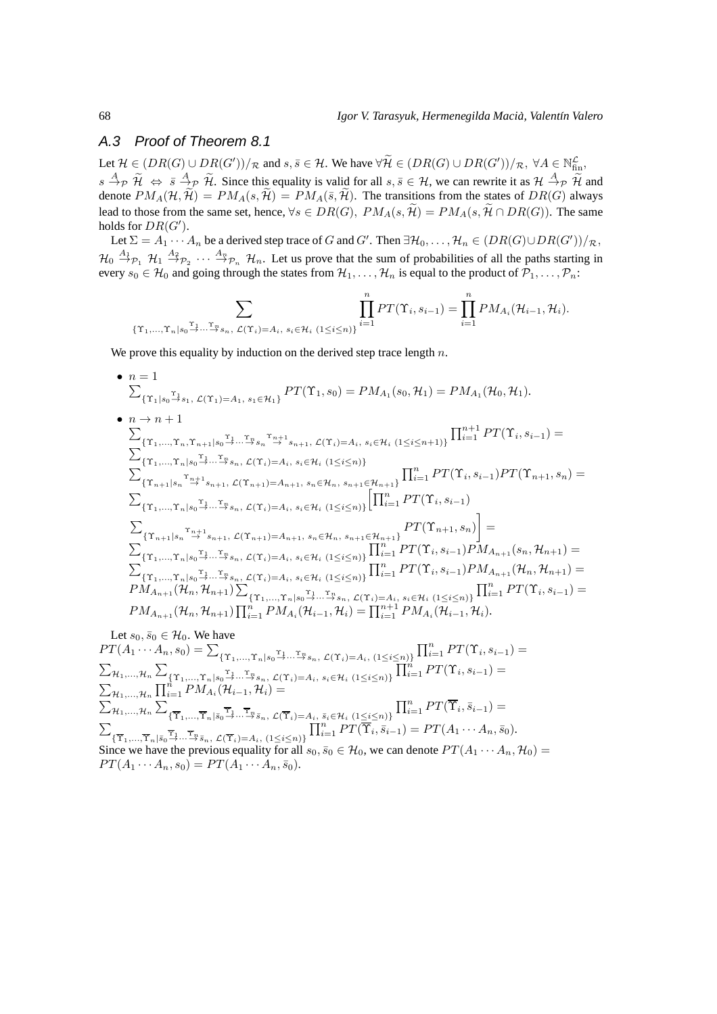## A.3 Proof of Theorem 8.1

Let  $\mathcal{H} \in (DR(G) \cup DR(G'))/R$  and  $s, \overline{s} \in \mathcal{H}$ . We have  $\forall \widetilde{\mathcal{H}} \in (DR(G) \cup DR(G'))/R$ ,  $\forall A \in \mathbb{N}_{fin}^{\mathcal{L}}$ ,  $s \stackrel{A}{\rightarrow} p \stackrel{\sim}{\rightarrow} s \stackrel{A}{\rightarrow} p \stackrel{\sim}{\rightarrow} l$ . Since this equality is valid for all  $s, \overline{s} \in \mathcal{H}$ , we can rewrite it as  $\mathcal{H} \stackrel{A}{\rightarrow} p \stackrel{\sim}{\rightarrow} l$  and denote  $PM_A(\mathcal{H}, \widetilde{\mathcal{H}}) = PM_A(s, \widetilde{\mathcal{H}}) = PM_A(\overline{s}, \widetilde{\mathcal{H}})$ . The transitions from the states of  $DR(G)$  always lead to those from the same set, hence,  $\forall s \in DR(G)$ ,  $PM_A(s, \widetilde{H}) = PM_A(s, \widetilde{H} \cap DR(G))$ . The same holds for  $DR(G')$ .

Let  $\Sigma = A_1 \cdots A_n$  be a derived step trace of G and G'. Then  $\exists \mathcal{H}_0, \ldots, \mathcal{H}_n \in (DR(G) \cup DR(G'))/R$ ,  $\mathcal{H}_0$   $\overset{A_1}{\rightarrow}$   $\mathcal{P}_1$   $\overset{A_2}{\rightarrow}$   $\mathcal{P}_2$   $\cdots$   $\overset{A_n}{\rightarrow}$   $\mathcal{P}_n$   $\mathcal{H}_n$ . Let us prove that the sum of probabilities of all the paths starting in every  $s_0 \in H_0$  and going through the states from  $H_1, \ldots, H_n$  is equal to the product of  $\mathcal{P}_1, \ldots, \mathcal{P}_n$ :

$$
\sum_{\{\Upsilon_1,\dots,\Upsilon_n|s_0\stackrel{\Upsilon_1}{\to}\dots\stackrel{\Upsilon_n}{\to}s_n,\ \mathcal{L}(\Upsilon_i)=A_i,\ s_i\in\mathcal{H}_i}\prod_{i=1}^n PT(\Upsilon_i,s_{i-1})=\prod_{i=1}^n PM_{A_i}(\mathcal{H}_{i-1},\mathcal{H}_i).
$$

We prove this equality by induction on the derived step trace length  $n$ .

• 
$$
n = 1
$$
  
\n
$$
\sum_{\{\Upsilon_1|s_0\to s_1, \mathcal{L}(\Upsilon_1)=A_1, s_1\in\mathcal{H}_1\}} P T(\Upsilon_1, s_0) = P M_{A_1}(s_0, \mathcal{H}_1) = P M_{A_1}(\mathcal{H}_0, \mathcal{H}_1).
$$
  
\n•  $n \to n+1$   
\n
$$
\sum_{\{\Upsilon_1,\ldots,\Upsilon_n,\Upsilon_n,\Upsilon_{n+1}|s_0\to\ldots\to s_n\}} P T(\Upsilon_1, s_0) = P M_{A_1}(s_0, \mathcal{H}_1) = P M_{A_1}(\mathcal{H}_0, \mathcal{H}_1).
$$
  
\n•  $\sum_{\{\Upsilon_1,\ldots,\Upsilon_n|s_0\to\ldots\to s_n, \mathcal{L}(\Upsilon_i)=A_i, s_i\in\mathcal{H}_i \ (1\leq i\leq n)\}}$   
\n
$$
\sum_{\{\Upsilon_{n+1}|s_n\to s_{n+1}, \mathcal{L}(\Upsilon_{n+1})=A_{n+1}, s_n\in\mathcal{H}_n, s_{n+1}\in\mathcal{H}_{n+1}\}} \prod_{i=1}^n P T(\Upsilon_i, s_{i-1}) P T(\Upsilon_{n+1}, s_n) =
$$
  
\n
$$
\sum_{\{\Upsilon_1,\ldots,\Upsilon_n|s_0\to\ldots\to s_n, \mathcal{L}(\Upsilon_i)=A_i, s_i\in\mathcal{H}_i \ (1\leq i\leq n)\}} \left[\prod_{i=1}^n P T(\Upsilon_i, s_{i-1})\right]
$$
  
\n
$$
\sum_{\{\Upsilon_{n+1}|s_n\to s_{n+1}, \mathcal{L}(\Upsilon_{n+1})=A_{n+1}, s_n\in\mathcal{H}_n, s_{n+1}\in\mathcal{H}_{n+1}\}} P T(\Upsilon_{n+1}, s_n)\right] =
$$
  
\n
$$
\sum_{\{\Upsilon_{1},\ldots,\Upsilon_n|s_0\to\ldots\to s_n, \mathcal{L}(\Upsilon_i)=A_i, s_i\in\mathcal{H}_i \ (1\leq i\leq n)\}} \prod_{i=1}^n P T(\Upsilon_i, s_{i-1}) P M_{A_{n+1}}(s_n, \mathcal{
$$

Let  $s_0, \bar{s}_0 \in \mathcal{H}_0$ . We have

 $PT(A_1 \cdots A_n, s_0) = \sum_{\{\Upsilon_1, ..., \Upsilon_n | s_0 = 1 \dots \sqsupseteq s_n, \ L(\Upsilon_i) = A_i, \ (1 \le i \le n) \}} \prod_{i=1}^n PT(\Upsilon_i, s_{i-1}) =$  $\sum_{\mathcal{H}_1,...,\mathcal{H}_n} \sum_{\{\Upsilon_1,...,\Upsilon_n | s_0 \stackrel{\Upsilon_1}{\longrightarrow} ... \stackrel{\Upsilon_n}{\longrightarrow} s_n, \ \mathcal{L}(\Upsilon_i)=A_i, \ s_i \in \mathcal{H}_i \ (1 \leq i \leq n)\}} \prod_{i=1}^n PT(\Upsilon_i,s_{i-1}) =$  $\sum_{\mathcal{H}_1,...,\mathcal{H}_n} \prod_{i=1}^n PM_{A_i}(\mathcal{H}_{i-1},\mathcal{H}_i) =$  $\sum_{\mathcal{H}_1,...,\mathcal{H}_n} \sum$  $\{\overline{\Upsilon}_1,\ldots,\overline{\Upsilon}_n | \overline{s}_0 \overset{\Upsilon_1}{\rightarrow} \cdots \overset{\overline{\Upsilon}_n}{\rightarrow} \overline{s}_n, \ \mathcal{L}(\overline{\Upsilon}_i)=A_i, \ \overline{s}_i \in \mathcal{H}_i \ (1 \leq i \leq n)\}$  $\prod_{i=1}^n PT(\overline{\Upsilon}_i, \overline{s}_{i-1}) =$  $\sum$  ${\{\overline{\Upsilon}_1,...,\overline{\Upsilon}_n | \bar{s}_0 \to \cdots \overline{\to} \bar{s}_n, \mathcal{L}(\overline{\Upsilon}_i)=A_i, (1 \leq i \leq n)\}}$  $\prod_{i=1}^n PT(\overline{\Upsilon}_i, \overline{s}_{i-1}) = PT(A_1 \cdots A_n, \overline{s}_0).$ Since we have the previous equality for all  $s_0, \bar{s}_0 \in \mathcal{H}_0$ , we can denote  $PT(A_1 \cdots A_n, \mathcal{H}_0)$ 

 $PT(A_1 \cdots A_n, s_0) = PT(A_1 \cdots A_n, \bar{s}_0).$